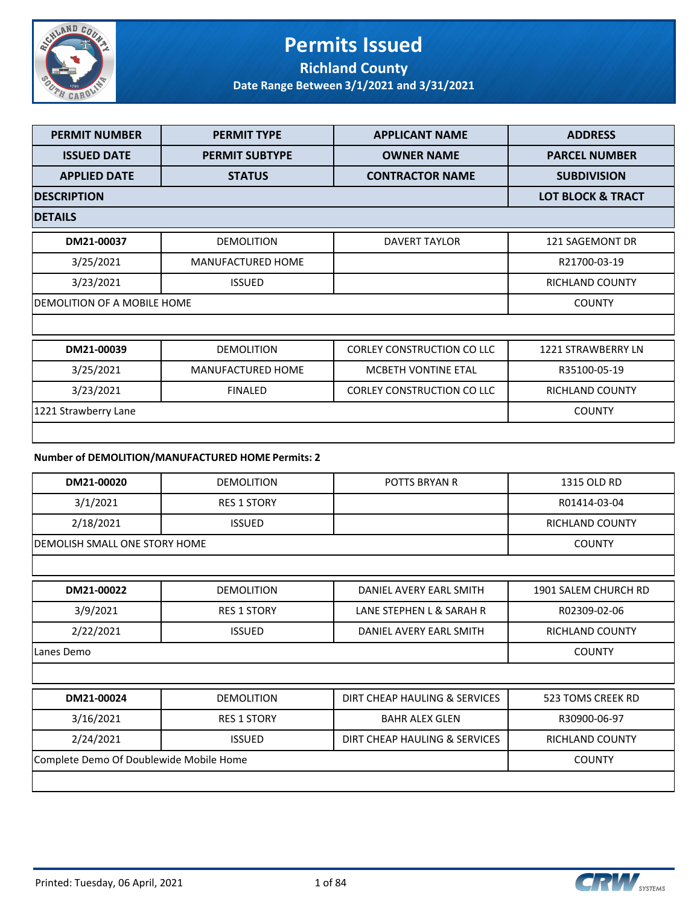

### **Permits Issued Richland County**

| <b>PERMIT NUMBER</b>               | <b>PERMIT TYPE</b>                                | <b>APPLICANT NAME</b>             | <b>ADDRESS</b>               |
|------------------------------------|---------------------------------------------------|-----------------------------------|------------------------------|
| <b>ISSUED DATE</b>                 | <b>PERMIT SUBTYPE</b>                             | <b>OWNER NAME</b>                 | <b>PARCEL NUMBER</b>         |
| <b>APPLIED DATE</b>                | <b>STATUS</b>                                     | <b>CONTRACTOR NAME</b>            | <b>SUBDIVISION</b>           |
| <b>DESCRIPTION</b>                 |                                                   |                                   | <b>LOT BLOCK &amp; TRACT</b> |
| <b>DETAILS</b>                     |                                                   |                                   |                              |
| DM21-00037                         | <b>DEMOLITION</b>                                 | <b>DAVERT TAYLOR</b>              | 121 SAGEMONT DR              |
| 3/25/2021                          | <b>MANUFACTURED HOME</b>                          |                                   | R21700-03-19                 |
| 3/23/2021                          | <b>ISSUED</b>                                     |                                   | RICHLAND COUNTY              |
| <b>DEMOLITION OF A MOBILE HOME</b> |                                                   |                                   | <b>COUNTY</b>                |
|                                    |                                                   |                                   |                              |
| DM21-00039                         | <b>DEMOLITION</b>                                 | <b>CORLEY CONSTRUCTION CO LLC</b> | <b>1221 STRAWBERRY LN</b>    |
| 3/25/2021                          | <b>MANUFACTURED HOME</b>                          | <b>MCBETH VONTINE ETAL</b>        | R35100-05-19                 |
| 3/23/2021                          | <b>FINALED</b>                                    | <b>CORLEY CONSTRUCTION CO LLC</b> | <b>RICHLAND COUNTY</b>       |
| 1221 Strawberry Lane               |                                                   |                                   | <b>COUNTY</b>                |
|                                    |                                                   |                                   |                              |
|                                    | Number of DEMOLITION/MANUFACTURED HOME Permits: 2 |                                   |                              |
| DM21-00020                         | <b>DEMOLITION</b>                                 | <b>POTTS BRYAN R</b>              | 1315 OLD RD                  |
| 3/1/2021                           | <b>RES 1 STORY</b>                                |                                   | R01414-03-04                 |
| 2/18/2021                          | <b>ISSUED</b>                                     |                                   | <b>RICHLAND COUNTY</b>       |
| DEMOLISH SMALL ONE STORY HOME      |                                                   |                                   | <b>COUNTY</b>                |

| DM21-00022 | <b>DEMOLITION</b>  | DANIEL AVERY EARL SMITH       | 1901 SALEM CHURCH RD |
|------------|--------------------|-------------------------------|----------------------|
| 3/9/2021   | <b>RES 1 STORY</b> | LANE STEPHEN L & SARAH R      | R02309-02-06         |
| 2/22/2021  | <b>ISSUED</b>      | DANIEL AVERY EARL SMITH       | RICHLAND COUNTY      |
| Lanes Demo |                    |                               | <b>COUNTY</b>        |
|            |                    |                               |                      |
| DM21-00024 | <b>DEMOLITION</b>  | DIRT CHEAP HAULING & SERVICES | 523 TOMS CREEK RD    |

| DM21-00024                              | <b>DEMOLITION</b> | DIRT CHEAP HAULING & SERVICES | 523 TOMS CREEK RD |
|-----------------------------------------|-------------------|-------------------------------|-------------------|
| 3/16/2021                               | RES 1 STORY       | <b>BAHR ALEX GLEN</b>         | R30900-06-97      |
| 2/24/2021                               | <b>ISSUED</b>     | DIRT CHEAP HAULING & SERVICES | RICHLAND COUNTY   |
| Complete Demo Of Doublewide Mobile Home |                   |                               | <b>COUNTY</b>     |
|                                         |                   |                               |                   |

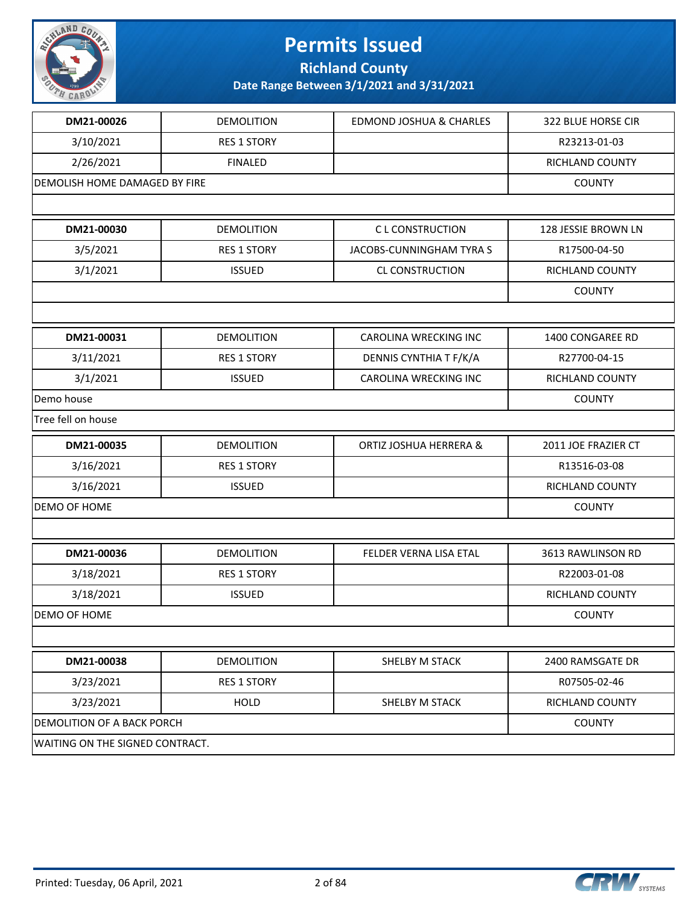

**Richland County**

| DM21-00026                        | <b>DEMOLITION</b>  | <b>EDMOND JOSHUA &amp; CHARLES</b> | 322 BLUE HORSE CIR  |
|-----------------------------------|--------------------|------------------------------------|---------------------|
| 3/10/2021                         | <b>RES 1 STORY</b> |                                    | R23213-01-03        |
| 2/26/2021                         | <b>FINALED</b>     |                                    | RICHLAND COUNTY     |
| DEMOLISH HOME DAMAGED BY FIRE     |                    |                                    | <b>COUNTY</b>       |
|                                   |                    |                                    |                     |
| DM21-00030                        | <b>DEMOLITION</b>  | <b>CL CONSTRUCTION</b>             | 128 JESSIE BROWN LN |
| 3/5/2021                          | <b>RES 1 STORY</b> | JACOBS-CUNNINGHAM TYRA S           | R17500-04-50        |
| 3/1/2021                          | <b>ISSUED</b>      | CL CONSTRUCTION                    | RICHLAND COUNTY     |
|                                   |                    |                                    | <b>COUNTY</b>       |
|                                   |                    |                                    |                     |
| DM21-00031                        | <b>DEMOLITION</b>  | <b>CAROLINA WRECKING INC</b>       | 1400 CONGAREE RD    |
| 3/11/2021                         | <b>RES 1 STORY</b> | DENNIS CYNTHIA T F/K/A             | R27700-04-15        |
| 3/1/2021                          | <b>ISSUED</b>      | <b>CAROLINA WRECKING INC</b>       | RICHLAND COUNTY     |
| Demo house                        |                    |                                    | <b>COUNTY</b>       |
| Tree fell on house                |                    |                                    |                     |
| DM21-00035                        | <b>DEMOLITION</b>  | ORTIZ JOSHUA HERRERA &             | 2011 JOE FRAZIER CT |
| 3/16/2021                         | <b>RES 1 STORY</b> |                                    | R13516-03-08        |
| 3/16/2021                         | <b>ISSUED</b>      |                                    | RICHLAND COUNTY     |
| DEMO OF HOME                      |                    |                                    | <b>COUNTY</b>       |
|                                   |                    |                                    |                     |
| DM21-00036                        | <b>DEMOLITION</b>  | FELDER VERNA LISA ETAL             | 3613 RAWLINSON RD   |
| 3/18/2021                         | <b>RES 1 STORY</b> |                                    | R22003-01-08        |
| 3/18/2021                         | <b>ISSUED</b>      |                                    | RICHLAND COUNTY     |
| DEMO OF HOME                      |                    |                                    | <b>COUNTY</b>       |
|                                   |                    |                                    |                     |
| DM21-00038                        | <b>DEMOLITION</b>  | SHELBY M STACK                     | 2400 RAMSGATE DR    |
| 3/23/2021                         | <b>RES 1 STORY</b> |                                    | R07505-02-46        |
| 3/23/2021                         | HOLD               | SHELBY M STACK                     | RICHLAND COUNTY     |
| <b>DEMOLITION OF A BACK PORCH</b> |                    |                                    | <b>COUNTY</b>       |
| WAITING ON THE SIGNED CONTRACT.   |                    |                                    |                     |
|                                   |                    |                                    |                     |

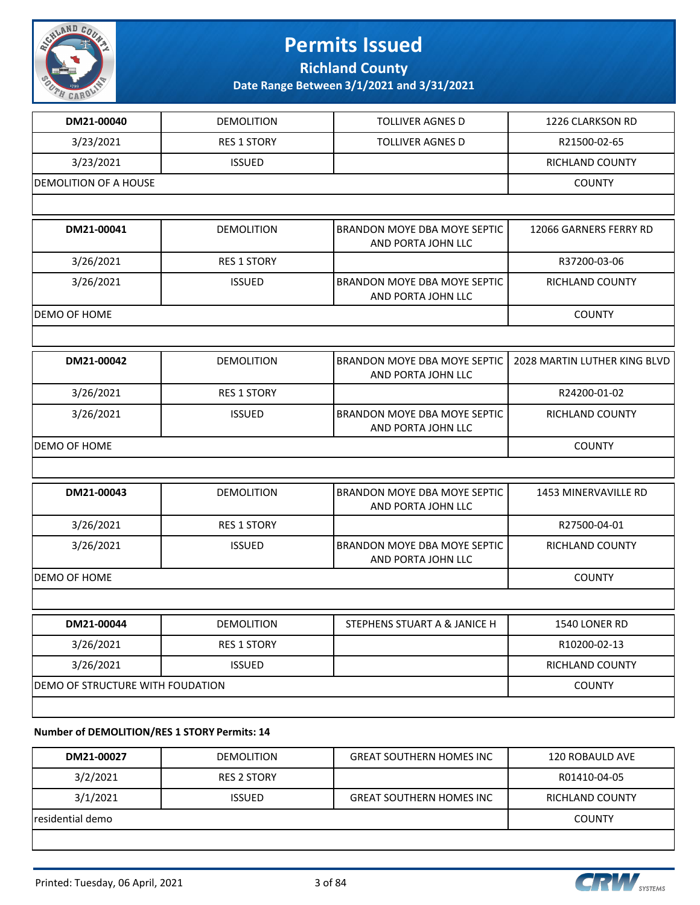

**Richland County**

**Date Range Between 3/1/2021 and 3/31/2021**

| DM21-00040                   | <b>DEMOLITION</b>                | <b>TOLLIVER AGNES D</b>                            | 1226 CLARKSON RD             |
|------------------------------|----------------------------------|----------------------------------------------------|------------------------------|
| 3/23/2021                    | <b>RES 1 STORY</b>               | <b>TOLLIVER AGNES D</b>                            | R21500-02-65                 |
| 3/23/2021                    | <b>ISSUED</b>                    |                                                    | RICHLAND COUNTY              |
| <b>DEMOLITION OF A HOUSE</b> |                                  |                                                    | <b>COUNTY</b>                |
|                              |                                  |                                                    |                              |
| DM21-00041                   | <b>DEMOLITION</b>                | BRANDON MOYE DBA MOYE SEPTIC<br>AND PORTA JOHN LLC | 12066 GARNERS FERRY RD       |
| 3/26/2021                    | <b>RES 1 STORY</b>               |                                                    | R37200-03-06                 |
| 3/26/2021                    | <b>ISSUED</b>                    | BRANDON MOYE DBA MOYE SEPTIC<br>AND PORTA JOHN LLC | RICHLAND COUNTY              |
| <b>DEMO OF HOME</b>          |                                  |                                                    | <b>COUNTY</b>                |
|                              |                                  |                                                    |                              |
| DM21-00042                   | <b>DEMOLITION</b>                | BRANDON MOYE DBA MOYE SEPTIC<br>AND PORTA JOHN LLC | 2028 MARTIN LUTHER KING BLVD |
| 3/26/2021                    | <b>RES 1 STORY</b>               |                                                    | R24200-01-02                 |
| 3/26/2021                    | <b>ISSUED</b>                    | BRANDON MOYE DBA MOYE SEPTIC<br>AND PORTA JOHN LLC | <b>RICHLAND COUNTY</b>       |
| <b>DEMO OF HOME</b>          |                                  |                                                    | <b>COUNTY</b>                |
|                              |                                  |                                                    |                              |
| DM21-00043                   | <b>DEMOLITION</b>                | BRANDON MOYE DBA MOYE SEPTIC<br>AND PORTA JOHN LLC | <b>1453 MINERVAVILLE RD</b>  |
| 3/26/2021                    | <b>RES 1 STORY</b>               |                                                    | R27500-04-01                 |
| 3/26/2021                    | <b>ISSUED</b>                    | BRANDON MOYE DBA MOYE SEPTIC<br>AND PORTA JOHN LLC | RICHLAND COUNTY              |
| <b>DEMO OF HOME</b>          |                                  |                                                    | <b>COUNTY</b>                |
|                              |                                  |                                                    |                              |
| DM21-00044                   | DEMOLITION                       | STEPHENS STUART A & JANICE H                       | 1540 LONER RD                |
| 3/26/2021                    | <b>RES 1 STORY</b>               |                                                    | R10200-02-13                 |
| 3/26/2021                    | <b>ISSUED</b>                    |                                                    | RICHLAND COUNTY              |
|                              | DEMO OF STRUCTURE WITH FOUDATION |                                                    |                              |
|                              |                                  |                                                    |                              |
|                              |                                  |                                                    |                              |

**Number of DEMOLITION/RES 1 STORY Permits: 14**

| DM21-00027       | <b>DEMOLITION</b>  | <b>GREAT SOUTHERN HOMES INC</b> | 120 ROBAULD AVE |
|------------------|--------------------|---------------------------------|-----------------|
| 3/2/2021         | <b>RES 2 STORY</b> |                                 | R01410-04-05    |
| 3/1/2021         | <b>ISSUED</b>      | <b>GREAT SOUTHERN HOMES INC</b> | RICHLAND COUNTY |
| residential demo |                    |                                 | <b>COUNTY</b>   |
|                  |                    |                                 |                 |

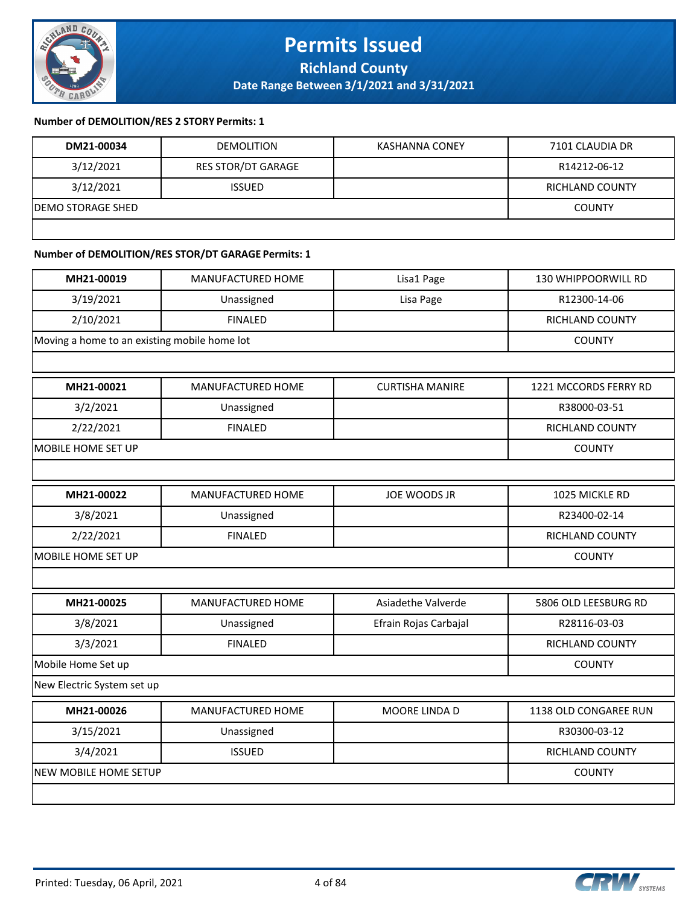

#### **Number of DEMOLITION/RES 2 STORY Permits: 1**

| DM21-00034         | <b>DEMOLITION</b>         | KASHANNA CONEY | 7101 CLAUDIA DR |
|--------------------|---------------------------|----------------|-----------------|
| 3/12/2021          | <b>RES STOR/DT GARAGE</b> |                | R14212-06-12    |
| 3/12/2021          | <b>ISSUED</b>             |                | RICHLAND COUNTY |
| IDEMO STORAGE SHED |                           |                | <b>COUNTY</b>   |
|                    |                           |                |                 |

### **Number of DEMOLITION/RES STOR/DT GARAGE Permits: 1**

| MH21-00019                                   | MANUFACTURED HOME | Lisa1 Page             | 130 WHIPPOORWILL RD   |
|----------------------------------------------|-------------------|------------------------|-----------------------|
| 3/19/2021                                    | Unassigned        | Lisa Page              | R12300-14-06          |
| 2/10/2021                                    | <b>FINALED</b>    |                        | RICHLAND COUNTY       |
| Moving a home to an existing mobile home lot |                   |                        | <b>COUNTY</b>         |
|                                              |                   |                        |                       |
| MH21-00021                                   | MANUFACTURED HOME | <b>CURTISHA MANIRE</b> | 1221 MCCORDS FERRY RD |
| 3/2/2021                                     | Unassigned        |                        | R38000-03-51          |
| 2/22/2021                                    | <b>FINALED</b>    |                        | RICHLAND COUNTY       |
| MOBILE HOME SET UP                           |                   |                        | <b>COUNTY</b>         |
|                                              |                   |                        |                       |
| MH21-00022                                   | MANUFACTURED HOME | JOE WOODS JR           | 1025 MICKLE RD        |
| 3/8/2021                                     | Unassigned        |                        | R23400-02-14          |
| 2/22/2021                                    | <b>FINALED</b>    |                        | RICHLAND COUNTY       |
| MOBILE HOME SET UP                           |                   |                        | <b>COUNTY</b>         |
|                                              |                   |                        |                       |
| MH21-00025                                   | MANUFACTURED HOME | Asiadethe Valverde     | 5806 OLD LEESBURG RD  |
| 3/8/2021                                     | Unassigned        | Efrain Rojas Carbajal  | R28116-03-03          |
| 3/3/2021                                     | <b>FINALED</b>    |                        | RICHLAND COUNTY       |
| Mobile Home Set up                           |                   |                        | <b>COUNTY</b>         |
| New Electric System set up                   |                   |                        |                       |
| MH21-00026                                   | MANUFACTURED HOME | MOORE LINDA D          | 1138 OLD CONGAREE RUN |
| 3/15/2021                                    | Unassigned        |                        | R30300-03-12          |
| 3/4/2021                                     | <b>ISSUED</b>     |                        | RICHLAND COUNTY       |
| <b>NEW MOBILE HOME SETUP</b>                 |                   |                        | <b>COUNTY</b>         |
|                                              |                   |                        |                       |

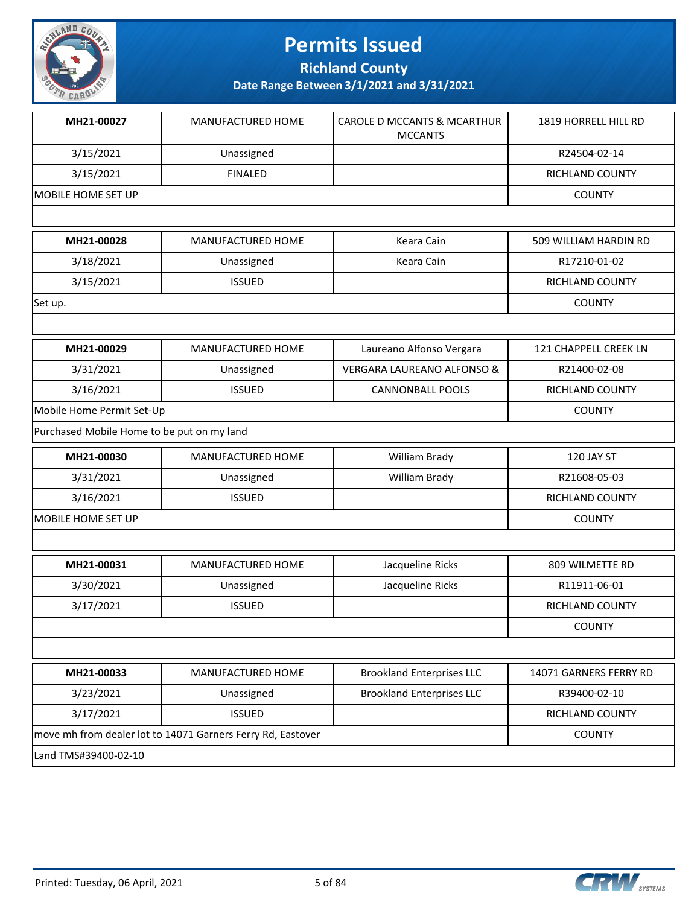

**Richland County**

| MH21-00027                                 | <b>MANUFACTURED HOME</b>                                    | <b>CAROLE D MCCANTS &amp; MCARTHUR</b><br><b>MCCANTS</b> | 1819 HORRELL HILL RD   |
|--------------------------------------------|-------------------------------------------------------------|----------------------------------------------------------|------------------------|
| 3/15/2021                                  | Unassigned                                                  |                                                          | R24504-02-14           |
| 3/15/2021                                  | <b>FINALED</b>                                              |                                                          | RICHLAND COUNTY        |
| <b>MOBILE HOME SET UP</b>                  | <b>COUNTY</b>                                               |                                                          |                        |
|                                            |                                                             |                                                          |                        |
| MH21-00028                                 | MANUFACTURED HOME                                           | Keara Cain                                               | 509 WILLIAM HARDIN RD  |
| 3/18/2021                                  | Unassigned                                                  | Keara Cain                                               | R17210-01-02           |
| 3/15/2021                                  | <b>ISSUED</b>                                               |                                                          | RICHLAND COUNTY        |
| Set up.                                    |                                                             |                                                          | <b>COUNTY</b>          |
|                                            |                                                             |                                                          |                        |
| MH21-00029                                 | MANUFACTURED HOME                                           | Laureano Alfonso Vergara                                 | 121 CHAPPELL CREEK LN  |
| 3/31/2021                                  | Unassigned                                                  | <b>VERGARA LAUREANO ALFONSO &amp;</b>                    | R21400-02-08           |
| 3/16/2021                                  | <b>ISSUED</b>                                               | <b>CANNONBALL POOLS</b>                                  | RICHLAND COUNTY        |
| Mobile Home Permit Set-Up                  | <b>COUNTY</b>                                               |                                                          |                        |
| Purchased Mobile Home to be put on my land |                                                             |                                                          |                        |
| MH21-00030                                 | MANUFACTURED HOME                                           | William Brady                                            | 120 JAY ST             |
| 3/31/2021                                  | Unassigned                                                  | William Brady                                            | R21608-05-03           |
| 3/16/2021                                  | <b>ISSUED</b>                                               |                                                          | RICHLAND COUNTY        |
| <b>MOBILE HOME SET UP</b>                  |                                                             |                                                          | <b>COUNTY</b>          |
|                                            |                                                             |                                                          |                        |
| MH21-00031                                 | MANUFACTURED HOME                                           | Jacqueline Ricks                                         | 809 WILMETTE RD        |
| 3/30/2021                                  | Unassigned                                                  | Jacqueline Ricks                                         | R11911-06-01           |
| 3/17/2021                                  | <b>ISSUED</b>                                               |                                                          | <b>RICHLAND COUNTY</b> |
|                                            |                                                             |                                                          | <b>COUNTY</b>          |
|                                            |                                                             |                                                          |                        |
| MH21-00033                                 | MANUFACTURED HOME                                           | <b>Brookland Enterprises LLC</b>                         | 14071 GARNERS FERRY RD |
| 3/23/2021                                  | Unassigned                                                  | <b>Brookland Enterprises LLC</b>                         | R39400-02-10           |
| 3/17/2021                                  | <b>ISSUED</b>                                               |                                                          | RICHLAND COUNTY        |
|                                            | move mh from dealer lot to 14071 Garners Ferry Rd, Eastover |                                                          |                        |
| Land TMS#39400-02-10                       |                                                             |                                                          |                        |

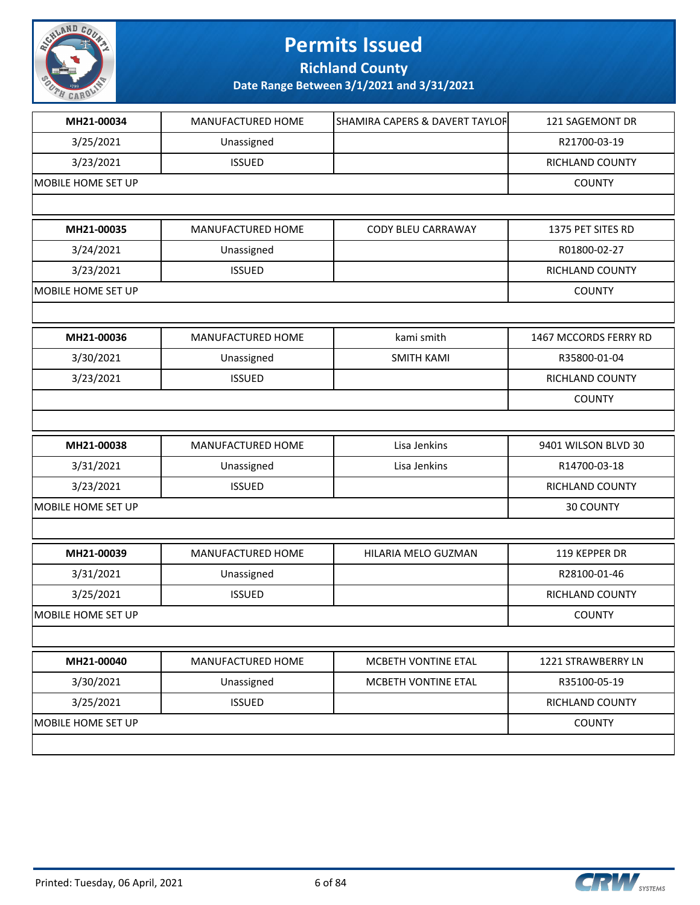

**Richland County**

| MH21-00034         | MANUFACTURED HOME | SHAMIRA CAPERS & DAVERT TAYLOF | 121 SAGEMONT DR       |
|--------------------|-------------------|--------------------------------|-----------------------|
| 3/25/2021          | Unassigned        |                                | R21700-03-19          |
| 3/23/2021          | <b>ISSUED</b>     |                                | RICHLAND COUNTY       |
| MOBILE HOME SET UP |                   |                                | <b>COUNTY</b>         |
|                    |                   |                                |                       |
| MH21-00035         | MANUFACTURED HOME | CODY BLEU CARRAWAY             | 1375 PET SITES RD     |
| 3/24/2021          | Unassigned        |                                | R01800-02-27          |
| 3/23/2021          | <b>ISSUED</b>     |                                | RICHLAND COUNTY       |
| MOBILE HOME SET UP |                   |                                | <b>COUNTY</b>         |
|                    |                   |                                |                       |
| MH21-00036         | MANUFACTURED HOME | kami smith                     | 1467 MCCORDS FERRY RD |
| 3/30/2021          | Unassigned        | <b>SMITH KAMI</b>              | R35800-01-04          |
| 3/23/2021          | <b>ISSUED</b>     |                                | RICHLAND COUNTY       |
|                    |                   |                                | <b>COUNTY</b>         |
|                    |                   |                                |                       |
| MH21-00038         | MANUFACTURED HOME | Lisa Jenkins                   | 9401 WILSON BLVD 30   |
| 3/31/2021          | Unassigned        | Lisa Jenkins                   | R14700-03-18          |
| 3/23/2021          | <b>ISSUED</b>     |                                | RICHLAND COUNTY       |
| MOBILE HOME SET UP |                   |                                | 30 COUNTY             |
|                    |                   |                                |                       |
| MH21-00039         | MANUFACTURED HOME | HILARIA MELO GUZMAN            | 119 KEPPER DR         |
| 3/31/2021          | Unassigned        |                                | R28100-01-46          |
| 3/25/2021          | <b>ISSUED</b>     |                                | RICHLAND COUNTY       |
| MOBILE HOME SET UP |                   |                                | <b>COUNTY</b>         |
|                    |                   |                                |                       |
| MH21-00040         | MANUFACTURED HOME | MCBETH VONTINE ETAL            | 1221 STRAWBERRY LN    |
| 3/30/2021          | Unassigned        | MCBETH VONTINE ETAL            | R35100-05-19          |
| 3/25/2021          | <b>ISSUED</b>     |                                | RICHLAND COUNTY       |
| MOBILE HOME SET UP |                   |                                | <b>COUNTY</b>         |
|                    |                   |                                |                       |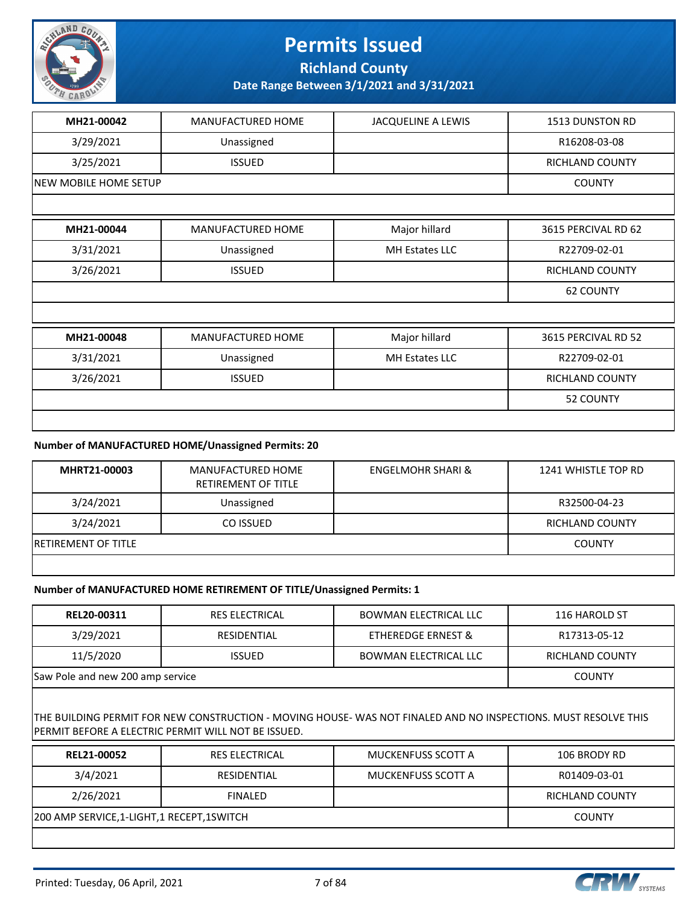

**Richland County**

**Date Range Between 3/1/2021 and 3/31/2021**

| MH21-00042                   | MANUFACTURED HOME        | <b>JACQUELINE A LEWIS</b> | 1513 DUNSTON RD        |
|------------------------------|--------------------------|---------------------------|------------------------|
| 3/29/2021                    | Unassigned               |                           | R16208-03-08           |
| 3/25/2021                    | <b>ISSUED</b>            |                           | <b>RICHLAND COUNTY</b> |
| <b>NEW MOBILE HOME SETUP</b> |                          |                           | <b>COUNTY</b>          |
|                              |                          |                           |                        |
| MH21-00044                   | <b>MANUFACTURED HOME</b> | Major hillard             | 3615 PERCIVAL RD 62    |
| 3/31/2021                    | Unassigned               | MH Estates LLC            | R22709-02-01           |
| 3/26/2021                    | <b>ISSUED</b>            |                           | RICHLAND COUNTY        |
|                              |                          |                           | <b>62 COUNTY</b>       |
|                              |                          |                           |                        |
| MH21-00048                   | MANUFACTURED HOME        | Major hillard             | 3615 PERCIVAL RD 52    |
| 3/31/2021                    | Unassigned               | MH Estates LLC            | R22709-02-01           |
| 3/26/2021                    | <b>ISSUED</b>            |                           | <b>RICHLAND COUNTY</b> |
|                              |                          |                           | 52 COUNTY              |
|                              |                          |                           |                        |

#### **Number of MANUFACTURED HOME/Unassigned Permits: 20**

| MHRT21-00003                | MANUFACTURED HOME<br>RETIREMENT OF TITLE | <b>ENGELMOHR SHARI &amp;</b> | 1241 WHISTLE TOP RD |
|-----------------------------|------------------------------------------|------------------------------|---------------------|
| 3/24/2021                   | Unassigned                               |                              | R32500-04-23        |
| 3/24/2021                   | CO ISSUED                                |                              | RICHLAND COUNTY     |
| <b>IRETIREMENT OF TITLE</b> |                                          |                              | <b>COUNTY</b>       |
|                             |                                          |                              |                     |

#### **Number of MANUFACTURED HOME RETIREMENT OF TITLE/Unassigned Permits: 1**

| <b>REL20-00311</b>               | <b>RES ELECTRICAL</b> | <b>BOWMAN ELECTRICAL LLC</b> | 116 HAROLD ST   |
|----------------------------------|-----------------------|------------------------------|-----------------|
| 3/29/2021                        | RESIDENTIAL           | ETHEREDGE ERNEST &           | R17313-05-12    |
| 11/5/2020                        | <b>ISSUED</b>         | <b>BOWMAN ELECTRICAL LLC</b> | RICHLAND COUNTY |
| Saw Pole and new 200 amp service |                       |                              | <b>COUNTY</b>   |

THE BUILDING PERMIT FOR NEW CONSTRUCTION - MOVING HOUSE- WAS NOT FINALED AND NO INSPECTIONS. MUST RESOLVE THIS PERMIT BEFORE A ELECTRIC PERMIT WILL NOT BE ISSUED.

| <b>REL21-00052</b>                       | <b>RES ELECTRICAL</b> | MUCKENFUSS SCOTT A | 106 BRODY RD    |
|------------------------------------------|-----------------------|--------------------|-----------------|
| 3/4/2021                                 | RESIDENTIAL           | MUCKENFUSS SCOTT A | R01409-03-01    |
| 2/26/2021                                | <b>FINALED</b>        |                    | RICHLAND COUNTY |
| 200 AMP SERVICE,1-LIGHT,1 RECEPT,1SWITCH |                       |                    | <b>COUNTY</b>   |
|                                          |                       |                    |                 |

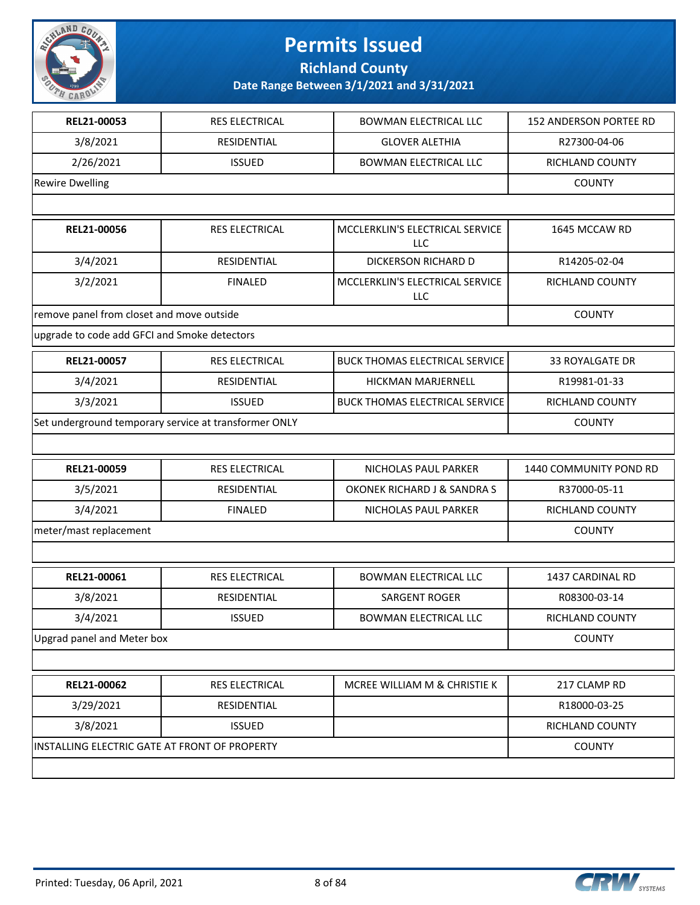

**Richland County**

| REL21-00053                                  | <b>RES ELECTRICAL</b>                                 | <b>BOWMAN ELECTRICAL LLC</b>           | 152 ANDERSON PORTEE RD |  |  |
|----------------------------------------------|-------------------------------------------------------|----------------------------------------|------------------------|--|--|
| 3/8/2021                                     | RESIDENTIAL                                           | <b>GLOVER ALETHIA</b>                  | R27300-04-06           |  |  |
| 2/26/2021                                    | <b>ISSUED</b>                                         | <b>BOWMAN ELECTRICAL LLC</b>           | RICHLAND COUNTY        |  |  |
| <b>Rewire Dwelling</b>                       |                                                       |                                        | <b>COUNTY</b>          |  |  |
|                                              |                                                       |                                        |                        |  |  |
| REL21-00056                                  | <b>RES ELECTRICAL</b>                                 | MCCLERKLIN'S ELECTRICAL SERVICE<br>LLC | 1645 MCCAW RD          |  |  |
| 3/4/2021                                     | RESIDENTIAL                                           | DICKERSON RICHARD D                    | R14205-02-04           |  |  |
| 3/2/2021                                     | <b>FINALED</b>                                        | MCCLERKLIN'S ELECTRICAL SERVICE<br>LLC | <b>RICHLAND COUNTY</b> |  |  |
| remove panel from closet and move outside    |                                                       |                                        | <b>COUNTY</b>          |  |  |
| upgrade to code add GFCI and Smoke detectors |                                                       |                                        |                        |  |  |
| REL21-00057                                  | RES ELECTRICAL                                        | <b>BUCK THOMAS ELECTRICAL SERVICE</b>  | 33 ROYALGATE DR        |  |  |
| 3/4/2021                                     | RESIDENTIAL                                           | HICKMAN MARJERNELL                     | R19981-01-33           |  |  |
| 3/3/2021                                     | <b>ISSUED</b>                                         | <b>BUCK THOMAS ELECTRICAL SERVICE</b>  | RICHLAND COUNTY        |  |  |
|                                              | Set underground temporary service at transformer ONLY |                                        | <b>COUNTY</b>          |  |  |
|                                              |                                                       |                                        |                        |  |  |
| REL21-00059                                  | RES ELECTRICAL                                        | NICHOLAS PAUL PARKER                   | 1440 COMMUNITY POND RD |  |  |
| 3/5/2021                                     | RESIDENTIAL                                           | OKONEK RICHARD J & SANDRA S            | R37000-05-11           |  |  |
| 3/4/2021                                     | <b>FINALED</b>                                        | NICHOLAS PAUL PARKER                   | RICHLAND COUNTY        |  |  |
| meter/mast replacement                       |                                                       |                                        | <b>COUNTY</b>          |  |  |
|                                              |                                                       |                                        |                        |  |  |
| REL21-00061                                  | RES ELECTRICAL                                        | <b>BOWMAN ELECTRICAL LLC</b>           | 1437 CARDINAL RD       |  |  |
| 3/8/2021                                     | RESIDENTIAL                                           | SARGENT ROGER                          | R08300-03-14           |  |  |
| 3/4/2021                                     | <b>ISSUED</b>                                         | <b>BOWMAN ELECTRICAL LLC</b>           | RICHLAND COUNTY        |  |  |
| Upgrad panel and Meter box                   |                                                       |                                        | <b>COUNTY</b>          |  |  |
|                                              |                                                       |                                        |                        |  |  |
| REL21-00062                                  | RES ELECTRICAL                                        | MCREE WILLIAM M & CHRISTIE K           | 217 CLAMP RD           |  |  |
| 3/29/2021                                    | RESIDENTIAL                                           |                                        | R18000-03-25           |  |  |
| 3/8/2021                                     | <b>ISSUED</b>                                         |                                        | RICHLAND COUNTY        |  |  |
|                                              | INSTALLING ELECTRIC GATE AT FRONT OF PROPERTY         |                                        |                        |  |  |
|                                              |                                                       |                                        |                        |  |  |

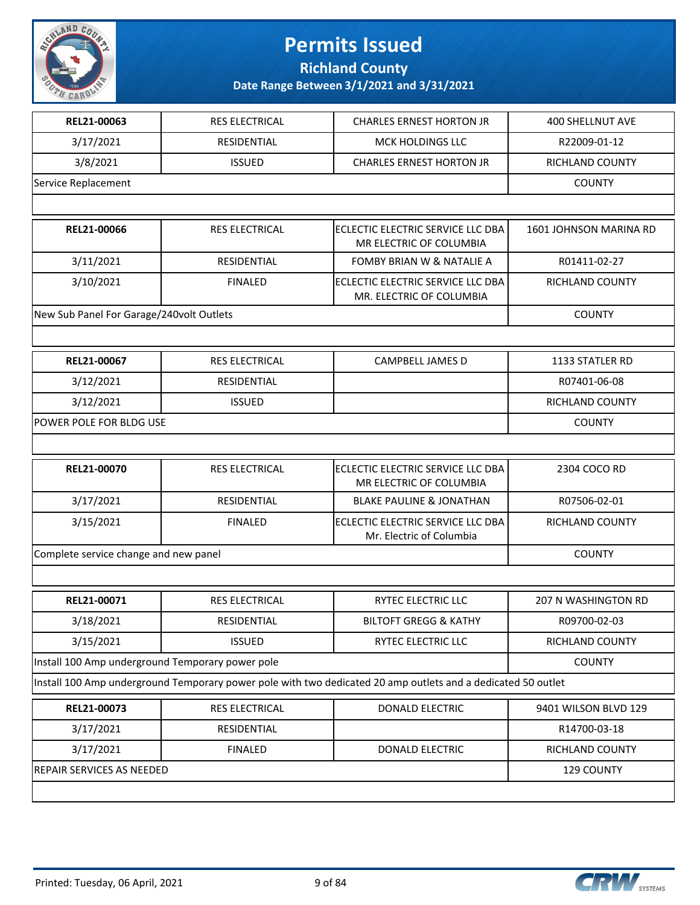

**Richland County**

| REL21-00063                                                                                                  | <b>RES ELECTRICAL</b> | <b>CHARLES ERNEST HORTON JR</b>                                | <b>400 SHELLNUT AVE</b> |
|--------------------------------------------------------------------------------------------------------------|-----------------------|----------------------------------------------------------------|-------------------------|
| 3/17/2021                                                                                                    | RESIDENTIAL           | <b>MCK HOLDINGS LLC</b>                                        | R22009-01-12            |
| 3/8/2021                                                                                                     | <b>ISSUED</b>         | <b>CHARLES ERNEST HORTON JR</b>                                | RICHLAND COUNTY         |
| Service Replacement                                                                                          |                       |                                                                | <b>COUNTY</b>           |
|                                                                                                              |                       |                                                                |                         |
| REL21-00066                                                                                                  | <b>RES ELECTRICAL</b> | ECLECTIC ELECTRIC SERVICE LLC DBA<br>MR ELECTRIC OF COLUMBIA   | 1601 JOHNSON MARINA RD  |
| 3/11/2021                                                                                                    | RESIDENTIAL           | <b>FOMBY BRIAN W &amp; NATALIE A</b>                           | R01411-02-27            |
| 3/10/2021                                                                                                    | <b>FINALED</b>        | ECLECTIC ELECTRIC SERVICE LLC DBA<br>MR. ELECTRIC OF COLUMBIA  | RICHLAND COUNTY         |
| New Sub Panel For Garage/240volt Outlets                                                                     |                       |                                                                | <b>COUNTY</b>           |
|                                                                                                              |                       |                                                                |                         |
| REL21-00067                                                                                                  | <b>RES ELECTRICAL</b> | <b>CAMPBELL JAMES D</b>                                        | 1133 STATLER RD         |
| 3/12/2021                                                                                                    | RESIDENTIAL           |                                                                | R07401-06-08            |
| 3/12/2021                                                                                                    | <b>ISSUED</b>         |                                                                | RICHLAND COUNTY         |
| POWER POLE FOR BLDG USE                                                                                      |                       |                                                                | <b>COUNTY</b>           |
|                                                                                                              |                       |                                                                |                         |
| REL21-00070                                                                                                  | RES ELECTRICAL        | ECLECTIC ELECTRIC SERVICE LLC DBA<br>MR ELECTRIC OF COLUMBIA   | 2304 COCO RD            |
| 3/17/2021                                                                                                    | RESIDENTIAL           | <b>BLAKE PAULINE &amp; JONATHAN</b>                            | R07506-02-01            |
| 3/15/2021                                                                                                    | <b>FINALED</b>        | IECLECTIC ELECTRIC SERVICE LLC DBA<br>Mr. Electric of Columbia | RICHLAND COUNTY         |
| Complete service change and new panel                                                                        |                       |                                                                | <b>COUNTY</b>           |
|                                                                                                              |                       |                                                                |                         |
| REL21-00071                                                                                                  | RES ELECTRICAL        | RYTEC ELECTRIC LLC                                             | 207 N WASHINGTON RD     |
| 3/18/2021                                                                                                    | RESIDENTIAL           | <b>BILTOFT GREGG &amp; KATHY</b>                               | R09700-02-03            |
| 3/15/2021                                                                                                    | <b>ISSUED</b>         | RYTEC ELECTRIC LLC                                             | RICHLAND COUNTY         |
| Install 100 Amp underground Temporary power pole                                                             |                       | <b>COUNTY</b>                                                  |                         |
| Install 100 Amp underground Temporary power pole with two dedicated 20 amp outlets and a dedicated 50 outlet |                       |                                                                |                         |
| REL21-00073                                                                                                  | RES ELECTRICAL        | <b>DONALD ELECTRIC</b>                                         | 9401 WILSON BLVD 129    |
| 3/17/2021                                                                                                    | RESIDENTIAL           |                                                                | R14700-03-18            |
| 3/17/2021                                                                                                    | <b>FINALED</b>        | <b>DONALD ELECTRIC</b>                                         | <b>RICHLAND COUNTY</b>  |
| REPAIR SERVICES AS NEEDED                                                                                    |                       |                                                                | 129 COUNTY              |
|                                                                                                              |                       |                                                                |                         |

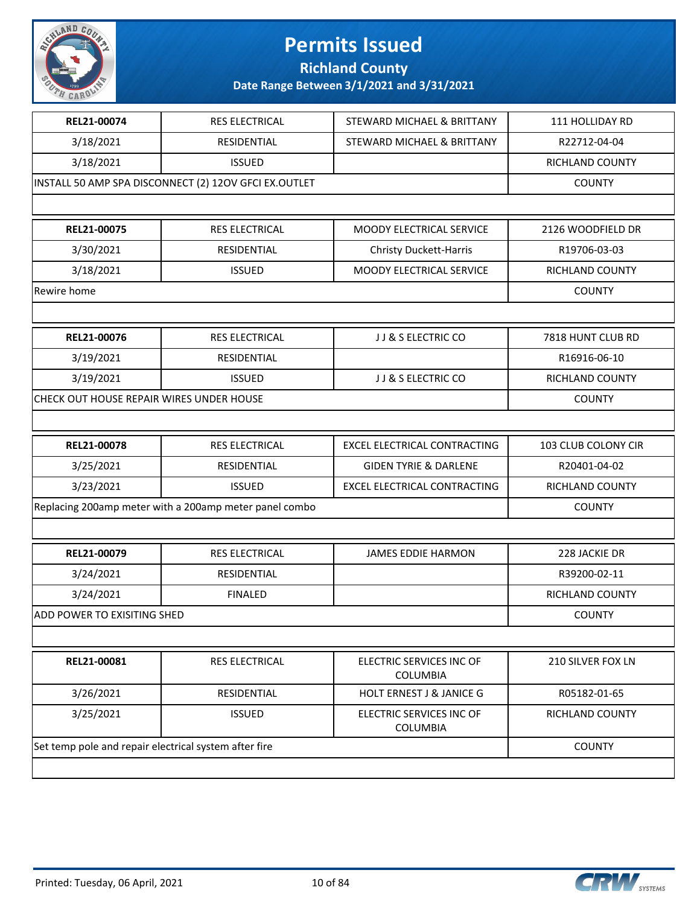

**Richland County**

| REL21-00074                                            | RES ELECTRICAL                                        | STEWARD MICHAEL & BRITTANY                  | 111 HOLLIDAY RD     |
|--------------------------------------------------------|-------------------------------------------------------|---------------------------------------------|---------------------|
| 3/18/2021                                              | RESIDENTIAL                                           | STEWARD MICHAEL & BRITTANY                  | R22712-04-04        |
| 3/18/2021                                              | <b>ISSUED</b>                                         |                                             | RICHLAND COUNTY     |
|                                                        | INSTALL 50 AMP SPA DISCONNECT (2) 12OV GFCI EX.OUTLET |                                             | <b>COUNTY</b>       |
|                                                        |                                                       |                                             |                     |
| REL21-00075                                            | <b>RES ELECTRICAL</b>                                 | <b>MOODY ELECTRICAL SERVICE</b>             | 2126 WOODFIELD DR   |
| 3/30/2021                                              | RESIDENTIAL                                           | <b>Christy Duckett-Harris</b>               | R19706-03-03        |
| 3/18/2021                                              | <b>ISSUED</b>                                         | MOODY ELECTRICAL SERVICE                    | RICHLAND COUNTY     |
| Rewire home                                            |                                                       |                                             | <b>COUNTY</b>       |
|                                                        |                                                       |                                             |                     |
| REL21-00076                                            | <b>RES ELECTRICAL</b>                                 | JJ & S ELECTRIC CO                          | 7818 HUNT CLUB RD   |
| 3/19/2021                                              | RESIDENTIAL                                           |                                             | R16916-06-10        |
| 3/19/2021                                              | <b>ISSUED</b>                                         | JJ & S ELECTRIC CO                          | RICHLAND COUNTY     |
| CHECK OUT HOUSE REPAIR WIRES UNDER HOUSE               |                                                       |                                             | <b>COUNTY</b>       |
|                                                        |                                                       |                                             |                     |
| REL21-00078                                            | RES ELECTRICAL                                        | <b>EXCEL ELECTRICAL CONTRACTING</b>         | 103 CLUB COLONY CIR |
| 3/25/2021                                              | <b>RESIDENTIAL</b>                                    | <b>GIDEN TYRIE &amp; DARLENE</b>            | R20401-04-02        |
| 3/23/2021                                              | <b>ISSUED</b>                                         | EXCEL ELECTRICAL CONTRACTING                | RICHLAND COUNTY     |
| Replacing 200amp meter with a 200amp meter panel combo | <b>COUNTY</b>                                         |                                             |                     |
|                                                        |                                                       |                                             |                     |
| REL21-00079                                            | RES ELECTRICAL                                        | <b>JAMES EDDIE HARMON</b>                   | 228 JACKIE DR       |
| 3/24/2021                                              | RESIDENTIAL                                           |                                             | R39200-02-11        |
| 3/24/2021                                              | <b>FINALED</b>                                        |                                             | RICHLAND COUNTY     |
| <b>ADD POWER TO EXISITING SHED</b>                     |                                                       |                                             | <b>COUNTY</b>       |
|                                                        |                                                       |                                             |                     |
| REL21-00081                                            | <b>RES ELECTRICAL</b>                                 | ELECTRIC SERVICES INC OF<br><b>COLUMBIA</b> | 210 SILVER FOX LN   |
| 3/26/2021                                              | <b>RESIDENTIAL</b>                                    | <b>HOLT ERNEST J &amp; JANICE G</b>         | R05182-01-65        |
| 3/25/2021                                              | <b>ISSUED</b>                                         | ELECTRIC SERVICES INC OF<br><b>COLUMBIA</b> | RICHLAND COUNTY     |
| Set temp pole and repair electrical system after fire  |                                                       |                                             | <b>COUNTY</b>       |
|                                                        |                                                       |                                             |                     |

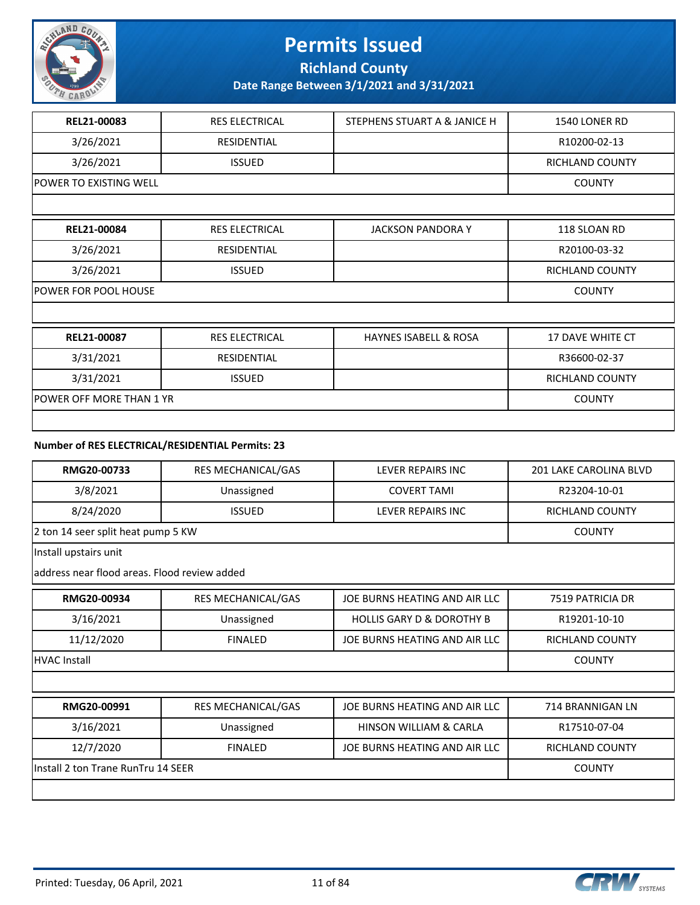

**Richland County**

**Date Range Between 3/1/2021 and 3/31/2021**

| REL21-00083                     | <b>RES ELECTRICAL</b> | STEPHENS STUART A & JANICE H     | 1540 LONER RD           |
|---------------------------------|-----------------------|----------------------------------|-------------------------|
| 3/26/2021                       | <b>RESIDENTIAL</b>    |                                  | R10200-02-13            |
| 3/26/2021                       | <b>ISSUED</b>         |                                  | <b>RICHLAND COUNTY</b>  |
| POWER TO EXISTING WELL          |                       |                                  | <b>COUNTY</b>           |
|                                 |                       |                                  |                         |
| REL21-00084                     | <b>RES ELECTRICAL</b> | <b>JACKSON PANDORA Y</b>         | 118 SLOAN RD            |
| 3/26/2021                       | <b>RESIDENTIAL</b>    |                                  | R20100-03-32            |
| 3/26/2021                       | <b>ISSUED</b>         |                                  | <b>RICHLAND COUNTY</b>  |
| <b>POWER FOR POOL HOUSE</b>     |                       |                                  |                         |
|                                 |                       |                                  |                         |
| REL21-00087                     | <b>RES ELECTRICAL</b> | <b>HAYNES ISABELL &amp; ROSA</b> | <b>17 DAVE WHITE CT</b> |
| 3/31/2021                       | <b>RESIDENTIAL</b>    |                                  | R36600-02-37            |
| 3/31/2021                       | <b>ISSUED</b>         |                                  | <b>RICHLAND COUNTY</b>  |
| <b>POWER OFF MORE THAN 1 YR</b> |                       |                                  | <b>COUNTY</b>           |
|                                 |                       |                                  |                         |

#### **Number of RES ELECTRICAL/RESIDENTIAL Permits: 23**

| RMG20-00733                                  | RES MECHANICAL/GAS        | LEVER REPAIRS INC                    | 201 LAKE CAROLINA BLVD |
|----------------------------------------------|---------------------------|--------------------------------------|------------------------|
| 3/8/2021                                     | Unassigned                | <b>COVERT TAMI</b>                   | R23204-10-01           |
| 8/24/2020                                    | <b>ISSUED</b>             | LEVER REPAIRS INC                    | RICHLAND COUNTY        |
| 2 ton 14 seer split heat pump 5 KW           |                           |                                      | <b>COUNTY</b>          |
| Install upstairs unit                        |                           |                                      |                        |
| address near flood areas. Flood review added |                           |                                      |                        |
| RMG20-00934                                  | RES MECHANICAL/GAS        | JOE BURNS HEATING AND AIR LLC        | 7519 PATRICIA DR       |
| 3/16/2021                                    | Unassigned                | <b>HOLLIS GARY D &amp; DOROTHY B</b> | R19201-10-10           |
| 11/12/2020                                   | <b>FINALED</b>            | JOE BURNS HEATING AND AIR LLC        | <b>RICHLAND COUNTY</b> |
| HVAC Install                                 | <b>COUNTY</b>             |                                      |                        |
|                                              |                           |                                      |                        |
| RMG20-00991                                  | <b>RES MECHANICAL/GAS</b> | JOE BURNS HEATING AND AIR LLC        | 714 BRANNIGAN LN       |
| 3/16/2021                                    | Unassigned                | HINSON WILLIAM & CARLA               | R17510-07-04           |
| 12/7/2020                                    | <b>FINALED</b>            | JOE BURNS HEATING AND AIR LLC        | <b>RICHLAND COUNTY</b> |
| Install 2 ton Trane RunTru 14 SEER           | <b>COUNTY</b>             |                                      |                        |
|                                              |                           |                                      |                        |

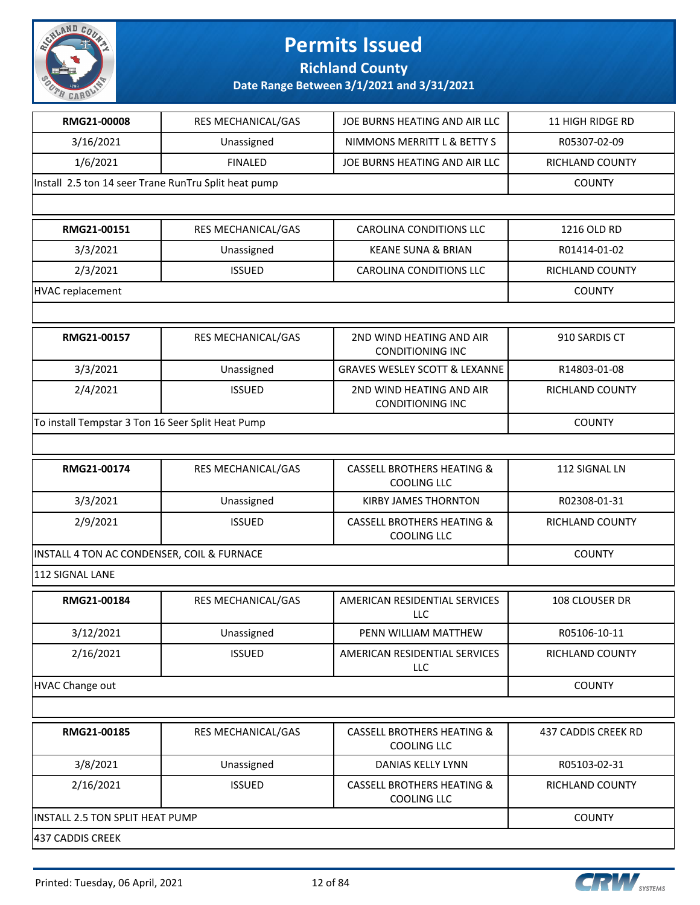

**Richland County**

| RMG21-00008                                          | RES MECHANICAL/GAS | JOE BURNS HEATING AND AIR LLC                               | 11 HIGH RIDGE RD       |
|------------------------------------------------------|--------------------|-------------------------------------------------------------|------------------------|
| 3/16/2021                                            | Unassigned         | NIMMONS MERRITT L & BETTY S                                 | R05307-02-09           |
| 1/6/2021                                             | <b>FINALED</b>     | JOE BURNS HEATING AND AIR LLC                               | <b>RICHLAND COUNTY</b> |
| Install 2.5 ton 14 seer Trane RunTru Split heat pump |                    |                                                             | <b>COUNTY</b>          |
|                                                      |                    |                                                             |                        |
| RMG21-00151                                          | RES MECHANICAL/GAS | <b>CAROLINA CONDITIONS LLC</b>                              | 1216 OLD RD            |
| 3/3/2021                                             | Unassigned         | <b>KEANE SUNA &amp; BRIAN</b>                               | R01414-01-02           |
| 2/3/2021                                             | <b>ISSUED</b>      | <b>CAROLINA CONDITIONS LLC</b>                              | RICHLAND COUNTY        |
| <b>HVAC replacement</b>                              |                    |                                                             | <b>COUNTY</b>          |
|                                                      |                    |                                                             |                        |
| RMG21-00157                                          | RES MECHANICAL/GAS | 2ND WIND HEATING AND AIR<br><b>CONDITIONING INC</b>         | 910 SARDIS CT          |
| 3/3/2021                                             | Unassigned         | <b>GRAVES WESLEY SCOTT &amp; LEXANNE</b>                    | R14803-01-08           |
| 2/4/2021                                             | <b>ISSUED</b>      | 2ND WIND HEATING AND AIR<br><b>CONDITIONING INC</b>         | RICHLAND COUNTY        |
| To install Tempstar 3 Ton 16 Seer Split Heat Pump    |                    |                                                             | <b>COUNTY</b>          |
|                                                      |                    |                                                             |                        |
| RMG21-00174                                          | RES MECHANICAL/GAS | <b>CASSELL BROTHERS HEATING &amp;</b><br><b>COOLING LLC</b> | 112 SIGNAL LN          |
| 3/3/2021                                             | Unassigned         | KIRBY JAMES THORNTON                                        | R02308-01-31           |
| 2/9/2021                                             | <b>ISSUED</b>      | <b>CASSELL BROTHERS HEATING &amp;</b><br>COOLING LLC        | RICHLAND COUNTY        |
| INSTALL 4 TON AC CONDENSER, COIL & FURNACE           |                    |                                                             | <b>COUNTY</b>          |
| 112 SIGNAL LANE                                      |                    |                                                             |                        |
| RMG21-00184                                          | RES MECHANICAL/GAS | AMERICAN RESIDENTIAL SERVICES<br>LLC                        | 108 CLOUSER DR         |
| 3/12/2021                                            | Unassigned         | PENN WILLIAM MATTHEW                                        | R05106-10-11           |
| 2/16/2021                                            | <b>ISSUED</b>      | AMERICAN RESIDENTIAL SERVICES<br>LLC                        | <b>RICHLAND COUNTY</b> |
| <b>HVAC Change out</b>                               |                    |                                                             | <b>COUNTY</b>          |
|                                                      |                    |                                                             |                        |
| RMG21-00185                                          | RES MECHANICAL/GAS | <b>CASSELL BROTHERS HEATING &amp;</b><br><b>COOLING LLC</b> | 437 CADDIS CREEK RD    |
| 3/8/2021                                             | Unassigned         | DANIAS KELLY LYNN                                           | R05103-02-31           |
| 2/16/2021                                            | <b>ISSUED</b>      | <b>CASSELL BROTHERS HEATING &amp;</b><br><b>COOLING LLC</b> | RICHLAND COUNTY        |
| INSTALL 2.5 TON SPLIT HEAT PUMP                      |                    |                                                             | <b>COUNTY</b>          |
| 437 CADDIS CREEK                                     |                    |                                                             |                        |

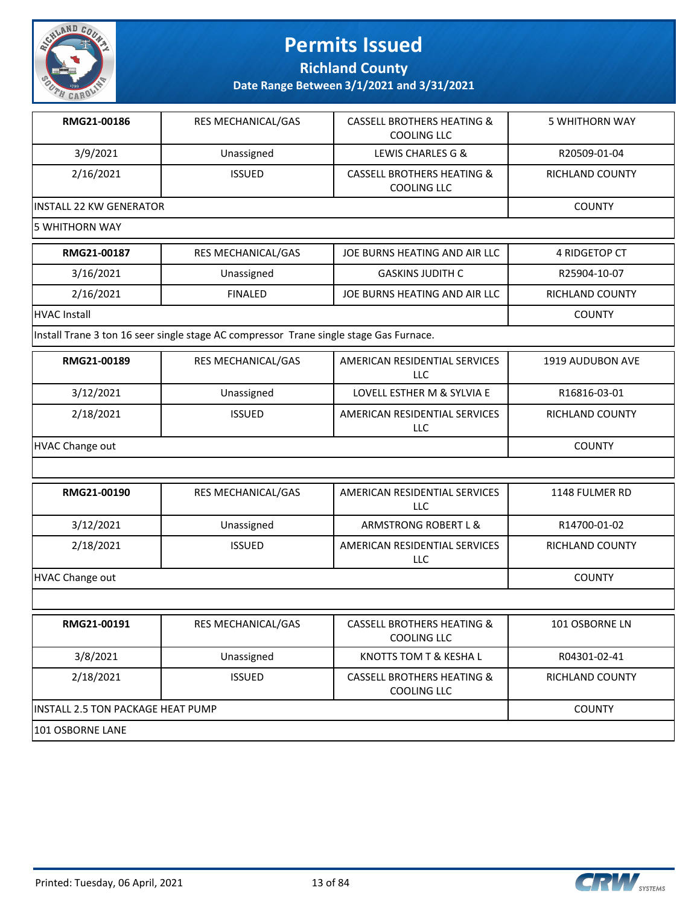

**Richland County**

**Date Range Between 3/1/2021 and 3/31/2021**

| RMG21-00186              | RES MECHANICAL/GAS        | <b>CASSELL BROTHERS HEATING &amp;</b><br>COOLING LLC | 5 WHITHORN WAY         |
|--------------------------|---------------------------|------------------------------------------------------|------------------------|
| 3/9/2021                 | Unassigned                | LEWIS CHARLES G &                                    | R20509-01-04           |
| 2/16/2021                | <b>ISSUED</b>             | <b>CASSELL BROTHERS HEATING &amp;</b><br>COOLING LLC | <b>RICHLAND COUNTY</b> |
| lINSTALL 22 KW GENERATOR |                           |                                                      | <b>COUNTY</b>          |
| l5 WHITHORN WAY          |                           |                                                      |                        |
| RMG21-00187              | <b>RES MECHANICAL/GAS</b> | JOE BURNS HEATING AND AIR LLC                        | 4 RIDGETOP CT          |
| 3/16/2021                | Unassigned                | <b>GASKINS JUDITH C</b>                              | R25904-10-07           |
| 2/16/2021                | <b>FINALED</b>            | JOE BURNS HEATING AND AIR LLC                        | <b>RICHLAND COUNTY</b> |
| HVAC Install             |                           |                                                      | <b>COUNTY</b>          |

Install Trane 3 ton 16 seer single stage AC compressor Trane single stage Gas Furnace.

| RMG21-00189     | <b>RES MECHANICAL/GAS</b> | AMERICAN RESIDENTIAL SERVICES<br>LLC | 1919 AUDUBON AVE       |
|-----------------|---------------------------|--------------------------------------|------------------------|
| 3/12/2021       | Unassigned                | LOVELL ESTHER M & SYLVIA E           | R16816-03-01           |
| 2/18/2021       | <b>ISSUED</b>             | AMERICAN RESIDENTIAL SERVICES<br>LLC | <b>RICHLAND COUNTY</b> |
| HVAC Change out |                           |                                      | <b>COUNTY</b>          |

| RMG21-00190     | RES MECHANICAL/GAS | AMERICAN RESIDENTIAL SERVICES<br><b>LLC</b> | 1148 FULMER RD         |
|-----------------|--------------------|---------------------------------------------|------------------------|
| 3/12/2021       | Unassigned         | ARMSTRONG ROBERT L &                        | R14700-01-02           |
| 2/18/2021       | <b>ISSUED</b>      | AMERICAN RESIDENTIAL SERVICES<br><b>LLC</b> | <b>RICHLAND COUNTY</b> |
| HVAC Change out | <b>COUNTY</b>      |                                             |                        |
|                 |                    |                                             |                        |

| RMG21-00191                        | <b>RES MECHANICAL/GAS</b> | <b>CASSELL BROTHERS HEATING &amp;</b><br>COOLING LLC | 101 OSBORNE LN  |
|------------------------------------|---------------------------|------------------------------------------------------|-----------------|
| 3/8/2021                           | Unassigned                | KNOTTS TOM T & KESHA L                               | R04301-02-41    |
| 2/18/2021                          | <b>ISSUED</b>             | <b>CASSELL BROTHERS HEATING &amp;</b><br>COOLING LLC | RICHLAND COUNTY |
| IINSTALL 2.5 TON PACKAGE HEAT PUMP | <b>COUNTY</b>             |                                                      |                 |
| 101 OSBORNE LANE                   |                           |                                                      |                 |



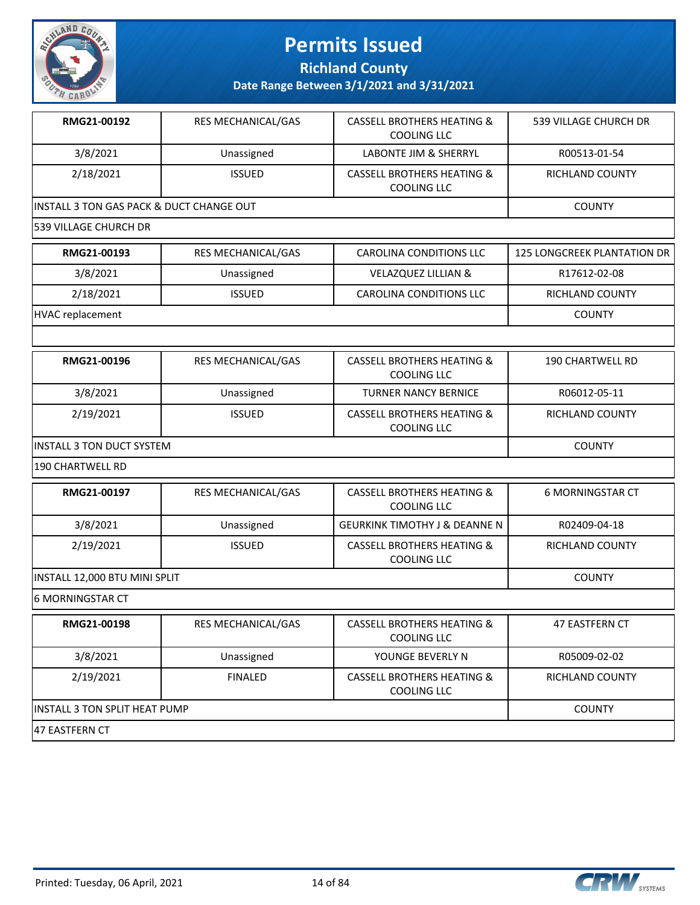

**Richland County**

| RMG21-00192                                         | RES MECHANICAL/GAS | <b>CASSELL BROTHERS HEATING &amp;</b><br><b>COOLING LLC</b> | 539 VILLAGE CHURCH DR       |
|-----------------------------------------------------|--------------------|-------------------------------------------------------------|-----------------------------|
| 3/8/2021                                            | Unassigned         | LABONTE JIM & SHERRYL                                       | R00513-01-54                |
| 2/18/2021                                           | <b>ISSUED</b>      | <b>CASSELL BROTHERS HEATING &amp;</b><br><b>COOLING LLC</b> | RICHLAND COUNTY             |
| <b>INSTALL 3 TON GAS PACK &amp; DUCT CHANGE OUT</b> |                    |                                                             | <b>COUNTY</b>               |
| 539 VILLAGE CHURCH DR                               |                    |                                                             |                             |
| RMG21-00193                                         | RES MECHANICAL/GAS | CAROLINA CONDITIONS LLC                                     | 125 LONGCREEK PLANTATION DR |
| 3/8/2021                                            | Unassigned         | VELAZQUEZ LILLIAN &                                         | R17612-02-08                |
| 2/18/2021                                           | <b>ISSUED</b>      | CAROLINA CONDITIONS LLC                                     | RICHLAND COUNTY             |
| <b>HVAC replacement</b>                             |                    |                                                             | <b>COUNTY</b>               |
|                                                     |                    |                                                             |                             |
| RMG21-00196                                         | RES MECHANICAL/GAS | <b>CASSELL BROTHERS HEATING &amp;</b><br><b>COOLING LLC</b> | <b>190 CHARTWELL RD</b>     |
| 3/8/2021                                            | Unassigned         | <b>TURNER NANCY BERNICE</b>                                 | R06012-05-11                |
| 2/19/2021                                           | <b>ISSUED</b>      | <b>CASSELL BROTHERS HEATING &amp;</b><br><b>COOLING LLC</b> | RICHLAND COUNTY             |
| <b>INSTALL 3 TON DUCT SYSTEM</b>                    |                    |                                                             | <b>COUNTY</b>               |
| 190 CHARTWELL RD                                    |                    |                                                             |                             |
| RMG21-00197                                         | RES MECHANICAL/GAS | <b>CASSELL BROTHERS HEATING &amp;</b><br><b>COOLING LLC</b> | <b>6 MORNINGSTAR CT</b>     |
| 3/8/2021                                            | Unassigned         | <b>GEURKINK TIMOTHY J &amp; DEANNE N</b>                    | R02409-04-18                |
| 2/19/2021                                           | <b>ISSUED</b>      | <b>CASSELL BROTHERS HEATING &amp;</b><br><b>COOLING LLC</b> | RICHLAND COUNTY             |
| INSTALL 12,000 BTU MINI SPLIT                       |                    |                                                             | <b>COUNTY</b>               |
| <b>6 MORNINGSTAR CT</b>                             |                    |                                                             |                             |
| RMG21-00198                                         | RES MECHANICAL/GAS | <b>CASSELL BROTHERS HEATING &amp;</b><br><b>COOLING LLC</b> | 47 EASTFERN CT              |
| 3/8/2021                                            | Unassigned         | YOUNGE BEVERLY N                                            | R05009-02-02                |
| 2/19/2021                                           | <b>FINALED</b>     | <b>CASSELL BROTHERS HEATING &amp;</b><br><b>COOLING LLC</b> | RICHLAND COUNTY             |
| INSTALL 3 TON SPLIT HEAT PUMP                       | <b>COUNTY</b>      |                                                             |                             |
| 47 EASTFERN CT                                      |                    |                                                             |                             |

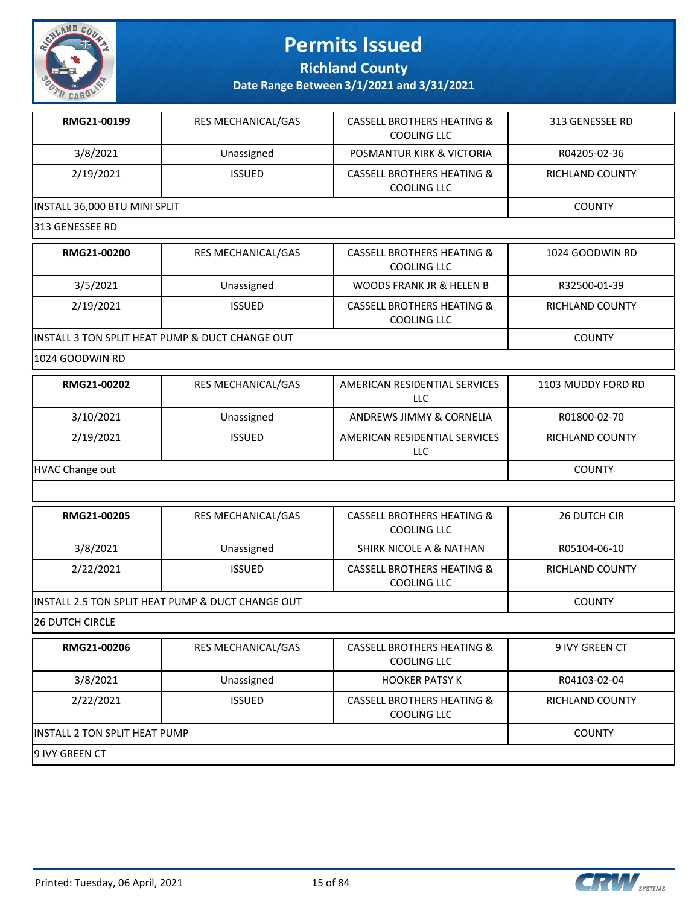

**Richland County**

**Date Range Between 3/1/2021 and 3/31/2021**

| RMG21-00199                   | <b>RES MECHANICAL/GAS</b> | <b>CASSELL BROTHERS HEATING &amp;</b><br>COOLING LLC | 313 GENESSEE RD        |  |
|-------------------------------|---------------------------|------------------------------------------------------|------------------------|--|
| 3/8/2021                      | Unassigned                | POSMANTUR KIRK & VICTORIA                            | R04205-02-36           |  |
| 2/19/2021                     | <b>ISSUED</b>             | <b>CASSELL BROTHERS HEATING &amp;</b><br>COOLING LLC | <b>RICHLAND COUNTY</b> |  |
| INSTALL 36,000 BTU MINI SPLIT |                           |                                                      | <b>COUNTY</b>          |  |
| 313 GENESSEE RD               |                           |                                                      |                        |  |

| RMG21-00200                                     | RES MECHANICAL/GAS | <b>CASSELL BROTHERS HEATING &amp;</b><br><b>COOLING LLC</b> | 1024 GOODWIN RD |
|-------------------------------------------------|--------------------|-------------------------------------------------------------|-----------------|
| 3/5/2021                                        | Unassigned         | WOODS FRANK JR & HELEN B                                    | R32500-01-39    |
| 2/19/2021                                       | <b>ISSUED</b>      | CASSELL BROTHERS HEATING &<br>COOLING LLC                   | RICHLAND COUNTY |
| INSTALL 3 TON SPLIT HEAT PUMP & DUCT CHANGE OUT |                    |                                                             | <b>COUNTY</b>   |

1024 GOODWIN RD

| RMG21-00202     | <b>RES MECHANICAL/GAS</b> | AMERICAN RESIDENTIAL SERVICES<br>LLC | 1103 MUDDY FORD RD |
|-----------------|---------------------------|--------------------------------------|--------------------|
| 3/10/2021       | Unassigned                | ANDREWS JIMMY & CORNELIA             | R01800-02-70       |
| 2/19/2021       | <b>ISSUED</b>             | AMERICAN RESIDENTIAL SERVICES<br>LLC | RICHLAND COUNTY    |
| HVAC Change out |                           |                                      | <b>COUNTY</b>      |

| RMG21-00205                                       | <b>RES MECHANICAL/GAS</b> | <b>CASSELL BROTHERS HEATING &amp;</b><br>COOLING LLC | <b>26 DUTCH CIR</b> |
|---------------------------------------------------|---------------------------|------------------------------------------------------|---------------------|
| 3/8/2021                                          | Unassigned                | SHIRK NICOLE A & NATHAN                              | R05104-06-10        |
| 2/22/2021                                         | <b>ISSUED</b>             | CASSELL BROTHERS HEATING &<br>COOLING LLC            | RICHLAND COUNTY     |
| INSTALL 2.5 TON SPLIT HEAT PUMP & DUCT CHANGE OUT |                           |                                                      | <b>COUNTY</b>       |

26 DUTCH CIRCLE

| RMG21-00206                           | <b>RES MECHANICAL/GAS</b> | <b>CASSELL BROTHERS HEATING &amp;</b><br>COOLING LLC        | 9 IVY GREEN CT  |
|---------------------------------------|---------------------------|-------------------------------------------------------------|-----------------|
| 3/8/2021                              | Unassigned                | <b>HOOKER PATSY K</b>                                       | R04103-02-04    |
| 2/22/2021                             | <b>ISSUED</b>             | <b>CASSELL BROTHERS HEATING &amp;</b><br><b>COOLING LLC</b> | RICHLAND COUNTY |
| <b>IINSTALL 2 TON SPLIT HEAT PUMP</b> |                           |                                                             | <b>COUNTY</b>   |
| 19 IVY GREEN CT                       |                           |                                                             |                 |

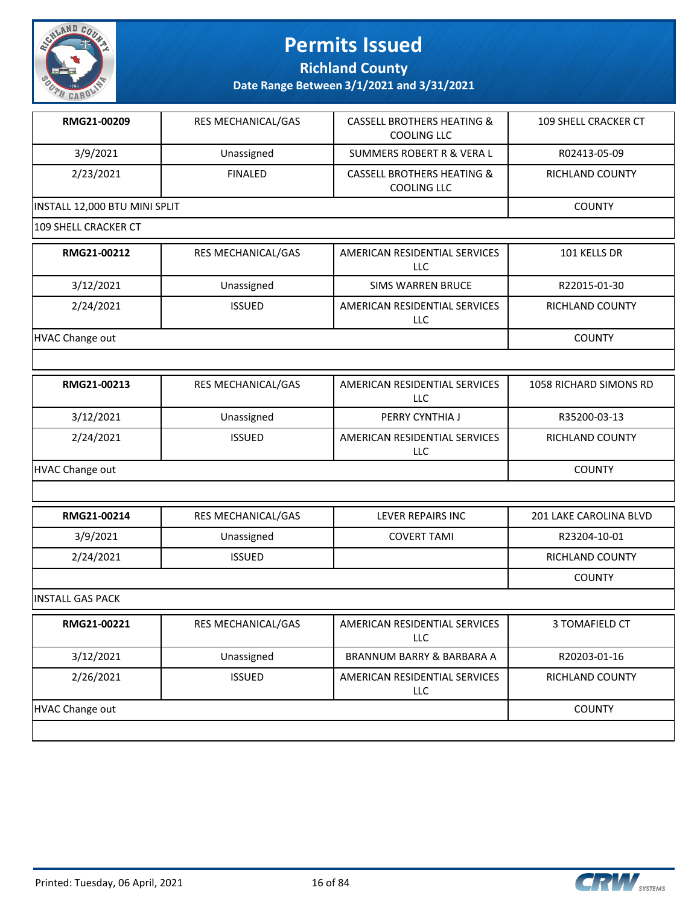

**Richland County**

| RMG21-00209                   | RES MECHANICAL/GAS | <b>CASSELL BROTHERS HEATING &amp;</b><br><b>COOLING LLC</b> | 109 SHELL CRACKER CT   |
|-------------------------------|--------------------|-------------------------------------------------------------|------------------------|
| 3/9/2021                      | Unassigned         | <b>SUMMERS ROBERT R &amp; VERA L</b>                        | R02413-05-09           |
| 2/23/2021                     | <b>FINALED</b>     | <b>CASSELL BROTHERS HEATING &amp;</b><br><b>COOLING LLC</b> | RICHLAND COUNTY        |
| INSTALL 12,000 BTU MINI SPLIT |                    |                                                             | <b>COUNTY</b>          |
| 109 SHELL CRACKER CT          |                    |                                                             |                        |
| RMG21-00212                   | RES MECHANICAL/GAS | AMERICAN RESIDENTIAL SERVICES<br>LLC                        | 101 KELLS DR           |
| 3/12/2021                     | Unassigned         | <b>SIMS WARREN BRUCE</b>                                    | R22015-01-30           |
| 2/24/2021                     | <b>ISSUED</b>      | AMERICAN RESIDENTIAL SERVICES<br>LLC                        | RICHLAND COUNTY        |
| HVAC Change out               |                    |                                                             | <b>COUNTY</b>          |
|                               |                    |                                                             |                        |
| RMG21-00213                   | RES MECHANICAL/GAS | AMERICAN RESIDENTIAL SERVICES<br><b>LLC</b>                 | 1058 RICHARD SIMONS RD |
| 3/12/2021                     | Unassigned         | PERRY CYNTHIA J                                             | R35200-03-13           |
| 2/24/2021                     | <b>ISSUED</b>      | AMERICAN RESIDENTIAL SERVICES<br><b>LLC</b>                 | RICHLAND COUNTY        |
| HVAC Change out               |                    |                                                             | <b>COUNTY</b>          |
|                               |                    |                                                             |                        |
| RMG21-00214                   | RES MECHANICAL/GAS | <b>LEVER REPAIRS INC</b>                                    | 201 LAKE CAROLINA BLVD |
| 3/9/2021                      | Unassigned         | <b>COVERT TAMI</b>                                          | R23204-10-01           |
| 2/24/2021                     | <b>ISSUED</b>      |                                                             | RICHLAND COUNTY        |
|                               |                    |                                                             | <b>COUNTY</b>          |
| <b>INSTALL GAS PACK</b>       |                    |                                                             |                        |
| RMG21-00221                   | RES MECHANICAL/GAS | AMERICAN RESIDENTIAL SERVICES<br>LLC                        | 3 TOMAFIELD CT         |

|                        |               | ---                                  |                        |
|------------------------|---------------|--------------------------------------|------------------------|
| 3/12/2021              | Unassigned    | BRANNUM BARRY & BARBARA A            | R20203-01-16           |
| 2/26/2021              | <b>ISSUED</b> | AMERICAN RESIDENTIAL SERVICES<br>LLC | <b>RICHLAND COUNTY</b> |
| <b>HVAC Change out</b> |               |                                      | <b>COUNTY</b>          |
|                        |               |                                      |                        |

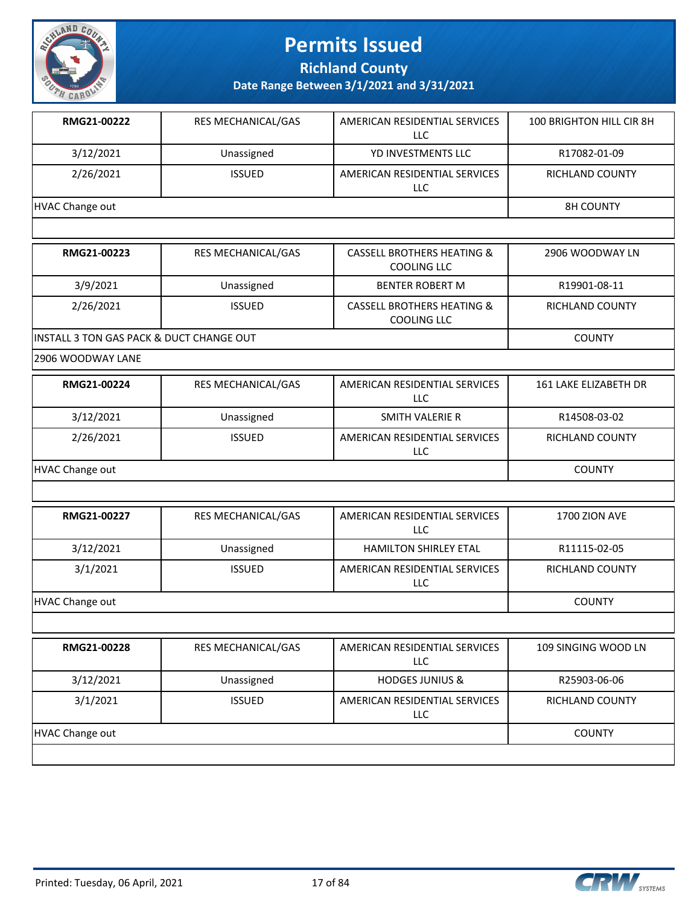

**Richland County**

**Date Range Between 3/1/2021 and 3/31/2021**

| RMG21-00222     | <b>RES MECHANICAL/GAS</b> | AMERICAN RESIDENTIAL SERVICES<br>LLC | 100 BRIGHTON HILL CIR 8H |
|-----------------|---------------------------|--------------------------------------|--------------------------|
| 3/12/2021       | Unassigned                | YD INVESTMENTS LLC                   | R17082-01-09             |
| 2/26/2021       | <b>ISSUED</b>             | AMERICAN RESIDENTIAL SERVICES<br>LLC | <b>RICHLAND COUNTY</b>   |
| HVAC Change out |                           |                                      | <b>8H COUNTY</b>         |

| RMG21-00223                                          | <b>RES MECHANICAL/GAS</b> | <b>CASSELL BROTHERS HEATING &amp;</b><br>COOLING LLC        | 2906 WOODWAY LN |
|------------------------------------------------------|---------------------------|-------------------------------------------------------------|-----------------|
| 3/9/2021                                             | Unassigned                | <b>BENTER ROBERT M</b>                                      | R19901-08-11    |
| 2/26/2021                                            | <b>ISSUED</b>             | <b>CASSELL BROTHERS HEATING &amp;</b><br><b>COOLING LLC</b> | RICHLAND COUNTY |
| <b>IINSTALL 3 TON GAS PACK &amp; DUCT CHANGE OUT</b> |                           |                                                             | <b>COUNTY</b>   |

2906 WOODWAY LANE

| RMG21-00224     | <b>RES MECHANICAL/GAS</b> | AMERICAN RESIDENTIAL SERVICES<br>LLC | 161 LAKE ELIZABETH DR  |
|-----------------|---------------------------|--------------------------------------|------------------------|
| 3/12/2021       | Unassigned                | SMITH VALERIE R                      | R14508-03-02           |
| 2/26/2021       | <b>ISSUED</b>             | AMERICAN RESIDENTIAL SERVICES<br>LLC | <b>RICHLAND COUNTY</b> |
| HVAC Change out |                           |                                      | <b>COUNTY</b>          |

| RMG21-00227     | <b>RES MECHANICAL/GAS</b> | AMERICAN RESIDENTIAL SERVICES<br>LLC | 1700 ZION AVE          |
|-----------------|---------------------------|--------------------------------------|------------------------|
| 3/12/2021       | Unassigned                | <b>HAMILTON SHIRLEY ETAL</b>         | R11115-02-05           |
| 3/1/2021        | <b>ISSUED</b>             | AMERICAN RESIDENTIAL SERVICES<br>LLC | <b>RICHLAND COUNTY</b> |
| HVAC Change out |                           |                                      | <b>COUNTY</b>          |

|                 | <b>RES MECHANICAL/GAS</b> | AMERICAN RESIDENTIAL SERVICES<br>LLC | 109 SINGING WOOD LN    |
|-----------------|---------------------------|--------------------------------------|------------------------|
| 3/12/2021       | Unassigned                | <b>HODGES JUNIUS &amp;</b>           | R25903-06-06           |
| 3/1/2021        | <b>ISSUED</b>             | AMERICAN RESIDENTIAL SERVICES<br>LLC | <b>RICHLAND COUNTY</b> |
| HVAC Change out |                           |                                      | <b>COUNTY</b>          |

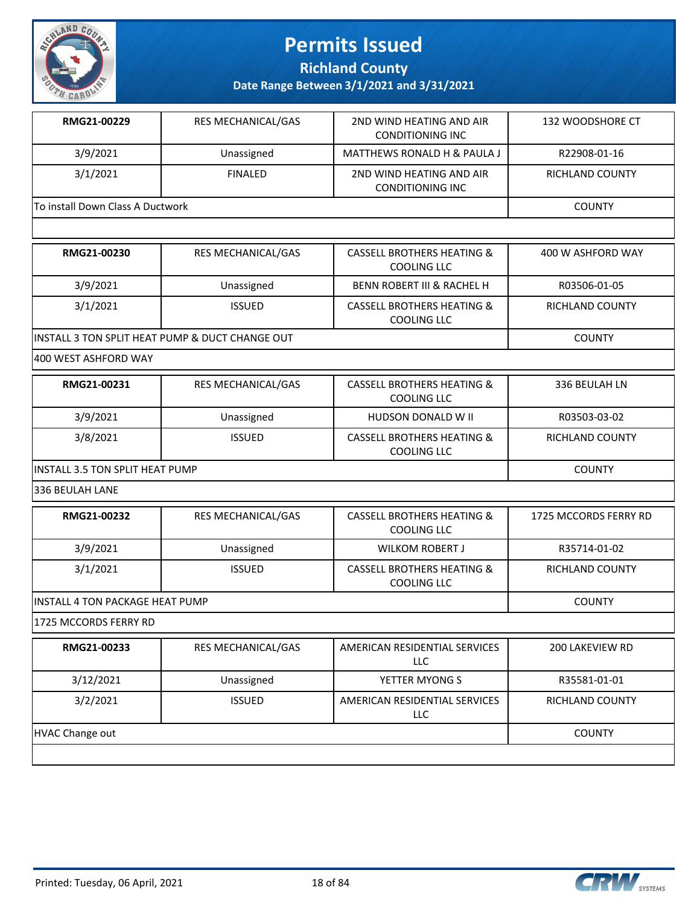

**Richland County**

**Date Range Between 3/1/2021 and 3/31/2021**

| RMG21-00229                      | <b>RES MECHANICAL/GAS</b> | 2ND WIND HEATING AND AIR<br>CONDITIONING INC        | 132 WOODSHORE CT |
|----------------------------------|---------------------------|-----------------------------------------------------|------------------|
| 3/9/2021                         | Unassigned                | MATTHEWS RONALD H & PAULA J                         | R22908-01-16     |
| 3/1/2021                         | <b>FINALED</b>            | 2ND WIND HEATING AND AIR<br><b>CONDITIONING INC</b> | RICHLAND COUNTY  |
| To install Down Class A Ductwork |                           |                                                     | <b>COUNTY</b>    |

| RMG21-00230                                     | <b>RES MECHANICAL/GAS</b> | <b>CASSELL BROTHERS HEATING &amp;</b><br>COOLING LLC | 400 W ASHFORD WAY |
|-------------------------------------------------|---------------------------|------------------------------------------------------|-------------------|
| 3/9/2021                                        | Unassigned                | <b>BENN ROBERT III &amp; RACHEL H</b>                | R03506-01-05      |
| 3/1/2021                                        | <b>ISSUED</b>             | <b>CASSELL BROTHERS HEATING &amp;</b><br>COOLING LLC | RICHLAND COUNTY   |
| INSTALL 3 TON SPLIT HEAT PUMP & DUCT CHANGE OUT |                           |                                                      | <b>COUNTY</b>     |

400 WEST ASHFORD WAY

| RMG21-00231                             | <b>RES MECHANICAL/GAS</b> | <b>CASSELL BROTHERS HEATING &amp;</b><br>COOLING LLC | 336 BEULAH LN   |
|-----------------------------------------|---------------------------|------------------------------------------------------|-----------------|
| 3/9/2021                                | Unassigned                | HUDSON DONALD W II                                   | R03503-03-02    |
| 3/8/2021                                | <b>ISSUED</b>             | <b>CASSELL BROTHERS HEATING &amp;</b><br>COOLING LLC | RICHLAND COUNTY |
| <b>IINSTALL 3.5 TON SPLIT HEAT PUMP</b> |                           |                                                      | <b>COUNTY</b>   |

336 BEULAH LANE

| RMG21-00232                      | <b>RES MECHANICAL/GAS</b> | CASSELL BROTHERS HEATING &<br>COOLING LLC | 1725 MCCORDS FERRY RD |
|----------------------------------|---------------------------|-------------------------------------------|-----------------------|
| 3/9/2021                         | Unassigned                | <b>WILKOM ROBERT J</b>                    | R35714-01-02          |
| 3/1/2021                         | <b>ISSUED</b>             | CASSELL BROTHERS HEATING &<br>COOLING LLC | RICHLAND COUNTY       |
| IINSTALL 4 TON PACKAGE HEAT PUMP |                           |                                           | <b>COUNTY</b>         |

1725 MCCORDS FERRY RD

| RMG21-00233     | <b>RES MECHANICAL/GAS</b> | AMERICAN RESIDENTIAL SERVICES<br><b>LLC</b> | 200 LAKEVIEW RD        |
|-----------------|---------------------------|---------------------------------------------|------------------------|
| 3/12/2021       | Unassigned                | YETTER MYONG S                              | R35581-01-01           |
| 3/2/2021        | <b>ISSUED</b>             | AMERICAN RESIDENTIAL SERVICES<br>LLC.       | <b>RICHLAND COUNTY</b> |
| HVAC Change out |                           |                                             | <b>COUNTY</b>          |
|                 |                           |                                             |                        |

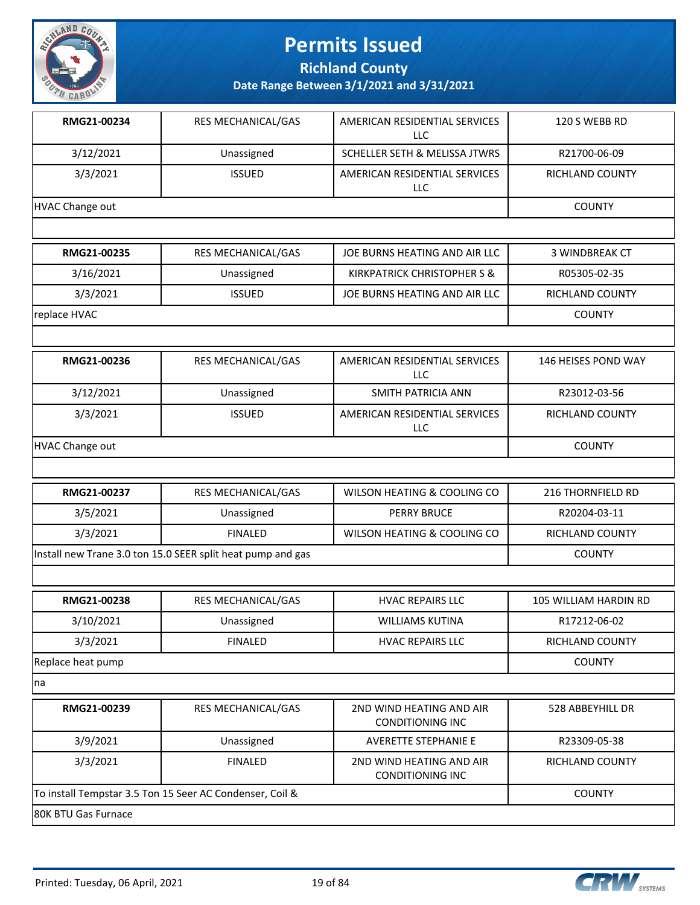

**Richland County**

**Date Range Between 3/1/2021 and 3/31/2021**

| RMG21-00234     | <b>RES MECHANICAL/GAS</b> | AMERICAN RESIDENTIAL SERVICES<br>LLC. | 120 S WEBB RD          |
|-----------------|---------------------------|---------------------------------------|------------------------|
| 3/12/2021       | Unassigned                | SCHELLER SETH & MELISSA JTWRS         | R21700-06-09           |
| 3/3/2021        | <b>ISSUED</b>             | AMERICAN RESIDENTIAL SERVICES<br>LLC. | RICHLAND COUNTY        |
| HVAC Change out |                           |                                       | <b>COUNTY</b>          |
|                 |                           |                                       |                        |
| RMG21-00235     | <b>RES MECHANICAL/GAS</b> | JOE BURNS HEATING AND AIR LLC         | <b>3 WINDBREAK CT</b>  |
| 3/16/2021       | Unassigned                | KIRKPATRICK CHRISTOPHER S &           | R05305-02-35           |
| 3/3/2021        | <b>ISSUED</b>             | JOE BURNS HEATING AND AIR LLC         | <b>RICHLAND COUNTY</b> |

**replace HVAC** COUNTY

| RMG21-00236     | <b>RES MECHANICAL/GAS</b> | AMERICAN RESIDENTIAL SERVICES<br>LLC. | 146 HEISES POND WAY    |
|-----------------|---------------------------|---------------------------------------|------------------------|
| 3/12/2021       | Unassigned                | SMITH PATRICIA ANN                    | R23012-03-56           |
| 3/3/2021        | <b>ISSUED</b>             | AMERICAN RESIDENTIAL SERVICES<br>LLC  | <b>RICHLAND COUNTY</b> |
| HVAC Change out |                           |                                       | <b>COUNTY</b>          |

| RMG21-00237                                                 | <b>RES MECHANICAL/GAS</b> | WILSON HEATING & COOLING CO | 216 THORNFIELD RD |
|-------------------------------------------------------------|---------------------------|-----------------------------|-------------------|
| 3/5/2021                                                    | Unassigned                | <b>PERRY BRUCE</b>          | R20204-03-11      |
| 3/3/2021                                                    | <b>FINALED</b>            | WILSON HEATING & COOLING CO | RICHLAND COUNTY   |
| Install new Trane 3.0 ton 15.0 SEER split heat pump and gas |                           |                             | <b>COUNTY</b>     |
|                                                             |                           |                             |                   |

| RES MECHANICAL/GAS | <b>HVAC REPAIRS LLC</b> | 105 WILLIAM HARDIN RD  |
|--------------------|-------------------------|------------------------|
| Unassigned         | <b>WILLIAMS KUTINA</b>  | R17212-06-02           |
| <b>FINALED</b>     | <b>HVAC REPAIRS LLC</b> | <b>RICHLAND COUNTY</b> |
| Replace heat pump  |                         |                        |
|                    |                         |                        |

na

| RMG21-00239                                              | <b>RES MECHANICAL/GAS</b> | 2ND WIND HEATING AND AIR<br>CONDITIONING INC | 528 ABBEYHILL DR |  |
|----------------------------------------------------------|---------------------------|----------------------------------------------|------------------|--|
| 3/9/2021                                                 | Unassigned                | AVERETTE STEPHANIE E                         | R23309-05-38     |  |
| 3/3/2021                                                 | <b>FINALED</b>            | 2ND WIND HEATING AND AIR<br>CONDITIONING INC | RICHLAND COUNTY  |  |
| To install Tempstar 3.5 Ton 15 Seer AC Condenser, Coil & |                           |                                              | <b>COUNTY</b>    |  |
| I80K BTU Gas Furnace                                     |                           |                                              |                  |  |

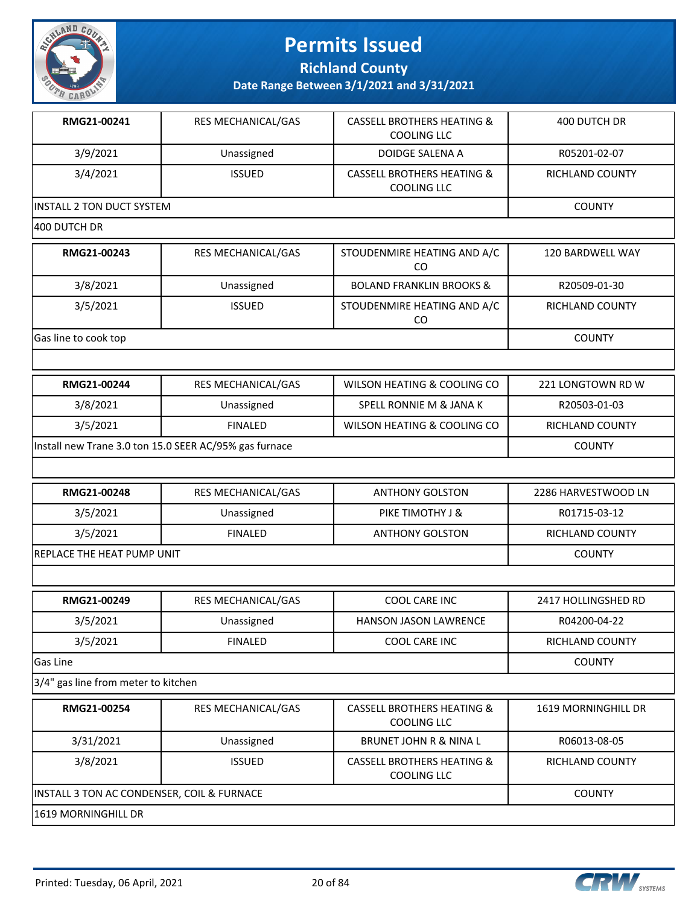

**Richland County**

**Date Range Between 3/1/2021 and 3/31/2021**

| RMG21-00241               | <b>RES MECHANICAL/GAS</b> | <b>CASSELL BROTHERS HEATING &amp;</b><br>COOLING LLC | 400 DUTCH DR     |  |
|---------------------------|---------------------------|------------------------------------------------------|------------------|--|
| 3/9/2021                  | Unassigned                | DOIDGE SALENA A                                      | R05201-02-07     |  |
| 3/4/2021                  | <b>ISSUED</b>             | <b>CASSELL BROTHERS HEATING &amp;</b><br>COOLING LLC | RICHLAND COUNTY  |  |
| INSTALL 2 TON DUCT SYSTEM | <b>COUNTY</b>             |                                                      |                  |  |
| 400 DUTCH DR              |                           |                                                      |                  |  |
| RMG21-00243               | <b>RES MECHANICAL/GAS</b> | STOUDENMIRE HEATING AND A/C<br>rη                    | 120 BARDWELL WAY |  |

|                      |               | CO                                  |                        |
|----------------------|---------------|-------------------------------------|------------------------|
| 3/8/2021             | Unassigned    | <b>BOLAND FRANKLIN BROOKS &amp;</b> | R20509-01-30           |
| 3/5/2021             | <b>ISSUED</b> | STOUDENMIRE HEATING AND A/C<br>CO   | <b>RICHLAND COUNTY</b> |
| Gas line to cook top |               |                                     | <b>COUNTY</b>          |

| RMG21-00244                                            | <b>RES MECHANICAL/GAS</b> | WILSON HEATING & COOLING CO | 221 LONGTOWN RD W |
|--------------------------------------------------------|---------------------------|-----------------------------|-------------------|
| 3/8/2021                                               | Unassigned                | SPELL RONNIE M & JANA K     | R20503-01-03      |
| 3/5/2021                                               | FINALED                   | WILSON HEATING & COOLING CO | RICHLAND COUNTY   |
| Install new Trane 3.0 ton 15.0 SEER AC/95% gas furnace |                           |                             | <b>COUNTY</b>     |

| RMG21-00248                 | <b>RES MECHANICAL/GAS</b> | <b>ANTHONY GOLSTON</b> | 2286 HARVESTWOOD LN    |
|-----------------------------|---------------------------|------------------------|------------------------|
| 3/5/2021                    | Unassigned                | PIKE TIMOTHY J &       | R01715-03-12           |
| 3/5/2021                    | <b>FINALED</b>            | <b>ANTHONY GOLSTON</b> | <b>RICHLAND COUNTY</b> |
| IREPLACE THE HEAT PUMP UNIT |                           |                        | COUNTY                 |
|                             |                           |                        |                        |

| RMG21-00249     | <b>RES MECHANICAL/GAS</b> | COOL CARE INC                | 2417 HOLLINGSHED RD |
|-----------------|---------------------------|------------------------------|---------------------|
| 3/5/2021        | Unassigned                | <b>HANSON JASON LAWRENCE</b> | R04200-04-22        |
| 3/5/2021        | <b>FINALED</b>            | COOL CARE INC                | RICHLAND COUNTY     |
| <b>Gas Line</b> |                           |                              | <b>COUNTY</b>       |

3/4" gas line from meter to kitchen

| RMG21-00254                                | <b>RES MECHANICAL/GAS</b> | CASSELL BROTHERS HEATING &<br>COOLING LLC | 1619 MORNINGHILL DR |
|--------------------------------------------|---------------------------|-------------------------------------------|---------------------|
| 3/31/2021                                  | Unassigned                | <b>BRUNET JOHN R &amp; NINA L</b>         | R06013-08-05        |
| 3/8/2021                                   | <b>ISSUED</b>             | CASSELL BROTHERS HEATING &<br>COOLING LLC | RICHLAND COUNTY     |
| INSTALL 3 TON AC CONDENSER, COIL & FURNACE | <b>COUNTY</b>             |                                           |                     |
| 1619 MORNINGHILL DR                        |                           |                                           |                     |

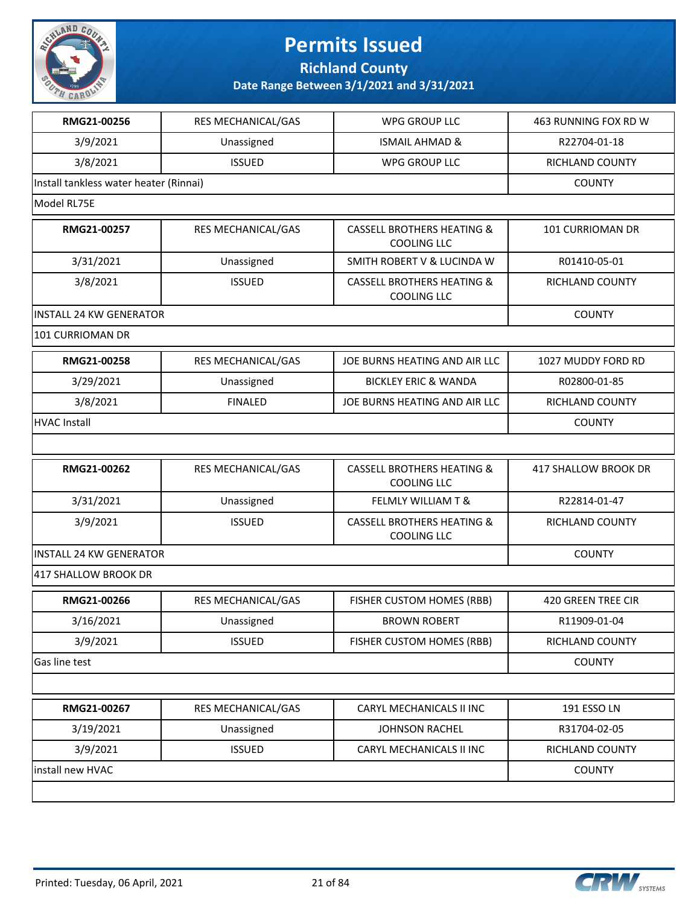

**Richland County**

| RMG21-00256                            | <b>RES MECHANICAL/GAS</b> | <b>WPG GROUP LLC</b>                                        | 463 RUNNING FOX RD W   |
|----------------------------------------|---------------------------|-------------------------------------------------------------|------------------------|
| 3/9/2021                               | Unassigned                | <b>ISMAIL AHMAD &amp;</b>                                   | R22704-01-18           |
| 3/8/2021                               | <b>ISSUED</b>             | WPG GROUP LLC                                               | RICHLAND COUNTY        |
| Install tankless water heater (Rinnai) |                           |                                                             | <b>COUNTY</b>          |
| Model RL75E                            |                           |                                                             |                        |
| RMG21-00257                            | RES MECHANICAL/GAS        | <b>CASSELL BROTHERS HEATING &amp;</b><br><b>COOLING LLC</b> | 101 CURRIOMAN DR       |
| 3/31/2021                              | Unassigned                | SMITH ROBERT V & LUCINDA W                                  | R01410-05-01           |
| 3/8/2021                               | <b>ISSUED</b>             | <b>CASSELL BROTHERS HEATING &amp;</b><br><b>COOLING LLC</b> | RICHLAND COUNTY        |
| <b>INSTALL 24 KW GENERATOR</b>         |                           |                                                             | <b>COUNTY</b>          |
| 101 CURRIOMAN DR                       |                           |                                                             |                        |
| RMG21-00258                            | RES MECHANICAL/GAS        | JOE BURNS HEATING AND AIR LLC                               | 1027 MUDDY FORD RD     |
| 3/29/2021                              | Unassigned                | <b>BICKLEY ERIC &amp; WANDA</b>                             | R02800-01-85           |
| 3/8/2021                               | <b>FINALED</b>            | JOE BURNS HEATING AND AIR LLC                               | RICHLAND COUNTY        |
| <b>HVAC Install</b>                    |                           |                                                             | <b>COUNTY</b>          |
|                                        |                           |                                                             |                        |
| RMG21-00262                            | RES MECHANICAL/GAS        | <b>CASSELL BROTHERS HEATING &amp;</b><br><b>COOLING LLC</b> | 417 SHALLOW BROOK DR   |
| 3/31/2021                              | Unassigned                | <b>FELMLY WILLIAM T &amp;</b>                               | R22814-01-47           |
| 3/9/2021                               | <b>ISSUED</b>             | <b>CASSELL BROTHERS HEATING &amp;</b><br><b>COOLING LLC</b> | RICHLAND COUNTY        |
| <b>INSTALL 24 KW GENERATOR</b>         |                           |                                                             | <b>COUNTY</b>          |
| 417 SHALLOW BROOK DR                   |                           |                                                             |                        |
| RMG21-00266                            | RES MECHANICAL/GAS        | FISHER CUSTOM HOMES (RBB)                                   | 420 GREEN TREE CIR     |
| 3/16/2021                              | Unassigned                | <b>BROWN ROBERT</b>                                         | R11909-01-04           |
| 3/9/2021                               | <b>ISSUED</b>             | FISHER CUSTOM HOMES (RBB)                                   | <b>RICHLAND COUNTY</b> |
| Gas line test                          |                           |                                                             | <b>COUNTY</b>          |
|                                        |                           |                                                             |                        |
| RMG21-00267                            | RES MECHANICAL/GAS        | CARYL MECHANICALS II INC                                    | 191 ESSO LN            |
| 3/19/2021                              | Unassigned                | JOHNSON RACHEL                                              | R31704-02-05           |
| 3/9/2021                               | <b>ISSUED</b>             | CARYL MECHANICALS II INC                                    | RICHLAND COUNTY        |
| install new HVAC                       |                           |                                                             | <b>COUNTY</b>          |
|                                        |                           |                                                             |                        |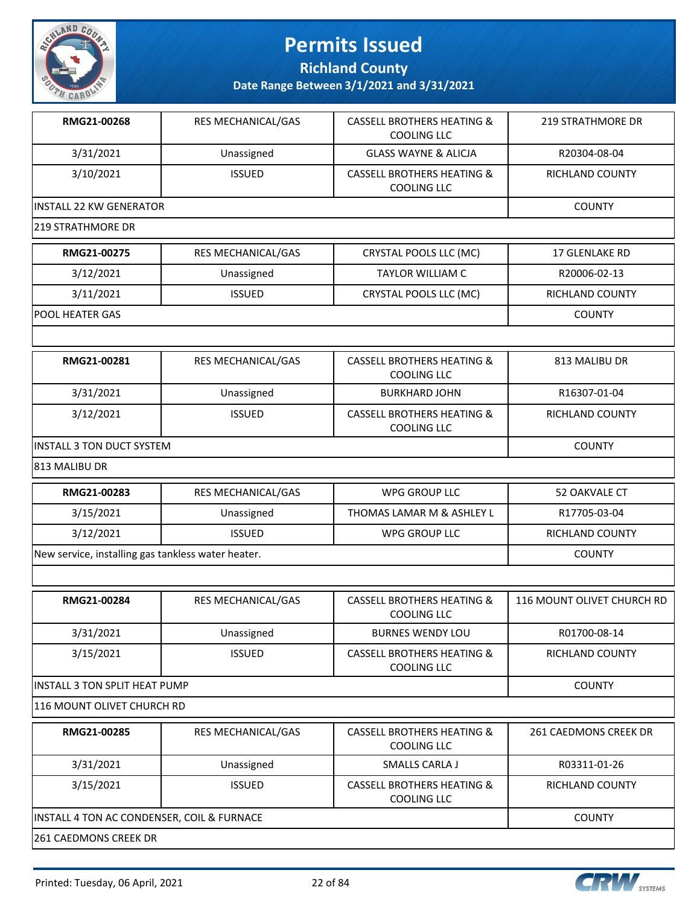

**Richland County**

| RMG21-00268                                        | RES MECHANICAL/GAS | <b>CASSELL BROTHERS HEATING &amp;</b><br><b>COOLING LLC</b> | <b>219 STRATHMORE DR</b>   |
|----------------------------------------------------|--------------------|-------------------------------------------------------------|----------------------------|
| 3/31/2021                                          | Unassigned         | <b>GLASS WAYNE &amp; ALICJA</b>                             | R20304-08-04               |
| 3/10/2021                                          | <b>ISSUED</b>      | <b>CASSELL BROTHERS HEATING &amp;</b><br><b>COOLING LLC</b> | <b>RICHLAND COUNTY</b>     |
| <b>INSTALL 22 KW GENERATOR</b>                     |                    |                                                             | <b>COUNTY</b>              |
| <b>219 STRATHMORE DR</b>                           |                    |                                                             |                            |
| RMG21-00275                                        | RES MECHANICAL/GAS | CRYSTAL POOLS LLC (MC)                                      | 17 GLENLAKE RD             |
| 3/12/2021                                          | Unassigned         | <b>TAYLOR WILLIAM C</b>                                     | R20006-02-13               |
| 3/11/2021                                          | <b>ISSUED</b>      | CRYSTAL POOLS LLC (MC)                                      | RICHLAND COUNTY            |
| POOL HEATER GAS                                    |                    |                                                             | <b>COUNTY</b>              |
|                                                    |                    |                                                             |                            |
| RMG21-00281                                        | RES MECHANICAL/GAS | <b>CASSELL BROTHERS HEATING &amp;</b><br><b>COOLING LLC</b> | 813 MALIBU DR              |
| 3/31/2021                                          | Unassigned         | <b>BURKHARD JOHN</b>                                        | R16307-01-04               |
| 3/12/2021                                          | <b>ISSUED</b>      | <b>CASSELL BROTHERS HEATING &amp;</b><br><b>COOLING LLC</b> | RICHLAND COUNTY            |
| <b>INSTALL 3 TON DUCT SYSTEM</b>                   |                    |                                                             | <b>COUNTY</b>              |
| 813 MALIBU DR                                      |                    |                                                             |                            |
| RMG21-00283                                        | RES MECHANICAL/GAS | <b>WPG GROUP LLC</b>                                        | 52 OAKVALE CT              |
| 3/15/2021                                          | Unassigned         | THOMAS LAMAR M & ASHLEY L                                   | R17705-03-04               |
| 3/12/2021                                          | <b>ISSUED</b>      | WPG GROUP LLC                                               | RICHLAND COUNTY            |
| New service, installing gas tankless water heater. | <b>COUNTY</b>      |                                                             |                            |
|                                                    |                    |                                                             |                            |
| RMG21-00284                                        | RES MECHANICAL/GAS | <b>CASSELL BROTHERS HEATING &amp;</b><br>COOLING LLC        | 116 MOUNT OLIVET CHURCH RD |
| 3/31/2021                                          | Unassigned         | <b>BURNES WENDY LOU</b>                                     | R01700-08-14               |
| 3/15/2021                                          | <b>ISSUED</b>      | <b>CASSELL BROTHERS HEATING &amp;</b><br>COOLING LLC        | RICHLAND COUNTY            |
| INSTALL 3 TON SPLIT HEAT PUMP                      |                    |                                                             | <b>COUNTY</b>              |
| 116 MOUNT OLIVET CHURCH RD                         |                    |                                                             |                            |
| RMG21-00285                                        | RES MECHANICAL/GAS | <b>CASSELL BROTHERS HEATING &amp;</b><br>COOLING LLC        | 261 CAEDMONS CREEK DR      |
| 3/31/2021                                          | Unassigned         | SMALLS CARLA J                                              | R03311-01-26               |
| 3/15/2021                                          | <b>ISSUED</b>      | <b>CASSELL BROTHERS HEATING &amp;</b><br><b>COOLING LLC</b> | RICHLAND COUNTY            |
| INSTALL 4 TON AC CONDENSER, COIL & FURNACE         |                    |                                                             | <b>COUNTY</b>              |
| 261 CAEDMONS CREEK DR                              |                    |                                                             |                            |

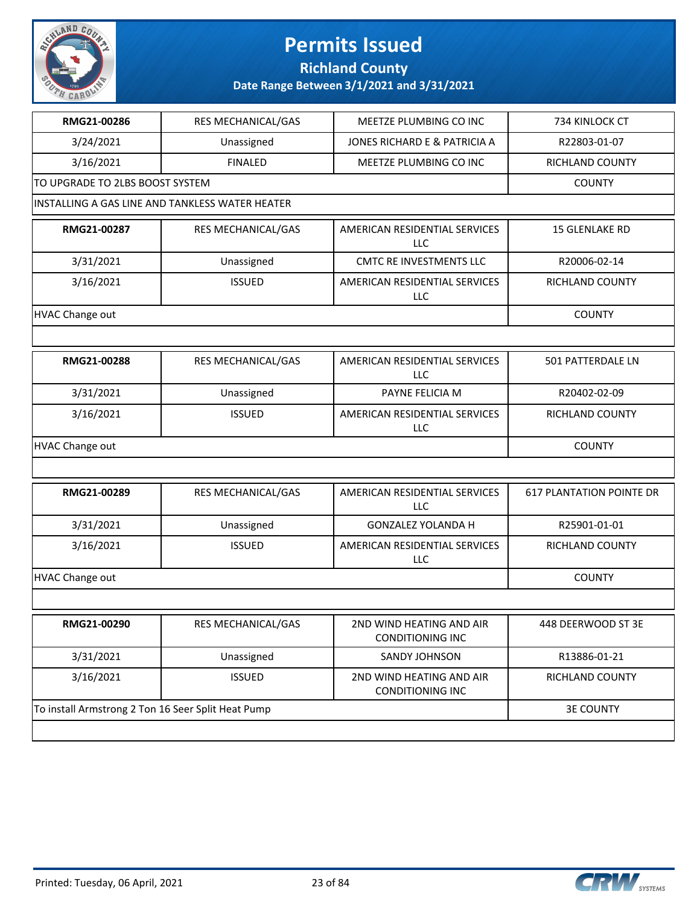

### **Richland County**

| RMG21-00286                                        | RES MECHANICAL/GAS                              | MEETZE PLUMBING CO INC                              | 734 KINLOCK CT                  |
|----------------------------------------------------|-------------------------------------------------|-----------------------------------------------------|---------------------------------|
| 3/24/2021                                          | Unassigned                                      | JONES RICHARD E & PATRICIA A                        | R22803-01-07                    |
| 3/16/2021                                          | <b>FINALED</b>                                  | MEETZE PLUMBING CO INC                              | RICHLAND COUNTY                 |
| TO UPGRADE TO 2LBS BOOST SYSTEM                    |                                                 |                                                     | <b>COUNTY</b>                   |
|                                                    | INSTALLING A GAS LINE AND TANKLESS WATER HEATER |                                                     |                                 |
| RMG21-00287                                        | RES MECHANICAL/GAS                              | AMERICAN RESIDENTIAL SERVICES<br><b>LLC</b>         | 15 GLENLAKE RD                  |
| 3/31/2021                                          | Unassigned                                      | <b>CMTC RE INVESTMENTS LLC</b>                      | R20006-02-14                    |
| 3/16/2021                                          | <b>ISSUED</b>                                   | AMERICAN RESIDENTIAL SERVICES<br>LLC                | RICHLAND COUNTY                 |
| <b>HVAC Change out</b>                             |                                                 |                                                     | <b>COUNTY</b>                   |
|                                                    |                                                 |                                                     |                                 |
| RMG21-00288                                        | RES MECHANICAL/GAS                              | AMERICAN RESIDENTIAL SERVICES<br><b>LLC</b>         | 501 PATTERDALE LN               |
| 3/31/2021                                          | Unassigned                                      | PAYNE FELICIA M                                     | R20402-02-09                    |
| 3/16/2021                                          | <b>ISSUED</b>                                   | AMERICAN RESIDENTIAL SERVICES<br>LLC                | RICHLAND COUNTY                 |
| <b>HVAC Change out</b>                             | <b>COUNTY</b>                                   |                                                     |                                 |
|                                                    |                                                 |                                                     |                                 |
| RMG21-00289                                        | RES MECHANICAL/GAS                              | AMERICAN RESIDENTIAL SERVICES<br>LLC                | <b>617 PLANTATION POINTE DR</b> |
| 3/31/2021                                          | Unassigned                                      | <b>GONZALEZ YOLANDA H</b>                           | R25901-01-01                    |
| 3/16/2021                                          | <b>ISSUED</b>                                   | AMERICAN RESIDENTIAL SERVICES<br>LLC                | RICHLAND COUNTY                 |
| <b>HVAC Change out</b>                             |                                                 |                                                     | <b>COUNTY</b>                   |
|                                                    |                                                 |                                                     |                                 |
| RMG21-00290                                        | RES MECHANICAL/GAS                              | 2ND WIND HEATING AND AIR<br><b>CONDITIONING INC</b> | 448 DEERWOOD ST 3E              |
| 3/31/2021                                          | Unassigned                                      | <b>SANDY JOHNSON</b>                                | R13886-01-21                    |
| 3/16/2021                                          | <b>ISSUED</b>                                   | 2ND WIND HEATING AND AIR<br><b>CONDITIONING INC</b> | RICHLAND COUNTY                 |
| To install Armstrong 2 Ton 16 Seer Split Heat Pump |                                                 |                                                     | <b>3E COUNTY</b>                |
|                                                    |                                                 |                                                     |                                 |

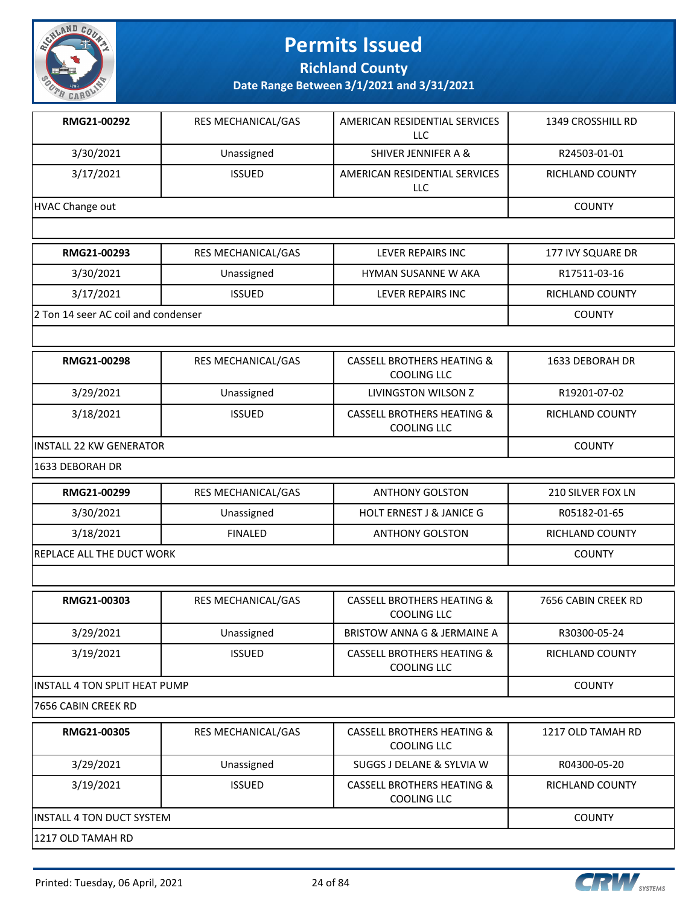

**Richland County**

**Date Range Between 3/1/2021 and 3/31/2021**

| RMG21-00292     | <b>RES MECHANICAL/GAS</b> | AMERICAN RESIDENTIAL SERVICES<br>LLC. | 1349 CROSSHILL RD      |
|-----------------|---------------------------|---------------------------------------|------------------------|
| 3/30/2021       | Unassigned                | SHIVER JENNIFER A &                   | R24503-01-01           |
| 3/17/2021       | <b>ISSUED</b>             | AMERICAN RESIDENTIAL SERVICES<br>LLC  | <b>RICHLAND COUNTY</b> |
| HVAC Change out | <b>COUNTY</b>             |                                       |                        |
|                 |                           |                                       |                        |
| RMG21-00293     | <b>RES MECHANICAL/GAS</b> | LEVER REPAIRS INC                     | 177 IVY SQUARE DR      |
| 3/30/2021       | Unassigned                | <b>HYMAN SUSANNE W AKA</b>            | R17511-03-16           |
| ---------       |                           |                                       |                        |

3/17/2021 ISSUED LEVER REPAIRS INC RICHLAND COUNTY 2 Ton 14 seer AC coil and condenser COUNTY

| RMG21-00298 | RES MECHANICAL/GAS | CASSELL BROTHERS HEATING &<br>COOLING LLC            | 1633 DEBORAH DR |
|-------------|--------------------|------------------------------------------------------|-----------------|
| 3/29/2021   | Unassigned         | LIVINGSTON WILSON Z                                  | R19201-07-02    |
| 3/18/2021   | <b>ISSUED</b>      | <b>CASSELL BROTHERS HEATING &amp;</b><br>COOLING LLC | RICHLAND COUNTY |

INSTALL 22 KW GENERATOR COUNTY

1633 DEBORAH DR

| RMG21-00299                      | RES MECHANICAL/GAS | <b>ANTHONY GOLSTON</b>              | 210 SILVER FOX LN |
|----------------------------------|--------------------|-------------------------------------|-------------------|
| 3/30/2021                        | Unassigned         | <b>HOLT ERNEST J &amp; JANICE G</b> | R05182-01-65      |
| 3/18/2021                        | FINAL FD           | <b>ANTHONY GOLSTON</b>              | RICHLAND COUNTY   |
| <b>REPLACE ALL THE DUCT WORK</b> |                    |                                     | <b>COUNTY</b>     |

| RMG21-00303                           | RES MECHANICAL/GAS | <b>CASSELL BROTHERS HEATING &amp;</b><br>COOLING LLC | 7656 CABIN CREEK RD    |  |
|---------------------------------------|--------------------|------------------------------------------------------|------------------------|--|
| 3/29/2021                             | Unassigned         | BRISTOW ANNA G & JERMAINE A                          | R30300-05-24           |  |
| 3/19/2021                             | <b>ISSUED</b>      | <b>CASSELL BROTHERS HEATING &amp;</b><br>COOLING LLC | <b>RICHLAND COUNTY</b> |  |
| <b>IINSTALL 4 TON SPLIT HEAT PUMP</b> | <b>COUNTY</b>      |                                                      |                        |  |
| 17656 CABIN CREEK RD                  |                    |                                                      |                        |  |
|                                       |                    |                                                      |                        |  |

| RMG21-00305                       | <b>RES MECHANICAL/GAS</b> | CASSELL BROTHERS HEATING &<br>COOLING LLC            | 1217 OLD TAMAH RD |
|-----------------------------------|---------------------------|------------------------------------------------------|-------------------|
| 3/29/2021                         | Unassigned                | SUGGS J DELANE & SYLVIA W                            | R04300-05-20      |
| 3/19/2021                         | <b>ISSUED</b>             | <b>CASSELL BROTHERS HEATING &amp;</b><br>COOLING LLC | RICHLAND COUNTY   |
| <b>IINSTALL 4 TON DUCT SYSTEM</b> | <b>COUNTY</b>             |                                                      |                   |
| 1217 OLD TAMAH RD                 |                           |                                                      |                   |

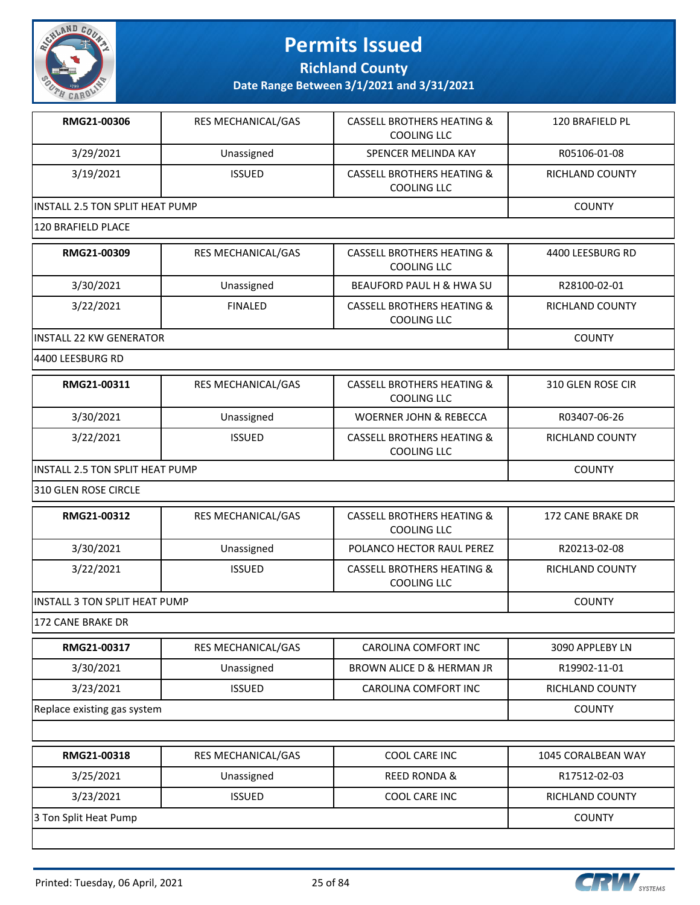

**Richland County**

| RMG21-00306                            | RES MECHANICAL/GAS        | <b>CASSELL BROTHERS HEATING &amp;</b><br><b>COOLING LLC</b> | 120 BRAFIELD PL        |
|----------------------------------------|---------------------------|-------------------------------------------------------------|------------------------|
| 3/29/2021                              | Unassigned                | SPENCER MELINDA KAY                                         | R05106-01-08           |
| 3/19/2021                              | <b>ISSUED</b>             | <b>CASSELL BROTHERS HEATING &amp;</b><br><b>COOLING LLC</b> | RICHLAND COUNTY        |
| <b>INSTALL 2.5 TON SPLIT HEAT PUMP</b> |                           |                                                             | <b>COUNTY</b>          |
| 120 BRAFIELD PLACE                     |                           |                                                             |                        |
| RMG21-00309                            | RES MECHANICAL/GAS        | <b>CASSELL BROTHERS HEATING &amp;</b><br><b>COOLING LLC</b> | 4400 LEESBURG RD       |
| 3/30/2021                              | Unassigned                | <b>BEAUFORD PAUL H &amp; HWA SU</b>                         | R28100-02-01           |
| 3/22/2021                              | <b>FINALED</b>            | <b>CASSELL BROTHERS HEATING &amp;</b><br><b>COOLING LLC</b> | <b>RICHLAND COUNTY</b> |
| <b>INSTALL 22 KW GENERATOR</b>         |                           |                                                             | <b>COUNTY</b>          |
| 4400 LEESBURG RD                       |                           |                                                             |                        |
| RMG21-00311                            | RES MECHANICAL/GAS        | <b>CASSELL BROTHERS HEATING &amp;</b><br><b>COOLING LLC</b> | 310 GLEN ROSE CIR      |
| 3/30/2021                              | Unassigned                | <b>WOERNER JOHN &amp; REBECCA</b>                           | R03407-06-26           |
| 3/22/2021                              | <b>ISSUED</b>             | <b>CASSELL BROTHERS HEATING &amp;</b><br><b>COOLING LLC</b> | RICHLAND COUNTY        |
| INSTALL 2.5 TON SPLIT HEAT PUMP        |                           |                                                             | <b>COUNTY</b>          |
| 310 GLEN ROSE CIRCLE                   |                           |                                                             |                        |
| RMG21-00312                            | RES MECHANICAL/GAS        | <b>CASSELL BROTHERS HEATING &amp;</b><br><b>COOLING LLC</b> | 172 CANE BRAKE DR      |
| 3/30/2021                              | Unassigned                | POLANCO HECTOR RAUL PEREZ                                   | R20213-02-08           |
| 3/22/2021                              | <b>ISSUED</b>             | <b>CASSELL BROTHERS HEATING &amp;</b><br><b>COOLING LLC</b> | RICHLAND COUNTY        |
| <b>INSTALL 3 TON SPLIT HEAT PUMP</b>   |                           |                                                             | <b>COUNTY</b>          |
| 172 CANE BRAKE DR                      |                           |                                                             |                        |
| RMG21-00317                            | <b>RES MECHANICAL/GAS</b> | CAROLINA COMFORT INC                                        | 3090 APPLEBY LN        |
| 3/30/2021                              | Unassigned                | BROWN ALICE D & HERMAN JR                                   | R19902-11-01           |
| 3/23/2021                              | <b>ISSUED</b>             | CAROLINA COMFORT INC                                        | RICHLAND COUNTY        |
| Replace existing gas system            |                           |                                                             | <b>COUNTY</b>          |
|                                        |                           |                                                             |                        |
| RMG21-00318                            | RES MECHANICAL/GAS        | COOL CARE INC                                               | 1045 CORALBEAN WAY     |
| 3/25/2021                              | Unassigned                | <b>REED RONDA &amp;</b>                                     | R17512-02-03           |
| 3/23/2021                              | <b>ISSUED</b>             | COOL CARE INC                                               | RICHLAND COUNTY        |
| 3 Ton Split Heat Pump                  |                           |                                                             | <b>COUNTY</b>          |
|                                        |                           |                                                             |                        |

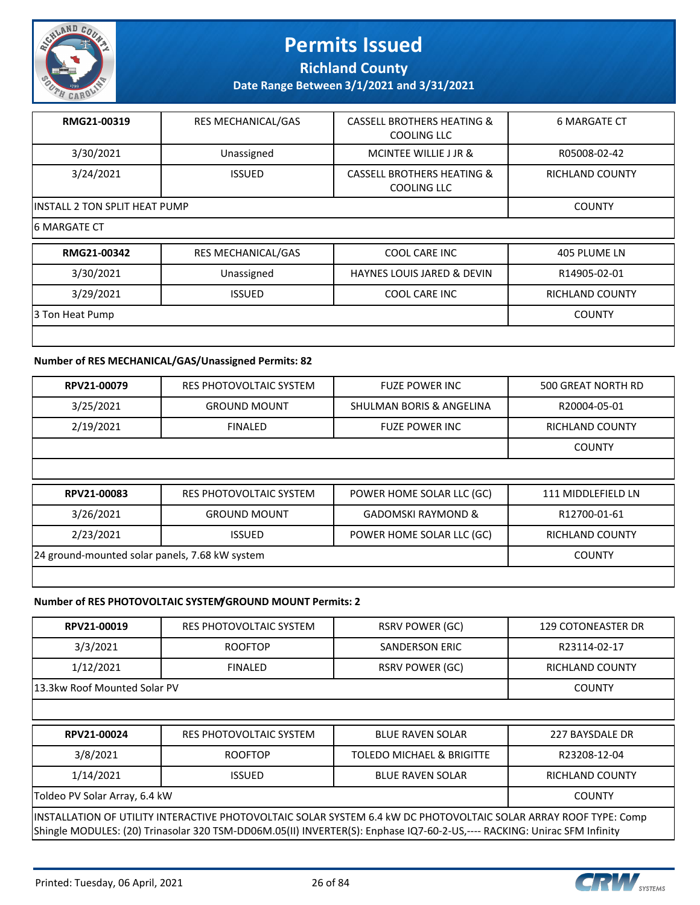

**Richland County**

**Date Range Between 3/1/2021 and 3/31/2021**

| RMG21-00319                           | <b>RES MECHANICAL/GAS</b> | <b>CASSELL BROTHERS HEATING &amp;</b><br>COOLING LLC | <b>6 MARGATE CT</b>    |
|---------------------------------------|---------------------------|------------------------------------------------------|------------------------|
| 3/30/2021                             | Unassigned                | MCINTEE WILLIE J JR &                                | R05008-02-42           |
| 3/24/2021                             | <b>ISSUED</b>             | <b>CASSELL BROTHERS HEATING &amp;</b><br>COOLING LLC | <b>RICHLAND COUNTY</b> |
| <b>IINSTALL 2 TON SPLIT HEAT PUMP</b> |                           |                                                      | <b>COUNTY</b>          |
| 16 MARGATE CT                         |                           |                                                      |                        |

| RMG21-00342     | <b>RES MECHANICAL/GAS</b> | COOL CARE INC                         | 405 PLUME LN    |
|-----------------|---------------------------|---------------------------------------|-----------------|
| 3/30/2021       | Unassigned                | <b>HAYNES LOUIS JARED &amp; DEVIN</b> | R14905-02-01    |
| 3/29/2021       | <b>ISSUED</b>             | COOL CARE INC                         | RICHLAND COUNTY |
| 3 Ton Heat Pump |                           |                                       | <b>COUNTY</b>   |
|                 |                           |                                       |                 |

#### **Number of RES MECHANICAL/GAS/Unassigned Permits: 82**

| RPV21-00079                                    | <b>RES PHOTOVOLTAIC SYSTEM</b> | <b>FUZE POWER INC</b>         | 500 GREAT NORTH RD     |
|------------------------------------------------|--------------------------------|-------------------------------|------------------------|
| 3/25/2021                                      | <b>GROUND MOUNT</b>            | SHULMAN BORIS & ANGELINA      | R20004-05-01           |
| 2/19/2021                                      | <b>FINALED</b>                 | <b>FUZE POWER INC</b>         | <b>RICHLAND COUNTY</b> |
|                                                |                                |                               | <b>COUNTY</b>          |
|                                                |                                |                               |                        |
| RPV21-00083                                    | <b>RES PHOTOVOLTAIC SYSTEM</b> | POWER HOME SOLAR LLC (GC)     | 111 MIDDLEFIELD LN     |
|                                                |                                |                               |                        |
| 3/26/2021                                      | <b>GROUND MOUNT</b>            | <b>GADOMSKI RAYMOND &amp;</b> | R12700-01-61           |
| 2/23/2021                                      | <b>ISSUED</b>                  | POWER HOME SOLAR LLC (GC)     | RICHLAND COUNTY        |
| 24 ground-mounted solar panels, 7.68 kW system |                                |                               | <b>COUNTY</b>          |

#### **Number of RES PHOTOVOLTAIC SYSTEM/GROUND MOUNT Permits: 2**

| RPV21-00019                                                                                                                                                                                                                                   | RES PHOTOVOLTAIC SYSTEM        | <b>RSRV POWER (GC)</b>    | <b>129 COTONEASTER DR</b> |  |
|-----------------------------------------------------------------------------------------------------------------------------------------------------------------------------------------------------------------------------------------------|--------------------------------|---------------------------|---------------------------|--|
| 3/3/2021                                                                                                                                                                                                                                      | <b>ROOFTOP</b>                 | SANDERSON ERIC            | R23114-02-17              |  |
| 1/12/2021                                                                                                                                                                                                                                     | <b>FINALED</b>                 | <b>RSRV POWER (GC)</b>    | <b>RICHLAND COUNTY</b>    |  |
| 13.3kw Roof Mounted Solar PV                                                                                                                                                                                                                  |                                |                           | <b>COUNTY</b>             |  |
|                                                                                                                                                                                                                                               |                                |                           |                           |  |
| RPV21-00024                                                                                                                                                                                                                                   | <b>RES PHOTOVOLTAIC SYSTEM</b> | <b>BLUE RAVEN SOLAR</b>   | 227 BAYSDALE DR           |  |
| 3/8/2021                                                                                                                                                                                                                                      | <b>ROOFTOP</b>                 | TOLEDO MICHAEL & BRIGITTE | R23208-12-04              |  |
| 1/14/2021                                                                                                                                                                                                                                     | <b>ISSUED</b>                  | <b>BLUE RAVEN SOLAR</b>   | RICHLAND COUNTY           |  |
| Toldeo PV Solar Array, 6.4 kW<br><b>COUNTY</b>                                                                                                                                                                                                |                                |                           |                           |  |
| INSTALLATION OF UTILITY INTERACTIVE PHOTOVOLTAIC SOLAR SYSTEM 6.4 kW DC PHOTOVOLTAIC SOLAR ARRAY ROOF TYPE: Comp <br>Shingle MODULES: (20) Trinasolar 320 TSM-DD06M.05(II) INVERTER(S): Enphase IQ7-60-2-US,---- RACKING: Unirac SFM Infinity |                                |                           |                           |  |

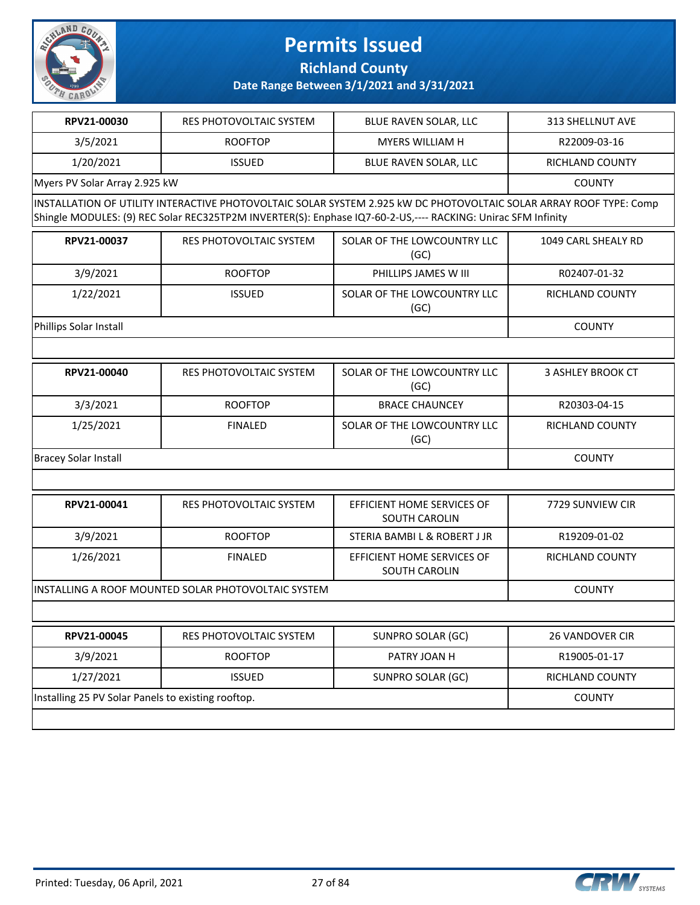

**Richland County**

| RPV21-00030                                        | RES PHOTOVOLTAIC SYSTEM                             | BLUE RAVEN SOLAR, LLC                                                                                                                                                                                                              | <b>313 SHELLNUT AVE</b>  |  |  |
|----------------------------------------------------|-----------------------------------------------------|------------------------------------------------------------------------------------------------------------------------------------------------------------------------------------------------------------------------------------|--------------------------|--|--|
| 3/5/2021                                           | <b>ROOFTOP</b>                                      | MYERS WILLIAM H                                                                                                                                                                                                                    | R22009-03-16             |  |  |
| 1/20/2021                                          | <b>ISSUED</b>                                       | BLUE RAVEN SOLAR, LLC                                                                                                                                                                                                              | RICHLAND COUNTY          |  |  |
|                                                    | Myers PV Solar Array 2.925 kW                       |                                                                                                                                                                                                                                    |                          |  |  |
|                                                    |                                                     | INSTALLATION OF UTILITY INTERACTIVE PHOTOVOLTAIC SOLAR SYSTEM 2.925 kW DC PHOTOVOLTAIC SOLAR ARRAY ROOF TYPE: Comp<br>Shingle MODULES: (9) REC Solar REC325TP2M INVERTER(S): Enphase IQ7-60-2-US,---- RACKING: Unirac SFM Infinity |                          |  |  |
| RPV21-00037                                        | <b>RES PHOTOVOLTAIC SYSTEM</b>                      | SOLAR OF THE LOWCOUNTRY LLC<br>(GC)                                                                                                                                                                                                | 1049 CARL SHEALY RD      |  |  |
| 3/9/2021                                           | <b>ROOFTOP</b>                                      | PHILLIPS JAMES W III                                                                                                                                                                                                               | R02407-01-32             |  |  |
| 1/22/2021                                          | <b>ISSUED</b>                                       | SOLAR OF THE LOWCOUNTRY LLC<br>(GC)                                                                                                                                                                                                | <b>RICHLAND COUNTY</b>   |  |  |
| Phillips Solar Install                             |                                                     |                                                                                                                                                                                                                                    | <b>COUNTY</b>            |  |  |
|                                                    |                                                     |                                                                                                                                                                                                                                    |                          |  |  |
| RPV21-00040                                        | RES PHOTOVOLTAIC SYSTEM                             | SOLAR OF THE LOWCOUNTRY LLC<br>(GC)                                                                                                                                                                                                | <b>3 ASHLEY BROOK CT</b> |  |  |
| 3/3/2021                                           | <b>ROOFTOP</b>                                      | <b>BRACE CHAUNCEY</b>                                                                                                                                                                                                              | R20303-04-15             |  |  |
| 1/25/2021                                          | <b>FINALED</b>                                      | SOLAR OF THE LOWCOUNTRY LLC<br>(GC)                                                                                                                                                                                                | <b>RICHLAND COUNTY</b>   |  |  |
| <b>Bracey Solar Install</b>                        | <b>COUNTY</b>                                       |                                                                                                                                                                                                                                    |                          |  |  |
|                                                    |                                                     |                                                                                                                                                                                                                                    |                          |  |  |
| RPV21-00041                                        | RES PHOTOVOLTAIC SYSTEM                             | EFFICIENT HOME SERVICES OF<br><b>SOUTH CAROLIN</b>                                                                                                                                                                                 | 7729 SUNVIEW CIR         |  |  |
| 3/9/2021                                           | <b>ROOFTOP</b>                                      | STERIA BAMBI L & ROBERT J JR                                                                                                                                                                                                       | R19209-01-02             |  |  |
| 1/26/2021                                          | <b>FINALED</b>                                      | EFFICIENT HOME SERVICES OF<br>SOUTH CAROLIN                                                                                                                                                                                        | RICHLAND COUNTY          |  |  |
|                                                    | INSTALLING A ROOF MOUNTED SOLAR PHOTOVOLTAIC SYSTEM |                                                                                                                                                                                                                                    | <b>COUNTY</b>            |  |  |
|                                                    |                                                     |                                                                                                                                                                                                                                    |                          |  |  |
| RPV21-00045                                        | RES PHOTOVOLTAIC SYSTEM                             | SUNPRO SOLAR (GC)                                                                                                                                                                                                                  | 26 VANDOVER CIR          |  |  |
| 3/9/2021                                           | <b>ROOFTOP</b>                                      | PATRY JOAN H                                                                                                                                                                                                                       | R19005-01-17             |  |  |
| 1/27/2021                                          | <b>ISSUED</b>                                       | SUNPRO SOLAR (GC)                                                                                                                                                                                                                  | RICHLAND COUNTY          |  |  |
| Installing 25 PV Solar Panels to existing rooftop. |                                                     |                                                                                                                                                                                                                                    | <b>COUNTY</b>            |  |  |
|                                                    |                                                     |                                                                                                                                                                                                                                    |                          |  |  |
|                                                    |                                                     |                                                                                                                                                                                                                                    |                          |  |  |

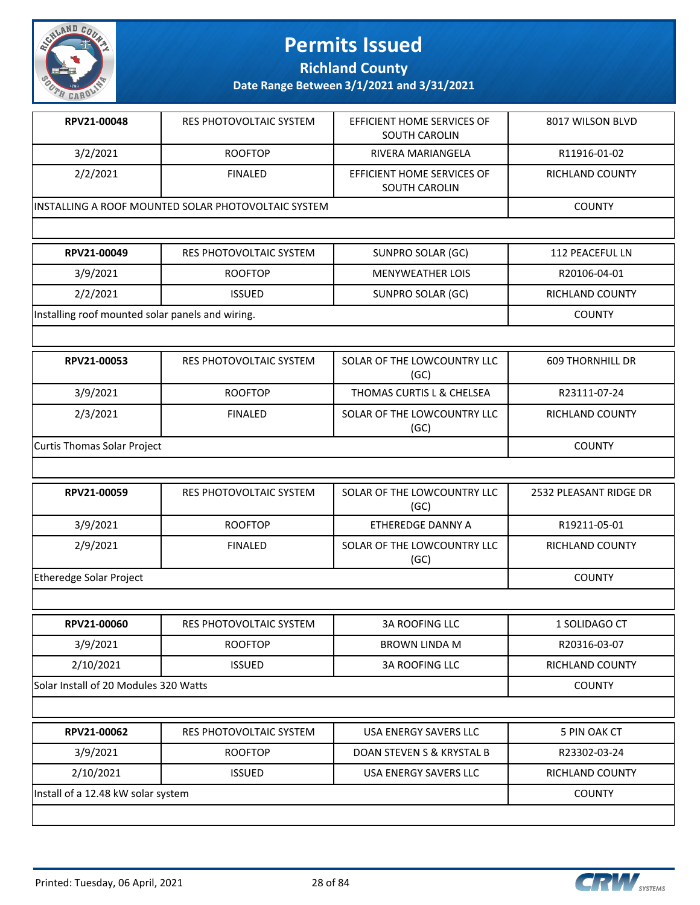

**Richland County**

| RPV21-00048                                          | RES PHOTOVOLTAIC SYSTEM | EFFICIENT HOME SERVICES OF<br>SOUTH CAROLIN | 8017 WILSON BLVD |
|------------------------------------------------------|-------------------------|---------------------------------------------|------------------|
| 3/2/2021                                             | <b>ROOFTOP</b>          | RIVERA MARIANGELA                           | R11916-01-02     |
| 2/2/2021                                             | <b>FINALED</b>          | EFFICIENT HOME SERVICES OF<br>SOUTH CAROLIN | RICHLAND COUNTY  |
| lINSTALLING A ROOF MOUNTED SOLAR PHOTOVOLTAIC SYSTEM |                         |                                             | <b>COUNTY</b>    |

| RPV21-00049                                      | RES PHOTOVOLTAIC SYSTEM | SUNPRO SOLAR (GC) | 112 PEACEFUL LN        |
|--------------------------------------------------|-------------------------|-------------------|------------------------|
| 3/9/2021                                         | <b>ROOFTOP</b>          | MENYWEATHER LOIS  | R20106-04-01           |
| 2/2/2021                                         | <b>ISSUED</b>           | SUNPRO SOLAR (GC) | <b>RICHLAND COUNTY</b> |
| Installing roof mounted solar panels and wiring. |                         |                   | <b>COUNTY</b>          |

| RPV21-00053                 | RES PHOTOVOLTAIC SYSTEM | SOLAR OF THE LOWCOUNTRY LLC<br>(GC) | <b>609 THORNHILL DR</b> |
|-----------------------------|-------------------------|-------------------------------------|-------------------------|
| 3/9/2021                    | <b>ROOFTOP</b>          | THOMAS CURTIS L & CHELSEA           | R23111-07-24            |
| 2/3/2021                    | <b>FINALED</b>          | SOLAR OF THE LOWCOUNTRY LLC<br>(GC) | RICHLAND COUNTY         |
| Curtis Thomas Solar Project |                         |                                     | <b>COUNTY</b>           |

| RPV21-00059             | RES PHOTOVOLTAIC SYSTEM | SOLAR OF THE LOWCOUNTRY LLC<br>(GC) | 2532 PLEASANT RIDGE DR |
|-------------------------|-------------------------|-------------------------------------|------------------------|
| 3/9/2021                | <b>ROOFTOP</b>          | ETHEREDGE DANNY A                   | R19211-05-01           |
| 2/9/2021                | <b>FINALED</b>          | SOLAR OF THE LOWCOUNTRY LLC<br>(GC) | RICHLAND COUNTY        |
| Etheredge Solar Project |                         |                                     | <b>COUNTY</b>          |

| RPV21-00060                           | RES PHOTOVOLTAIC SYSTEM | <b>3A ROOFING LLC</b> | 1 SOLIDAGO CT          |
|---------------------------------------|-------------------------|-----------------------|------------------------|
| 3/9/2021                              | <b>ROOFTOP</b>          | BROWN LINDA M         | R20316-03-07           |
| 2/10/2021                             | <b>ISSUED</b>           | <b>3A ROOFING LLC</b> | <b>RICHLAND COUNTY</b> |
| Solar Install of 20 Modules 320 Watts |                         |                       | <b>COUNTY</b>          |
|                                       |                         |                       |                        |
| RPV21-00062                           | RES PHOTOVOLTAIC SYSTEM | USA ENERGY SAVERS LLC | 5 PIN OAK CT           |

| RPVZI-UUU6Z                        | <b>RES PHOTOVOLIAIC SYSTEM</b> | USA ENERGY SAVERS LLC     | 5 PIN OAK CT    |
|------------------------------------|--------------------------------|---------------------------|-----------------|
| 3/9/2021                           | <b>ROOFTOP</b>                 | DOAN STEVEN S & KRYSTAL B | R23302-03-24    |
| 2/10/2021                          | <b>ISSUED</b>                  | USA ENERGY SAVERS LLC     | RICHLAND COUNTY |
| Install of a 12.48 kW solar system |                                |                           | <b>COUNTY</b>   |
|                                    |                                |                           |                 |

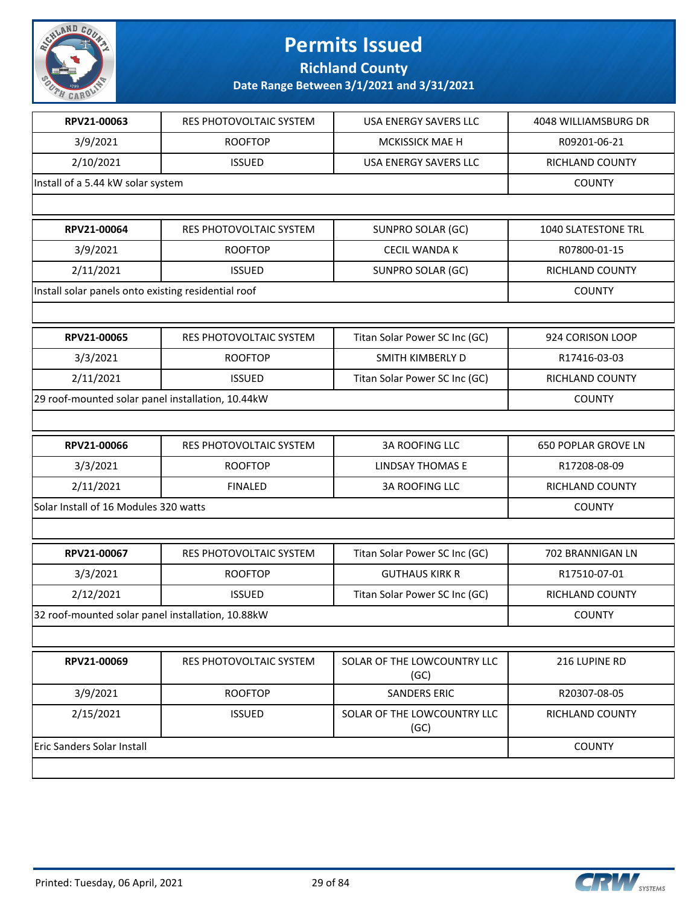

**Richland County**

| RPV21-00063                                         | RES PHOTOVOLTAIC SYSTEM | USA ENERGY SAVERS LLC               | 4048 WILLIAMSBURG DR       |
|-----------------------------------------------------|-------------------------|-------------------------------------|----------------------------|
| 3/9/2021                                            | <b>ROOFTOP</b>          | <b>MCKISSICK MAE H</b>              | R09201-06-21               |
| 2/10/2021                                           | <b>ISSUED</b>           | USA ENERGY SAVERS LLC               | RICHLAND COUNTY            |
| Install of a 5.44 kW solar system                   |                         |                                     | <b>COUNTY</b>              |
|                                                     |                         |                                     |                            |
| RPV21-00064                                         | RES PHOTOVOLTAIC SYSTEM | SUNPRO SOLAR (GC)                   | 1040 SLATESTONE TRL        |
| 3/9/2021                                            | <b>ROOFTOP</b>          | <b>CECIL WANDA K</b>                | R07800-01-15               |
| 2/11/2021                                           | <b>ISSUED</b>           | SUNPRO SOLAR (GC)                   | RICHLAND COUNTY            |
| Install solar panels onto existing residential roof |                         |                                     | <b>COUNTY</b>              |
|                                                     |                         |                                     |                            |
| RPV21-00065                                         | RES PHOTOVOLTAIC SYSTEM | Titan Solar Power SC Inc (GC)       | 924 CORISON LOOP           |
| 3/3/2021                                            | <b>ROOFTOP</b>          | SMITH KIMBERLY D                    | R17416-03-03               |
| 2/11/2021                                           | <b>ISSUED</b>           | Titan Solar Power SC Inc (GC)       | RICHLAND COUNTY            |
| 29 roof-mounted solar panel installation, 10.44kW   | <b>COUNTY</b>           |                                     |                            |
|                                                     |                         |                                     |                            |
| RPV21-00066                                         | RES PHOTOVOLTAIC SYSTEM | <b>3A ROOFING LLC</b>               | <b>650 POPLAR GROVE LN</b> |
| 3/3/2021                                            | <b>ROOFTOP</b>          | <b>LINDSAY THOMAS E</b>             | R17208-08-09               |
| 2/11/2021                                           | <b>FINALED</b>          | <b>3A ROOFING LLC</b>               | RICHLAND COUNTY            |
| Solar Install of 16 Modules 320 watts               |                         |                                     | <b>COUNTY</b>              |
|                                                     |                         |                                     |                            |
| RPV21-00067                                         | RES PHOTOVOLTAIC SYSTEM | Titan Solar Power SC Inc (GC)       | 702 BRANNIGAN LN           |
| 3/3/2021                                            | <b>ROOFTOP</b>          | <b>GUTHAUS KIRK R</b>               | R17510-07-01               |
| 2/12/2021                                           | <b>ISSUED</b>           | Titan Solar Power SC Inc (GC)       | RICHLAND COUNTY            |
| 32 roof-mounted solar panel installation, 10.88kW   |                         |                                     | <b>COUNTY</b>              |
|                                                     |                         |                                     |                            |
| RPV21-00069                                         | RES PHOTOVOLTAIC SYSTEM | SOLAR OF THE LOWCOUNTRY LLC<br>(GC) | 216 LUPINE RD              |
| 3/9/2021                                            | <b>ROOFTOP</b>          | <b>SANDERS ERIC</b>                 | R20307-08-05               |
| 2/15/2021                                           | <b>ISSUED</b>           | SOLAR OF THE LOWCOUNTRY LLC<br>(GC) | RICHLAND COUNTY            |
| Eric Sanders Solar Install                          |                         |                                     | <b>COUNTY</b>              |
|                                                     |                         |                                     |                            |

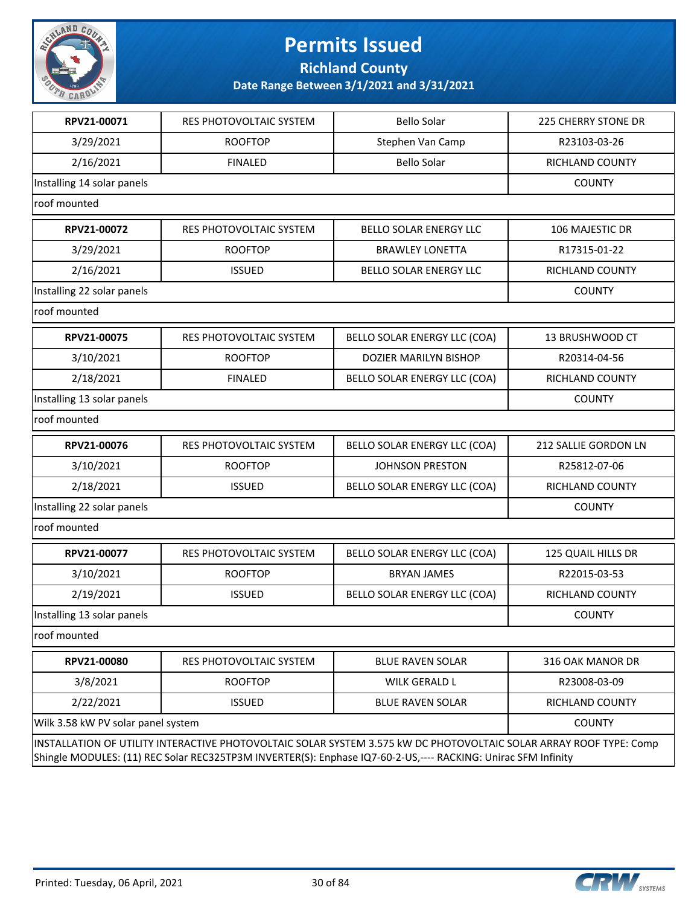

**Richland County**

| RPV21-00071                                                                                                                                                                                                                         | RES PHOTOVOLTAIC SYSTEM | <b>Bello Solar</b>           | <b>225 CHERRY STONE DR</b> |  |
|-------------------------------------------------------------------------------------------------------------------------------------------------------------------------------------------------------------------------------------|-------------------------|------------------------------|----------------------------|--|
| 3/29/2021                                                                                                                                                                                                                           | <b>ROOFTOP</b>          | Stephen Van Camp             | R23103-03-26               |  |
| 2/16/2021                                                                                                                                                                                                                           | <b>FINALED</b>          | <b>Bello Solar</b>           | RICHLAND COUNTY            |  |
| Installing 14 solar panels                                                                                                                                                                                                          | <b>COUNTY</b>           |                              |                            |  |
| roof mounted                                                                                                                                                                                                                        |                         |                              |                            |  |
| RPV21-00072                                                                                                                                                                                                                         | RES PHOTOVOLTAIC SYSTEM | BELLO SOLAR ENERGY LLC       | 106 MAJESTIC DR            |  |
| 3/29/2021                                                                                                                                                                                                                           | <b>ROOFTOP</b>          | <b>BRAWLEY LONETTA</b>       | R17315-01-22               |  |
| 2/16/2021                                                                                                                                                                                                                           | <b>ISSUED</b>           | BELLO SOLAR ENERGY LLC       | RICHLAND COUNTY            |  |
| Installing 22 solar panels                                                                                                                                                                                                          |                         |                              | <b>COUNTY</b>              |  |
| roof mounted                                                                                                                                                                                                                        |                         |                              |                            |  |
| RPV21-00075                                                                                                                                                                                                                         | RES PHOTOVOLTAIC SYSTEM | BELLO SOLAR ENERGY LLC (COA) | 13 BRUSHWOOD CT            |  |
| 3/10/2021                                                                                                                                                                                                                           | <b>ROOFTOP</b>          | DOZIER MARILYN BISHOP        | R20314-04-56               |  |
| 2/18/2021                                                                                                                                                                                                                           | <b>FINALED</b>          | BELLO SOLAR ENERGY LLC (COA) | RICHLAND COUNTY            |  |
| Installing 13 solar panels                                                                                                                                                                                                          | <b>COUNTY</b>           |                              |                            |  |
| roof mounted                                                                                                                                                                                                                        |                         |                              |                            |  |
| RPV21-00076                                                                                                                                                                                                                         | RES PHOTOVOLTAIC SYSTEM | BELLO SOLAR ENERGY LLC (COA) | 212 SALLIE GORDON LN       |  |
| 3/10/2021                                                                                                                                                                                                                           | <b>ROOFTOP</b>          | <b>JOHNSON PRESTON</b>       | R25812-07-06               |  |
| 2/18/2021                                                                                                                                                                                                                           | <b>ISSUED</b>           | BELLO SOLAR ENERGY LLC (COA) | RICHLAND COUNTY            |  |
| Installing 22 solar panels                                                                                                                                                                                                          |                         |                              | <b>COUNTY</b>              |  |
| roof mounted                                                                                                                                                                                                                        |                         |                              |                            |  |
| RPV21-00077                                                                                                                                                                                                                         | RES PHOTOVOLTAIC SYSTEM | BELLO SOLAR ENERGY LLC (COA) | 125 QUAIL HILLS DR         |  |
| 3/10/2021                                                                                                                                                                                                                           | <b>ROOFTOP</b>          | <b>BRYAN JAMES</b>           | R22015-03-53               |  |
| 2/19/2021                                                                                                                                                                                                                           | RICHLAND COUNTY         |                              |                            |  |
| Installing 13 solar panels                                                                                                                                                                                                          |                         |                              | <b>COUNTY</b>              |  |
| roof mounted                                                                                                                                                                                                                        |                         |                              |                            |  |
| RPV21-00080                                                                                                                                                                                                                         | RES PHOTOVOLTAIC SYSTEM | <b>BLUE RAVEN SOLAR</b>      | 316 OAK MANOR DR           |  |
| 3/8/2021                                                                                                                                                                                                                            | <b>ROOFTOP</b>          | <b>WILK GERALD L</b>         | R23008-03-09               |  |
| 2/22/2021                                                                                                                                                                                                                           | <b>ISSUED</b>           | <b>BLUE RAVEN SOLAR</b>      | RICHLAND COUNTY            |  |
| Wilk 3.58 kW PV solar panel system                                                                                                                                                                                                  |                         |                              | <b>COUNTY</b>              |  |
| INSTALLATION OF UTILITY INTERACTIVE PHOTOVOLTAIC SOLAR SYSTEM 3.575 kW DC PHOTOVOLTAIC SOLAR ARRAY ROOF TYPE: Comp<br>Shingle MODULES: (11) REC Solar REC325TP3M INVERTER(S): Enphase IQ7-60-2-US,---- RACKING: Unirac SFM Infinity |                         |                              |                            |  |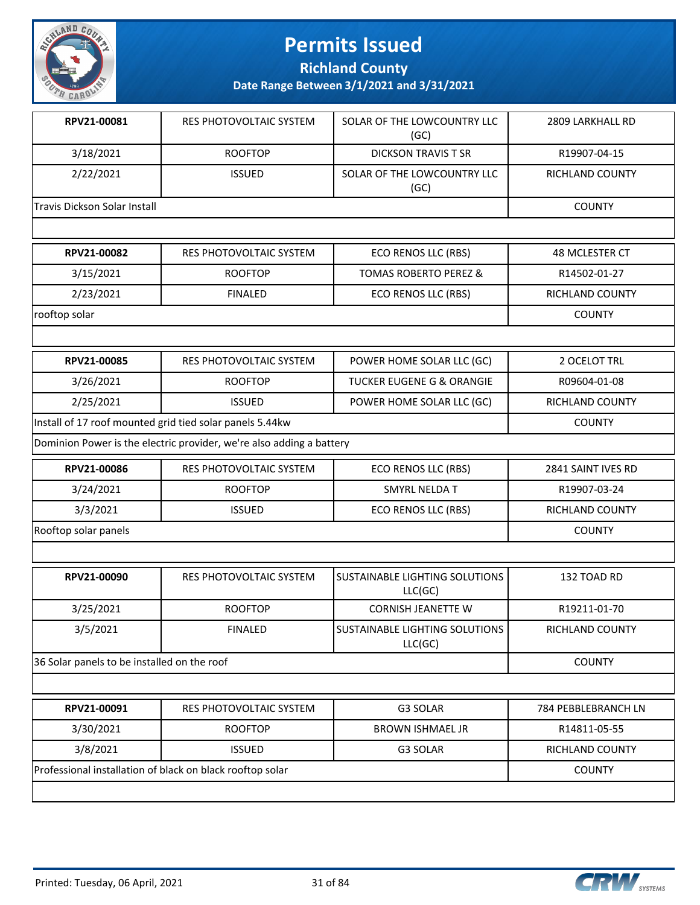

**Richland County**

**Date Range Between 3/1/2021 and 3/31/2021**

| RPV21-00081                  | RES PHOTOVOLTAIC SYSTEM | SOLAR OF THE LOWCOUNTRY LLC<br>(GC) | 2809 LARKHALL RD       |
|------------------------------|-------------------------|-------------------------------------|------------------------|
| 3/18/2021                    | <b>ROOFTOP</b>          | <b>DICKSON TRAVIS T SR</b>          | R19907-04-15           |
| 2/22/2021                    | <b>ISSUED</b>           | SOLAR OF THE LOWCOUNTRY LLC<br>(GC) | <b>RICHLAND COUNTY</b> |
| Travis Dickson Solar Install |                         |                                     | <b>COUNTY</b>          |
|                              |                         |                                     |                        |
| RPV21-00082                  | RES PHOTOVOLTAIC SYSTEM | ECO RENOS LLC (RBS)                 | 48 MCLESTER CT         |
| 3/15/2021                    | <b>ROOFTOP</b>          | <b>TOMAS ROBERTO PEREZ &amp;</b>    | R14502-01-27           |

2/23/2021 | FINALED | ECO RENOS LLC (RBS) | RICHLAND COUNTY

| rooftop solar |  | וור<br>. |
|---------------|--|----------|

 $\overline{\phantom{a}}$ 

| RPV21-00085                                                                       | RES PHOTOVOLTAIC SYSTEM | POWER HOME SOLAR LLC (GC) | 2 OCELOT TRL |  |  |
|-----------------------------------------------------------------------------------|-------------------------|---------------------------|--------------|--|--|
| 3/26/2021                                                                         | R09604-01-08            |                           |              |  |  |
| 2/25/2021<br>POWER HOME SOLAR LLC (GC)<br><b>RICHLAND COUNTY</b><br><b>ISSUED</b> |                         |                           |              |  |  |
| Install of 17 roof mounted grid tied solar panels 5.44kw<br><b>COUNTY</b>         |                         |                           |              |  |  |
| Dominion Power is the electric provider, we're also adding a battery              |                         |                           |              |  |  |

| RPV21-00086          | RES PHOTOVOLTAIC SYSTEM | ECO RENOS LLC (RBS) | 2841 SAINT IVES RD |
|----------------------|-------------------------|---------------------|--------------------|
| 3/24/2021            | <b>ROOFTOP</b>          | SMYRL NELDA T       | R19907-03-24       |
| 3/3/2021             | <b>ISSUED</b>           | ECO RENOS LLC (RBS) | RICHLAND COUNTY    |
| Rooftop solar panels |                         |                     | <b>COUNTY</b>      |

| RPV21-00090                                 | RES PHOTOVOLTAIC SYSTEM | <b>ISUSTAINABLE LIGHTING SOLUTIONS</b><br>LLC(GC) |               |  |  |  |
|---------------------------------------------|-------------------------|---------------------------------------------------|---------------|--|--|--|
| 3/25/2021                                   | R19211-01-70            |                                                   |               |  |  |  |
| 3/5/2021                                    | RICHLAND COUNTY         |                                                   |               |  |  |  |
| 36 Solar panels to be installed on the roof |                         |                                                   | <b>COUNTY</b> |  |  |  |

| 3/30/2021<br>BROWN ISHMAEL JR<br><b>ROOFTOP</b><br>R14811-05-55<br>3/8/2021<br>RICHLAND COUNTY<br><b>ISSUED</b><br>G3 SOLAR | RPV21-00091                                               | 784 PEBBLEBRANCH LN |  |               |
|-----------------------------------------------------------------------------------------------------------------------------|-----------------------------------------------------------|---------------------|--|---------------|
|                                                                                                                             |                                                           |                     |  |               |
|                                                                                                                             |                                                           |                     |  |               |
|                                                                                                                             | Professional installation of black on black rooftop solar |                     |  | <b>COUNTY</b> |

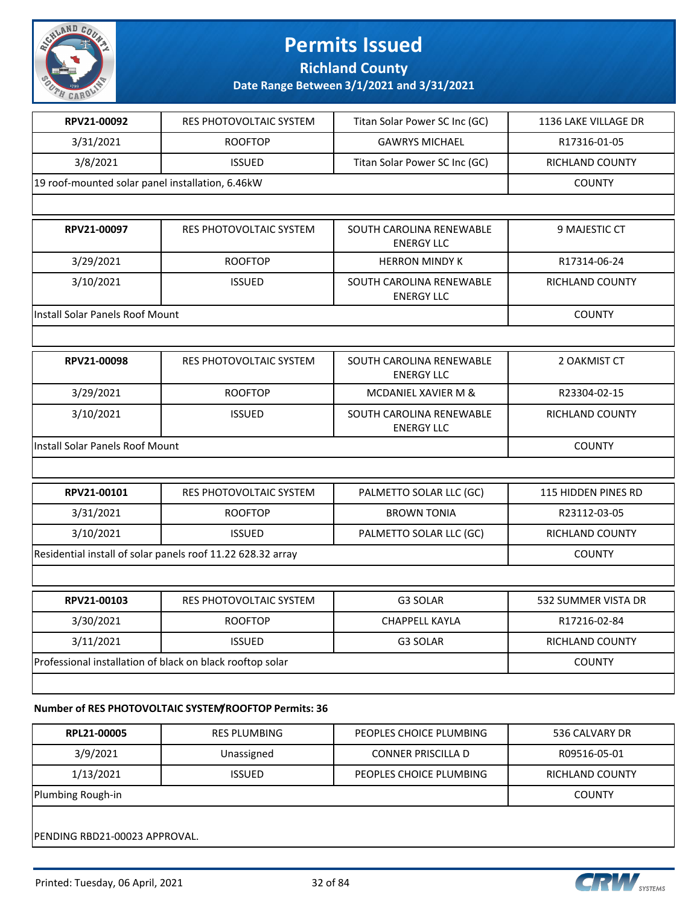

**Richland County**

**Date Range Between 3/1/2021 and 3/31/2021**

| RPV21-00092                                                 | RES PHOTOVOLTAIC SYSTEM                                   | Titan Solar Power SC Inc (GC)                 | 1136 LAKE VILLAGE DR   |
|-------------------------------------------------------------|-----------------------------------------------------------|-----------------------------------------------|------------------------|
| 3/31/2021                                                   | <b>ROOFTOP</b>                                            | <b>GAWRYS MICHAEL</b>                         | R17316-01-05           |
| 3/8/2021                                                    | <b>ISSUED</b>                                             | Titan Solar Power SC Inc (GC)                 | RICHLAND COUNTY        |
| 19 roof-mounted solar panel installation, 6.46kW            |                                                           |                                               | <b>COUNTY</b>          |
|                                                             |                                                           |                                               |                        |
| RPV21-00097                                                 | RES PHOTOVOLTAIC SYSTEM                                   | SOUTH CAROLINA RENEWABLE<br><b>ENERGY LLC</b> | 9 MAJESTIC CT          |
| 3/29/2021                                                   | <b>ROOFTOP</b>                                            | <b>HERRON MINDY K</b>                         | R17314-06-24           |
| 3/10/2021                                                   | <b>ISSUED</b>                                             | SOUTH CAROLINA RENEWABLE<br><b>ENERGY LLC</b> | RICHLAND COUNTY        |
| Install Solar Panels Roof Mount                             |                                                           |                                               | <b>COUNTY</b>          |
|                                                             |                                                           |                                               |                        |
| RPV21-00098                                                 | RES PHOTOVOLTAIC SYSTEM                                   | SOUTH CAROLINA RENEWABLE<br><b>ENERGY LLC</b> | 2 OAKMIST CT           |
| 3/29/2021                                                   | <b>ROOFTOP</b>                                            | MCDANIEL XAVIER M &                           | R23304-02-15           |
| 3/10/2021                                                   | <b>ISSUED</b>                                             | SOUTH CAROLINA RENEWABLE<br><b>ENERGY LLC</b> | RICHLAND COUNTY        |
| Install Solar Panels Roof Mount                             |                                                           |                                               | <b>COUNTY</b>          |
|                                                             |                                                           |                                               |                        |
| RPV21-00101                                                 | RES PHOTOVOLTAIC SYSTEM                                   | PALMETTO SOLAR LLC (GC)                       | 115 HIDDEN PINES RD    |
| 3/31/2021                                                   | <b>ROOFTOP</b>                                            | <b>BROWN TONIA</b>                            | R23112-03-05           |
| 3/10/2021                                                   | <b>ISSUED</b>                                             | PALMETTO SOLAR LLC (GC)                       | <b>RICHLAND COUNTY</b> |
| Residential install of solar panels roof 11.22 628.32 array | <b>COUNTY</b>                                             |                                               |                        |
|                                                             |                                                           |                                               |                        |
| RPV21-00103                                                 | <b>RES PHOTOVOLTAIC SYSTEM</b>                            | <b>G3 SOLAR</b>                               | 532 SUMMER VISTA DR    |
| 3/30/2021                                                   | <b>ROOFTOP</b>                                            | <b>CHAPPELL KAYLA</b>                         | R17216-02-84           |
| 3/11/2021                                                   | <b>ISSUED</b>                                             | G3 SOLAR                                      | RICHLAND COUNTY        |
|                                                             | Professional installation of black on black rooftop solar |                                               | <b>COUNTY</b>          |
|                                                             |                                                           |                                               |                        |
|                                                             |                                                           |                                               |                        |

### **Number of RES PHOTOVOLTAIC SYSTEM/ROOFTOP Permits: 36**

| RPL21-00005                                                              | <b>RES PLUMBING</b> | PEOPLES CHOICE PLUMBING   | 536 CALVARY DR |  |  |
|--------------------------------------------------------------------------|---------------------|---------------------------|----------------|--|--|
| 3/9/2021                                                                 | Unassigned          | <b>CONNER PRISCILLA D</b> | R09516-05-01   |  |  |
| 1/13/2021<br>PEOPLES CHOICE PLUMBING<br><b>ISSUED</b><br>RICHLAND COUNTY |                     |                           |                |  |  |
| Plumbing Rough-in<br><b>COUNTY</b>                                       |                     |                           |                |  |  |
| IPENDING RBD21-00023 APPROVAL.                                           |                     |                           |                |  |  |

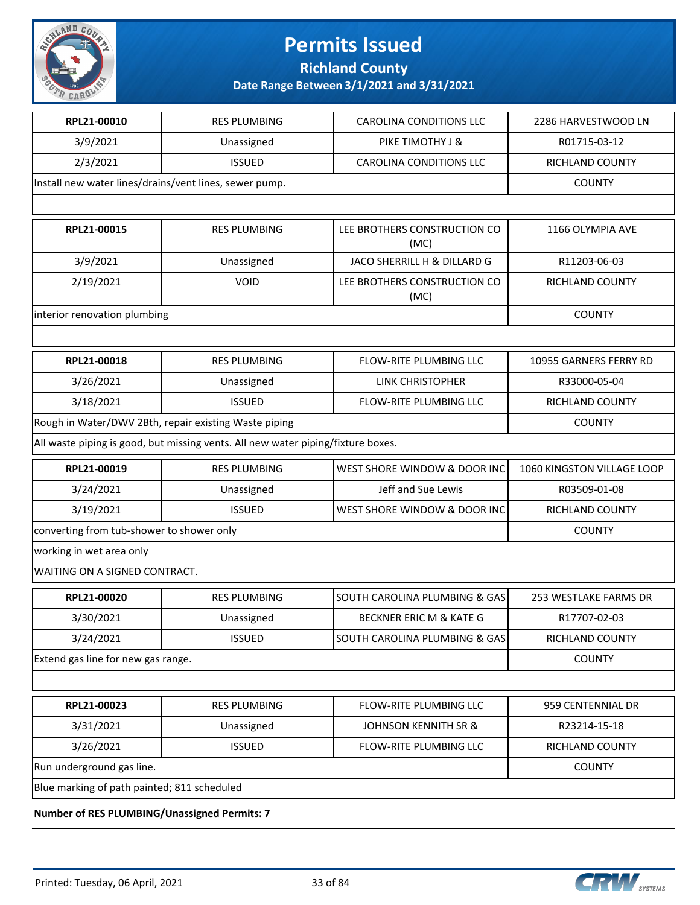

**Richland County**

**Date Range Between 3/1/2021 and 3/31/2021**

| RPL21-00010                                                                      | <b>RES PLUMBING</b>                                   | <b>CAROLINA CONDITIONS LLC</b>       | 2286 HARVESTWOOD LN        |  |
|----------------------------------------------------------------------------------|-------------------------------------------------------|--------------------------------------|----------------------------|--|
| 3/9/2021                                                                         | Unassigned                                            | PIKE TIMOTHY J &                     | R01715-03-12               |  |
| 2/3/2021                                                                         | <b>ISSUED</b>                                         | <b>CAROLINA CONDITIONS LLC</b>       | RICHLAND COUNTY            |  |
| Install new water lines/drains/vent lines, sewer pump.                           |                                                       |                                      | <b>COUNTY</b>              |  |
|                                                                                  |                                                       |                                      |                            |  |
| RPL21-00015                                                                      | <b>RES PLUMBING</b>                                   | LEE BROTHERS CONSTRUCTION CO<br>(MC) | 1166 OLYMPIA AVE           |  |
| 3/9/2021                                                                         | Unassigned                                            | JACO SHERRILL H & DILLARD G          | R11203-06-03               |  |
| 2/19/2021                                                                        | <b>VOID</b>                                           | LEE BROTHERS CONSTRUCTION CO<br>(MC) | RICHLAND COUNTY            |  |
| interior renovation plumbing                                                     | <b>COUNTY</b>                                         |                                      |                            |  |
|                                                                                  |                                                       |                                      |                            |  |
| RPL21-00018                                                                      | <b>RES PLUMBING</b>                                   | <b>FLOW-RITE PLUMBING LLC</b>        | 10955 GARNERS FERRY RD     |  |
| 3/26/2021                                                                        | Unassigned                                            | LINK CHRISTOPHER                     | R33000-05-04               |  |
| 3/18/2021                                                                        | <b>ISSUED</b>                                         | FLOW-RITE PLUMBING LLC               | RICHLAND COUNTY            |  |
|                                                                                  | Rough in Water/DWV 2Bth, repair existing Waste piping |                                      | <b>COUNTY</b>              |  |
| All waste piping is good, but missing vents. All new water piping/fixture boxes. |                                                       |                                      |                            |  |
| RPL21-00019                                                                      | <b>RES PLUMBING</b>                                   | WEST SHORE WINDOW & DOOR INC         | 1060 KINGSTON VILLAGE LOOP |  |
| 3/24/2021                                                                        | Unassigned                                            | Jeff and Sue Lewis                   | R03509-01-08               |  |
| 3/19/2021                                                                        | <b>ISSUED</b>                                         | WEST SHORE WINDOW & DOOR INC         | RICHLAND COUNTY            |  |
| converting from tub-shower to shower only                                        |                                                       |                                      | <b>COUNTY</b>              |  |
| working in wet area only                                                         |                                                       |                                      |                            |  |
| WAITING ON A SIGNED CONTRACT.                                                    |                                                       |                                      |                            |  |
| RPL21-00020                                                                      | <b>RES PLUMBING</b>                                   | SOUTH CAROLINA PLUMBING & GAS        | 253 WESTLAKE FARMS DR      |  |
| 3/30/2021                                                                        | Unassigned                                            | BECKNER ERIC M & KATE G              | R17707-02-03               |  |
| 3/24/2021                                                                        | <b>ISSUED</b>                                         | SOUTH CAROLINA PLUMBING & GAS        | RICHLAND COUNTY            |  |
| Extend gas line for new gas range.                                               | <b>COUNTY</b>                                         |                                      |                            |  |
|                                                                                  |                                                       |                                      |                            |  |
| RPL21-00023                                                                      | <b>RES PLUMBING</b>                                   | FLOW-RITE PLUMBING LLC               | 959 CENTENNIAL DR          |  |
| 3/31/2021                                                                        | Unassigned                                            | JOHNSON KENNITH SR &                 | R23214-15-18               |  |
| 3/26/2021                                                                        | <b>ISSUED</b>                                         | FLOW-RITE PLUMBING LLC               | RICHLAND COUNTY            |  |
| Run underground gas line.                                                        |                                                       |                                      | <b>COUNTY</b>              |  |
| Blue marking of path painted; 811 scheduled                                      |                                                       |                                      |                            |  |
| of DEC DULINADING (Hopeniguard Doverito: 7                                       |                                                       |                                      |                            |  |

**Number of RES PLUMBING/Unassigned Permits: 7**

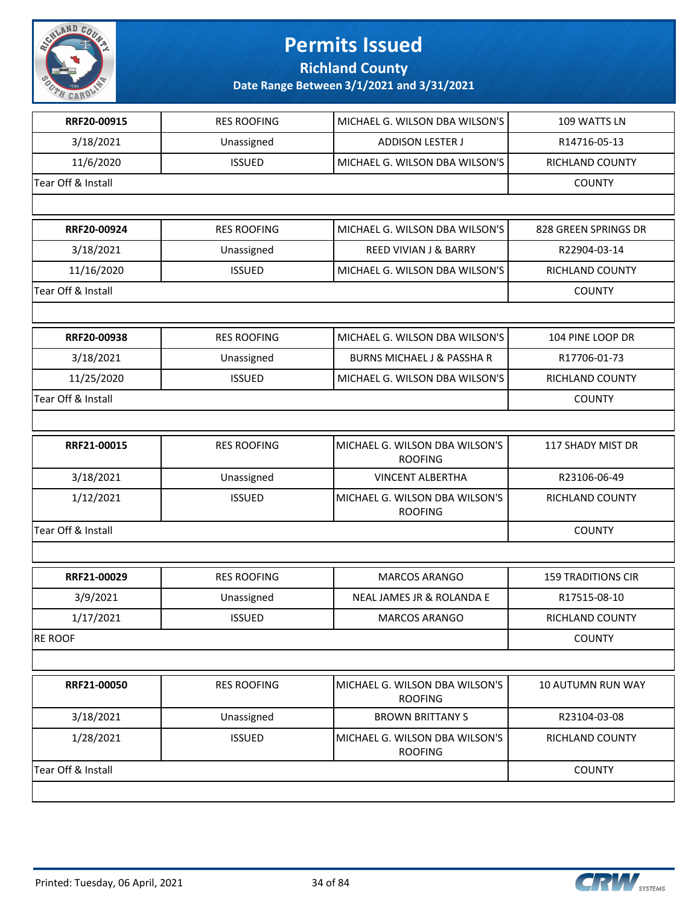

**Richland County**

| RRF20-00915        | <b>RES ROOFING</b> | MICHAEL G. WILSON DBA WILSON'S                   | 109 WATTS LN              |
|--------------------|--------------------|--------------------------------------------------|---------------------------|
| 3/18/2021          | Unassigned         | <b>ADDISON LESTER J</b>                          | R14716-05-13              |
| 11/6/2020          | <b>ISSUED</b>      | MICHAEL G. WILSON DBA WILSON'S                   | RICHLAND COUNTY           |
| Tear Off & Install |                    |                                                  | <b>COUNTY</b>             |
|                    |                    |                                                  |                           |
| RRF20-00924        | <b>RES ROOFING</b> | MICHAEL G. WILSON DBA WILSON'S                   | 828 GREEN SPRINGS DR      |
| 3/18/2021          | Unassigned         | <b>REED VIVIAN J &amp; BARRY</b>                 | R22904-03-14              |
| 11/16/2020         | <b>ISSUED</b>      | MICHAEL G. WILSON DBA WILSON'S                   | RICHLAND COUNTY           |
| Tear Off & Install |                    |                                                  | <b>COUNTY</b>             |
|                    |                    |                                                  |                           |
| RRF20-00938        | <b>RES ROOFING</b> | MICHAEL G. WILSON DBA WILSON'S                   | 104 PINE LOOP DR          |
| 3/18/2021          | Unassigned         | <b>BURNS MICHAEL J &amp; PASSHA R</b>            | R17706-01-73              |
| 11/25/2020         | <b>ISSUED</b>      | MICHAEL G. WILSON DBA WILSON'S                   | RICHLAND COUNTY           |
| Tear Off & Install |                    |                                                  | <b>COUNTY</b>             |
|                    |                    |                                                  |                           |
| RRF21-00015        | <b>RES ROOFING</b> | MICHAEL G. WILSON DBA WILSON'S<br><b>ROOFING</b> | 117 SHADY MIST DR         |
| 3/18/2021          | Unassigned         | <b>VINCENT ALBERTHA</b>                          | R23106-06-49              |
| 1/12/2021          | <b>ISSUED</b>      | MICHAEL G. WILSON DBA WILSON'S<br><b>ROOFING</b> | RICHLAND COUNTY           |
| Tear Off & Install | <b>COUNTY</b>      |                                                  |                           |
|                    |                    |                                                  |                           |
| RRF21-00029        | <b>RES ROOFING</b> | MARCOS ARANGO                                    | <b>159 TRADITIONS CIR</b> |
| 3/9/2021           | Unassigned         | NEAL JAMES JR & ROLANDA E                        | R17515-08-10              |
| 1/17/2021          | <b>ISSUED</b>      | MARCOS ARANGO                                    | RICHLAND COUNTY           |
| <b>RE ROOF</b>     |                    | <b>COUNTY</b>                                    |                           |
|                    |                    |                                                  |                           |
| RRF21-00050        | <b>RES ROOFING</b> | MICHAEL G. WILSON DBA WILSON'S<br><b>ROOFING</b> | 10 AUTUMN RUN WAY         |
| 3/18/2021          | Unassigned         | <b>BROWN BRITTANY S</b>                          | R23104-03-08              |
| 1/28/2021          | <b>ISSUED</b>      | MICHAEL G. WILSON DBA WILSON'S<br><b>ROOFING</b> | RICHLAND COUNTY           |
| Tear Off & Install | <b>COUNTY</b>      |                                                  |                           |
|                    |                    |                                                  |                           |

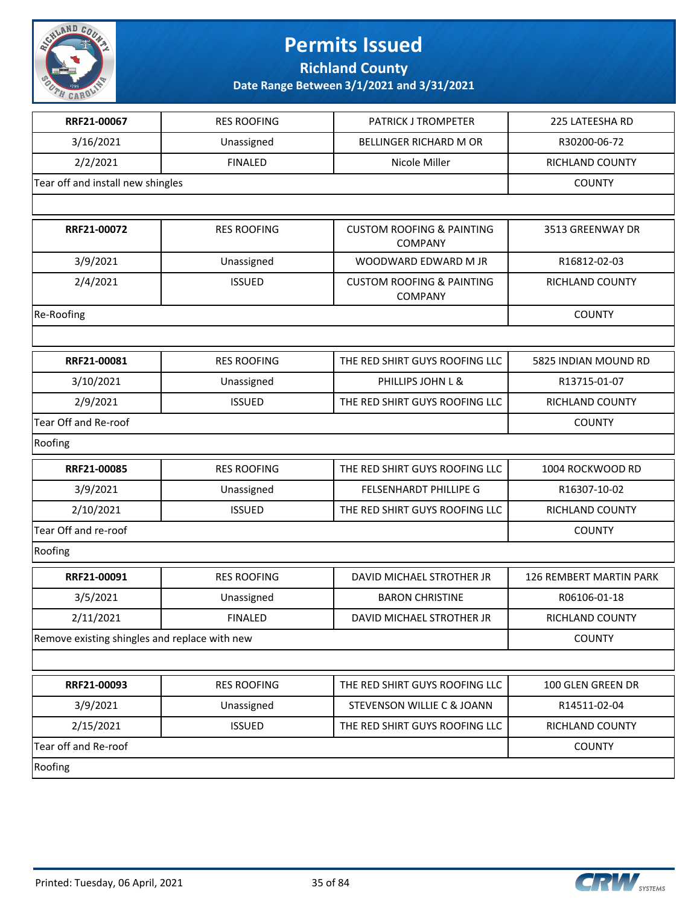

**Richland County**

| RRF21-00067                                   | <b>RES ROOFING</b> | <b>PATRICK J TROMPETER</b>                             | 225 LATEESHA RD         |
|-----------------------------------------------|--------------------|--------------------------------------------------------|-------------------------|
| 3/16/2021                                     | Unassigned         | <b>BELLINGER RICHARD M OR</b>                          | R30200-06-72            |
| 2/2/2021                                      | <b>FINALED</b>     | Nicole Miller                                          | RICHLAND COUNTY         |
| Tear off and install new shingles             |                    |                                                        | <b>COUNTY</b>           |
|                                               |                    |                                                        |                         |
| RRF21-00072                                   | <b>RES ROOFING</b> | <b>CUSTOM ROOFING &amp; PAINTING</b><br><b>COMPANY</b> | 3513 GREENWAY DR        |
| 3/9/2021                                      | Unassigned         | WOODWARD EDWARD M JR                                   | R16812-02-03            |
| 2/4/2021                                      | <b>ISSUED</b>      | <b>CUSTOM ROOFING &amp; PAINTING</b><br><b>COMPANY</b> | RICHLAND COUNTY         |
| Re-Roofing                                    |                    |                                                        | <b>COUNTY</b>           |
|                                               |                    |                                                        |                         |
| RRF21-00081                                   | <b>RES ROOFING</b> | THE RED SHIRT GUYS ROOFING LLC                         | 5825 INDIAN MOUND RD    |
| 3/10/2021                                     | Unassigned         | PHILLIPS JOHN L &                                      | R13715-01-07            |
| 2/9/2021                                      | <b>ISSUED</b>      | THE RED SHIRT GUYS ROOFING LLC                         | RICHLAND COUNTY         |
| Tear Off and Re-roof                          |                    |                                                        | <b>COUNTY</b>           |
| Roofing                                       |                    |                                                        |                         |
| RRF21-00085                                   | <b>RES ROOFING</b> | THE RED SHIRT GUYS ROOFING LLC                         | 1004 ROCKWOOD RD        |
| 3/9/2021                                      | Unassigned         | FELSENHARDT PHILLIPE G                                 | R16307-10-02            |
| 2/10/2021                                     | <b>ISSUED</b>      | THE RED SHIRT GUYS ROOFING LLC                         | RICHLAND COUNTY         |
| Tear Off and re-roof                          |                    |                                                        | <b>COUNTY</b>           |
| Roofing                                       |                    |                                                        |                         |
| RRF21-00091                                   | <b>RES ROOFING</b> | DAVID MICHAEL STROTHER JR                              | 126 REMBERT MARTIN PARK |
| 3/5/2021                                      | Unassigned         | <b>BARON CHRISTINE</b>                                 | R06106-01-18            |
| 2/11/2021                                     | <b>FINALED</b>     | DAVID MICHAEL STROTHER JR                              | RICHLAND COUNTY         |
| Remove existing shingles and replace with new | <b>COUNTY</b>      |                                                        |                         |
|                                               |                    |                                                        |                         |
| RRF21-00093                                   | <b>RES ROOFING</b> | THE RED SHIRT GUYS ROOFING LLC                         | 100 GLEN GREEN DR       |
| 3/9/2021                                      | Unassigned         | STEVENSON WILLIE C & JOANN                             | R14511-02-04            |
| 2/15/2021                                     | <b>ISSUED</b>      | THE RED SHIRT GUYS ROOFING LLC                         | RICHLAND COUNTY         |
| Tear off and Re-roof                          | <b>COUNTY</b>      |                                                        |                         |
| Roofing                                       |                    |                                                        |                         |

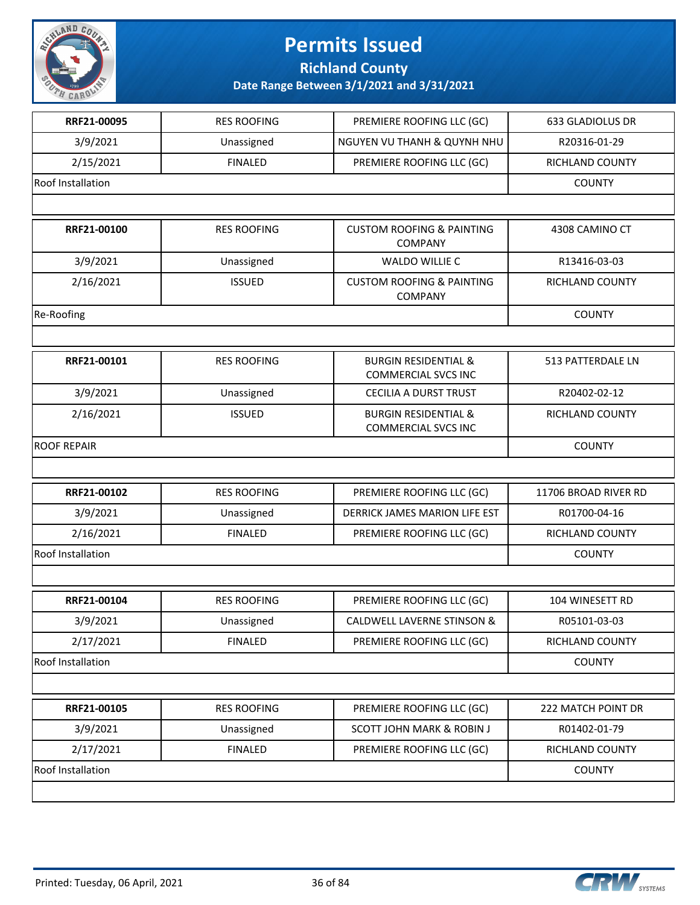

**Richland County**

| RRF21-00095              | <b>RES ROOFING</b> | PREMIERE ROOFING LLC (GC)                                     | 633 GLADIOLUS DR     |
|--------------------------|--------------------|---------------------------------------------------------------|----------------------|
| 3/9/2021                 | Unassigned         | <b>NGUYEN VU THANH &amp; QUYNH NHU</b>                        | R20316-01-29         |
| 2/15/2021                | <b>FINALED</b>     | PREMIERE ROOFING LLC (GC)                                     | RICHLAND COUNTY      |
| <b>Roof Installation</b> |                    |                                                               | <b>COUNTY</b>        |
|                          |                    |                                                               |                      |
| RRF21-00100              | <b>RES ROOFING</b> | <b>CUSTOM ROOFING &amp; PAINTING</b><br><b>COMPANY</b>        | 4308 CAMINO CT       |
| 3/9/2021                 | Unassigned         | <b>WALDO WILLIE C</b>                                         | R13416-03-03         |
| 2/16/2021                | <b>ISSUED</b>      | <b>CUSTOM ROOFING &amp; PAINTING</b><br><b>COMPANY</b>        | RICHLAND COUNTY      |
| Re-Roofing               |                    |                                                               | <b>COUNTY</b>        |
|                          |                    |                                                               |                      |
| RRF21-00101              | <b>RES ROOFING</b> | <b>BURGIN RESIDENTIAL &amp;</b><br><b>COMMERCIAL SVCS INC</b> | 513 PATTERDALE LN    |
| 3/9/2021                 | Unassigned         | <b>CECILIA A DURST TRUST</b>                                  | R20402-02-12         |
| 2/16/2021                | <b>ISSUED</b>      | <b>BURGIN RESIDENTIAL &amp;</b><br><b>COMMERCIAL SVCS INC</b> | RICHLAND COUNTY      |
| <b>ROOF REPAIR</b>       |                    | <b>COUNTY</b>                                                 |                      |
|                          |                    |                                                               |                      |
| RRF21-00102              | <b>RES ROOFING</b> | PREMIERE ROOFING LLC (GC)                                     | 11706 BROAD RIVER RD |
| 3/9/2021                 | Unassigned         | DERRICK JAMES MARION LIFE EST                                 | R01700-04-16         |
| 2/16/2021                | <b>FINALED</b>     | PREMIERE ROOFING LLC (GC)                                     | RICHLAND COUNTY      |
| Roof Installation        |                    |                                                               | <b>COUNTY</b>        |
|                          |                    |                                                               |                      |
| RRF21-00104              | <b>RES ROOFING</b> | PREMIERE ROOFING LLC (GC)                                     | 104 WINESETT RD      |
| 3/9/2021                 | Unassigned         | CALDWELL LAVERNE STINSON &                                    | R05101-03-03         |
| 2/17/2021                | <b>FINALED</b>     | PREMIERE ROOFING LLC (GC)                                     | RICHLAND COUNTY      |
| <b>Roof Installation</b> |                    |                                                               | <b>COUNTY</b>        |
|                          |                    |                                                               |                      |
| RRF21-00105              | <b>RES ROOFING</b> | PREMIERE ROOFING LLC (GC)                                     | 222 MATCH POINT DR   |
| 3/9/2021                 | Unassigned         | <b>SCOTT JOHN MARK &amp; ROBIN J</b>                          | R01402-01-79         |
| 2/17/2021                | <b>FINALED</b>     | PREMIERE ROOFING LLC (GC)                                     | RICHLAND COUNTY      |
| Roof Installation        |                    |                                                               | <b>COUNTY</b>        |
|                          |                    |                                                               |                      |

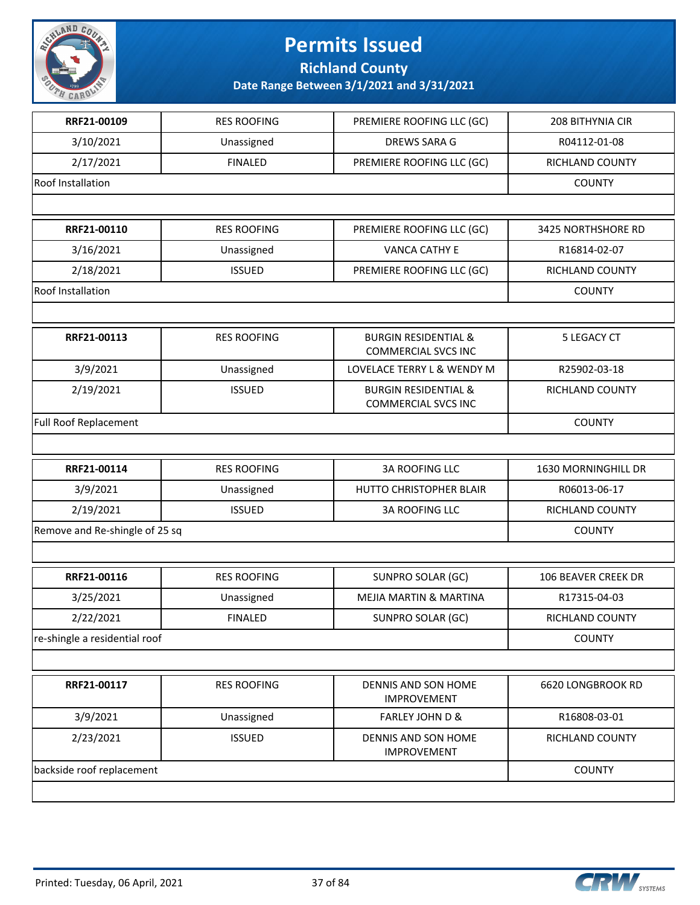

**Richland County**

| RRF21-00109                    | <b>RES ROOFING</b> | PREMIERE ROOFING LLC (GC)                                     | 208 BITHYNIA CIR       |
|--------------------------------|--------------------|---------------------------------------------------------------|------------------------|
| 3/10/2021                      | Unassigned         | DREWS SARA G                                                  | R04112-01-08           |
| 2/17/2021                      | <b>FINALED</b>     | PREMIERE ROOFING LLC (GC)                                     | <b>RICHLAND COUNTY</b> |
| <b>Roof Installation</b>       |                    |                                                               | <b>COUNTY</b>          |
|                                |                    |                                                               |                        |
| RRF21-00110                    | <b>RES ROOFING</b> | PREMIERE ROOFING LLC (GC)                                     | 3425 NORTHSHORE RD     |
| 3/16/2021                      | Unassigned         | <b>VANCA CATHY E</b>                                          | R16814-02-07           |
| 2/18/2021                      | <b>ISSUED</b>      | PREMIERE ROOFING LLC (GC)                                     | RICHLAND COUNTY        |
| Roof Installation              |                    |                                                               | <b>COUNTY</b>          |
|                                |                    |                                                               |                        |
| RRF21-00113                    | <b>RES ROOFING</b> | <b>BURGIN RESIDENTIAL &amp;</b><br><b>COMMERCIAL SVCS INC</b> | <b>5 LEGACY CT</b>     |
| 3/9/2021                       | Unassigned         | LOVELACE TERRY L & WENDY M                                    | R25902-03-18           |
| 2/19/2021                      | <b>ISSUED</b>      | <b>BURGIN RESIDENTIAL &amp;</b><br><b>COMMERCIAL SVCS INC</b> | RICHLAND COUNTY        |
| Full Roof Replacement          |                    |                                                               | <b>COUNTY</b>          |
|                                |                    |                                                               |                        |
| RRF21-00114                    | <b>RES ROOFING</b> | <b>3A ROOFING LLC</b>                                         | 1630 MORNINGHILL DR    |
| 3/9/2021                       | Unassigned         | HUTTO CHRISTOPHER BLAIR                                       | R06013-06-17           |
| 2/19/2021                      | <b>ISSUED</b>      | <b>3A ROOFING LLC</b>                                         | RICHLAND COUNTY        |
| Remove and Re-shingle of 25 sq |                    |                                                               | <b>COUNTY</b>          |
|                                |                    |                                                               |                        |
| RRF21-00116                    | <b>RES ROOFING</b> | SUNPRO SOLAR (GC)                                             | 106 BEAVER CREEK DR    |
| 3/25/2021                      | Unassigned         | <b>MEJIA MARTIN &amp; MARTINA</b>                             | R17315-04-03           |
| 2/22/2021                      | <b>FINALED</b>     | SUNPRO SOLAR (GC)                                             | RICHLAND COUNTY        |
| re-shingle a residential roof  |                    |                                                               | <b>COUNTY</b>          |
|                                |                    |                                                               |                        |
| RRF21-00117                    | <b>RES ROOFING</b> | DENNIS AND SON HOME<br><b>IMPROVEMENT</b>                     | 6620 LONGBROOK RD      |
| 3/9/2021                       | Unassigned         | <b>FARLEY JOHN D &amp;</b>                                    | R16808-03-01           |
| 2/23/2021                      | <b>ISSUED</b>      | <b>DENNIS AND SON HOME</b><br><b>IMPROVEMENT</b>              | RICHLAND COUNTY        |
| backside roof replacement      |                    |                                                               | <b>COUNTY</b>          |
|                                |                    |                                                               |                        |

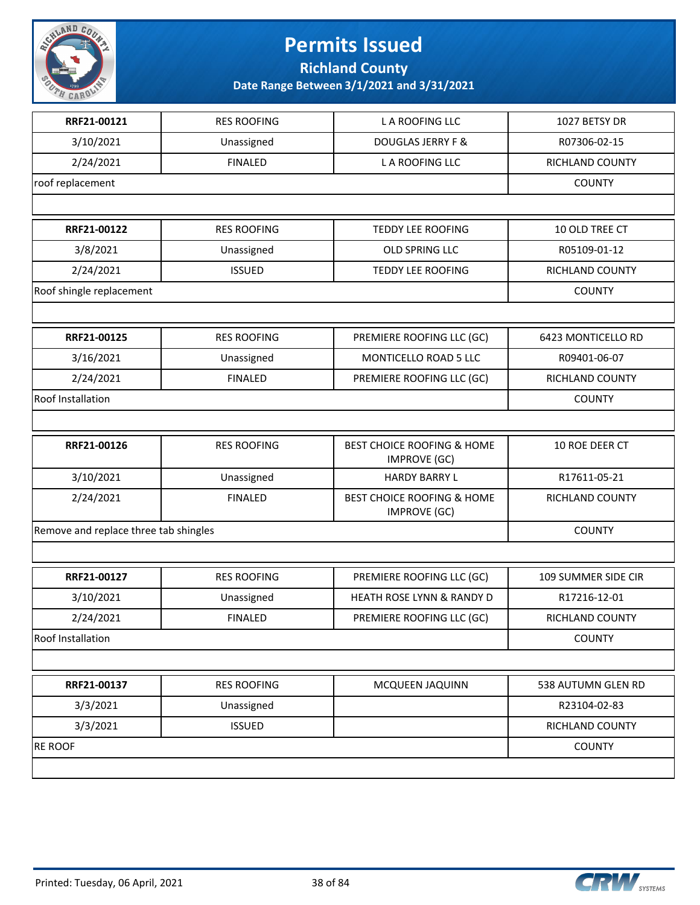

**Richland County**

| RRF21-00121                           | <b>RES ROOFING</b> | L A ROOFING LLC                                   | 1027 BETSY DR          |
|---------------------------------------|--------------------|---------------------------------------------------|------------------------|
| 3/10/2021                             | Unassigned         | <b>DOUGLAS JERRY F &amp;</b>                      | R07306-02-15           |
| 2/24/2021                             | <b>FINALED</b>     | L A ROOFING LLC                                   | RICHLAND COUNTY        |
| roof replacement                      |                    |                                                   | <b>COUNTY</b>          |
|                                       |                    |                                                   |                        |
| RRF21-00122                           | <b>RES ROOFING</b> | <b>TEDDY LEE ROOFING</b>                          | 10 OLD TREE CT         |
| 3/8/2021                              | Unassigned         | OLD SPRING LLC                                    | R05109-01-12           |
| 2/24/2021                             | <b>ISSUED</b>      | <b>TEDDY LEE ROOFING</b>                          | RICHLAND COUNTY        |
| Roof shingle replacement              |                    |                                                   | <b>COUNTY</b>          |
|                                       |                    |                                                   |                        |
| RRF21-00125                           | <b>RES ROOFING</b> | PREMIERE ROOFING LLC (GC)                         | 6423 MONTICELLO RD     |
| 3/16/2021                             | Unassigned         | MONTICELLO ROAD 5 LLC                             | R09401-06-07           |
| 2/24/2021                             | <b>FINALED</b>     | PREMIERE ROOFING LLC (GC)                         | RICHLAND COUNTY        |
| Roof Installation                     |                    |                                                   | <b>COUNTY</b>          |
|                                       |                    |                                                   |                        |
| RRF21-00126                           | <b>RES ROOFING</b> | BEST CHOICE ROOFING & HOME<br><b>IMPROVE (GC)</b> | 10 ROE DEER CT         |
| 3/10/2021                             | Unassigned         | <b>HARDY BARRY L</b>                              | R17611-05-21           |
| 2/24/2021                             | <b>FINALED</b>     | BEST CHOICE ROOFING & HOME<br><b>IMPROVE (GC)</b> | RICHLAND COUNTY        |
| Remove and replace three tab shingles |                    |                                                   | <b>COUNTY</b>          |
|                                       |                    |                                                   |                        |
| RRF21-00127                           | <b>RES ROOFING</b> | PREMIERE ROOFING LLC (GC)                         | 109 SUMMER SIDE CIR    |
| 3/10/2021                             | Unassigned         | <b>HEATH ROSE LYNN &amp; RANDY D</b>              | R17216-12-01           |
| 2/24/2021                             | <b>FINALED</b>     | PREMIERE ROOFING LLC (GC)                         | <b>RICHLAND COUNTY</b> |
| Roof Installation                     |                    |                                                   | <b>COUNTY</b>          |
|                                       |                    |                                                   |                        |
| RRF21-00137                           | <b>RES ROOFING</b> | MCQUEEN JAQUINN                                   | 538 AUTUMN GLEN RD     |
| 3/3/2021                              | Unassigned         |                                                   | R23104-02-83           |
| 3/3/2021                              | <b>ISSUED</b>      |                                                   | RICHLAND COUNTY        |
| <b>RE ROOF</b>                        |                    |                                                   | <b>COUNTY</b>          |
|                                       |                    |                                                   |                        |

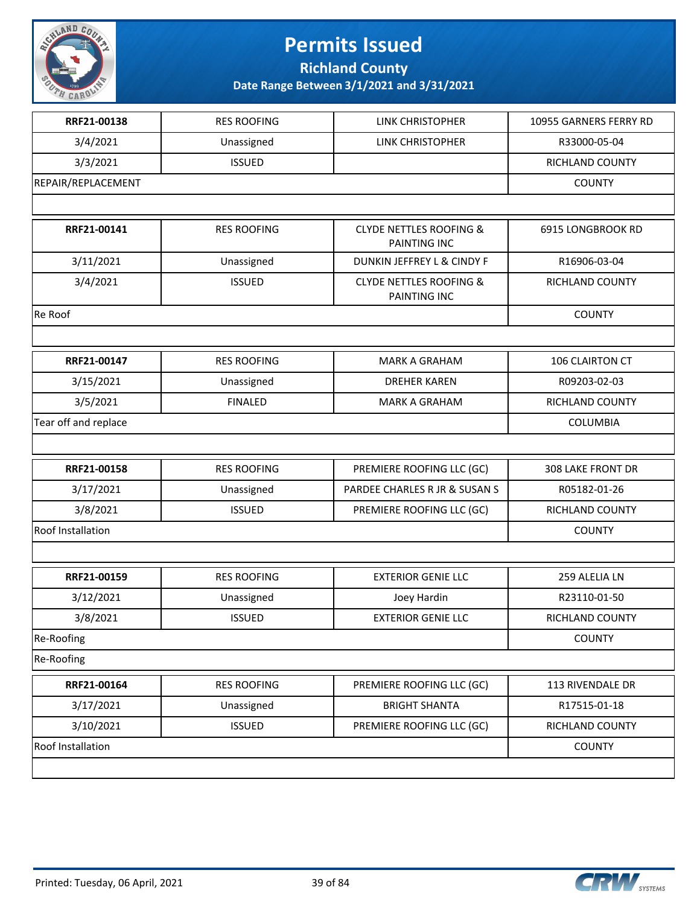

**Richland County**

| RRF21-00138          | <b>RES ROOFING</b> | LINK CHRISTOPHER                                   | 10955 GARNERS FERRY RD   |
|----------------------|--------------------|----------------------------------------------------|--------------------------|
| 3/4/2021             | Unassigned         | LINK CHRISTOPHER                                   | R33000-05-04             |
| 3/3/2021             | <b>ISSUED</b>      |                                                    | RICHLAND COUNTY          |
| REPAIR/REPLACEMENT   |                    |                                                    | <b>COUNTY</b>            |
|                      |                    |                                                    |                          |
| RRF21-00141          | <b>RES ROOFING</b> | <b>CLYDE NETTLES ROOFING &amp;</b><br>PAINTING INC | 6915 LONGBROOK RD        |
| 3/11/2021            | Unassigned         | DUNKIN JEFFREY L & CINDY F                         | R16906-03-04             |
| 3/4/2021             | <b>ISSUED</b>      | <b>CLYDE NETTLES ROOFING &amp;</b><br>PAINTING INC | RICHLAND COUNTY          |
| Re Roof              |                    |                                                    | <b>COUNTY</b>            |
|                      |                    |                                                    |                          |
| RRF21-00147          | <b>RES ROOFING</b> | <b>MARK A GRAHAM</b>                               | 106 CLAIRTON CT          |
| 3/15/2021            | Unassigned         | <b>DREHER KAREN</b>                                | R09203-02-03             |
| 3/5/2021             | <b>FINALED</b>     | <b>MARK A GRAHAM</b>                               | RICHLAND COUNTY          |
| Tear off and replace |                    |                                                    | <b>COLUMBIA</b>          |
|                      |                    |                                                    |                          |
| RRF21-00158          | <b>RES ROOFING</b> | PREMIERE ROOFING LLC (GC)                          | <b>308 LAKE FRONT DR</b> |
| 3/17/2021            | Unassigned         | PARDEE CHARLES R JR & SUSAN S                      | R05182-01-26             |
| 3/8/2021             | <b>ISSUED</b>      | PREMIERE ROOFING LLC (GC)                          | RICHLAND COUNTY          |
| Roof Installation    |                    |                                                    | <b>COUNTY</b>            |
|                      |                    |                                                    |                          |
| RRF21-00159          | <b>RES ROOFING</b> | <b>EXTERIOR GENIE LLC</b>                          | 259 ALELIA LN            |
| 3/12/2021            | Unassigned         | Joey Hardin                                        | R23110-01-50             |
| 3/8/2021             | <b>ISSUED</b>      | <b>EXTERIOR GENIE LLC</b>                          | RICHLAND COUNTY          |
| Re-Roofing           |                    |                                                    | <b>COUNTY</b>            |
| Re-Roofing           |                    |                                                    |                          |
| RRF21-00164          | <b>RES ROOFING</b> | PREMIERE ROOFING LLC (GC)                          | 113 RIVENDALE DR         |
| 3/17/2021            | Unassigned         | <b>BRIGHT SHANTA</b>                               | R17515-01-18             |
| 3/10/2021            | <b>ISSUED</b>      | PREMIERE ROOFING LLC (GC)                          | RICHLAND COUNTY          |
| Roof Installation    |                    |                                                    | <b>COUNTY</b>            |
|                      |                    |                                                    |                          |

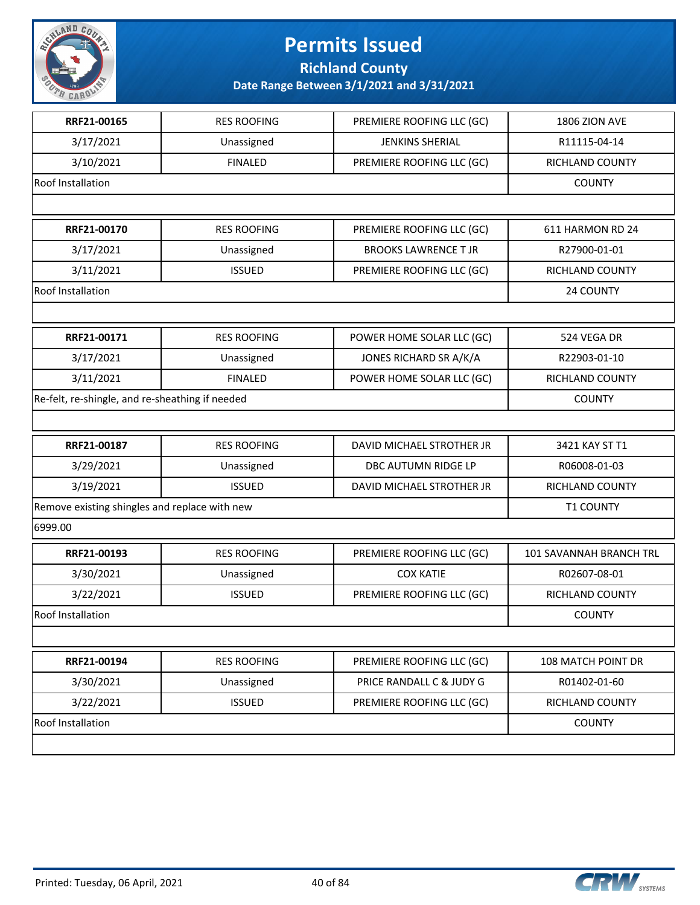

**Richland County**

| <b>RES ROOFING</b>                              | PREMIERE ROOFING LLC (GC)   | 1806 ZION AVE           |
|-------------------------------------------------|-----------------------------|-------------------------|
| Unassigned                                      | <b>JENKINS SHERIAL</b>      | R11115-04-14            |
| <b>FINALED</b>                                  | PREMIERE ROOFING LLC (GC)   | RICHLAND COUNTY         |
|                                                 |                             | <b>COUNTY</b>           |
|                                                 |                             |                         |
| <b>RES ROOFING</b>                              | PREMIERE ROOFING LLC (GC)   | 611 HARMON RD 24        |
| Unassigned                                      | <b>BROOKS LAWRENCE T JR</b> | R27900-01-01            |
| <b>ISSUED</b>                                   | PREMIERE ROOFING LLC (GC)   | <b>RICHLAND COUNTY</b>  |
|                                                 |                             | 24 COUNTY               |
|                                                 |                             |                         |
| <b>RES ROOFING</b>                              | POWER HOME SOLAR LLC (GC)   | 524 VEGA DR             |
| Unassigned                                      | JONES RICHARD SR A/K/A      | R22903-01-10            |
| <b>FINALED</b>                                  | POWER HOME SOLAR LLC (GC)   | RICHLAND COUNTY         |
| Re-felt, re-shingle, and re-sheathing if needed |                             | <b>COUNTY</b>           |
|                                                 |                             |                         |
| <b>RES ROOFING</b>                              | DAVID MICHAEL STROTHER JR   | 3421 KAY ST T1          |
| Unassigned                                      | DBC AUTUMN RIDGE LP         | R06008-01-03            |
| <b>ISSUED</b>                                   | DAVID MICHAEL STROTHER JR   | RICHLAND COUNTY         |
| Remove existing shingles and replace with new   |                             |                         |
|                                                 |                             |                         |
| <b>RES ROOFING</b>                              | PREMIERE ROOFING LLC (GC)   | 101 SAVANNAH BRANCH TRL |
| Unassigned                                      | <b>COX KATIE</b>            | R02607-08-01            |
| <b>ISSUED</b>                                   | PREMIERE ROOFING LLC (GC)   | RICHLAND COUNTY         |
|                                                 |                             | <b>COUNTY</b>           |
|                                                 |                             |                         |
| <b>RES ROOFING</b>                              | PREMIERE ROOFING LLC (GC)   | 108 MATCH POINT DR      |
| Unassigned                                      | PRICE RANDALL C & JUDY G    | R01402-01-60            |
| <b>ISSUED</b>                                   | PREMIERE ROOFING LLC (GC)   | RICHLAND COUNTY         |
|                                                 |                             |                         |
|                                                 |                             | <b>COUNTY</b>           |
|                                                 |                             |                         |

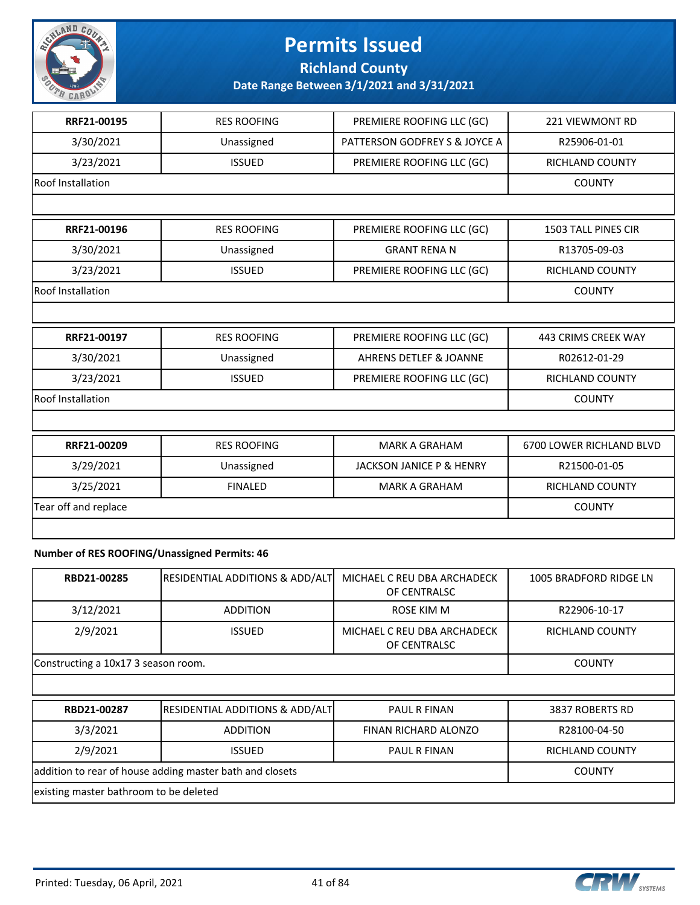

**Richland County**

**Date Range Between 3/1/2021 and 3/31/2021**

| RRF21-00195          | <b>RES ROOFING</b> | PREMIERE ROOFING LLC (GC)         | <b>221 VIEWMONT RD</b>     |
|----------------------|--------------------|-----------------------------------|----------------------------|
| 3/30/2021            | Unassigned         | PATTERSON GODFREY S & JOYCE A     | R25906-01-01               |
| 3/23/2021            | <b>ISSUED</b>      | PREMIERE ROOFING LLC (GC)         | <b>RICHLAND COUNTY</b>     |
| Roof Installation    |                    |                                   | <b>COUNTY</b>              |
|                      |                    |                                   |                            |
| RRF21-00196          | <b>RES ROOFING</b> | PREMIERE ROOFING LLC (GC)         | <b>1503 TALL PINES CIR</b> |
| 3/30/2021            | Unassigned         | <b>GRANT RENA N</b>               | R13705-09-03               |
| 3/23/2021            | <b>ISSUED</b>      | PREMIERE ROOFING LLC (GC)         | <b>RICHLAND COUNTY</b>     |
| Roof Installation    |                    |                                   | <b>COUNTY</b>              |
|                      |                    |                                   |                            |
| RRF21-00197          | <b>RES ROOFING</b> | PREMIERE ROOFING LLC (GC)         | <b>443 CRIMS CREEK WAY</b> |
| 3/30/2021            | Unassigned         | <b>AHRENS DETLEF &amp; JOANNE</b> | R02612-01-29               |
| 3/23/2021            | <b>ISSUED</b>      | PREMIERE ROOFING LLC (GC)         | RICHLAND COUNTY            |
| Roof Installation    |                    |                                   | <b>COUNTY</b>              |
|                      |                    |                                   |                            |
| RRF21-00209          | <b>RES ROOFING</b> | <b>MARK A GRAHAM</b>              | 6700 LOWER RICHLAND BLVD   |
| 3/29/2021            | Unassigned         | JACKSON JANICE P & HENRY          | R21500-01-05               |
| 3/25/2021            | <b>FINALED</b>     | <b>MARK A GRAHAM</b>              | <b>RICHLAND COUNTY</b>     |
| Tear off and replace |                    |                                   | <b>COUNTY</b>              |
|                      |                    |                                   |                            |
|                      |                    |                                   |                            |

#### **Number of RES ROOFING/Unassigned Permits: 46**

| RBD21-00285                                              | <b>RESIDENTIAL ADDITIONS &amp; ADD/ALT</b> | MICHAEL C REU DBA ARCHADECK<br>OF CENTRALSC | 1005 BRADFORD RIDGE LN |
|----------------------------------------------------------|--------------------------------------------|---------------------------------------------|------------------------|
| 3/12/2021                                                | <b>ADDITION</b>                            | ROSE KIM M                                  | R22906-10-17           |
| 2/9/2021                                                 | <b>ISSUED</b>                              | MICHAEL C REU DBA ARCHADECK<br>OF CENTRALSC | RICHLAND COUNTY        |
| Constructing a 10x17 3 season room.                      |                                            | <b>COUNTY</b>                               |                        |
|                                                          |                                            |                                             |                        |
| RBD21-00287                                              | <b>RESIDENTIAL ADDITIONS &amp; ADD/ALT</b> | <b>PAUL R FINAN</b>                         | 3837 ROBERTS RD        |
| 3/3/2021                                                 | <b>ADDITION</b>                            | FINAN RICHARD ALONZO                        | R28100-04-50           |
| 2/9/2021                                                 | <b>ISSUED</b>                              | <b>PAUL R FINAN</b>                         | <b>RICHLAND COUNTY</b> |
| addition to rear of house adding master bath and closets | <b>COUNTY</b>                              |                                             |                        |
| existing master bathroom to be deleted                   |                                            |                                             |                        |

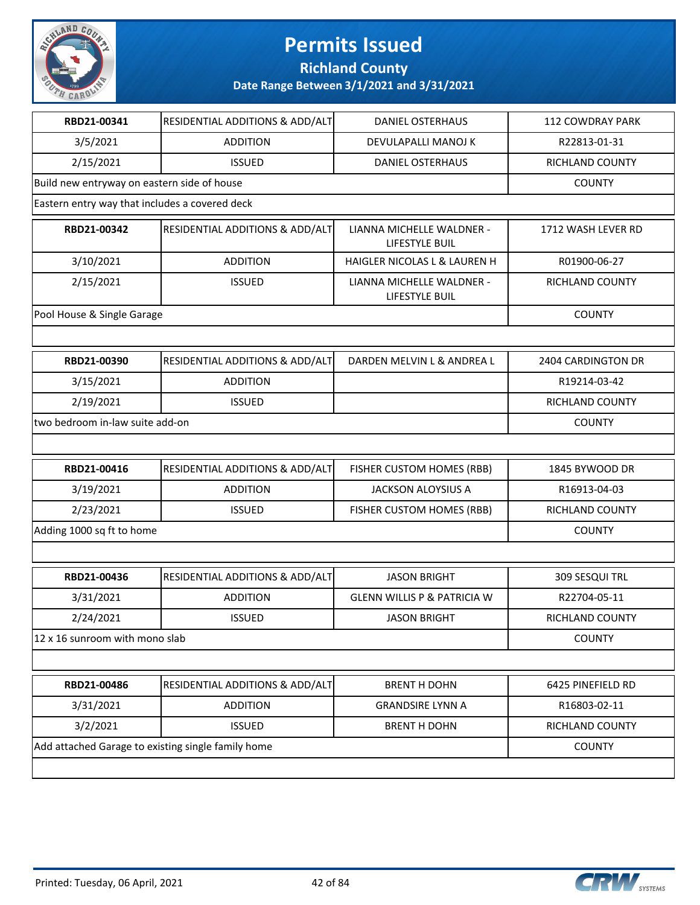

**Richland County**

| RBD21-00341                                        | RESIDENTIAL ADDITIONS & ADD/ALT | <b>DANIEL OSTERHAUS</b>                     | <b>112 COWDRAY PARK</b>   |
|----------------------------------------------------|---------------------------------|---------------------------------------------|---------------------------|
| 3/5/2021                                           | <b>ADDITION</b>                 | DEVULAPALLI MANOJ K                         | R22813-01-31              |
| 2/15/2021                                          | <b>ISSUED</b>                   | <b>DANIEL OSTERHAUS</b>                     | RICHLAND COUNTY           |
| Build new entryway on eastern side of house        |                                 |                                             | <b>COUNTY</b>             |
| Eastern entry way that includes a covered deck     |                                 |                                             |                           |
| RBD21-00342                                        | RESIDENTIAL ADDITIONS & ADD/ALT | LIANNA MICHELLE WALDNER -<br>LIFESTYLE BUIL | 1712 WASH LEVER RD        |
| 3/10/2021                                          | <b>ADDITION</b>                 | HAIGLER NICOLAS L & LAUREN H                | R01900-06-27              |
| 2/15/2021                                          | <b>ISSUED</b>                   | LIANNA MICHELLE WALDNER -<br>LIFESTYLE BUIL | RICHLAND COUNTY           |
| Pool House & Single Garage                         |                                 |                                             | <b>COUNTY</b>             |
|                                                    |                                 |                                             |                           |
| RBD21-00390                                        | RESIDENTIAL ADDITIONS & ADD/ALT | DARDEN MELVIN L & ANDREA L                  | <b>2404 CARDINGTON DR</b> |
| 3/15/2021                                          | <b>ADDITION</b>                 |                                             | R19214-03-42              |
| 2/19/2021                                          | <b>ISSUED</b>                   |                                             | RICHLAND COUNTY           |
| two bedroom in-law suite add-on                    |                                 |                                             | <b>COUNTY</b>             |
|                                                    |                                 |                                             |                           |
| RBD21-00416                                        | RESIDENTIAL ADDITIONS & ADD/ALT | FISHER CUSTOM HOMES (RBB)                   | 1845 BYWOOD DR            |
| 3/19/2021                                          | <b>ADDITION</b>                 | <b>JACKSON ALOYSIUS A</b>                   | R16913-04-03              |
| 2/23/2021                                          | <b>ISSUED</b>                   | FISHER CUSTOM HOMES (RBB)                   | RICHLAND COUNTY           |
| Adding 1000 sq ft to home                          |                                 |                                             | <b>COUNTY</b>             |
|                                                    |                                 |                                             |                           |
| RBD21-00436                                        | RESIDENTIAL ADDITIONS & ADD/ALT | <b>JASON BRIGHT</b>                         | 309 SESQUI TRL            |
| 3/31/2021                                          | <b>ADDITION</b>                 | <b>GLENN WILLIS P &amp; PATRICIA W</b>      | R22704-05-11              |
| 2/24/2021                                          | <b>ISSUED</b>                   | <b>JASON BRIGHT</b>                         | RICHLAND COUNTY           |
| 12 x 16 sunroom with mono slab                     |                                 |                                             | <b>COUNTY</b>             |
|                                                    |                                 |                                             |                           |
| RBD21-00486                                        | RESIDENTIAL ADDITIONS & ADD/ALT | <b>BRENT H DOHN</b>                         | 6425 PINEFIELD RD         |
| 3/31/2021                                          | <b>ADDITION</b>                 | <b>GRANDSIRE LYNN A</b>                     | R16803-02-11              |
| 3/2/2021                                           | <b>ISSUED</b>                   | <b>BRENT H DOHN</b>                         | RICHLAND COUNTY           |
| Add attached Garage to existing single family home |                                 |                                             | <b>COUNTY</b>             |
|                                                    |                                 |                                             |                           |

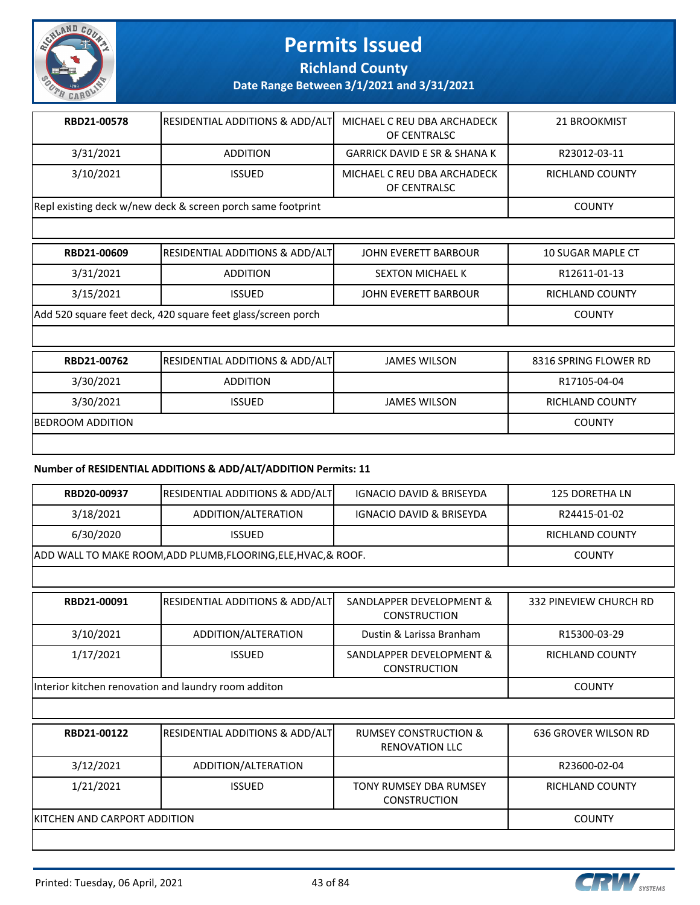

**Richland County**

**Date Range Between 3/1/2021 and 3/31/2021**

| RBD21-00578                                                 | <b>RESIDENTIAL ADDITIONS &amp; ADD/ALT</b> | MICHAEL C REU DBA ARCHADECK<br>OF CENTRALSC | 21 BROOKMIST    |
|-------------------------------------------------------------|--------------------------------------------|---------------------------------------------|-----------------|
| 3/31/2021                                                   | <b>ADDITION</b>                            | <b>GARRICK DAVID E SR &amp; SHANA K</b>     | R23012-03-11    |
| 3/10/2021                                                   | <b>ISSUED</b>                              | MICHAEL C REU DBA ARCHADECK<br>OF CENTRALSC | RICHLAND COUNTY |
| Repl existing deck w/new deck & screen porch same footprint |                                            |                                             | <b>COUNTY</b>   |

| RBD21-00609                                                  | <b>RESIDENTIAL ADDITIONS &amp; ADD/ALT</b> | JOHN EVERETT BARBOUR    | 10 SUGAR MAPLE CT |
|--------------------------------------------------------------|--------------------------------------------|-------------------------|-------------------|
| 3/31/2021                                                    | <b>ADDITION</b>                            | <b>SEXTON MICHAEL K</b> | R12611-01-13      |
| 3/15/2021                                                    | <b>ISSUED</b>                              | JOHN EVERETT BARBOUR    | RICHLAND COUNTY   |
| Add 520 square feet deck, 420 square feet glass/screen porch |                                            |                         | <b>COUNTY</b>     |
|                                                              |                                            |                         |                   |

| RBD21-00762              | <b>RESIDENTIAL ADDITIONS &amp; ADD/ALT</b> | <b>JAMES WILSON</b> | 8316 SPRING FLOWER RD |
|--------------------------|--------------------------------------------|---------------------|-----------------------|
| 3/30/2021                | <b>ADDITION</b>                            |                     | R17105-04-04          |
| 3/30/2021                | <b>ISSUED</b>                              | <b>JAMES WILSON</b> | RICHLAND COUNTY       |
| <b>IBEDROOM ADDITION</b> |                                            |                     | COUNTY                |
|                          |                                            |                     |                       |

#### **Number of RESIDENTIAL ADDITIONS & ADD/ALT/ADDITION Permits: 11**

|                                                      | KITCHEN AND CARPORT ADDITION                                   |                                                           |                             |
|------------------------------------------------------|----------------------------------------------------------------|-----------------------------------------------------------|-----------------------------|
| 1/21/2021                                            | <b>ISSUED</b>                                                  | <b>TONY RUMSEY DBA RUMSEY</b><br><b>CONSTRUCTION</b>      | <b>RICHLAND COUNTY</b>      |
| 3/12/2021                                            | ADDITION/ALTERATION                                            |                                                           | R23600-02-04                |
| RBD21-00122                                          | <b>RESIDENTIAL ADDITIONS &amp; ADD/ALT</b>                     | <b>RUMSEY CONSTRUCTION &amp;</b><br><b>RENOVATION LLC</b> | <b>636 GROVER WILSON RD</b> |
|                                                      |                                                                |                                                           |                             |
| Interior kitchen renovation and laundry room additon |                                                                |                                                           | <b>COUNTY</b>               |
| 1/17/2021                                            | <b>ISSUED</b>                                                  | SANDLAPPER DEVELOPMENT &<br><b>CONSTRUCTION</b>           | <b>RICHLAND COUNTY</b>      |
| 3/10/2021                                            | ADDITION/ALTERATION                                            | Dustin & Larissa Branham                                  | R15300-03-29                |
| RBD21-00091                                          | <b>RESIDENTIAL ADDITIONS &amp; ADD/ALT</b>                     | SANDLAPPER DEVELOPMENT &<br><b>CONSTRUCTION</b>           | 332 PINEVIEW CHURCH RD      |
|                                                      |                                                                |                                                           |                             |
|                                                      | ADD WALL TO MAKE ROOM, ADD PLUMB, FLOORING, ELE, HVAC, & ROOF. |                                                           | <b>COUNTY</b>               |
| 6/30/2020                                            | <b>ISSUED</b>                                                  |                                                           | <b>RICHLAND COUNTY</b>      |
| 3/18/2021                                            | ADDITION/ALTERATION                                            | IGNACIO DAVID & BRISEYDA                                  | R24415-01-02                |
| RBD20-00937                                          | RESIDENTIAL ADDITIONS & ADD/ALT                                | <b>IGNACIO DAVID &amp; BRISEYDA</b>                       | <b>125 DORETHA LN</b>       |

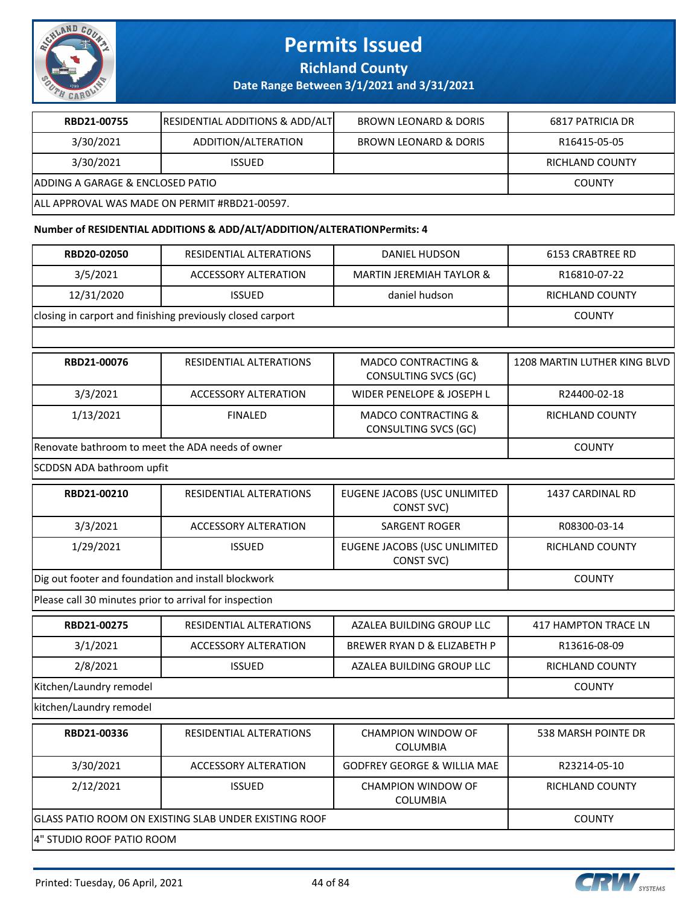

**Richland County**

#### **Date Range Between 3/1/2021 and 3/31/2021**

| RBD21-00755                                   | <b>RESIDENTIAL ADDITIONS &amp; ADD/ALT</b> | <b>BROWN LEONARD &amp; DORIS</b> | 6817 PATRICIA DR |
|-----------------------------------------------|--------------------------------------------|----------------------------------|------------------|
| 3/30/2021                                     | ADDITION/ALTERATION                        | <b>BROWN LEONARD &amp; DORIS</b> | R16415-05-05     |
| 3/30/2021                                     | <b>ISSUED</b>                              |                                  | RICHLAND COUNTY  |
| IADDING A GARAGE & ENCLOSED PATIO             |                                            |                                  | <b>COUNTY</b>    |
| ALL APPROVAL WAS MADE ON PERMIT #RBD21-00597. |                                            |                                  |                  |

#### **Number of RESIDENTIAL ADDITIONS & ADD/ALT/ADDITION/ALTERATION Permits: 4**

| RBD20-02050<br><b>DANIEL HUDSON</b><br>RESIDENTIAL ALTERATIONS<br>3/5/2021<br><b>ACCESSORY ALTERATION</b><br><b>MARTIN JEREMIAH TAYLOR &amp;</b><br>12/31/2020<br><b>ISSUED</b><br>daniel hudson<br>closing in carport and finishing previously closed carport<br>RBD21-00076<br><b>RESIDENTIAL ALTERATIONS</b><br><b>MADCO CONTRACTING &amp;</b><br>CONSULTING SVCS (GC)<br>3/3/2021<br><b>WIDER PENELOPE &amp; JOSEPH L</b><br>ACCESSORY ALTERATION<br>1/13/2021<br><b>FINALED</b><br><b>MADCO CONTRACTING &amp;</b> | <b>6153 CRABTREE RD</b><br>R16810-07-22<br><b>RICHLAND COUNTY</b><br><b>COUNTY</b><br>1208 MARTIN LUTHER KING BLVD<br>R24400-02-18<br><b>RICHLAND COUNTY</b><br><b>COUNTY</b> |
|------------------------------------------------------------------------------------------------------------------------------------------------------------------------------------------------------------------------------------------------------------------------------------------------------------------------------------------------------------------------------------------------------------------------------------------------------------------------------------------------------------------------|-------------------------------------------------------------------------------------------------------------------------------------------------------------------------------|
|                                                                                                                                                                                                                                                                                                                                                                                                                                                                                                                        |                                                                                                                                                                               |
|                                                                                                                                                                                                                                                                                                                                                                                                                                                                                                                        |                                                                                                                                                                               |
|                                                                                                                                                                                                                                                                                                                                                                                                                                                                                                                        |                                                                                                                                                                               |
|                                                                                                                                                                                                                                                                                                                                                                                                                                                                                                                        |                                                                                                                                                                               |
|                                                                                                                                                                                                                                                                                                                                                                                                                                                                                                                        |                                                                                                                                                                               |
|                                                                                                                                                                                                                                                                                                                                                                                                                                                                                                                        |                                                                                                                                                                               |
|                                                                                                                                                                                                                                                                                                                                                                                                                                                                                                                        |                                                                                                                                                                               |
| CONSULTING SVCS (GC)                                                                                                                                                                                                                                                                                                                                                                                                                                                                                                   |                                                                                                                                                                               |
| Renovate bathroom to meet the ADA needs of owner                                                                                                                                                                                                                                                                                                                                                                                                                                                                       |                                                                                                                                                                               |
| SCDDSN ADA bathroom upfit                                                                                                                                                                                                                                                                                                                                                                                                                                                                                              |                                                                                                                                                                               |
| RBD21-00210<br>RESIDENTIAL ALTERATIONS<br>EUGENE JACOBS (USC UNLIMITED<br>CONST SVC)                                                                                                                                                                                                                                                                                                                                                                                                                                   | 1437 CARDINAL RD                                                                                                                                                              |
| 3/3/2021<br><b>ACCESSORY ALTERATION</b><br><b>SARGENT ROGER</b>                                                                                                                                                                                                                                                                                                                                                                                                                                                        | R08300-03-14                                                                                                                                                                  |
| 1/29/2021<br>EUGENE JACOBS (USC UNLIMITED<br><b>ISSUED</b><br>CONST SVC)                                                                                                                                                                                                                                                                                                                                                                                                                                               | <b>RICHLAND COUNTY</b>                                                                                                                                                        |
| Dig out footer and foundation and install blockwork                                                                                                                                                                                                                                                                                                                                                                                                                                                                    | <b>COUNTY</b>                                                                                                                                                                 |
| Please call 30 minutes prior to arrival for inspection                                                                                                                                                                                                                                                                                                                                                                                                                                                                 |                                                                                                                                                                               |
| RBD21-00275<br><b>RESIDENTIAL ALTERATIONS</b><br>AZALEA BUILDING GROUP LLC                                                                                                                                                                                                                                                                                                                                                                                                                                             | <b>417 HAMPTON TRACE LN</b>                                                                                                                                                   |
| 3/1/2021<br><b>ACCESSORY ALTERATION</b><br>BREWER RYAN D & ELIZABETH P                                                                                                                                                                                                                                                                                                                                                                                                                                                 | R13616-08-09                                                                                                                                                                  |
| 2/8/2021<br><b>ISSUED</b><br>AZALEA BUILDING GROUP LLC                                                                                                                                                                                                                                                                                                                                                                                                                                                                 | RICHLAND COUNTY                                                                                                                                                               |
| Kitchen/Laundry remodel                                                                                                                                                                                                                                                                                                                                                                                                                                                                                                | <b>COUNTY</b>                                                                                                                                                                 |
| kitchen/Laundry remodel                                                                                                                                                                                                                                                                                                                                                                                                                                                                                                |                                                                                                                                                                               |
| RBD21-00336<br><b>CHAMPION WINDOW OF</b><br><b>RESIDENTIAL ALTERATIONS</b><br>COLUMBIA                                                                                                                                                                                                                                                                                                                                                                                                                                 | 538 MARSH POINTE DR                                                                                                                                                           |
| 3/30/2021<br><b>GODFREY GEORGE &amp; WILLIA MAE</b><br><b>ACCESSORY ALTERATION</b>                                                                                                                                                                                                                                                                                                                                                                                                                                     | R23214-05-10                                                                                                                                                                  |
| 2/12/2021<br><b>ISSUED</b><br>CHAMPION WINDOW OF<br>COLUMBIA                                                                                                                                                                                                                                                                                                                                                                                                                                                           | RICHLAND COUNTY                                                                                                                                                               |
| GLASS PATIO ROOM ON EXISTING SLAB UNDER EXISTING ROOF                                                                                                                                                                                                                                                                                                                                                                                                                                                                  | <b>COUNTY</b>                                                                                                                                                                 |
| 4" STUDIO ROOF PATIO ROOM                                                                                                                                                                                                                                                                                                                                                                                                                                                                                              |                                                                                                                                                                               |

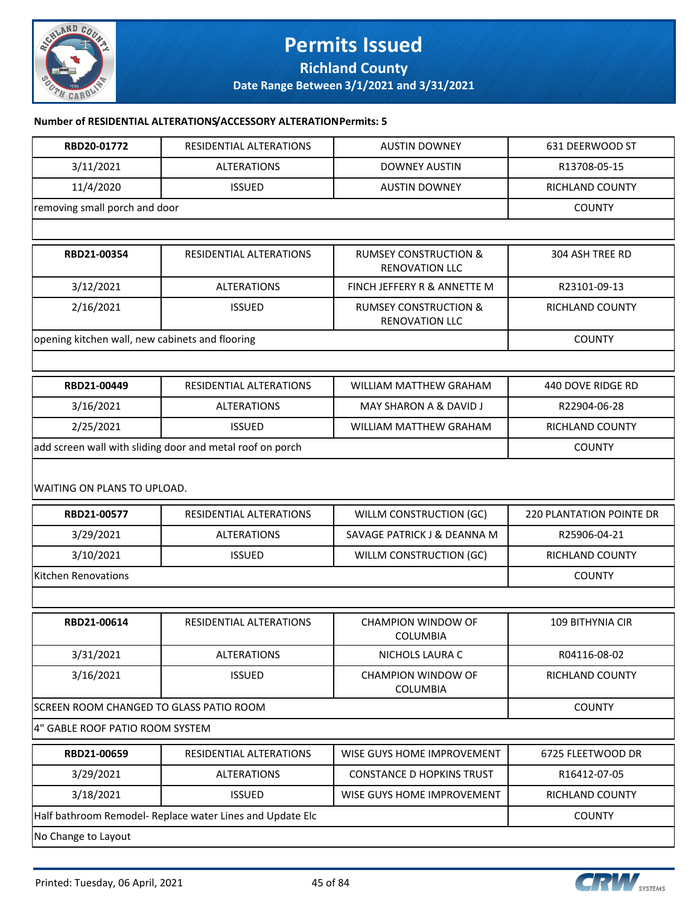

#### **Permits Issued Richland County**

**Date Range Between 3/1/2021 and 3/31/2021**

#### **Number of RESIDENTIAL ALTERATIONS/ACCESSORY ALTERATION Permits: 5**

| RBD20-01772                                               | RESIDENTIAL ALTERATIONS                                   | <b>AUSTIN DOWNEY</b>                                      | 631 DEERWOOD ST                 |
|-----------------------------------------------------------|-----------------------------------------------------------|-----------------------------------------------------------|---------------------------------|
| 3/11/2021                                                 | <b>ALTERATIONS</b>                                        | <b>DOWNEY AUSTIN</b>                                      | R13708-05-15                    |
| 11/4/2020                                                 | <b>ISSUED</b>                                             | <b>AUSTIN DOWNEY</b>                                      | RICHLAND COUNTY                 |
| removing small porch and door                             |                                                           |                                                           | <b>COUNTY</b>                   |
|                                                           |                                                           |                                                           |                                 |
| RBD21-00354                                               | RESIDENTIAL ALTERATIONS                                   | <b>RUMSEY CONSTRUCTION &amp;</b><br><b>RENOVATION LLC</b> | 304 ASH TREE RD                 |
| 3/12/2021                                                 | <b>ALTERATIONS</b>                                        | FINCH JEFFERY R & ANNETTE M                               | R23101-09-13                    |
| 2/16/2021                                                 | <b>ISSUED</b>                                             | <b>RUMSEY CONSTRUCTION &amp;</b><br>RENOVATION LLC        | RICHLAND COUNTY                 |
| opening kitchen wall, new cabinets and flooring           |                                                           |                                                           | <b>COUNTY</b>                   |
|                                                           |                                                           |                                                           |                                 |
| RBD21-00449                                               | RESIDENTIAL ALTERATIONS                                   | <b>WILLIAM MATTHEW GRAHAM</b>                             | 440 DOVE RIDGE RD               |
| 3/16/2021                                                 | <b>ALTERATIONS</b>                                        | MAY SHARON A & DAVID J                                    | R22904-06-28                    |
| 2/25/2021                                                 | <b>ISSUED</b>                                             | <b>WILLIAM MATTHEW GRAHAM</b>                             | <b>RICHLAND COUNTY</b>          |
|                                                           | add screen wall with sliding door and metal roof on porch |                                                           | <b>COUNTY</b>                   |
| WAITING ON PLANS TO UPLOAD.                               |                                                           |                                                           |                                 |
| RBD21-00577                                               | RESIDENTIAL ALTERATIONS                                   | WILLM CONSTRUCTION (GC)                                   | <b>220 PLANTATION POINTE DR</b> |
| 3/29/2021                                                 | <b>ALTERATIONS</b>                                        | SAVAGE PATRICK J & DEANNA M                               | R25906-04-21                    |
| 3/10/2021                                                 | <b>ISSUED</b>                                             | WILLM CONSTRUCTION (GC)                                   | RICHLAND COUNTY                 |
| Kitchen Renovations                                       | <b>COUNTY</b>                                             |                                                           |                                 |
|                                                           |                                                           |                                                           |                                 |
| RBD21-00614                                               | RESIDENTIAL ALTERATIONS                                   | <b>CHAMPION WINDOW OF</b><br><b>COLUMBIA</b>              | <b>109 BITHYNIA CIR</b>         |
| 3/31/2021                                                 | <b>ALTERATIONS</b>                                        | NICHOLS LAURA C                                           | R04116-08-02                    |
| 3/16/2021                                                 | <b>ISSUED</b>                                             | <b>CHAMPION WINDOW OF</b><br>COLUMBIA                     | RICHLAND COUNTY                 |
| SCREEN ROOM CHANGED TO GLASS PATIO ROOM                   |                                                           | <b>COUNTY</b>                                             |                                 |
| 4" GABLE ROOF PATIO ROOM SYSTEM                           |                                                           |                                                           |                                 |
| RBD21-00659                                               | RESIDENTIAL ALTERATIONS                                   | WISE GUYS HOME IMPROVEMENT                                | 6725 FLEETWOOD DR               |
| 3/29/2021                                                 | <b>ALTERATIONS</b>                                        | <b>CONSTANCE D HOPKINS TRUST</b>                          | R16412-07-05                    |
| 3/18/2021                                                 | <b>ISSUED</b>                                             | WISE GUYS HOME IMPROVEMENT                                | RICHLAND COUNTY                 |
| Half bathroom Remodel- Replace water Lines and Update Elc | <b>COUNTY</b>                                             |                                                           |                                 |
| No Change to Layout                                       |                                                           |                                                           |                                 |

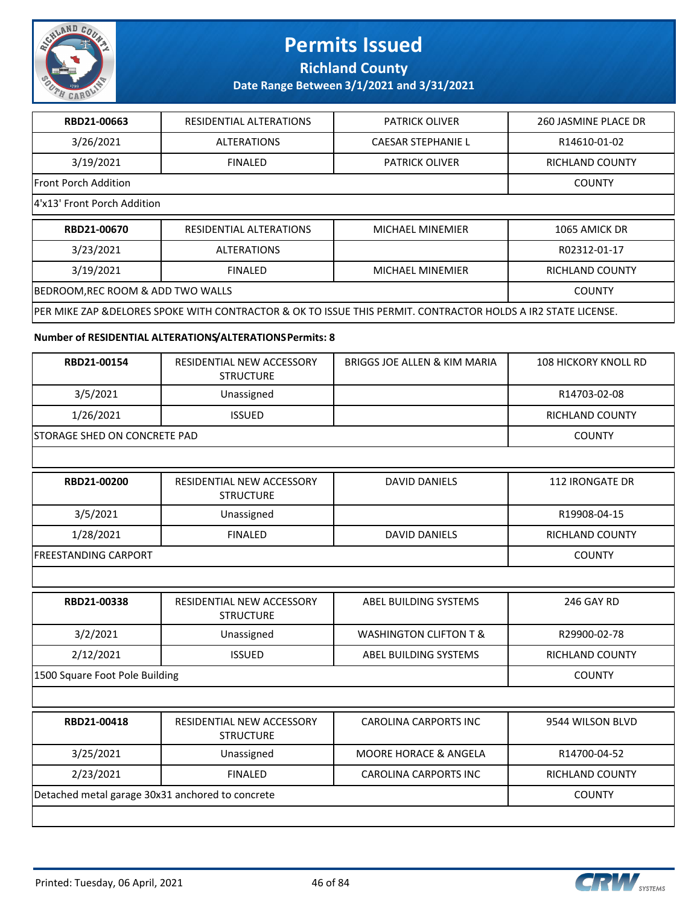

**Richland County**

| RBD21-00663                                      | RESIDENTIAL ALTERATIONS                                  | <b>PATRICK OLIVER</b>                                                                                         | 260 JASMINE PLACE DR        |
|--------------------------------------------------|----------------------------------------------------------|---------------------------------------------------------------------------------------------------------------|-----------------------------|
| 3/26/2021                                        | <b>ALTERATIONS</b>                                       | <b>CAESAR STEPHANIE L</b>                                                                                     | R14610-01-02                |
| 3/19/2021                                        | <b>FINALED</b>                                           | <b>PATRICK OLIVER</b>                                                                                         | <b>RICHLAND COUNTY</b>      |
| Front Porch Addition                             |                                                          |                                                                                                               | <b>COUNTY</b>               |
| 4'x13' Front Porch Addition                      |                                                          |                                                                                                               |                             |
| RBD21-00670                                      | <b>RESIDENTIAL ALTERATIONS</b>                           | MICHAEL MINEMIER                                                                                              | 1065 AMICK DR               |
| 3/23/2021                                        | <b>ALTERATIONS</b>                                       |                                                                                                               | R02312-01-17                |
| 3/19/2021                                        | <b>FINALED</b>                                           | <b>MICHAEL MINEMIER</b>                                                                                       | <b>RICHLAND COUNTY</b>      |
| BEDROOM, REC ROOM & ADD TWO WALLS                |                                                          |                                                                                                               | <b>COUNTY</b>               |
|                                                  |                                                          | PER MIKE ZAP & DELORES SPOKE WITH CONTRACTOR & OK TO ISSUE THIS PERMIT. CONTRACTOR HOLDS A IR2 STATE LICENSE. |                             |
|                                                  | Number of RESIDENTIAL ALTERATIONS/ALTERATIONS Permits: 8 |                                                                                                               |                             |
| RBD21-00154                                      | RESIDENTIAL NEW ACCESSORY<br><b>STRUCTURE</b>            | BRIGGS JOE ALLEN & KIM MARIA                                                                                  | <b>108 HICKORY KNOLL RD</b> |
| 3/5/2021                                         | Unassigned                                               |                                                                                                               | R14703-02-08                |
| 1/26/2021                                        | <b>ISSUED</b>                                            |                                                                                                               | RICHLAND COUNTY             |
| STORAGE SHED ON CONCRETE PAD                     | <b>COUNTY</b>                                            |                                                                                                               |                             |
|                                                  |                                                          |                                                                                                               |                             |
| RBD21-00200                                      | RESIDENTIAL NEW ACCESSORY<br><b>STRUCTURE</b>            | <b>DAVID DANIELS</b>                                                                                          | <b>112 IRONGATE DR</b>      |
| 3/5/2021                                         | Unassigned                                               |                                                                                                               | R19908-04-15                |
| 1/28/2021                                        | <b>FINALED</b>                                           | <b>DAVID DANIELS</b>                                                                                          | RICHLAND COUNTY             |
| <b>FREESTANDING CARPORT</b>                      |                                                          |                                                                                                               | <b>COUNTY</b>               |
|                                                  |                                                          |                                                                                                               |                             |
| RBD21-00338                                      | RESIDENTIAL NEW ACCESSORY<br><b>STRUCTURE</b>            | ABEL BUILDING SYSTEMS                                                                                         | <b>246 GAY RD</b>           |
| 3/2/2021                                         | Unassigned                                               | <b>WASHINGTON CLIFTON T &amp;</b>                                                                             | R29900-02-78                |
| 2/12/2021                                        | <b>ISSUED</b>                                            | ABEL BUILDING SYSTEMS                                                                                         | RICHLAND COUNTY             |
| 1500 Square Foot Pole Building                   |                                                          |                                                                                                               | <b>COUNTY</b>               |
|                                                  |                                                          |                                                                                                               |                             |
| RBD21-00418                                      | RESIDENTIAL NEW ACCESSORY<br><b>STRUCTURE</b>            | <b>CAROLINA CARPORTS INC</b>                                                                                  | 9544 WILSON BLVD            |
| 3/25/2021                                        | Unassigned                                               | MOORE HORACE & ANGELA                                                                                         | R14700-04-52                |
| 2/23/2021                                        | <b>FINALED</b>                                           | <b>CAROLINA CARPORTS INC</b>                                                                                  | <b>RICHLAND COUNTY</b>      |
| Detached metal garage 30x31 anchored to concrete |                                                          |                                                                                                               | <b>COUNTY</b>               |
|                                                  |                                                          |                                                                                                               |                             |

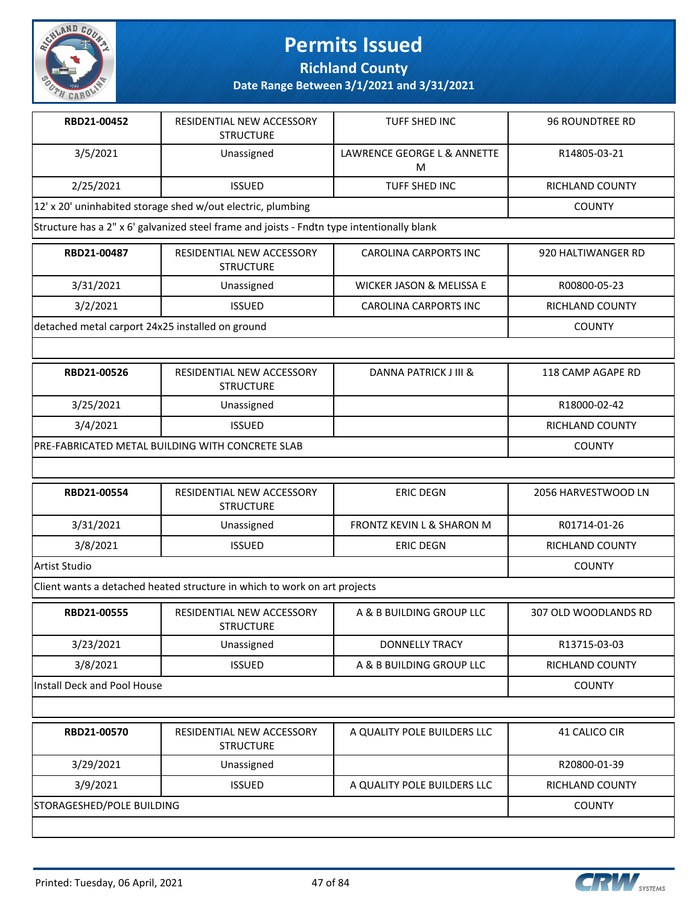

**Richland County**

| RBD21-00452                                      | RESIDENTIAL NEW ACCESSORY<br><b>STRUCTURE</b>                                              | <b>TUFF SHED INC</b>                | <b>96 ROUNDTREE RD</b> |
|--------------------------------------------------|--------------------------------------------------------------------------------------------|-------------------------------------|------------------------|
| 3/5/2021                                         | Unassigned                                                                                 | LAWRENCE GEORGE L & ANNETTE<br>M    | R14805-03-21           |
| 2/25/2021                                        | <b>ISSUED</b>                                                                              | TUFF SHED INC                       | RICHLAND COUNTY        |
|                                                  | 12' x 20' uninhabited storage shed w/out electric, plumbing                                |                                     | <b>COUNTY</b>          |
|                                                  | Structure has a 2" x 6' galvanized steel frame and joists - Fndtn type intentionally blank |                                     |                        |
| RBD21-00487                                      | RESIDENTIAL NEW ACCESSORY<br><b>STRUCTURE</b>                                              | <b>CAROLINA CARPORTS INC</b>        | 920 HALTIWANGER RD     |
| 3/31/2021                                        | Unassigned                                                                                 | <b>WICKER JASON &amp; MELISSA E</b> | R00800-05-23           |
| 3/2/2021                                         | <b>ISSUED</b>                                                                              | <b>CAROLINA CARPORTS INC</b>        | RICHLAND COUNTY        |
| detached metal carport 24x25 installed on ground |                                                                                            |                                     | <b>COUNTY</b>          |
|                                                  |                                                                                            |                                     |                        |
| RBD21-00526                                      | RESIDENTIAL NEW ACCESSORY<br><b>STRUCTURE</b>                                              | DANNA PATRICK J III &               | 118 CAMP AGAPE RD      |
| 3/25/2021                                        | Unassigned                                                                                 |                                     | R18000-02-42           |
| 3/4/2021                                         | <b>ISSUED</b>                                                                              |                                     | RICHLAND COUNTY        |
|                                                  | PRE-FABRICATED METAL BUILDING WITH CONCRETE SLAB                                           |                                     | <b>COUNTY</b>          |
|                                                  |                                                                                            |                                     |                        |
| RBD21-00554                                      | RESIDENTIAL NEW ACCESSORY<br><b>STRUCTURE</b>                                              | <b>ERIC DEGN</b>                    | 2056 HARVESTWOOD LN    |
| 3/31/2021                                        | Unassigned                                                                                 | FRONTZ KEVIN L & SHARON M           | R01714-01-26           |
| 3/8/2021                                         | <b>ISSUED</b>                                                                              | <b>ERIC DEGN</b>                    | RICHLAND COUNTY        |
| Artist Studio                                    |                                                                                            |                                     | <b>COUNTY</b>          |
|                                                  | Client wants a detached heated structure in which to work on art projects                  |                                     |                        |
| RBD21-00555                                      | RESIDENTIAL NEW ACCESSORY<br><b>STRUCTURE</b>                                              | A & B BUILDING GROUP LLC            | 307 OLD WOODLANDS RD   |
| 3/23/2021                                        | Unassigned                                                                                 | <b>DONNELLY TRACY</b>               | R13715-03-03           |
| 3/8/2021                                         | <b>ISSUED</b>                                                                              | A & B BUILDING GROUP LLC            | RICHLAND COUNTY        |
| Install Deck and Pool House                      |                                                                                            |                                     | <b>COUNTY</b>          |
|                                                  |                                                                                            |                                     |                        |
| RBD21-00570                                      | RESIDENTIAL NEW ACCESSORY<br><b>STRUCTURE</b>                                              | A QUALITY POLE BUILDERS LLC         | 41 CALICO CIR          |
| 3/29/2021                                        | Unassigned                                                                                 |                                     | R20800-01-39           |
| 3/9/2021                                         | <b>ISSUED</b>                                                                              | A QUALITY POLE BUILDERS LLC         | RICHLAND COUNTY        |
| STORAGESHED/POLE BUILDING                        |                                                                                            |                                     | <b>COUNTY</b>          |
|                                                  |                                                                                            |                                     |                        |

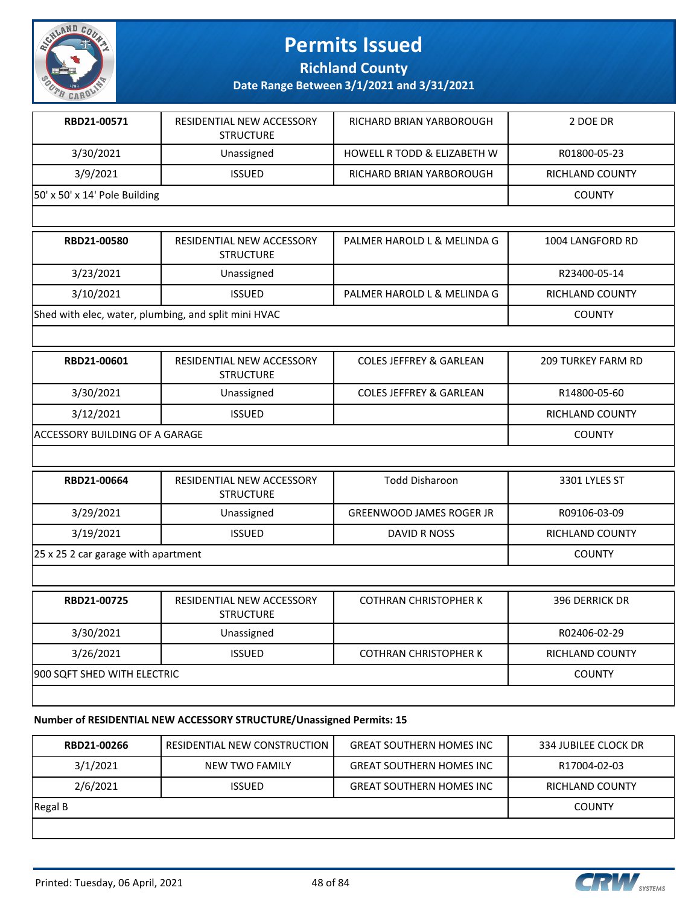

**Richland County**

**Date Range Between 3/1/2021 and 3/31/2021**

| RBD21-00571                   | RESIDENTIAL NEW ACCESSORY<br><b>STRUCTURE</b> | RICHARD BRIAN YARBOROUGH               | 2 DOE DR         |
|-------------------------------|-----------------------------------------------|----------------------------------------|------------------|
| 3/30/2021                     | Unassigned                                    | <b>HOWELL R TODD &amp; ELIZABETH W</b> | R01800-05-23     |
| 3/9/2021                      | <b>ISSUED</b>                                 | RICHARD BRIAN YARBOROUGH               | RICHLAND COUNTY  |
| 50' x 50' x 14' Pole Building |                                               |                                        | <b>COUNTY</b>    |
|                               |                                               |                                        |                  |
| RBD21-00580                   | RESIDENTIAL NEW ACCESSORY<br><b>STRUCTURE</b> | PALMER HAROLD L & MELINDA G            | 1004 LANGFORD RD |

| 3/23/2021                                            | Unassigned    |                             | R23400-05-14    |
|------------------------------------------------------|---------------|-----------------------------|-----------------|
| 3/10/2021                                            | <b>ISSUED</b> | PALMER HAROLD L & MELINDA G | RICHLAND COUNTY |
| Shed with elec, water, plumbing, and split mini HVAC |               |                             | <b>COUNTY</b>   |
|                                                      |               |                             |                 |

| RBD21-00601                     | RESIDENTIAL NEW ACCESSORY<br><b>STRUCTURE</b> | <b>COLES JEFFREY &amp; GARLEAN</b> | <b>209 TURKEY FARM RD</b> |
|---------------------------------|-----------------------------------------------|------------------------------------|---------------------------|
| 3/30/2021                       | Unassigned                                    | <b>COLES JEFFREY &amp; GARLEAN</b> | R14800-05-60              |
| 3/12/2021                       | <b>ISSUED</b>                                 |                                    | RICHLAND COUNTY           |
| IACCESSORY BUILDING OF A GARAGE |                                               |                                    | COUNTY                    |

| RBD21-00664                 | RESIDENTIAL NEW ACCESSORY<br><b>STRUCTURE</b> | <b>Todd Disharoon</b>           | 3301 LYLES ST          |
|-----------------------------|-----------------------------------------------|---------------------------------|------------------------|
| 3/29/2021                   | Unassigned                                    | <b>GREENWOOD JAMES ROGER JR</b> | R09106-03-09           |
| 3/19/2021                   | <b>ISSUED</b>                                 | DAVID R NOSS                    | <b>RICHLAND COUNTY</b> |
|                             | $25x252$ car garage with apartment            |                                 |                        |
|                             |                                               |                                 |                        |
| RBD21-00725                 | RESIDENTIAL NEW ACCESSORY<br><b>STRUCTURE</b> | <b>COTHRAN CHRISTOPHER K</b>    | <b>396 DERRICK DR</b>  |
| 3/30/2021                   | Unassigned                                    |                                 | R02406-02-29           |
| 3/26/2021                   | <b>ISSUED</b>                                 | <b>COTHRAN CHRISTOPHER K</b>    | RICHLAND COUNTY        |
| 900 SQFT SHED WITH ELECTRIC |                                               |                                 | <b>COUNTY</b>          |

#### **Number of RESIDENTIAL NEW ACCESSORY STRUCTURE/Unassigned Permits: 15**

| RBD21-00266 | RESIDENTIAL NEW CONSTRUCTION | <b>GREAT SOUTHERN HOMES INC</b> | 334 JUBILEE CLOCK DR |
|-------------|------------------------------|---------------------------------|----------------------|
| 3/1/2021    | NEW TWO FAMILY               | <b>GREAT SOUTHERN HOMES INC</b> | R17004-02-03         |
| 2/6/2021    | <b>ISSUED</b>                | <b>GREAT SOUTHERN HOMES INC</b> | RICHLAND COUNTY      |
| Regal B     |                              |                                 | <b>COUNTY</b>        |
|             |                              |                                 |                      |



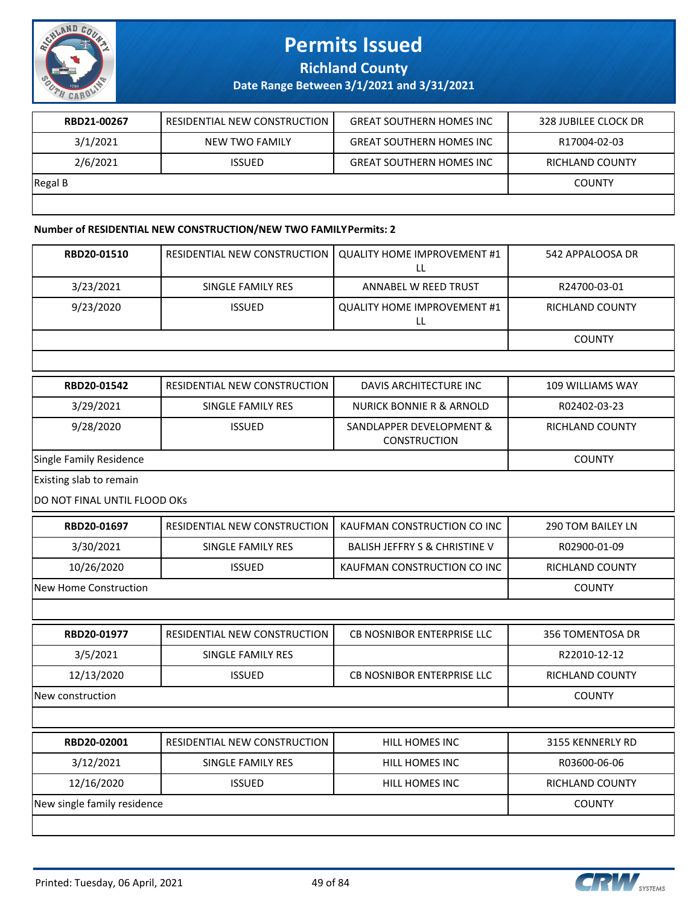

**Richland County**

#### **Date Range Between 3/1/2021 and 3/31/2021**

| RBD21-00267 | RESIDENTIAL NEW CONSTRUCTION | <b>GREAT SOUTHERN HOMES INC</b> | 328 JUBILEE CLOCK DR |
|-------------|------------------------------|---------------------------------|----------------------|
| 3/1/2021    | NEW TWO FAMILY               | <b>GREAT SOUTHERN HOMES INC</b> | R17004-02-03         |
| 2/6/2021    | <b>ISSUED</b>                | <b>GREAT SOUTHERN HOMES INC</b> | RICHLAND COUNTY      |
| Regal B     |                              |                                 | <b>COUNTY</b>        |
|             |                              |                                 |                      |

#### **Number of RESIDENTIAL NEW CONSTRUCTION/NEW TWO FAMILY Permits: 2**

| RBD20-01510                  | RESIDENTIAL NEW CONSTRUCTION | <b>QUALITY HOME IMPROVEMENT #1</b><br>LL        | 542 APPALOOSA DR       |
|------------------------------|------------------------------|-------------------------------------------------|------------------------|
| 3/23/2021                    | SINGLE FAMILY RES            | ANNABEL W REED TRUST                            | R24700-03-01           |
| 9/23/2020                    | <b>ISSUED</b>                | <b>QUALITY HOME IMPROVEMENT #1</b><br>LL        | <b>RICHLAND COUNTY</b> |
|                              |                              |                                                 | <b>COUNTY</b>          |
|                              |                              |                                                 |                        |
| RBD20-01542                  | RESIDENTIAL NEW CONSTRUCTION | DAVIS ARCHITECTURE INC                          | 109 WILLIAMS WAY       |
| 3/29/2021                    | SINGLE FAMILY RES            | <b>NURICK BONNIE R &amp; ARNOLD</b>             | R02402-03-23           |
| 9/28/2020                    | <b>ISSUED</b>                | SANDLAPPER DEVELOPMENT &<br><b>CONSTRUCTION</b> | RICHLAND COUNTY        |
| Single Family Residence      |                              |                                                 | <b>COUNTY</b>          |
| Existing slab to remain      |                              |                                                 |                        |
| DO NOT FINAL UNTIL FLOOD OKS |                              |                                                 |                        |
| RBD20-01697                  | RESIDENTIAL NEW CONSTRUCTION | KAUFMAN CONSTRUCTION CO INC                     | 290 TOM BAILEY LN      |
| 3/30/2021                    | SINGLE FAMILY RES            | <b>BALISH JEFFRY S &amp; CHRISTINE V</b>        | R02900-01-09           |
| 10/26/2020                   | <b>ISSUED</b>                | KAUFMAN CONSTRUCTION CO INC                     | RICHLAND COUNTY        |
| New Home Construction        |                              |                                                 | <b>COUNTY</b>          |
|                              |                              |                                                 |                        |
| RBD20-01977                  | RESIDENTIAL NEW CONSTRUCTION | <b>CB NOSNIBOR ENTERPRISE LLC</b>               | 356 TOMENTOSA DR       |
| 3/5/2021                     | SINGLE FAMILY RES            |                                                 | R22010-12-12           |
| 12/13/2020                   | <b>ISSUED</b>                | CB NOSNIBOR ENTERPRISE LLC                      | RICHLAND COUNTY        |
| New construction             |                              |                                                 | <b>COUNTY</b>          |
|                              |                              |                                                 |                        |
| RBD20-02001                  | RESIDENTIAL NEW CONSTRUCTION | HILL HOMES INC                                  | 3155 KENNERLY RD       |
| 3/12/2021                    | <b>SINGLE FAMILY RES</b>     | HILL HOMES INC                                  | R03600-06-06           |
| 12/16/2020                   | <b>ISSUED</b>                | HILL HOMES INC                                  | RICHLAND COUNTY        |
| New single family residence  |                              |                                                 | <b>COUNTY</b>          |
|                              |                              |                                                 |                        |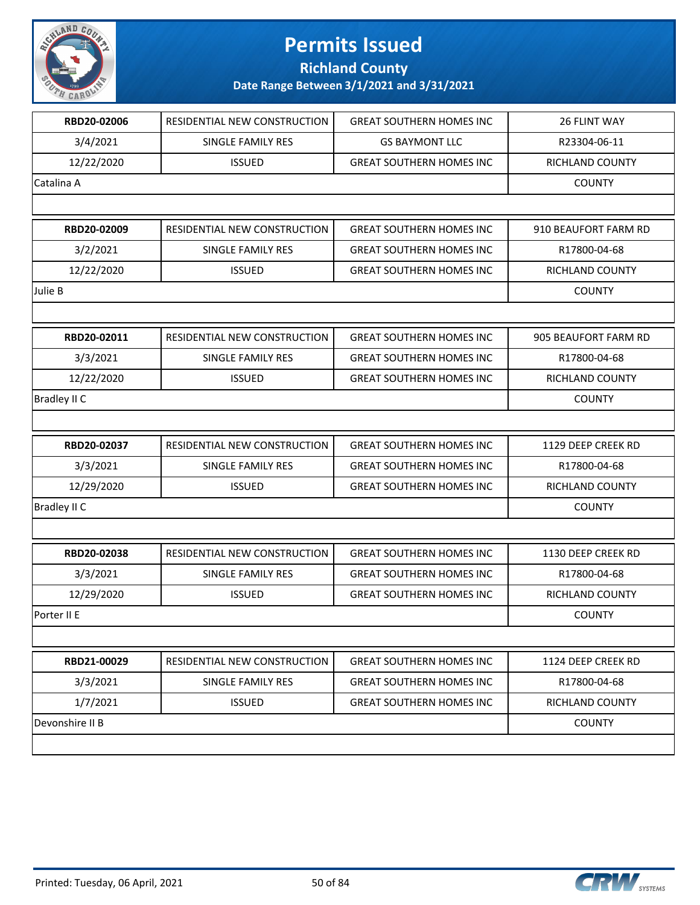

**Richland County**

| RBD20-02006         | RESIDENTIAL NEW CONSTRUCTION | <b>GREAT SOUTHERN HOMES INC</b> | 26 FLINT WAY         |
|---------------------|------------------------------|---------------------------------|----------------------|
| 3/4/2021            | SINGLE FAMILY RES            | <b>GS BAYMONT LLC</b>           | R23304-06-11         |
| 12/22/2020          | <b>ISSUED</b>                | <b>GREAT SOUTHERN HOMES INC</b> | RICHLAND COUNTY      |
| Catalina A          |                              |                                 | <b>COUNTY</b>        |
|                     |                              |                                 |                      |
| RBD20-02009         | RESIDENTIAL NEW CONSTRUCTION | <b>GREAT SOUTHERN HOMES INC</b> | 910 BEAUFORT FARM RD |
| 3/2/2021            | SINGLE FAMILY RES            | <b>GREAT SOUTHERN HOMES INC</b> | R17800-04-68         |
| 12/22/2020          | <b>ISSUED</b>                | <b>GREAT SOUTHERN HOMES INC</b> | RICHLAND COUNTY      |
| Julie B             |                              |                                 | <b>COUNTY</b>        |
|                     |                              |                                 |                      |
| RBD20-02011         | RESIDENTIAL NEW CONSTRUCTION | <b>GREAT SOUTHERN HOMES INC</b> | 905 BEAUFORT FARM RD |
| 3/3/2021            | SINGLE FAMILY RES            | <b>GREAT SOUTHERN HOMES INC</b> | R17800-04-68         |
| 12/22/2020          | <b>ISSUED</b>                | <b>GREAT SOUTHERN HOMES INC</b> | RICHLAND COUNTY      |
| Bradley II C        |                              |                                 | <b>COUNTY</b>        |
|                     |                              |                                 |                      |
| RBD20-02037         | RESIDENTIAL NEW CONSTRUCTION | <b>GREAT SOUTHERN HOMES INC</b> | 1129 DEEP CREEK RD   |
| 3/3/2021            | SINGLE FAMILY RES            | <b>GREAT SOUTHERN HOMES INC</b> | R17800-04-68         |
| 12/29/2020          | <b>ISSUED</b>                | <b>GREAT SOUTHERN HOMES INC</b> | RICHLAND COUNTY      |
| <b>Bradley II C</b> |                              |                                 | <b>COUNTY</b>        |
|                     |                              |                                 |                      |
| RBD20-02038         | RESIDENTIAL NEW CONSTRUCTION | <b>GREAT SOUTHERN HOMES INC</b> | 1130 DEEP CREEK RD   |
| 3/3/2021            | SINGLE FAMILY RES            | <b>GREAT SOUTHERN HOMES INC</b> | R17800-04-68         |
| 12/29/2020          | <b>ISSUED</b>                | <b>GREAT SOUTHERN HOMES INC</b> | RICHLAND COUNTY      |
| Porter II E         |                              |                                 | <b>COUNTY</b>        |
|                     |                              |                                 |                      |
| RBD21-00029         | RESIDENTIAL NEW CONSTRUCTION | <b>GREAT SOUTHERN HOMES INC</b> | 1124 DEEP CREEK RD   |
| 3/3/2021            | SINGLE FAMILY RES            | <b>GREAT SOUTHERN HOMES INC</b> | R17800-04-68         |
| 1/7/2021            | <b>ISSUED</b>                | <b>GREAT SOUTHERN HOMES INC</b> | RICHLAND COUNTY      |
| Devonshire II B     |                              |                                 | <b>COUNTY</b>        |
|                     |                              |                                 |                      |

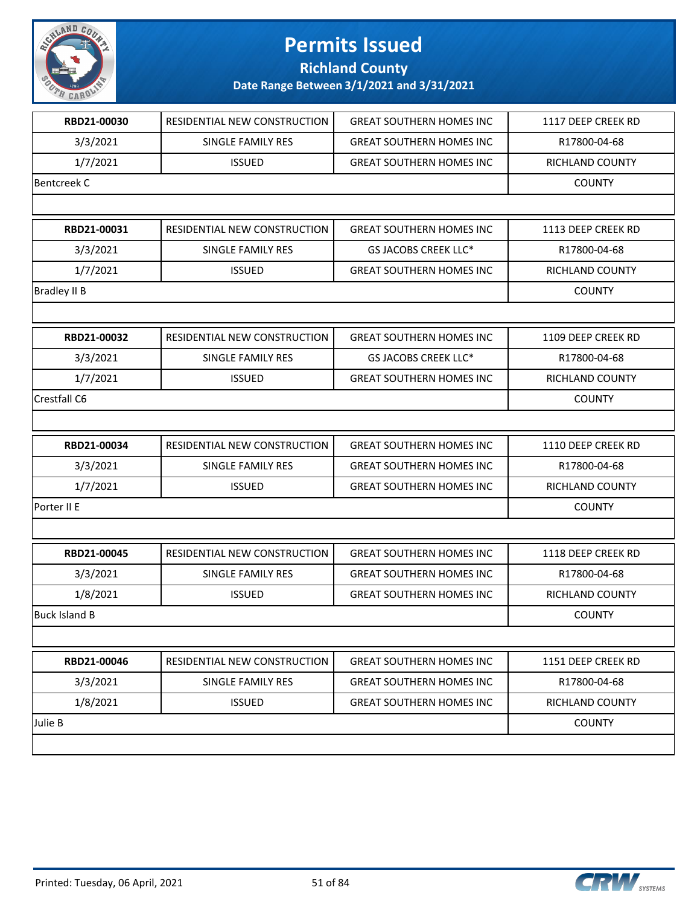

**Richland County**

| RBD21-00030         | RESIDENTIAL NEW CONSTRUCTION | <b>GREAT SOUTHERN HOMES INC</b> | 1117 DEEP CREEK RD |
|---------------------|------------------------------|---------------------------------|--------------------|
| 3/3/2021            | <b>SINGLE FAMILY RES</b>     | <b>GREAT SOUTHERN HOMES INC</b> | R17800-04-68       |
| 1/7/2021            | <b>ISSUED</b>                | <b>GREAT SOUTHERN HOMES INC</b> | RICHLAND COUNTY    |
| <b>Bentcreek C</b>  |                              |                                 | <b>COUNTY</b>      |
|                     |                              |                                 |                    |
| RBD21-00031         | RESIDENTIAL NEW CONSTRUCTION | <b>GREAT SOUTHERN HOMES INC</b> | 1113 DEEP CREEK RD |
| 3/3/2021            | SINGLE FAMILY RES            | GS JACOBS CREEK LLC*            | R17800-04-68       |
| 1/7/2021            | <b>ISSUED</b>                | <b>GREAT SOUTHERN HOMES INC</b> | RICHLAND COUNTY    |
| <b>Bradley II B</b> |                              |                                 | <b>COUNTY</b>      |
|                     |                              |                                 |                    |
| RBD21-00032         | RESIDENTIAL NEW CONSTRUCTION | <b>GREAT SOUTHERN HOMES INC</b> | 1109 DEEP CREEK RD |
| 3/3/2021            | SINGLE FAMILY RES            | GS JACOBS CREEK LLC*            | R17800-04-68       |
| 1/7/2021            | <b>ISSUED</b>                | <b>GREAT SOUTHERN HOMES INC</b> | RICHLAND COUNTY    |
| Crestfall C6        |                              |                                 | <b>COUNTY</b>      |
|                     |                              |                                 |                    |
| RBD21-00034         | RESIDENTIAL NEW CONSTRUCTION | <b>GREAT SOUTHERN HOMES INC</b> | 1110 DEEP CREEK RD |
| 3/3/2021            | SINGLE FAMILY RES            | <b>GREAT SOUTHERN HOMES INC</b> | R17800-04-68       |
| 1/7/2021            | <b>ISSUED</b>                | <b>GREAT SOUTHERN HOMES INC</b> | RICHLAND COUNTY    |
| Porter II E         |                              |                                 | <b>COUNTY</b>      |
|                     |                              |                                 |                    |
| RBD21-00045         | RESIDENTIAL NEW CONSTRUCTION | <b>GREAT SOUTHERN HOMES INC</b> | 1118 DEEP CREEK RD |
| 3/3/2021            | SINGLE FAMILY RES            | <b>GREAT SOUTHERN HOMES INC</b> | R17800-04-68       |
| 1/8/2021            | <b>ISSUED</b>                | <b>GREAT SOUTHERN HOMES INC</b> | RICHLAND COUNTY    |
| Buck Island B       |                              |                                 | COUNTY             |
|                     |                              |                                 |                    |
| RBD21-00046         | RESIDENTIAL NEW CONSTRUCTION | <b>GREAT SOUTHERN HOMES INC</b> | 1151 DEEP CREEK RD |
| 3/3/2021            | SINGLE FAMILY RES            | <b>GREAT SOUTHERN HOMES INC</b> | R17800-04-68       |
| 1/8/2021            | <b>ISSUED</b>                | <b>GREAT SOUTHERN HOMES INC</b> | RICHLAND COUNTY    |
| Julie B             |                              |                                 | <b>COUNTY</b>      |
|                     |                              |                                 |                    |
|                     |                              |                                 |                    |

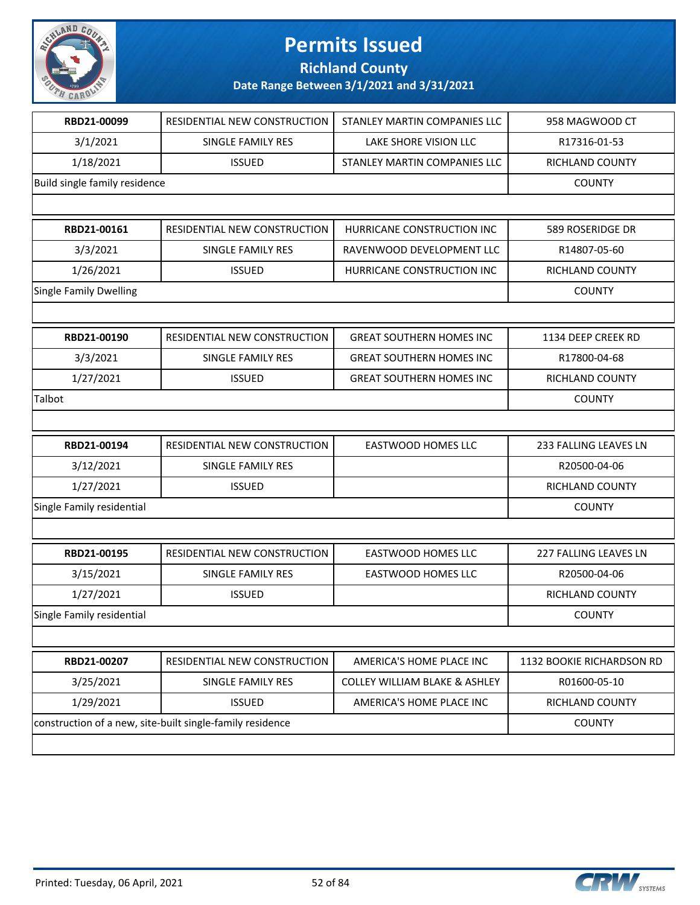

**Richland County**

| RBD21-00099                   | RESIDENTIAL NEW CONSTRUCTION                              | STANLEY MARTIN COMPANIES LLC             | 958 MAGWOOD CT            |
|-------------------------------|-----------------------------------------------------------|------------------------------------------|---------------------------|
| 3/1/2021                      | SINGLE FAMILY RES                                         | LAKE SHORE VISION LLC                    | R17316-01-53              |
| 1/18/2021                     | <b>ISSUED</b>                                             | STANLEY MARTIN COMPANIES LLC             | RICHLAND COUNTY           |
| Build single family residence |                                                           |                                          | <b>COUNTY</b>             |
|                               |                                                           |                                          |                           |
| RBD21-00161                   | RESIDENTIAL NEW CONSTRUCTION                              | HURRICANE CONSTRUCTION INC               | 589 ROSERIDGE DR          |
| 3/3/2021                      | SINGLE FAMILY RES                                         | RAVENWOOD DEVELOPMENT LLC                | R14807-05-60              |
| 1/26/2021                     | <b>ISSUED</b>                                             | HURRICANE CONSTRUCTION INC               | RICHLAND COUNTY           |
| <b>Single Family Dwelling</b> |                                                           |                                          | <b>COUNTY</b>             |
|                               |                                                           |                                          |                           |
| RBD21-00190                   | RESIDENTIAL NEW CONSTRUCTION                              | <b>GREAT SOUTHERN HOMES INC</b>          | 1134 DEEP CREEK RD        |
| 3/3/2021                      | SINGLE FAMILY RES                                         | <b>GREAT SOUTHERN HOMES INC</b>          | R17800-04-68              |
| 1/27/2021                     | <b>ISSUED</b>                                             | <b>GREAT SOUTHERN HOMES INC</b>          | RICHLAND COUNTY           |
| Talbot                        |                                                           |                                          | <b>COUNTY</b>             |
|                               |                                                           |                                          |                           |
| RBD21-00194                   | RESIDENTIAL NEW CONSTRUCTION                              | <b>EASTWOOD HOMES LLC</b>                | 233 FALLING LEAVES LN     |
| 3/12/2021                     | SINGLE FAMILY RES                                         |                                          | R20500-04-06              |
| 1/27/2021                     | <b>ISSUED</b>                                             |                                          | RICHLAND COUNTY           |
| Single Family residential     |                                                           |                                          | <b>COUNTY</b>             |
|                               |                                                           |                                          |                           |
| RBD21-00195                   | RESIDENTIAL NEW CONSTRUCTION                              | <b>EASTWOOD HOMES LLC</b>                | 227 FALLING LEAVES LN     |
| 3/15/2021                     | SINGLE FAMILY RES                                         | <b>EASTWOOD HOMES LLC</b>                | R20500-04-06              |
| 1/27/2021                     | <b>ISSUED</b>                                             |                                          | RICHLAND COUNTY           |
| Single Family residential     |                                                           |                                          | <b>COUNTY</b>             |
|                               |                                                           |                                          |                           |
| RBD21-00207                   | RESIDENTIAL NEW CONSTRUCTION                              | AMERICA'S HOME PLACE INC                 | 1132 BOOKIE RICHARDSON RD |
| 3/25/2021                     | <b>SINGLE FAMILY RES</b>                                  | <b>COLLEY WILLIAM BLAKE &amp; ASHLEY</b> | R01600-05-10              |
| 1/29/2021                     | <b>ISSUED</b>                                             | AMERICA'S HOME PLACE INC                 | RICHLAND COUNTY           |
|                               | construction of a new, site-built single-family residence |                                          | <b>COUNTY</b>             |
|                               |                                                           |                                          |                           |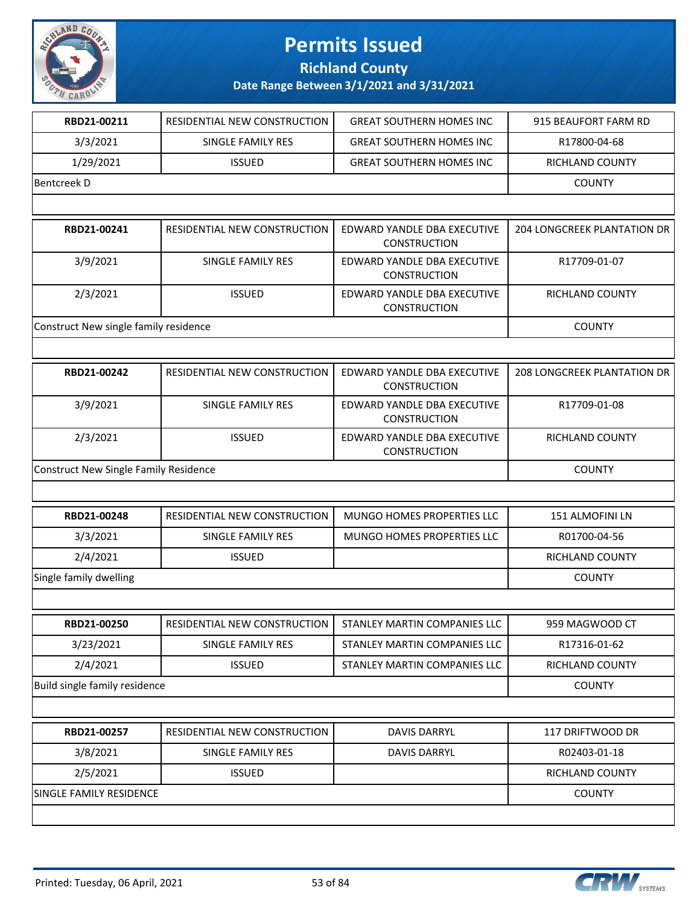

**Richland County**

| RBD21-00211                                  | RESIDENTIAL NEW CONSTRUCTION | <b>GREAT SOUTHERN HOMES INC</b>                    | 915 BEAUFORT FARM RD               |
|----------------------------------------------|------------------------------|----------------------------------------------------|------------------------------------|
| 3/3/2021                                     | SINGLE FAMILY RES            | <b>GREAT SOUTHERN HOMES INC</b>                    | R17800-04-68                       |
| 1/29/2021                                    | <b>ISSUED</b>                | <b>GREAT SOUTHERN HOMES INC</b>                    | RICHLAND COUNTY                    |
| <b>Bentcreek D</b>                           |                              |                                                    | <b>COUNTY</b>                      |
|                                              |                              |                                                    |                                    |
| RBD21-00241                                  | RESIDENTIAL NEW CONSTRUCTION | EDWARD YANDLE DBA EXECUTIVE<br><b>CONSTRUCTION</b> | <b>204 LONGCREEK PLANTATION DR</b> |
| 3/9/2021                                     | SINGLE FAMILY RES            | EDWARD YANDLE DBA EXECUTIVE<br><b>CONSTRUCTION</b> | R17709-01-07                       |
| 2/3/2021                                     | <b>ISSUED</b>                | EDWARD YANDLE DBA EXECUTIVE<br><b>CONSTRUCTION</b> | RICHLAND COUNTY                    |
| Construct New single family residence        |                              |                                                    | <b>COUNTY</b>                      |
|                                              |                              |                                                    |                                    |
| RBD21-00242                                  | RESIDENTIAL NEW CONSTRUCTION | EDWARD YANDLE DBA EXECUTIVE<br>CONSTRUCTION        | 208 LONGCREEK PLANTATION DR        |
| 3/9/2021                                     | <b>SINGLE FAMILY RES</b>     | EDWARD YANDLE DBA EXECUTIVE<br><b>CONSTRUCTION</b> | R17709-01-08                       |
| 2/3/2021                                     | <b>ISSUED</b>                | EDWARD YANDLE DBA EXECUTIVE<br><b>CONSTRUCTION</b> | <b>RICHLAND COUNTY</b>             |
| <b>Construct New Single Family Residence</b> |                              |                                                    | <b>COUNTY</b>                      |
|                                              |                              |                                                    |                                    |
| RBD21-00248                                  | RESIDENTIAL NEW CONSTRUCTION | MUNGO HOMES PROPERTIES LLC                         | 151 ALMOFINI LN                    |
| 3/3/2021                                     | SINGLE FAMILY RES            | MUNGO HOMES PROPERTIES LLC                         | R01700-04-56                       |
| 2/4/2021                                     | <b>ISSUED</b>                |                                                    | RICHLAND COUNTY                    |
| Single family dwelling                       |                              |                                                    | <b>COUNTY</b>                      |
|                                              |                              |                                                    |                                    |
| RBD21-00250                                  | RESIDENTIAL NEW CONSTRUCTION | STANLEY MARTIN COMPANIES LLC                       | 959 MAGWOOD CT                     |
| 3/23/2021                                    | SINGLE FAMILY RES            | STANLEY MARTIN COMPANIES LLC                       | R17316-01-62                       |
| 2/4/2021                                     | <b>ISSUED</b>                | STANLEY MARTIN COMPANIES LLC                       | RICHLAND COUNTY                    |
| Build single family residence                |                              |                                                    | <b>COUNTY</b>                      |
|                                              |                              |                                                    |                                    |
| RBD21-00257                                  | RESIDENTIAL NEW CONSTRUCTION | DAVIS DARRYL                                       | 117 DRIFTWOOD DR                   |
| 3/8/2021                                     | SINGLE FAMILY RES            | <b>DAVIS DARRYL</b>                                | R02403-01-18                       |
| 2/5/2021                                     | <b>ISSUED</b>                |                                                    | RICHLAND COUNTY                    |
| SINGLE FAMILY RESIDENCE                      |                              |                                                    | <b>COUNTY</b>                      |
|                                              |                              |                                                    |                                    |

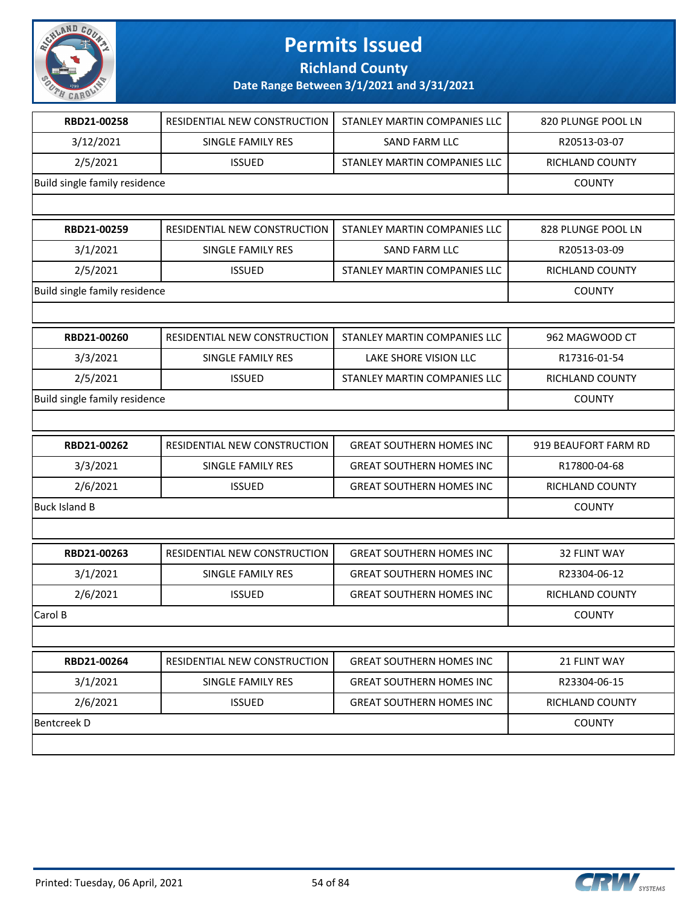

**Richland County**

| RBD21-00258                   | RESIDENTIAL NEW CONSTRUCTION | STANLEY MARTIN COMPANIES LLC    | 820 PLUNGE POOL LN   |
|-------------------------------|------------------------------|---------------------------------|----------------------|
| 3/12/2021                     | SINGLE FAMILY RES            | <b>SAND FARM LLC</b>            | R20513-03-07         |
| 2/5/2021                      | <b>ISSUED</b>                | STANLEY MARTIN COMPANIES LLC    | RICHLAND COUNTY      |
| Build single family residence |                              |                                 | <b>COUNTY</b>        |
|                               |                              |                                 |                      |
| RBD21-00259                   | RESIDENTIAL NEW CONSTRUCTION | STANLEY MARTIN COMPANIES LLC    | 828 PLUNGE POOL LN   |
| 3/1/2021                      | <b>SINGLE FAMILY RES</b>     | <b>SAND FARM LLC</b>            | R20513-03-09         |
| 2/5/2021                      | <b>ISSUED</b>                | STANLEY MARTIN COMPANIES LLC    | RICHLAND COUNTY      |
| Build single family residence |                              |                                 | <b>COUNTY</b>        |
|                               |                              |                                 |                      |
| RBD21-00260                   | RESIDENTIAL NEW CONSTRUCTION | STANLEY MARTIN COMPANIES LLC    | 962 MAGWOOD CT       |
| 3/3/2021                      | SINGLE FAMILY RES            | LAKE SHORE VISION LLC           | R17316-01-54         |
| 2/5/2021                      | <b>ISSUED</b>                | STANLEY MARTIN COMPANIES LLC    | RICHLAND COUNTY      |
| Build single family residence |                              |                                 | <b>COUNTY</b>        |
|                               |                              |                                 |                      |
|                               |                              |                                 |                      |
| RBD21-00262                   | RESIDENTIAL NEW CONSTRUCTION | <b>GREAT SOUTHERN HOMES INC</b> | 919 BEAUFORT FARM RD |
| 3/3/2021                      | SINGLE FAMILY RES            | <b>GREAT SOUTHERN HOMES INC</b> | R17800-04-68         |
| 2/6/2021                      | <b>ISSUED</b>                | <b>GREAT SOUTHERN HOMES INC</b> | RICHLAND COUNTY      |
| <b>Buck Island B</b>          |                              |                                 | <b>COUNTY</b>        |
|                               |                              |                                 |                      |
| RBD21-00263                   | RESIDENTIAL NEW CONSTRUCTION | <b>GREAT SOUTHERN HOMES INC</b> | 32 FLINT WAY         |
| 3/1/2021                      | SINGLE FAMILY RES            | <b>GREAT SOUTHERN HOMES INC</b> | R23304-06-12         |
| 2/6/2021                      | <b>ISSUED</b>                | <b>GREAT SOUTHERN HOMES INC</b> | RICHLAND COUNTY      |
| Carol B                       |                              |                                 | <b>COUNTY</b>        |
|                               |                              |                                 |                      |
| RBD21-00264                   | RESIDENTIAL NEW CONSTRUCTION | <b>GREAT SOUTHERN HOMES INC</b> | 21 FLINT WAY         |
| 3/1/2021                      | SINGLE FAMILY RES            | <b>GREAT SOUTHERN HOMES INC</b> | R23304-06-15         |
| 2/6/2021                      | <b>ISSUED</b>                | <b>GREAT SOUTHERN HOMES INC</b> | RICHLAND COUNTY      |
| <b>Bentcreek D</b>            |                              |                                 | <b>COUNTY</b>        |

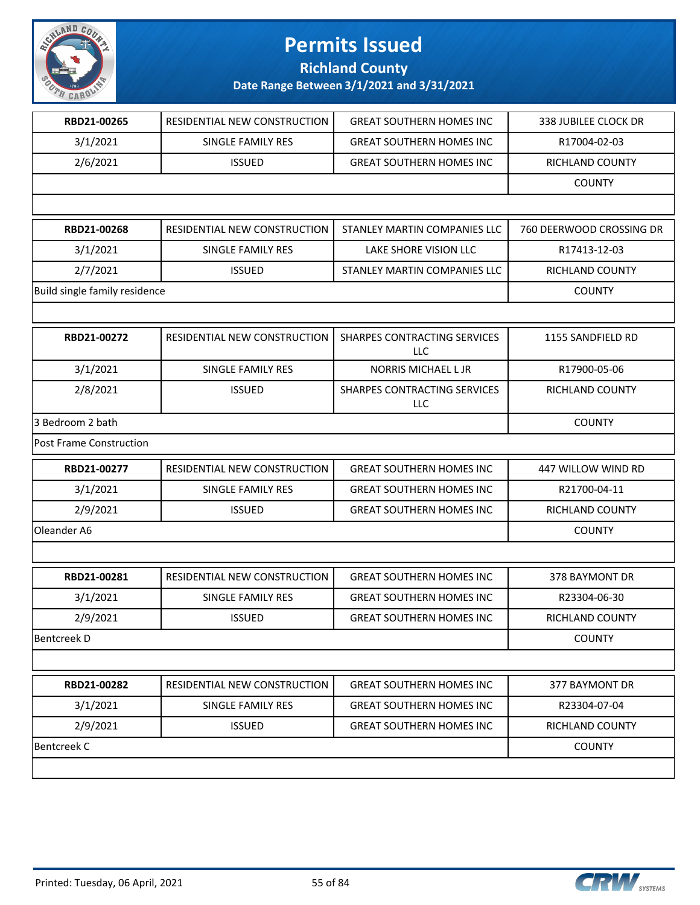

**Richland County**

| RBD21-00265                   | RESIDENTIAL NEW CONSTRUCTION | <b>GREAT SOUTHERN HOMES INC</b>     | 338 JUBILEE CLOCK DR     |
|-------------------------------|------------------------------|-------------------------------------|--------------------------|
| 3/1/2021                      | SINGLE FAMILY RES            | <b>GREAT SOUTHERN HOMES INC</b>     | R17004-02-03             |
| 2/6/2021                      | <b>ISSUED</b>                | <b>GREAT SOUTHERN HOMES INC</b>     | RICHLAND COUNTY          |
|                               |                              |                                     | <b>COUNTY</b>            |
|                               |                              |                                     |                          |
| RBD21-00268                   | RESIDENTIAL NEW CONSTRUCTION | STANLEY MARTIN COMPANIES LLC        | 760 DEERWOOD CROSSING DR |
| 3/1/2021                      | SINGLE FAMILY RES            | LAKE SHORE VISION LLC               | R17413-12-03             |
| 2/7/2021                      | <b>ISSUED</b>                | STANLEY MARTIN COMPANIES LLC        | RICHLAND COUNTY          |
| Build single family residence |                              |                                     | <b>COUNTY</b>            |
|                               |                              |                                     |                          |
| RBD21-00272                   | RESIDENTIAL NEW CONSTRUCTION | SHARPES CONTRACTING SERVICES<br>LLC | 1155 SANDFIELD RD        |
| 3/1/2021                      | SINGLE FAMILY RES            | NORRIS MICHAEL L JR                 | R17900-05-06             |
| 2/8/2021                      | <b>ISSUED</b>                | SHARPES CONTRACTING SERVICES<br>LLC | <b>RICHLAND COUNTY</b>   |
| 3 Bedroom 2 bath              |                              |                                     | <b>COUNTY</b>            |
| Post Frame Construction       |                              |                                     |                          |
| RBD21-00277                   | RESIDENTIAL NEW CONSTRUCTION | <b>GREAT SOUTHERN HOMES INC</b>     | 447 WILLOW WIND RD       |
| 3/1/2021                      | SINGLE FAMILY RES            | <b>GREAT SOUTHERN HOMES INC</b>     | R21700-04-11             |
| 2/9/2021                      | <b>ISSUED</b>                | <b>GREAT SOUTHERN HOMES INC</b>     | RICHLAND COUNTY          |
| Oleander A6                   |                              |                                     | <b>COUNTY</b>            |
|                               |                              |                                     |                          |
| RBD21-00281                   | RESIDENTIAL NEW CONSTRUCTION | <b>GREAT SOUTHERN HOMES INC</b>     | 378 BAYMONT DR           |
| 3/1/2021                      | SINGLE FAMILY RES            | <b>GREAT SOUTHERN HOMES INC</b>     | R23304-06-30             |
| 2/9/2021                      | <b>ISSUED</b>                | <b>GREAT SOUTHERN HOMES INC</b>     | RICHLAND COUNTY          |
| <b>Bentcreek D</b>            |                              |                                     | <b>COUNTY</b>            |
|                               |                              |                                     |                          |
| RBD21-00282                   | RESIDENTIAL NEW CONSTRUCTION | <b>GREAT SOUTHERN HOMES INC</b>     | 377 BAYMONT DR           |
| 3/1/2021                      | SINGLE FAMILY RES            | <b>GREAT SOUTHERN HOMES INC</b>     | R23304-07-04             |
| 2/9/2021                      | <b>ISSUED</b>                | <b>GREAT SOUTHERN HOMES INC</b>     | RICHLAND COUNTY          |
| <b>Bentcreek C</b>            |                              |                                     | <b>COUNTY</b>            |
|                               |                              |                                     |                          |

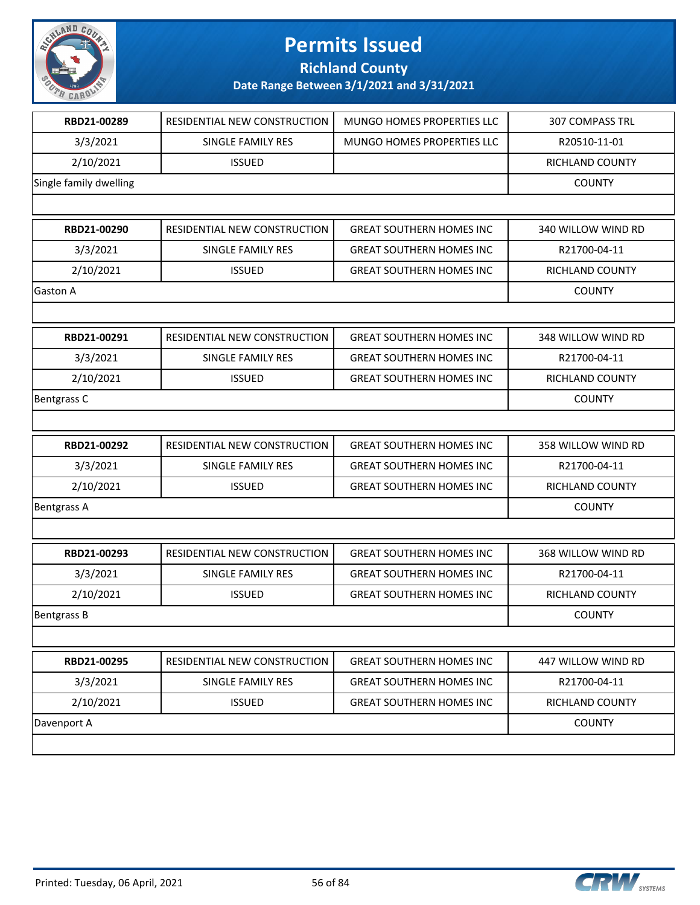

**Richland County**

| RBD21-00289            | RESIDENTIAL NEW CONSTRUCTION | MUNGO HOMES PROPERTIES LLC      | <b>307 COMPASS TRL</b> |
|------------------------|------------------------------|---------------------------------|------------------------|
| 3/3/2021               | SINGLE FAMILY RES            | MUNGO HOMES PROPERTIES LLC      | R20510-11-01           |
| 2/10/2021              | <b>ISSUED</b>                |                                 | RICHLAND COUNTY        |
| Single family dwelling |                              |                                 | <b>COUNTY</b>          |
|                        |                              |                                 |                        |
| RBD21-00290            | RESIDENTIAL NEW CONSTRUCTION | <b>GREAT SOUTHERN HOMES INC</b> | 340 WILLOW WIND RD     |
| 3/3/2021               | SINGLE FAMILY RES            | <b>GREAT SOUTHERN HOMES INC</b> | R21700-04-11           |
| 2/10/2021              | <b>ISSUED</b>                | <b>GREAT SOUTHERN HOMES INC</b> | RICHLAND COUNTY        |
| Gaston A               |                              |                                 | <b>COUNTY</b>          |
|                        |                              |                                 |                        |
| RBD21-00291            | RESIDENTIAL NEW CONSTRUCTION | <b>GREAT SOUTHERN HOMES INC</b> | 348 WILLOW WIND RD     |
| 3/3/2021               | SINGLE FAMILY RES            | <b>GREAT SOUTHERN HOMES INC</b> | R21700-04-11           |
| 2/10/2021              | <b>ISSUED</b>                | <b>GREAT SOUTHERN HOMES INC</b> | RICHLAND COUNTY        |
| Bentgrass C            |                              |                                 | <b>COUNTY</b>          |
|                        |                              |                                 |                        |
| RBD21-00292            | RESIDENTIAL NEW CONSTRUCTION | <b>GREAT SOUTHERN HOMES INC</b> | 358 WILLOW WIND RD     |
| 3/3/2021               | SINGLE FAMILY RES            | <b>GREAT SOUTHERN HOMES INC</b> | R21700-04-11           |
| 2/10/2021              | <b>ISSUED</b>                | <b>GREAT SOUTHERN HOMES INC</b> | RICHLAND COUNTY        |
| <b>Bentgrass A</b>     |                              |                                 | <b>COUNTY</b>          |
|                        |                              |                                 |                        |
| RBD21-00293            | RESIDENTIAL NEW CONSTRUCTION | <b>GREAT SOUTHERN HOMES INC</b> | 368 WILLOW WIND RD     |
| 3/3/2021               | SINGLE FAMILY RES            | <b>GREAT SOUTHERN HOMES INC</b> | R21700-04-11           |
| 2/10/2021              | <b>ISSUED</b>                | <b>GREAT SOUTHERN HOMES INC</b> | RICHLAND COUNTY        |
| <b>Bentgrass B</b>     |                              |                                 | <b>COUNTY</b>          |
|                        |                              |                                 |                        |
| RBD21-00295            | RESIDENTIAL NEW CONSTRUCTION | <b>GREAT SOUTHERN HOMES INC</b> | 447 WILLOW WIND RD     |
| 3/3/2021               | SINGLE FAMILY RES            | <b>GREAT SOUTHERN HOMES INC</b> | R21700-04-11           |
| 2/10/2021              | <b>ISSUED</b>                | <b>GREAT SOUTHERN HOMES INC</b> | <b>RICHLAND COUNTY</b> |
| Davenport A            |                              |                                 | <b>COUNTY</b>          |
|                        |                              |                                 |                        |

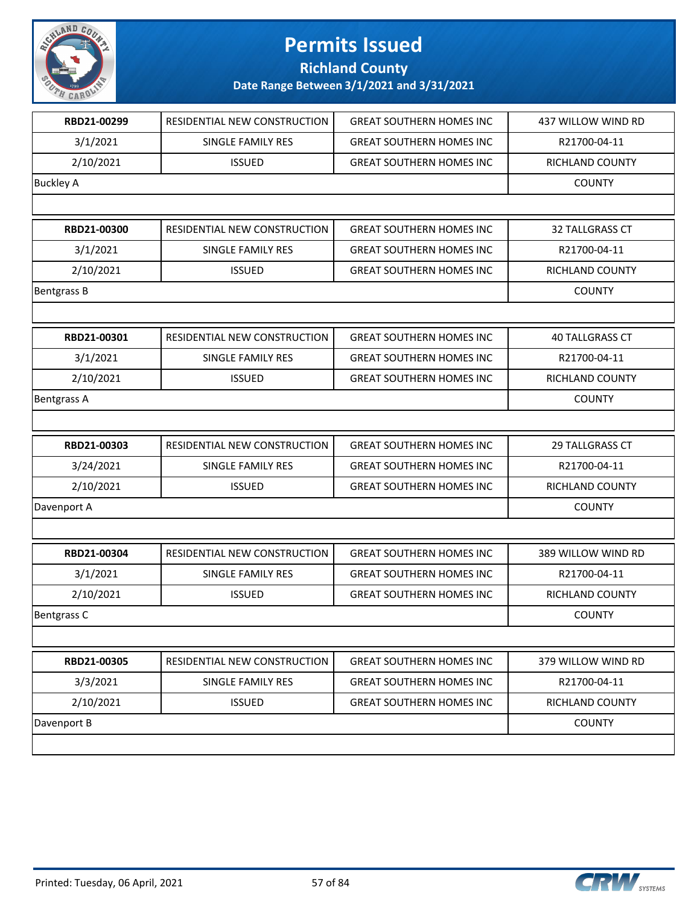

**Richland County**

| RBD21-00299        | RESIDENTIAL NEW CONSTRUCTION | <b>GREAT SOUTHERN HOMES INC</b>  | 437 WILLOW WIND RD     |
|--------------------|------------------------------|----------------------------------|------------------------|
| 3/1/2021           | SINGLE FAMILY RES            | <b>GREAT SOUTHERN HOMES INC</b>  | R21700-04-11           |
| 2/10/2021          | <b>ISSUED</b>                | <b>GREAT SOUTHERN HOMES INC</b>  | RICHLAND COUNTY        |
| <b>Buckley A</b>   |                              |                                  | <b>COUNTY</b>          |
|                    |                              |                                  |                        |
| RBD21-00300        | RESIDENTIAL NEW CONSTRUCTION | <b>GREAT SOUTHERN HOMES INC</b>  | <b>32 TALLGRASS CT</b> |
| 3/1/2021           | SINGLE FAMILY RES            | <b>GREAT SOUTHERN HOMES INC</b>  | R21700-04-11           |
| 2/10/2021          | <b>ISSUED</b>                | <b>GREAT SOUTHERN HOMES INC</b>  | RICHLAND COUNTY        |
| <b>Bentgrass B</b> |                              |                                  | <b>COUNTY</b>          |
|                    |                              |                                  |                        |
| RBD21-00301        | RESIDENTIAL NEW CONSTRUCTION | <b>GREAT SOUTHERN HOMES INC</b>  | <b>40 TALLGRASS CT</b> |
| 3/1/2021           | <b>SINGLE FAMILY RES</b>     | <b>GREAT SOUTHERN HOMES INC.</b> | R21700-04-11           |
| 2/10/2021          | <b>ISSUED</b>                | <b>GREAT SOUTHERN HOMES INC</b>  | RICHLAND COUNTY        |
| <b>Bentgrass A</b> |                              |                                  | <b>COUNTY</b>          |
|                    |                              |                                  |                        |
| RBD21-00303        | RESIDENTIAL NEW CONSTRUCTION | <b>GREAT SOUTHERN HOMES INC</b>  | 29 TALLGRASS CT        |
| 3/24/2021          | SINGLE FAMILY RES            | <b>GREAT SOUTHERN HOMES INC</b>  | R21700-04-11           |
| 2/10/2021          | <b>ISSUED</b>                | <b>GREAT SOUTHERN HOMES INC</b>  | RICHLAND COUNTY        |
| Davenport A        |                              |                                  | <b>COUNTY</b>          |
|                    |                              |                                  |                        |
| RBD21-00304        | RESIDENTIAL NEW CONSTRUCTION | <b>GREAT SOUTHERN HOMES INC</b>  | 389 WILLOW WIND RD     |
| 3/1/2021           | SINGLE FAMILY RES            | <b>GREAT SOUTHERN HOMES INC</b>  | R21700-04-11           |
| 2/10/2021          | <b>ISSUED</b>                | <b>GREAT SOUTHERN HOMES INC</b>  | RICHLAND COUNTY        |
| Bentgrass C        |                              |                                  | <b>COUNTY</b>          |
|                    |                              |                                  |                        |
| RBD21-00305        | RESIDENTIAL NEW CONSTRUCTION | <b>GREAT SOUTHERN HOMES INC</b>  | 379 WILLOW WIND RD     |
| 3/3/2021           | <b>SINGLE FAMILY RES</b>     | <b>GREAT SOUTHERN HOMES INC</b>  | R21700-04-11           |
| 2/10/2021          | <b>ISSUED</b>                | <b>GREAT SOUTHERN HOMES INC</b>  | RICHLAND COUNTY        |
| Davenport B        |                              |                                  | <b>COUNTY</b>          |
|                    |                              |                                  |                        |

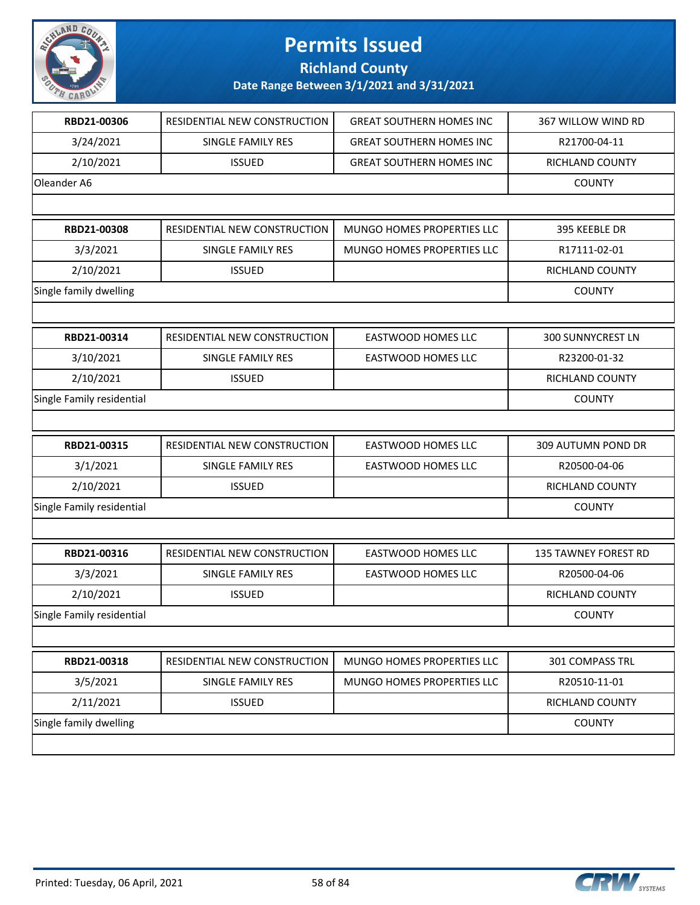

**Richland County**

| RBD21-00306               | RESIDENTIAL NEW CONSTRUCTION | <b>GREAT SOUTHERN HOMES INC</b> | 367 WILLOW WIND RD          |
|---------------------------|------------------------------|---------------------------------|-----------------------------|
| 3/24/2021                 | SINGLE FAMILY RES            | <b>GREAT SOUTHERN HOMES INC</b> | R21700-04-11                |
| 2/10/2021                 | <b>ISSUED</b>                | <b>GREAT SOUTHERN HOMES INC</b> | RICHLAND COUNTY             |
| Oleander A6               |                              |                                 | <b>COUNTY</b>               |
|                           |                              |                                 |                             |
| RBD21-00308               | RESIDENTIAL NEW CONSTRUCTION | MUNGO HOMES PROPERTIES LLC      | 395 KEEBLE DR               |
| 3/3/2021                  | <b>SINGLE FAMILY RES</b>     | MUNGO HOMES PROPERTIES LLC      | R17111-02-01                |
| 2/10/2021                 | <b>ISSUED</b>                |                                 | RICHLAND COUNTY             |
| Single family dwelling    |                              |                                 | <b>COUNTY</b>               |
|                           |                              |                                 |                             |
| RBD21-00314               | RESIDENTIAL NEW CONSTRUCTION | <b>EASTWOOD HOMES LLC</b>       | <b>300 SUNNYCREST LN</b>    |
| 3/10/2021                 | SINGLE FAMILY RES            | EASTWOOD HOMES LLC              | R23200-01-32                |
| 2/10/2021                 | <b>ISSUED</b>                |                                 | RICHLAND COUNTY             |
| Single Family residential |                              |                                 | <b>COUNTY</b>               |
|                           |                              |                                 |                             |
| RBD21-00315               | RESIDENTIAL NEW CONSTRUCTION | <b>EASTWOOD HOMES LLC</b>       | 309 AUTUMN POND DR          |
| 3/1/2021                  | SINGLE FAMILY RES            | EASTWOOD HOMES LLC              | R20500-04-06                |
| 2/10/2021                 | <b>ISSUED</b>                |                                 | RICHLAND COUNTY             |
| Single Family residential |                              |                                 | <b>COUNTY</b>               |
|                           |                              |                                 |                             |
| RBD21-00316               | RESIDENTIAL NEW CONSTRUCTION | <b>EASTWOOD HOMES LLC</b>       | <b>135 TAWNEY FOREST RD</b> |
| 3/3/2021                  | SINGLE FAMILY RES            | <b>EASTWOOD HOMES LLC</b>       | R20500-04-06                |
| 2/10/2021                 | <b>ISSUED</b>                |                                 | RICHLAND COUNTY             |
| Single Family residential |                              |                                 | <b>COUNTY</b>               |
|                           |                              |                                 |                             |
| RBD21-00318               | RESIDENTIAL NEW CONSTRUCTION | MUNGO HOMES PROPERTIES LLC      | 301 COMPASS TRL             |
| 3/5/2021                  | SINGLE FAMILY RES            | MUNGO HOMES PROPERTIES LLC      | R20510-11-01                |
| 2/11/2021                 | <b>ISSUED</b>                |                                 | RICHLAND COUNTY             |
| Single family dwelling    |                              |                                 | <b>COUNTY</b>               |
|                           |                              |                                 |                             |

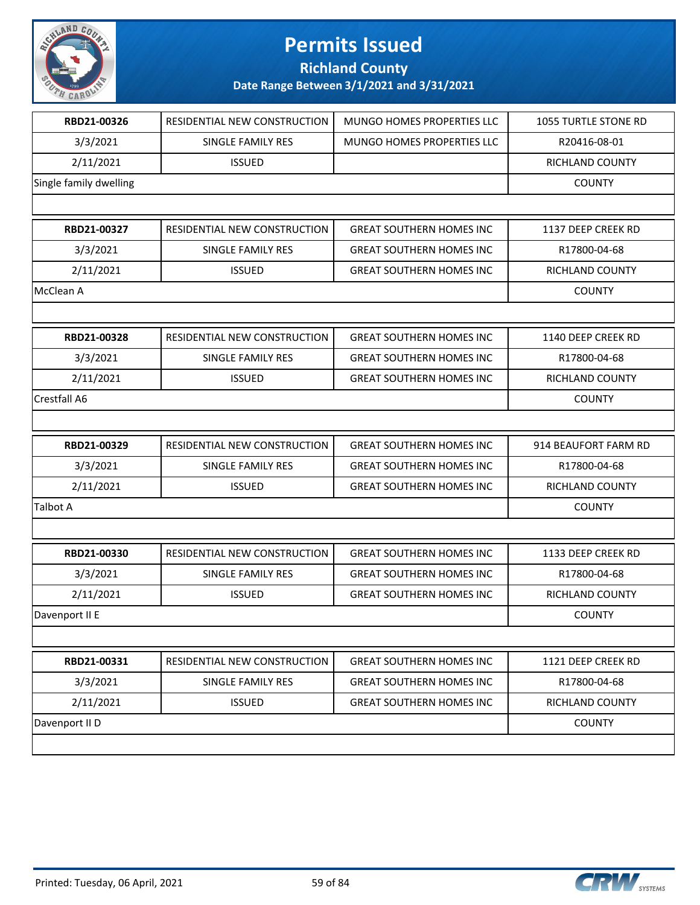

**Richland County**

| RBD21-00326            | RESIDENTIAL NEW CONSTRUCTION | MUNGO HOMES PROPERTIES LLC       | <b>1055 TURTLE STONE RD</b> |
|------------------------|------------------------------|----------------------------------|-----------------------------|
| 3/3/2021               | SINGLE FAMILY RES            | MUNGO HOMES PROPERTIES LLC       | R20416-08-01                |
| 2/11/2021              | <b>ISSUED</b>                |                                  | RICHLAND COUNTY             |
| Single family dwelling |                              |                                  | <b>COUNTY</b>               |
|                        |                              |                                  |                             |
| RBD21-00327            | RESIDENTIAL NEW CONSTRUCTION | <b>GREAT SOUTHERN HOMES INC</b>  | 1137 DEEP CREEK RD          |
| 3/3/2021               | SINGLE FAMILY RES            | <b>GREAT SOUTHERN HOMES INC</b>  | R17800-04-68                |
| 2/11/2021              | <b>ISSUED</b>                | <b>GREAT SOUTHERN HOMES INC</b>  | RICHLAND COUNTY             |
| McClean A              |                              |                                  | <b>COUNTY</b>               |
|                        |                              |                                  |                             |
| RBD21-00328            | RESIDENTIAL NEW CONSTRUCTION | <b>GREAT SOUTHERN HOMES INC</b>  | 1140 DEEP CREEK RD          |
| 3/3/2021               | <b>SINGLE FAMILY RES</b>     | <b>GREAT SOUTHERN HOMES INC.</b> | R17800-04-68                |
| 2/11/2021              | <b>ISSUED</b>                | <b>GREAT SOUTHERN HOMES INC</b>  | RICHLAND COUNTY             |
| Crestfall A6           |                              |                                  | <b>COUNTY</b>               |
|                        |                              |                                  |                             |
|                        |                              |                                  |                             |
| RBD21-00329            | RESIDENTIAL NEW CONSTRUCTION | <b>GREAT SOUTHERN HOMES INC</b>  | 914 BEAUFORT FARM RD        |
| 3/3/2021               | SINGLE FAMILY RES            | <b>GREAT SOUTHERN HOMES INC</b>  | R17800-04-68                |
| 2/11/2021              | <b>ISSUED</b>                | <b>GREAT SOUTHERN HOMES INC</b>  | <b>RICHLAND COUNTY</b>      |
| Talbot A               |                              |                                  | <b>COUNTY</b>               |
|                        |                              |                                  |                             |
| RBD21-00330            | RESIDENTIAL NEW CONSTRUCTION | <b>GREAT SOUTHERN HOMES INC</b>  | 1133 DEEP CREEK RD          |
| 3/3/2021               | SINGLE FAMILY RES            | <b>GREAT SOUTHERN HOMES INC</b>  | R17800-04-68                |
| 2/11/2021              | <b>ISSUED</b>                | <b>GREAT SOUTHERN HOMES INC</b>  | RICHLAND COUNTY             |
| Davenport II E         |                              |                                  | <b>COUNTY</b>               |
|                        |                              |                                  |                             |
| RBD21-00331            | RESIDENTIAL NEW CONSTRUCTION | <b>GREAT SOUTHERN HOMES INC</b>  | 1121 DEEP CREEK RD          |
| 3/3/2021               | SINGLE FAMILY RES            | <b>GREAT SOUTHERN HOMES INC</b>  | R17800-04-68                |
| 2/11/2021              | <b>ISSUED</b>                | <b>GREAT SOUTHERN HOMES INC</b>  | RICHLAND COUNTY             |
| Davenport II D         |                              |                                  | <b>COUNTY</b>               |

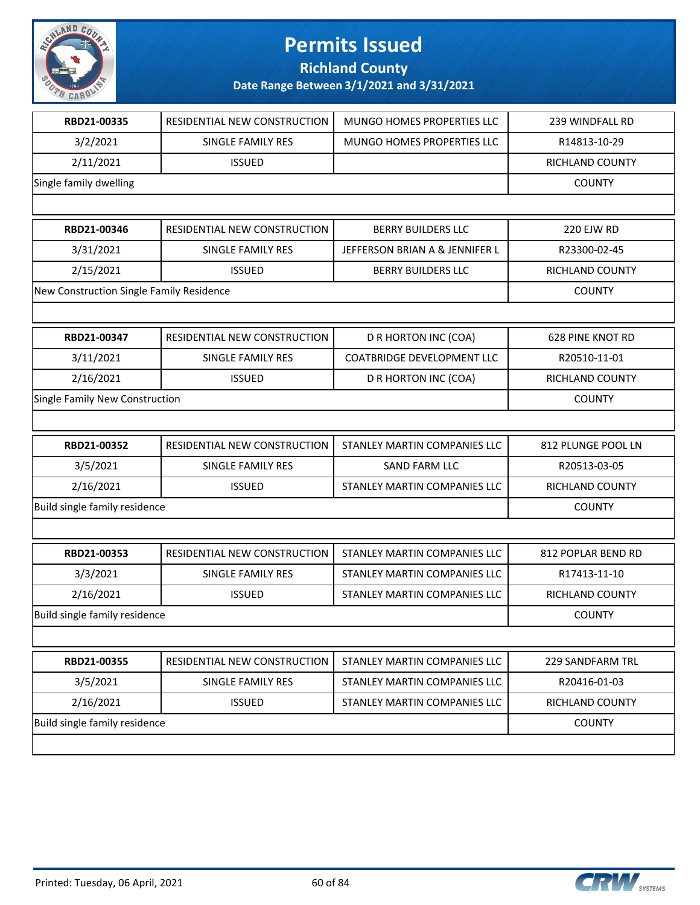

**Richland County**

| RBD21-00335                              | RESIDENTIAL NEW CONSTRUCTION | MUNGO HOMES PROPERTIES LLC        | 239 WINDFALL RD         |
|------------------------------------------|------------------------------|-----------------------------------|-------------------------|
| 3/2/2021                                 | SINGLE FAMILY RES            | MUNGO HOMES PROPERTIES LLC        | R14813-10-29            |
| 2/11/2021                                | <b>ISSUED</b>                |                                   | RICHLAND COUNTY         |
| Single family dwelling                   |                              |                                   | <b>COUNTY</b>           |
|                                          |                              |                                   |                         |
| RBD21-00346                              | RESIDENTIAL NEW CONSTRUCTION | <b>BERRY BUILDERS LLC</b>         | <b>220 EJW RD</b>       |
| 3/31/2021                                | SINGLE FAMILY RES            | JEFFERSON BRIAN A & JENNIFER L    | R23300-02-45            |
| 2/15/2021                                | <b>ISSUED</b>                | <b>BERRY BUILDERS LLC</b>         | RICHLAND COUNTY         |
| New Construction Single Family Residence |                              |                                   | <b>COUNTY</b>           |
|                                          |                              |                                   |                         |
| RBD21-00347                              | RESIDENTIAL NEW CONSTRUCTION | D R HORTON INC (COA)              | <b>628 PINE KNOT RD</b> |
| 3/11/2021                                | SINGLE FAMILY RES            | <b>COATBRIDGE DEVELOPMENT LLC</b> | R20510-11-01            |
| 2/16/2021                                | <b>ISSUED</b>                | D R HORTON INC (COA)              | RICHLAND COUNTY         |
| Single Family New Construction           |                              |                                   | <b>COUNTY</b>           |
|                                          |                              |                                   |                         |
| RBD21-00352                              | RESIDENTIAL NEW CONSTRUCTION | STANLEY MARTIN COMPANIES LLC      | 812 PLUNGE POOL LN      |
| 3/5/2021                                 | SINGLE FAMILY RES            | SAND FARM LLC                     | R20513-03-05            |
| 2/16/2021                                | <b>ISSUED</b>                | STANLEY MARTIN COMPANIES LLC      | RICHLAND COUNTY         |
| Build single family residence            |                              |                                   | <b>COUNTY</b>           |
|                                          |                              |                                   |                         |
| RBD21-00353                              | RESIDENTIAL NEW CONSTRUCTION | STANLEY MARTIN COMPANIES LLC      | 812 POPLAR BEND RD      |
| 3/3/2021                                 | SINGLE FAMILY RES            | STANLEY MARTIN COMPANIES LLC      | R17413-11-10            |
| 2/16/2021                                | <b>ISSUED</b>                | STANLEY MARTIN COMPANIES LLC      | RICHLAND COUNTY         |
| Build single family residence            |                              |                                   | <b>COUNTY</b>           |
|                                          |                              |                                   |                         |
| RBD21-00355                              | RESIDENTIAL NEW CONSTRUCTION | STANLEY MARTIN COMPANIES LLC      | 229 SANDFARM TRL        |
| 3/5/2021                                 | SINGLE FAMILY RES            | STANLEY MARTIN COMPANIES LLC      | R20416-01-03            |
| 2/16/2021                                | <b>ISSUED</b>                | STANLEY MARTIN COMPANIES LLC      | RICHLAND COUNTY         |
| Build single family residence            |                              |                                   | <b>COUNTY</b>           |
|                                          |                              |                                   |                         |

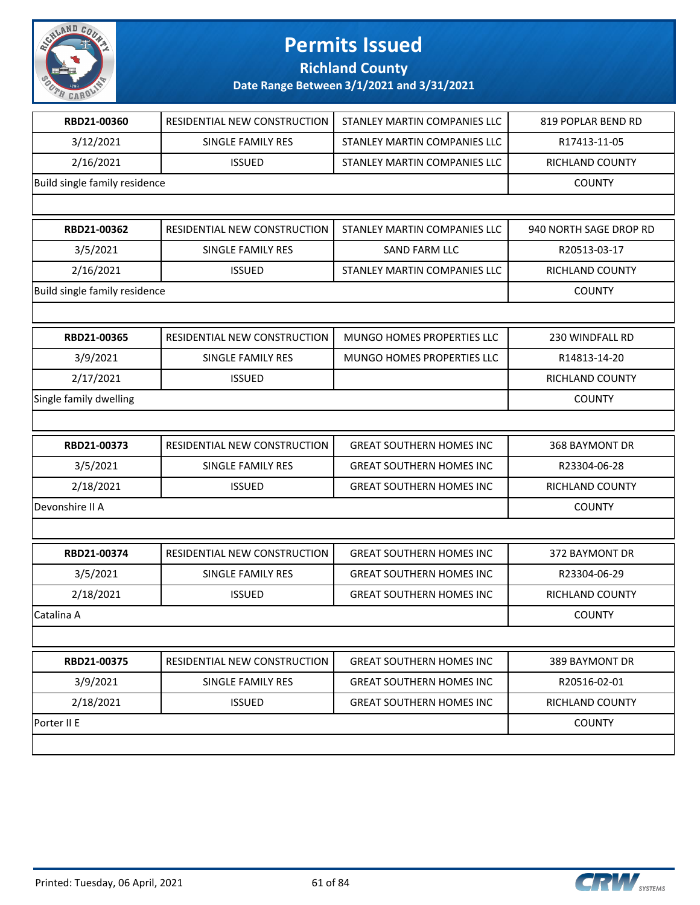

**Richland County**

| RBD21-00360                   | RESIDENTIAL NEW CONSTRUCTION | STANLEY MARTIN COMPANIES LLC    | 819 POPLAR BEND RD     |
|-------------------------------|------------------------------|---------------------------------|------------------------|
| 3/12/2021                     | SINGLE FAMILY RES            | STANLEY MARTIN COMPANIES LLC    | R17413-11-05           |
| 2/16/2021                     | <b>ISSUED</b>                | STANLEY MARTIN COMPANIES LLC    | RICHLAND COUNTY        |
| Build single family residence |                              |                                 | <b>COUNTY</b>          |
|                               |                              |                                 |                        |
| RBD21-00362                   | RESIDENTIAL NEW CONSTRUCTION | STANLEY MARTIN COMPANIES LLC    | 940 NORTH SAGE DROP RD |
| 3/5/2021                      | SINGLE FAMILY RES            | <b>SAND FARM LLC</b>            | R20513-03-17           |
| 2/16/2021                     | <b>ISSUED</b>                | STANLEY MARTIN COMPANIES LLC    | RICHLAND COUNTY        |
| Build single family residence |                              |                                 | <b>COUNTY</b>          |
|                               |                              |                                 |                        |
| RBD21-00365                   | RESIDENTIAL NEW CONSTRUCTION | MUNGO HOMES PROPERTIES LLC      | 230 WINDFALL RD        |
| 3/9/2021                      | SINGLE FAMILY RES            | MUNGO HOMES PROPERTIES LLC      | R14813-14-20           |
| 2/17/2021                     | <b>ISSUED</b>                |                                 | RICHLAND COUNTY        |
| Single family dwelling        |                              |                                 | <b>COUNTY</b>          |
|                               |                              |                                 |                        |
| RBD21-00373                   | RESIDENTIAL NEW CONSTRUCTION | <b>GREAT SOUTHERN HOMES INC</b> | 368 BAYMONT DR         |
| 3/5/2021                      | SINGLE FAMILY RES            | <b>GREAT SOUTHERN HOMES INC</b> | R23304-06-28           |
| 2/18/2021                     | <b>ISSUED</b>                | <b>GREAT SOUTHERN HOMES INC</b> | RICHLAND COUNTY        |
| Devonshire II A               |                              |                                 | <b>COUNTY</b>          |
|                               |                              |                                 |                        |
| RBD21-00374                   | RESIDENTIAL NEW CONSTRUCTION | <b>GREAT SOUTHERN HOMES INC</b> | 372 BAYMONT DR         |
| 3/5/2021                      | SINGLE FAMILY RES            | <b>GREAT SOUTHERN HOMES INC</b> | R23304-06-29           |
| 2/18/2021                     | <b>ISSUED</b>                | <b>GREAT SOUTHERN HOMES INC</b> | <b>RICHLAND COUNTY</b> |
| Catalina A                    |                              |                                 | <b>COUNTY</b>          |
|                               |                              |                                 |                        |
| RBD21-00375                   | RESIDENTIAL NEW CONSTRUCTION | <b>GREAT SOUTHERN HOMES INC</b> | 389 BAYMONT DR         |
| 3/9/2021                      | SINGLE FAMILY RES            | <b>GREAT SOUTHERN HOMES INC</b> | R20516-02-01           |
| 2/18/2021                     | <b>ISSUED</b>                | <b>GREAT SOUTHERN HOMES INC</b> | RICHLAND COUNTY        |
| Porter II E                   |                              |                                 | <b>COUNTY</b>          |
|                               |                              |                                 |                        |

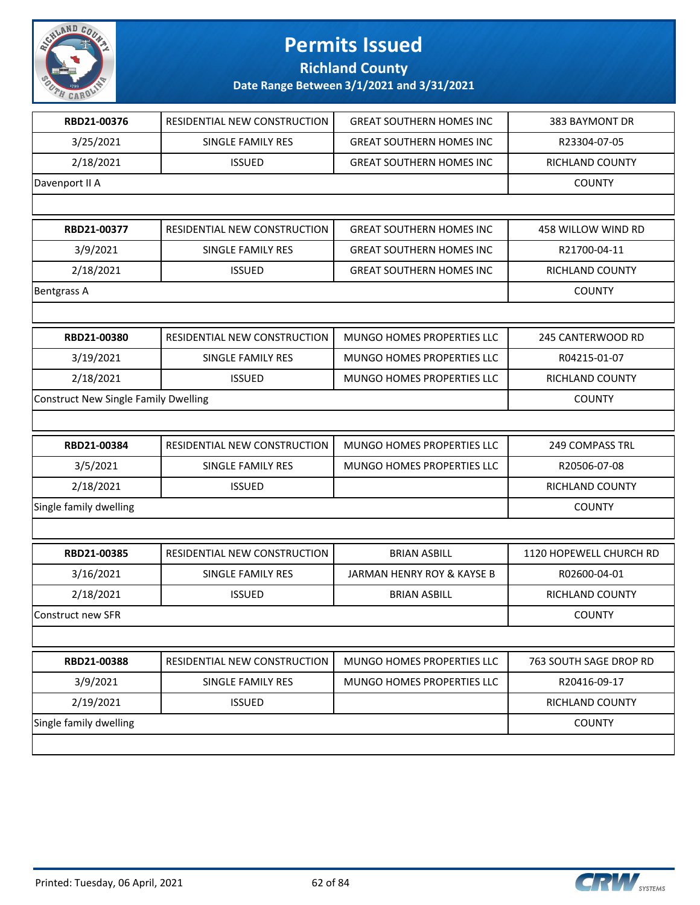

**Richland County**

| RBD21-00376                                 | RESIDENTIAL NEW CONSTRUCTION | <b>GREAT SOUTHERN HOMES INC</b> | 383 BAYMONT DR          |
|---------------------------------------------|------------------------------|---------------------------------|-------------------------|
| 3/25/2021                                   | SINGLE FAMILY RES            | <b>GREAT SOUTHERN HOMES INC</b> | R23304-07-05            |
| 2/18/2021                                   | <b>ISSUED</b>                | <b>GREAT SOUTHERN HOMES INC</b> | RICHLAND COUNTY         |
| Davenport II A                              |                              |                                 | <b>COUNTY</b>           |
|                                             |                              |                                 |                         |
| RBD21-00377                                 | RESIDENTIAL NEW CONSTRUCTION | <b>GREAT SOUTHERN HOMES INC</b> | 458 WILLOW WIND RD      |
| 3/9/2021                                    | SINGLE FAMILY RES            | <b>GREAT SOUTHERN HOMES INC</b> | R21700-04-11            |
| 2/18/2021                                   | <b>ISSUED</b>                | <b>GREAT SOUTHERN HOMES INC</b> | RICHLAND COUNTY         |
| <b>Bentgrass A</b>                          |                              |                                 | <b>COUNTY</b>           |
|                                             |                              |                                 |                         |
| RBD21-00380                                 | RESIDENTIAL NEW CONSTRUCTION | MUNGO HOMES PROPERTIES LLC      | 245 CANTERWOOD RD       |
| 3/19/2021                                   | SINGLE FAMILY RES            | MUNGO HOMES PROPERTIES LLC      | R04215-01-07            |
| 2/18/2021                                   | <b>ISSUED</b>                | MUNGO HOMES PROPERTIES LLC      | RICHLAND COUNTY         |
| <b>Construct New Single Family Dwelling</b> |                              |                                 | <b>COUNTY</b>           |
|                                             |                              |                                 |                         |
| RBD21-00384                                 | RESIDENTIAL NEW CONSTRUCTION | MUNGO HOMES PROPERTIES LLC      | 249 COMPASS TRL         |
| 3/5/2021                                    | SINGLE FAMILY RES            | MUNGO HOMES PROPERTIES LLC      | R20506-07-08            |
| 2/18/2021                                   | <b>ISSUED</b>                |                                 | RICHLAND COUNTY         |
| Single family dwelling                      |                              |                                 | <b>COUNTY</b>           |
|                                             |                              |                                 |                         |
| RBD21-00385                                 | RESIDENTIAL NEW CONSTRUCTION | <b>BRIAN ASBILL</b>             | 1120 HOPEWELL CHURCH RD |
| 3/16/2021                                   | SINGLE FAMILY RES            | JARMAN HENRY ROY & KAYSE B      | R02600-04-01            |
| 2/18/2021                                   | <b>ISSUED</b>                | <b>BRIAN ASBILL</b>             | RICHLAND COUNTY         |
| Construct new SFR                           |                              |                                 | <b>COUNTY</b>           |
|                                             |                              |                                 |                         |
| RBD21-00388                                 | RESIDENTIAL NEW CONSTRUCTION | MUNGO HOMES PROPERTIES LLC      | 763 SOUTH SAGE DROP RD  |
| 3/9/2021                                    | SINGLE FAMILY RES            | MUNGO HOMES PROPERTIES LLC      | R20416-09-17            |
| 2/19/2021                                   | <b>ISSUED</b>                |                                 | RICHLAND COUNTY         |
| Single family dwelling                      |                              |                                 | <b>COUNTY</b>           |
|                                             |                              |                                 |                         |

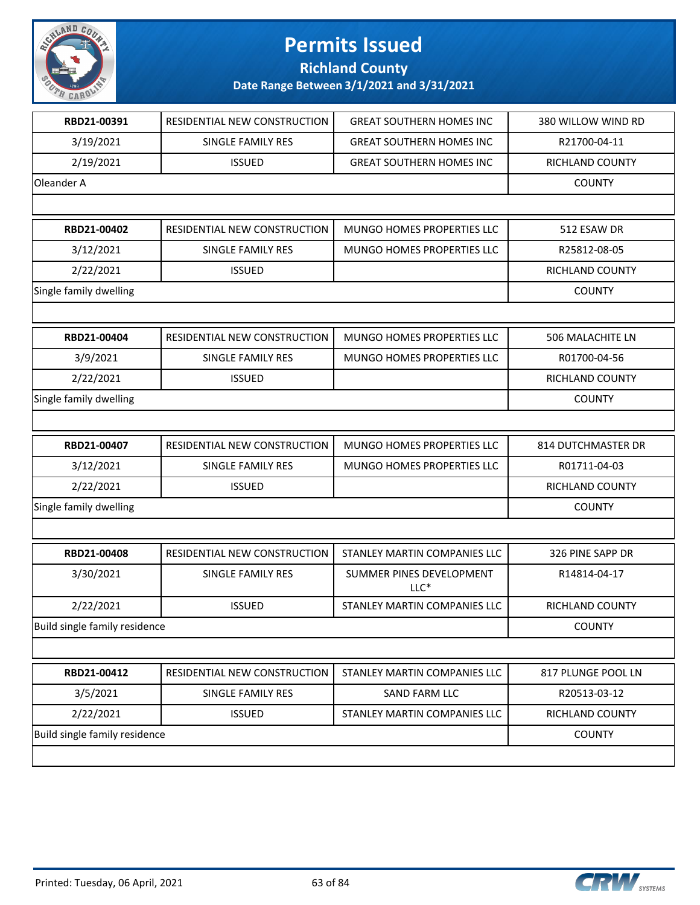

**Richland County**

| RBD21-00391                   | RESIDENTIAL NEW CONSTRUCTION | <b>GREAT SOUTHERN HOMES INC</b>    | 380 WILLOW WIND RD     |
|-------------------------------|------------------------------|------------------------------------|------------------------|
| 3/19/2021                     | SINGLE FAMILY RES            | <b>GREAT SOUTHERN HOMES INC</b>    | R21700-04-11           |
| 2/19/2021                     | <b>ISSUED</b>                | <b>GREAT SOUTHERN HOMES INC</b>    | RICHLAND COUNTY        |
| Oleander A                    |                              |                                    | <b>COUNTY</b>          |
|                               |                              |                                    |                        |
| RBD21-00402                   | RESIDENTIAL NEW CONSTRUCTION | MUNGO HOMES PROPERTIES LLC         | 512 ESAW DR            |
| 3/12/2021                     | <b>SINGLE FAMILY RES</b>     | MUNGO HOMES PROPERTIES LLC         | R25812-08-05           |
| 2/22/2021                     | <b>ISSUED</b>                |                                    | RICHLAND COUNTY        |
| Single family dwelling        |                              |                                    | <b>COUNTY</b>          |
|                               |                              |                                    |                        |
| RBD21-00404                   | RESIDENTIAL NEW CONSTRUCTION | MUNGO HOMES PROPERTIES LLC         | 506 MALACHITE LN       |
| 3/9/2021                      | SINGLE FAMILY RES            | MUNGO HOMES PROPERTIES LLC         | R01700-04-56           |
| 2/22/2021                     | <b>ISSUED</b>                |                                    | <b>RICHLAND COUNTY</b> |
| Single family dwelling        |                              |                                    | <b>COUNTY</b>          |
|                               |                              |                                    |                        |
| RBD21-00407                   | RESIDENTIAL NEW CONSTRUCTION | MUNGO HOMES PROPERTIES LLC         | 814 DUTCHMASTER DR     |
| 3/12/2021                     | SINGLE FAMILY RES            | MUNGO HOMES PROPERTIES LLC         | R01711-04-03           |
| 2/22/2021                     | <b>ISSUED</b>                |                                    | RICHLAND COUNTY        |
| Single family dwelling        |                              |                                    | <b>COUNTY</b>          |
|                               |                              |                                    |                        |
| RBD21-00408                   | RESIDENTIAL NEW CONSTRUCTION | STANLEY MARTIN COMPANIES LLC       | 326 PINE SAPP DR       |
| 3/30/2021                     | SINGLE FAMILY RES            | SUMMER PINES DEVELOPMENT<br>$LLC*$ | R14814-04-17           |
| 2/22/2021                     | <b>ISSUED</b>                | STANLEY MARTIN COMPANIES LLC       | RICHLAND COUNTY        |
| Build single family residence |                              |                                    | <b>COUNTY</b>          |
|                               |                              |                                    |                        |
| RBD21-00412                   | RESIDENTIAL NEW CONSTRUCTION | STANLEY MARTIN COMPANIES LLC       | 817 PLUNGE POOL LN     |
| 3/5/2021                      | SINGLE FAMILY RES            | <b>SAND FARM LLC</b>               | R20513-03-12           |
| 2/22/2021                     | <b>ISSUED</b>                | STANLEY MARTIN COMPANIES LLC       | RICHLAND COUNTY        |
| Build single family residence |                              |                                    | <b>COUNTY</b>          |
|                               |                              |                                    |                        |

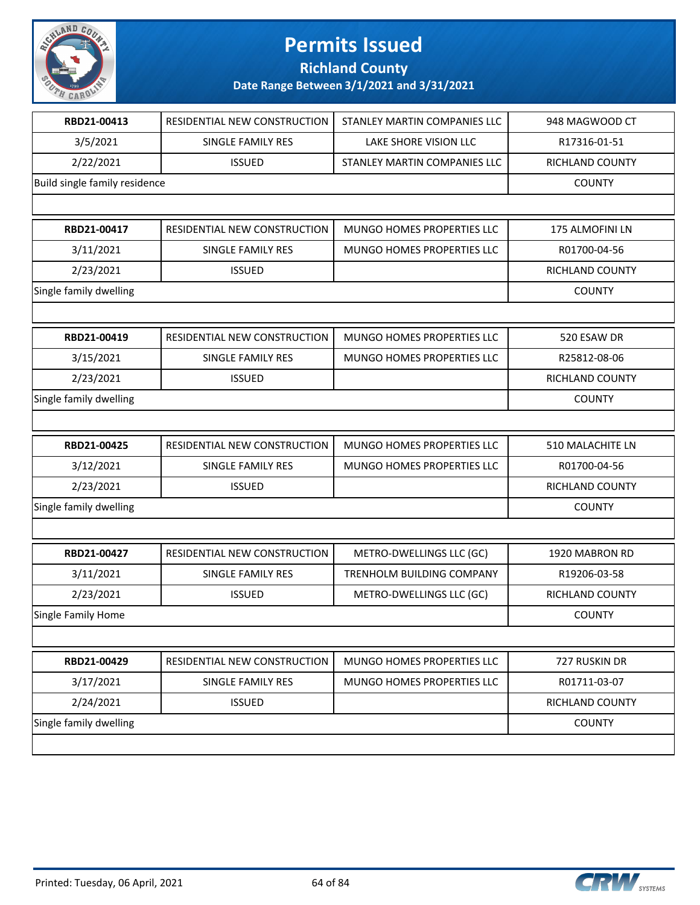

**Richland County**

| RBD21-00413                   | RESIDENTIAL NEW CONSTRUCTION | STANLEY MARTIN COMPANIES LLC | 948 MAGWOOD CT         |
|-------------------------------|------------------------------|------------------------------|------------------------|
| 3/5/2021                      | SINGLE FAMILY RES            | LAKE SHORE VISION LLC        | R17316-01-51           |
| 2/22/2021                     | <b>ISSUED</b>                | STANLEY MARTIN COMPANIES LLC | RICHLAND COUNTY        |
| Build single family residence |                              |                              | <b>COUNTY</b>          |
|                               |                              |                              |                        |
| RBD21-00417                   | RESIDENTIAL NEW CONSTRUCTION | MUNGO HOMES PROPERTIES LLC   | 175 ALMOFINI LN        |
| 3/11/2021                     | SINGLE FAMILY RES            | MUNGO HOMES PROPERTIES LLC   | R01700-04-56           |
| 2/23/2021                     | <b>ISSUED</b>                |                              | <b>RICHLAND COUNTY</b> |
| Single family dwelling        |                              |                              | <b>COUNTY</b>          |
|                               |                              |                              |                        |
| RBD21-00419                   | RESIDENTIAL NEW CONSTRUCTION | MUNGO HOMES PROPERTIES LLC   | 520 ESAW DR            |
| 3/15/2021                     | SINGLE FAMILY RES            | MUNGO HOMES PROPERTIES LLC   | R25812-08-06           |
| 2/23/2021                     | <b>ISSUED</b>                |                              | <b>RICHLAND COUNTY</b> |
| Single family dwelling        |                              |                              | <b>COUNTY</b>          |
|                               |                              |                              |                        |
| RBD21-00425                   | RESIDENTIAL NEW CONSTRUCTION | MUNGO HOMES PROPERTIES LLC   | 510 MALACHITE LN       |
| 3/12/2021                     | SINGLE FAMILY RES            | MUNGO HOMES PROPERTIES LLC   | R01700-04-56           |
| 2/23/2021                     | <b>ISSUED</b>                |                              | RICHLAND COUNTY        |
| Single family dwelling        |                              | <b>COUNTY</b>                |                        |
|                               |                              |                              |                        |
| RBD21-00427                   | RESIDENTIAL NEW CONSTRUCTION | METRO-DWELLINGS LLC (GC)     | 1920 MABRON RD         |
| 3/11/2021                     | SINGLE FAMILY RES            | TRENHOLM BUILDING COMPANY    | R19206-03-58           |
| 2/23/2021                     | <b>ISSUED</b>                | METRO-DWELLINGS LLC (GC)     | RICHLAND COUNTY        |
| Single Family Home            |                              |                              | <b>COUNTY</b>          |
|                               |                              |                              |                        |
| RBD21-00429                   | RESIDENTIAL NEW CONSTRUCTION | MUNGO HOMES PROPERTIES LLC   | 727 RUSKIN DR          |
| 3/17/2021                     | SINGLE FAMILY RES            | MUNGO HOMES PROPERTIES LLC   | R01711-03-07           |
| 2/24/2021                     | <b>ISSUED</b>                |                              | RICHLAND COUNTY        |
| Single family dwelling        |                              |                              | <b>COUNTY</b>          |
|                               |                              |                              |                        |

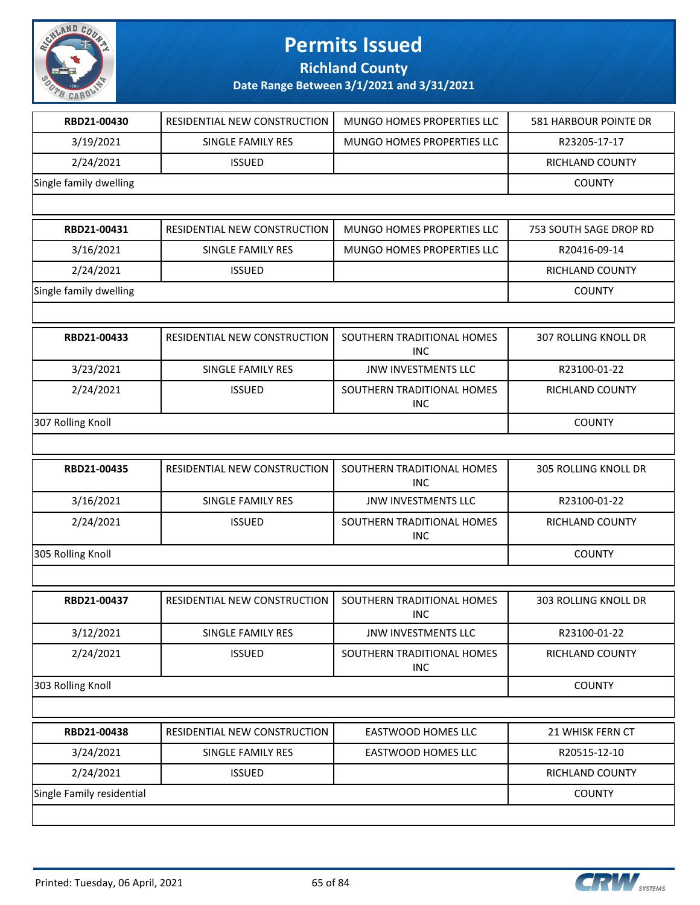

**Richland County**

| RBD21-00430               | RESIDENTIAL NEW CONSTRUCTION | MUNGO HOMES PROPERTIES LLC               | <b>581 HARBOUR POINTE DR</b> |
|---------------------------|------------------------------|------------------------------------------|------------------------------|
| 3/19/2021                 | SINGLE FAMILY RES            | <b>MUNGO HOMES PROPERTIES LLC</b>        | R23205-17-17                 |
| 2/24/2021                 | <b>ISSUED</b>                |                                          | RICHLAND COUNTY              |
| Single family dwelling    |                              |                                          | <b>COUNTY</b>                |
|                           |                              |                                          |                              |
| RBD21-00431               | RESIDENTIAL NEW CONSTRUCTION | MUNGO HOMES PROPERTIES LLC               | 753 SOUTH SAGE DROP RD       |
| 3/16/2021                 | SINGLE FAMILY RES            | MUNGO HOMES PROPERTIES LLC               | R20416-09-14                 |
| 2/24/2021                 | <b>ISSUED</b>                |                                          | RICHLAND COUNTY              |
| Single family dwelling    |                              |                                          | <b>COUNTY</b>                |
|                           |                              |                                          |                              |
| RBD21-00433               | RESIDENTIAL NEW CONSTRUCTION | SOUTHERN TRADITIONAL HOMES<br><b>INC</b> | 307 ROLLING KNOLL DR         |
| 3/23/2021                 | <b>SINGLE FAMILY RES</b>     | <b>JNW INVESTMENTS LLC</b>               | R23100-01-22                 |
| 2/24/2021                 | <b>ISSUED</b>                | SOUTHERN TRADITIONAL HOMES<br><b>INC</b> | RICHLAND COUNTY              |
| 307 Rolling Knoll         |                              |                                          | <b>COUNTY</b>                |
|                           |                              |                                          |                              |
| RBD21-00435               | RESIDENTIAL NEW CONSTRUCTION | SOUTHERN TRADITIONAL HOMES<br><b>INC</b> | <b>305 ROLLING KNOLL DR</b>  |
| 3/16/2021                 | SINGLE FAMILY RES            | JNW INVESTMENTS LLC                      | R23100-01-22                 |
| 2/24/2021                 | <b>ISSUED</b>                | SOUTHERN TRADITIONAL HOMES<br><b>INC</b> | RICHLAND COUNTY              |
| 305 Rolling Knoll         |                              |                                          | <b>COUNTY</b>                |
|                           |                              |                                          |                              |
| RBD21-00437               | RESIDENTIAL NEW CONSTRUCTION | SOUTHERN TRADITIONAL HOMES<br><b>INC</b> | 303 ROLLING KNOLL DR         |
| 3/12/2021                 | SINGLE FAMILY RES            | JNW INVESTMENTS LLC                      | R23100-01-22                 |
| 2/24/2021                 | <b>ISSUED</b>                | SOUTHERN TRADITIONAL HOMES<br>INC        | RICHLAND COUNTY              |
| 303 Rolling Knoll         |                              |                                          | <b>COUNTY</b>                |
|                           |                              |                                          |                              |
| RBD21-00438               | RESIDENTIAL NEW CONSTRUCTION | <b>EASTWOOD HOMES LLC</b>                | 21 WHISK FERN CT             |
| 3/24/2021                 | SINGLE FAMILY RES            | EASTWOOD HOMES LLC                       | R20515-12-10                 |
| 2/24/2021                 | <b>ISSUED</b>                |                                          | RICHLAND COUNTY              |
| Single Family residential |                              |                                          | <b>COUNTY</b>                |
|                           |                              |                                          |                              |

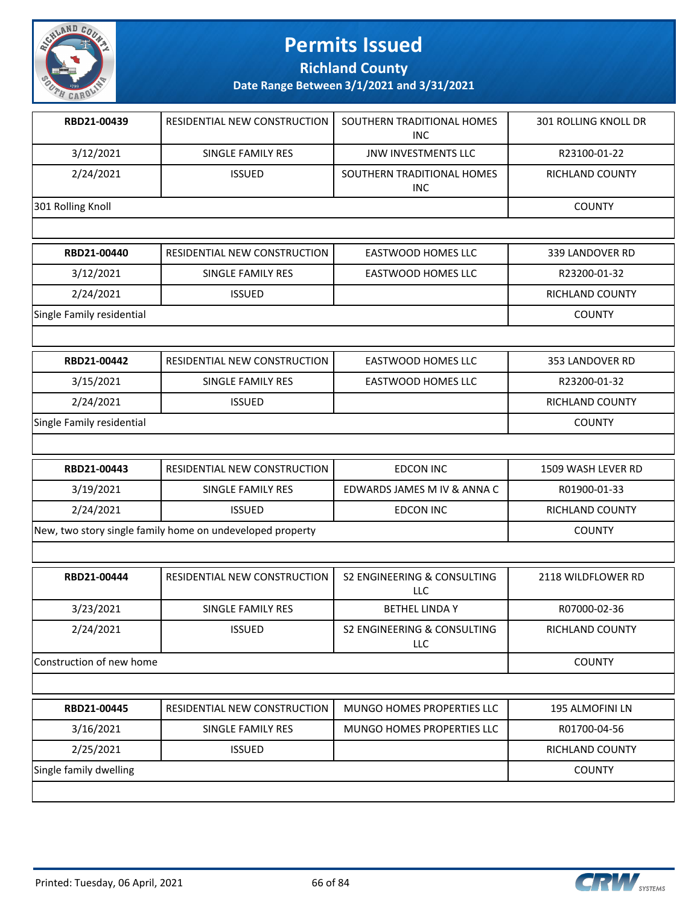

**Richland County**

**Date Range Between 3/1/2021 and 3/31/2021**

| RBD21-00439       | RESIDENTIAL NEW CONSTRUCTION | SOUTHERN TRADITIONAL HOMES<br>INC. | <b>301 ROLLING KNOLL DR</b> |
|-------------------|------------------------------|------------------------------------|-----------------------------|
| 3/12/2021         | SINGLE FAMILY RES            | <b>JNW INVESTMENTS LLC</b>         | R23100-01-22                |
| 2/24/2021         | <b>ISSUED</b>                | SOUTHERN TRADITIONAL HOMES<br>INC. | <b>RICHLAND COUNTY</b>      |
| 301 Rolling Knoll |                              |                                    | <b>COUNTY</b>               |
|                   |                              |                                    |                             |
| RBD21-00440       | RESIDENTIAL NEW CONSTRUCTION | <b>EASTWOOD HOMES LLC</b>          | 339 LANDOVER RD             |
| 3/12/2021         | SINGLE FAMILY RES            | <b>EASTWOOD HOMES LLC</b>          | R23200-01-32                |
| 2/24/2021         | <b>ISSUED</b>                |                                    | <b>RICHLAND COUNTY</b>      |

Single Family residential COUNTY

| RBD21-00442               | RESIDENTIAL NEW CONSTRUCTION | EASTWOOD HOMES LLC | 353 LANDOVER RD |
|---------------------------|------------------------------|--------------------|-----------------|
| 3/15/2021                 | SINGLE FAMILY RES            | EASTWOOD HOMES LLC | R23200-01-32    |
| 2/24/2021                 | <b>ISSUED</b>                |                    | RICHLAND COUNTY |
| Single Family residential |                              |                    | COUNTY          |

| RBD21-00443                                               | <b>RESIDENTIAL NEW CONSTRUCTION</b> | EDCON INC                   | 1509 WASH LEVER RD     |
|-----------------------------------------------------------|-------------------------------------|-----------------------------|------------------------|
| 3/19/2021                                                 | SINGLE FAMILY RES                   | EDWARDS JAMES M IV & ANNA C | R01900-01-33           |
| 2/24/2021                                                 | <b>ISSUED</b>                       | EDCON INC                   | <b>RICHLAND COUNTY</b> |
| New, two story single family home on undeveloped property |                                     | <b>COUNTY</b>               |                        |

| RBD21-00444              | RESIDENTIAL NEW CONSTRUCTION | S2 ENGINEERING & CONSULTING<br>LLC | 2118 WILDFLOWER RD |
|--------------------------|------------------------------|------------------------------------|--------------------|
| 3/23/2021                | SINGLE FAMILY RES            | <b>BETHEL LINDA Y</b>              | R07000-02-36       |
| 2/24/2021                | <b>ISSUED</b>                | S2 ENGINEERING & CONSULTING<br>LLC | RICHLAND COUNTY    |
| Construction of new home |                              |                                    | <b>COUNTY</b>      |

| RBD21-00445            | RESIDENTIAL NEW CONSTRUCTION | MUNGO HOMES PROPERTIES LLC | 195 ALMOFINI LN        |
|------------------------|------------------------------|----------------------------|------------------------|
| 3/16/2021              | SINGLE FAMILY RES            | MUNGO HOMES PROPERTIES LLC | R01700-04-56           |
| 2/25/2021              | <b>ISSUED</b>                |                            | <b>RICHLAND COUNTY</b> |
| Single family dwelling |                              |                            | <b>COUNTY</b>          |
|                        |                              |                            |                        |

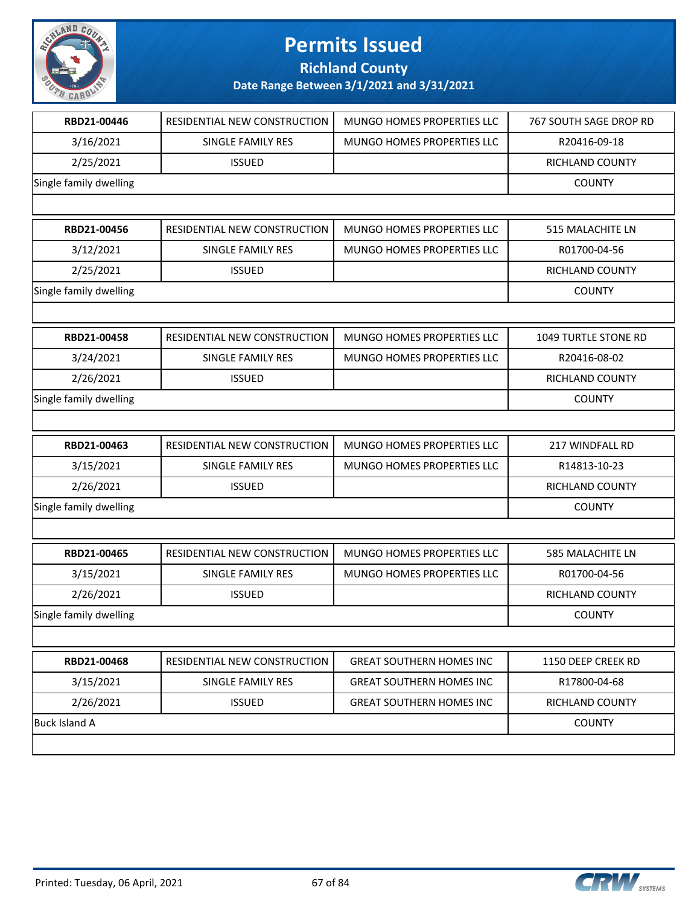

**Richland County**

| RBD21-00446            | RESIDENTIAL NEW CONSTRUCTION | MUNGO HOMES PROPERTIES LLC      | 767 SOUTH SAGE DROP RD |
|------------------------|------------------------------|---------------------------------|------------------------|
| 3/16/2021              | SINGLE FAMILY RES            | MUNGO HOMES PROPERTIES LLC      | R20416-09-18           |
| 2/25/2021              | <b>ISSUED</b>                |                                 | RICHLAND COUNTY        |
| Single family dwelling |                              |                                 | <b>COUNTY</b>          |
|                        |                              |                                 |                        |
| RBD21-00456            | RESIDENTIAL NEW CONSTRUCTION | MUNGO HOMES PROPERTIES LLC      | 515 MALACHITE LN       |
| 3/12/2021              | SINGLE FAMILY RES            | MUNGO HOMES PROPERTIES LLC      | R01700-04-56           |
| 2/25/2021              | <b>ISSUED</b>                |                                 | RICHLAND COUNTY        |
| Single family dwelling |                              |                                 | <b>COUNTY</b>          |
|                        |                              |                                 |                        |
| RBD21-00458            | RESIDENTIAL NEW CONSTRUCTION | MUNGO HOMES PROPERTIES LLC      | 1049 TURTLE STONE RD   |
| 3/24/2021              | SINGLE FAMILY RES            | MUNGO HOMES PROPERTIES LLC      | R20416-08-02           |
| 2/26/2021              | <b>ISSUED</b>                |                                 | <b>RICHLAND COUNTY</b> |
| Single family dwelling |                              |                                 | <b>COUNTY</b>          |
|                        |                              |                                 |                        |
| RBD21-00463            | RESIDENTIAL NEW CONSTRUCTION | MUNGO HOMES PROPERTIES LLC      | 217 WINDFALL RD        |
| 3/15/2021              | SINGLE FAMILY RES            | MUNGO HOMES PROPERTIES LLC      | R14813-10-23           |
| 2/26/2021              | <b>ISSUED</b>                |                                 | RICHLAND COUNTY        |
| Single family dwelling |                              |                                 | <b>COUNTY</b>          |
|                        |                              |                                 |                        |
| RBD21-00465            | RESIDENTIAL NEW CONSTRUCTION | MUNGO HOMES PROPERTIES LLC      | 585 MALACHITE LN       |
| 3/15/2021              | SINGLE FAMILY RES            | MUNGO HOMES PROPERTIES LLC      | R01700-04-56           |
| 2/26/2021              | <b>ISSUED</b>                |                                 | RICHLAND COUNTY        |
| Single family dwelling |                              |                                 | <b>COUNTY</b>          |
|                        |                              |                                 |                        |
| RBD21-00468            | RESIDENTIAL NEW CONSTRUCTION | <b>GREAT SOUTHERN HOMES INC</b> | 1150 DEEP CREEK RD     |
| 3/15/2021              | SINGLE FAMILY RES            | <b>GREAT SOUTHERN HOMES INC</b> | R17800-04-68           |
| 2/26/2021              | <b>ISSUED</b>                | <b>GREAT SOUTHERN HOMES INC</b> | RICHLAND COUNTY        |
| <b>Buck Island A</b>   |                              |                                 | <b>COUNTY</b>          |
|                        |                              |                                 |                        |

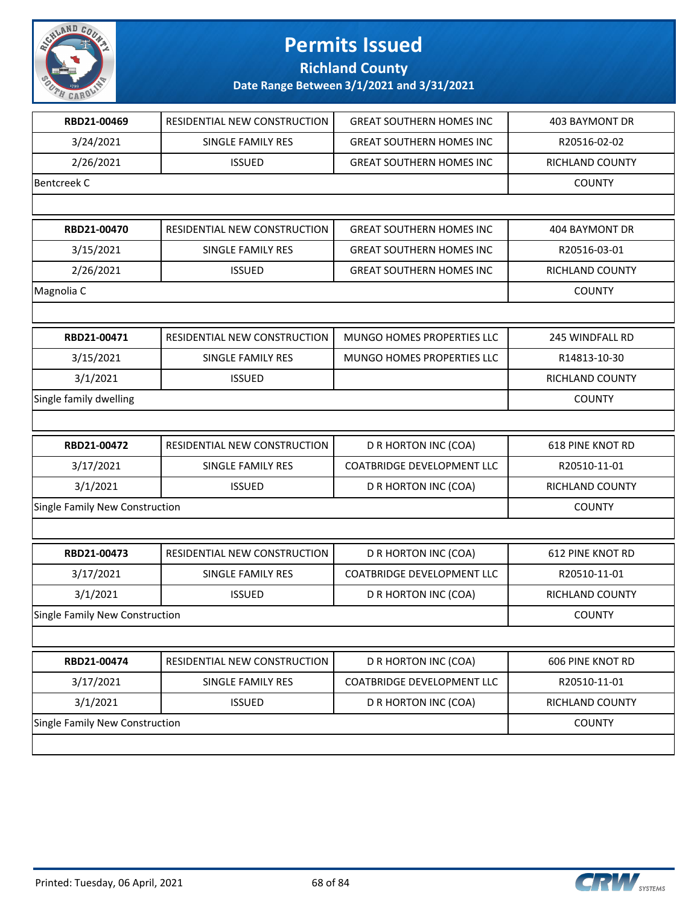

**Richland County**

| RBD21-00469                    | RESIDENTIAL NEW CONSTRUCTION | <b>GREAT SOUTHERN HOMES INC</b>   | <b>403 BAYMONT DR</b>   |
|--------------------------------|------------------------------|-----------------------------------|-------------------------|
| 3/24/2021                      | <b>SINGLE FAMILY RES</b>     | <b>GREAT SOUTHERN HOMES INC</b>   | R20516-02-02            |
| 2/26/2021                      | <b>ISSUED</b>                | <b>GREAT SOUTHERN HOMES INC</b>   | RICHLAND COUNTY         |
| Bentcreek C                    |                              |                                   | <b>COUNTY</b>           |
|                                |                              |                                   |                         |
| RBD21-00470                    | RESIDENTIAL NEW CONSTRUCTION | <b>GREAT SOUTHERN HOMES INC</b>   | 404 BAYMONT DR          |
| 3/15/2021                      | SINGLE FAMILY RES            | <b>GREAT SOUTHERN HOMES INC</b>   | R20516-03-01            |
| 2/26/2021                      | <b>ISSUED</b>                | <b>GREAT SOUTHERN HOMES INC</b>   | RICHLAND COUNTY         |
| Magnolia C                     |                              |                                   | <b>COUNTY</b>           |
|                                |                              |                                   |                         |
| RBD21-00471                    | RESIDENTIAL NEW CONSTRUCTION | MUNGO HOMES PROPERTIES LLC        | 245 WINDFALL RD         |
| 3/15/2021                      | SINGLE FAMILY RES            | MUNGO HOMES PROPERTIES LLC        | R14813-10-30            |
| 3/1/2021                       | <b>ISSUED</b>                |                                   | RICHLAND COUNTY         |
| Single family dwelling         |                              |                                   | <b>COUNTY</b>           |
|                                |                              |                                   |                         |
| RBD21-00472                    | RESIDENTIAL NEW CONSTRUCTION | D R HORTON INC (COA)              | <b>618 PINE KNOT RD</b> |
| 3/17/2021                      | SINGLE FAMILY RES            | <b>COATBRIDGE DEVELOPMENT LLC</b> | R20510-11-01            |
| 3/1/2021                       | <b>ISSUED</b>                | D R HORTON INC (COA)              | RICHLAND COUNTY         |
| Single Family New Construction |                              |                                   | <b>COUNTY</b>           |
|                                |                              |                                   |                         |
| RBD21-00473                    | RESIDENTIAL NEW CONSTRUCTION | D R HORTON INC (COA)              | <b>612 PINE KNOT RD</b> |
| 3/17/2021                      | SINGLE FAMILY RES            | <b>COATBRIDGE DEVELOPMENT LLC</b> | R20510-11-01            |
| 3/1/2021                       | <b>ISSUED</b>                | D R HORTON INC (COA)              | <b>RICHLAND COUNTY</b>  |
| Single Family New Construction |                              |                                   | <b>COUNTY</b>           |
|                                |                              |                                   |                         |
| RBD21-00474                    | RESIDENTIAL NEW CONSTRUCTION | D R HORTON INC (COA)              | <b>606 PINE KNOT RD</b> |
| 3/17/2021                      | SINGLE FAMILY RES            | <b>COATBRIDGE DEVELOPMENT LLC</b> | R20510-11-01            |
| 3/1/2021                       | <b>ISSUED</b>                | D R HORTON INC (COA)              | RICHLAND COUNTY         |
| Single Family New Construction |                              |                                   | <b>COUNTY</b>           |
|                                |                              |                                   |                         |

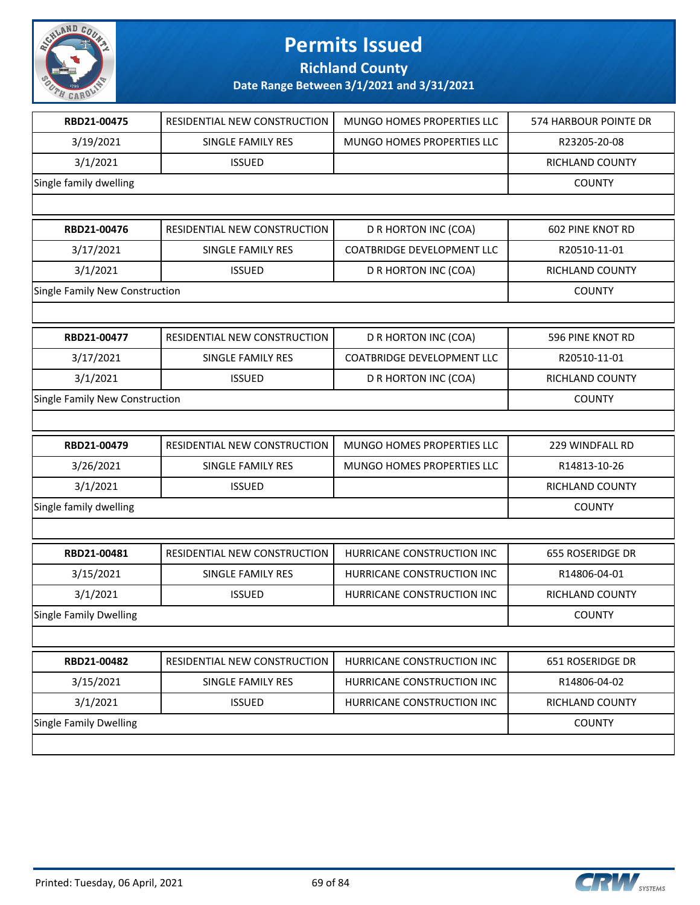

**Richland County**

| RBD21-00475                    | RESIDENTIAL NEW CONSTRUCTION | <b>MUNGO HOMES PROPERTIES LLC</b> | 574 HARBOUR POINTE DR   |
|--------------------------------|------------------------------|-----------------------------------|-------------------------|
| 3/19/2021                      | <b>SINGLE FAMILY RES</b>     | <b>MUNGO HOMES PROPERTIES LLC</b> | R23205-20-08            |
| 3/1/2021                       | <b>ISSUED</b>                |                                   | RICHLAND COUNTY         |
| Single family dwelling         |                              |                                   | <b>COUNTY</b>           |
|                                |                              |                                   |                         |
| RBD21-00476                    | RESIDENTIAL NEW CONSTRUCTION | D R HORTON INC (COA)              | 602 PINE KNOT RD        |
| 3/17/2021                      | <b>SINGLE FAMILY RES</b>     | <b>COATBRIDGE DEVELOPMENT LLC</b> | R20510-11-01            |
| 3/1/2021                       | <b>ISSUED</b>                | D R HORTON INC (COA)              | RICHLAND COUNTY         |
| Single Family New Construction |                              |                                   | <b>COUNTY</b>           |
|                                |                              |                                   |                         |
| RBD21-00477                    | RESIDENTIAL NEW CONSTRUCTION | D R HORTON INC (COA)              | 596 PINE KNOT RD        |
| 3/17/2021                      | <b>SINGLE FAMILY RES</b>     | <b>COATBRIDGE DEVELOPMENT LLC</b> | R20510-11-01            |
| 3/1/2021                       | <b>ISSUED</b>                | D R HORTON INC (COA)              | RICHLAND COUNTY         |
| Single Family New Construction |                              |                                   | <b>COUNTY</b>           |
|                                |                              |                                   |                         |
| RBD21-00479                    | RESIDENTIAL NEW CONSTRUCTION | MUNGO HOMES PROPERTIES LLC        | 229 WINDFALL RD         |
| 3/26/2021                      | SINGLE FAMILY RES            | MUNGO HOMES PROPERTIES LLC        | R14813-10-26            |
| 3/1/2021                       | <b>ISSUED</b>                |                                   | RICHLAND COUNTY         |
| Single family dwelling         |                              |                                   | <b>COUNTY</b>           |
|                                |                              |                                   |                         |
| RBD21-00481                    | RESIDENTIAL NEW CONSTRUCTION | HURRICANE CONSTRUCTION INC        | <b>655 ROSERIDGE DR</b> |
| 3/15/2021                      | SINGLE FAMILY RES            | HURRICANE CONSTRUCTION INC        | R14806-04-01            |
| 3/1/2021                       | <b>ISSUED</b>                | HURRICANE CONSTRUCTION INC        | RICHLAND COUNTY         |
| <b>Single Family Dwelling</b>  |                              |                                   | <b>COUNTY</b>           |
|                                |                              |                                   |                         |
| RBD21-00482                    | RESIDENTIAL NEW CONSTRUCTION | HURRICANE CONSTRUCTION INC        | 651 ROSERIDGE DR        |
| 3/15/2021                      | SINGLE FAMILY RES            | HURRICANE CONSTRUCTION INC        | R14806-04-02            |
| 3/1/2021                       | <b>ISSUED</b>                | HURRICANE CONSTRUCTION INC        | RICHLAND COUNTY         |
| <b>Single Family Dwelling</b>  |                              |                                   | <b>COUNTY</b>           |
|                                |                              |                                   |                         |
|                                |                              |                                   |                         |

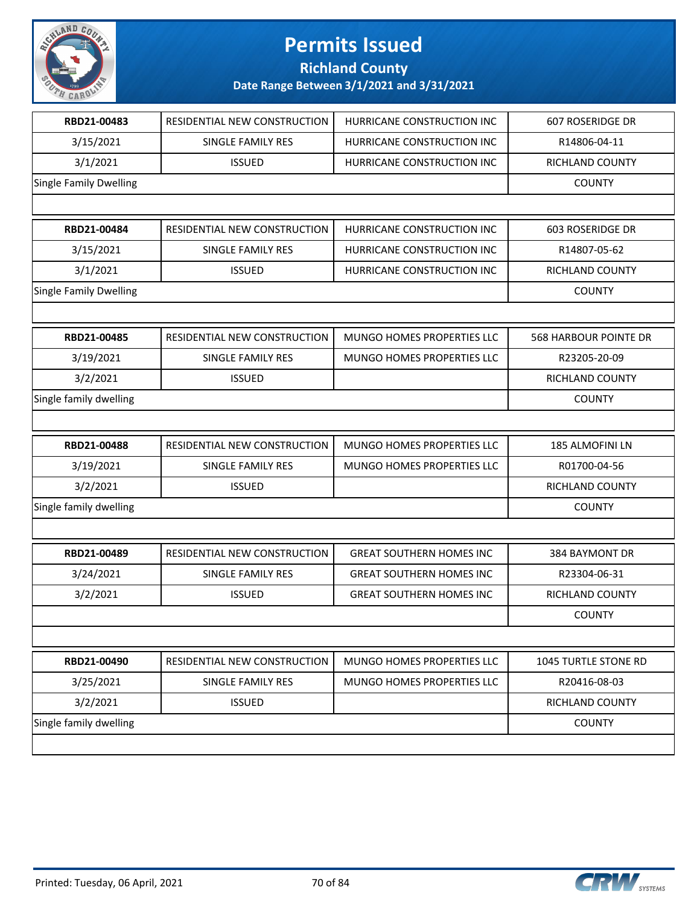

#### **Richland County**

| RBD21-00483                   | RESIDENTIAL NEW CONSTRUCTION | HURRICANE CONSTRUCTION INC      | 607 ROSERIDGE DR             |
|-------------------------------|------------------------------|---------------------------------|------------------------------|
| 3/15/2021                     | SINGLE FAMILY RES            | HURRICANE CONSTRUCTION INC      | R14806-04-11                 |
| 3/1/2021                      | <b>ISSUED</b>                | HURRICANE CONSTRUCTION INC      | RICHLAND COUNTY              |
| <b>Single Family Dwelling</b> |                              |                                 | <b>COUNTY</b>                |
|                               |                              |                                 |                              |
| RBD21-00484                   | RESIDENTIAL NEW CONSTRUCTION | HURRICANE CONSTRUCTION INC      | 603 ROSERIDGE DR             |
| 3/15/2021                     | SINGLE FAMILY RES            | HURRICANE CONSTRUCTION INC      | R14807-05-62                 |
| 3/1/2021                      | <b>ISSUED</b>                | HURRICANE CONSTRUCTION INC      | RICHLAND COUNTY              |
| <b>Single Family Dwelling</b> |                              |                                 | <b>COUNTY</b>                |
|                               |                              |                                 |                              |
| RBD21-00485                   | RESIDENTIAL NEW CONSTRUCTION | MUNGO HOMES PROPERTIES LLC      | <b>568 HARBOUR POINTE DR</b> |
| 3/19/2021                     | SINGLE FAMILY RES            | MUNGO HOMES PROPERTIES LLC      | R23205-20-09                 |
| 3/2/2021                      | <b>ISSUED</b>                |                                 | RICHLAND COUNTY              |
| Single family dwelling        |                              |                                 | <b>COUNTY</b>                |
|                               |                              |                                 |                              |
|                               |                              |                                 |                              |
| RBD21-00488                   | RESIDENTIAL NEW CONSTRUCTION | MUNGO HOMES PROPERTIES LLC      | 185 ALMOFINI LN              |
| 3/19/2021                     | SINGLE FAMILY RES            | MUNGO HOMES PROPERTIES LLC      | R01700-04-56                 |
| 3/2/2021                      | <b>ISSUED</b>                |                                 | RICHLAND COUNTY              |
| Single family dwelling        |                              |                                 | <b>COUNTY</b>                |
|                               |                              |                                 |                              |
| RBD21-00489                   | RESIDENTIAL NEW CONSTRUCTION | <b>GREAT SOUTHERN HOMES INC</b> | 384 BAYMONT DR               |
| 3/24/2021                     | SINGLE FAMILY RES            | <b>GREAT SOUTHERN HOMES INC</b> | R23304-06-31                 |
| 3/2/2021                      | <b>ISSUED</b>                | <b>GREAT SOUTHERN HOMES INC</b> | <b>RICHLAND COUNTY</b>       |
|                               |                              |                                 | <b>COUNTY</b>                |
|                               |                              |                                 |                              |
| RBD21-00490                   | RESIDENTIAL NEW CONSTRUCTION | MUNGO HOMES PROPERTIES LLC      | 1045 TURTLE STONE RD         |
| 3/25/2021                     | SINGLE FAMILY RES            | MUNGO HOMES PROPERTIES LLC      | R20416-08-03                 |
| 3/2/2021                      | <b>ISSUED</b>                |                                 | RICHLAND COUNTY              |
| Single family dwelling        |                              |                                 | <b>COUNTY</b>                |

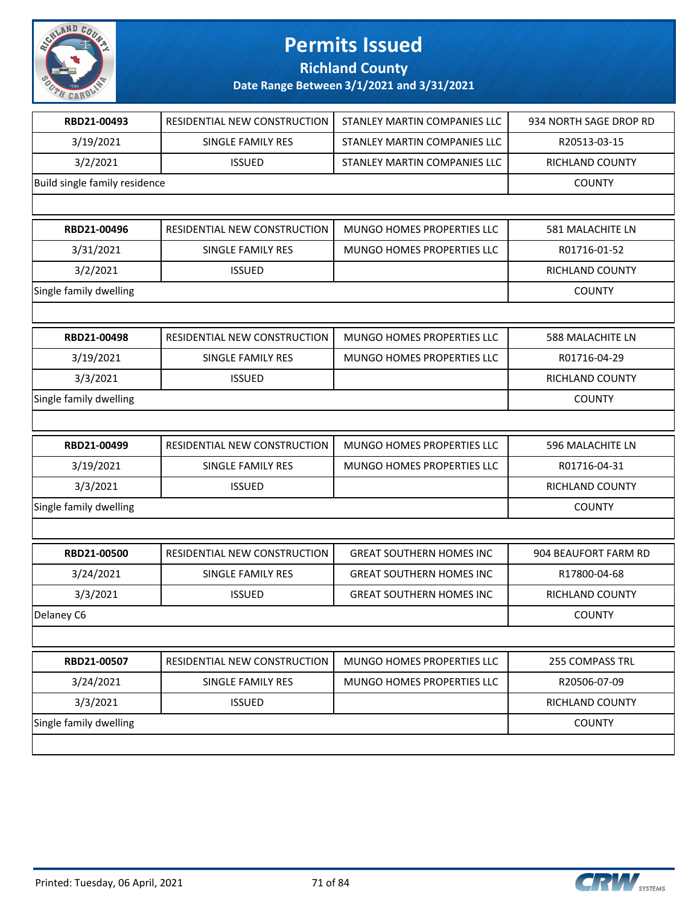

**Richland County**

| RBD21-00493                   | RESIDENTIAL NEW CONSTRUCTION | STANLEY MARTIN COMPANIES LLC    | 934 NORTH SAGE DROP RD  |
|-------------------------------|------------------------------|---------------------------------|-------------------------|
| 3/19/2021                     | SINGLE FAMILY RES            | STANLEY MARTIN COMPANIES LLC    | R20513-03-15            |
| 3/2/2021                      | <b>ISSUED</b>                | STANLEY MARTIN COMPANIES LLC    | RICHLAND COUNTY         |
| Build single family residence |                              |                                 | <b>COUNTY</b>           |
|                               |                              |                                 |                         |
| RBD21-00496                   | RESIDENTIAL NEW CONSTRUCTION | MUNGO HOMES PROPERTIES LLC      | 581 MALACHITE LN        |
| 3/31/2021                     | SINGLE FAMILY RES            | MUNGO HOMES PROPERTIES LLC      | R01716-01-52            |
| 3/2/2021                      | <b>ISSUED</b>                |                                 | RICHLAND COUNTY         |
| Single family dwelling        |                              |                                 | <b>COUNTY</b>           |
|                               |                              |                                 |                         |
| RBD21-00498                   | RESIDENTIAL NEW CONSTRUCTION | MUNGO HOMES PROPERTIES LLC      | <b>588 MALACHITE LN</b> |
| 3/19/2021                     | <b>SINGLE FAMILY RES</b>     | MUNGO HOMES PROPERTIES LLC      | R01716-04-29            |
| 3/3/2021                      | <b>ISSUED</b>                |                                 | RICHLAND COUNTY         |
| Single family dwelling        |                              |                                 | <b>COUNTY</b>           |
|                               |                              |                                 |                         |
| RBD21-00499                   | RESIDENTIAL NEW CONSTRUCTION | MUNGO HOMES PROPERTIES LLC      | 596 MALACHITE LN        |
| 3/19/2021                     | SINGLE FAMILY RES            | MUNGO HOMES PROPERTIES LLC      | R01716-04-31            |
| 3/3/2021                      | <b>ISSUED</b>                |                                 | RICHLAND COUNTY         |
| Single family dwelling        |                              |                                 | <b>COUNTY</b>           |
|                               |                              |                                 |                         |
| RBD21-00500                   | RESIDENTIAL NEW CONSTRUCTION | <b>GREAT SOUTHERN HOMES INC</b> | 904 BEAUFORT FARM RD    |
| 3/24/2021                     | SINGLE FAMILY RES            | <b>GREAT SOUTHERN HOMES INC</b> | R17800-04-68            |
| 3/3/2021                      | <b>ISSUED</b>                | <b>GREAT SOUTHERN HOMES INC</b> | RICHLAND COUNTY         |
| Delaney C6                    | <b>COUNTY</b>                |                                 |                         |
|                               |                              |                                 |                         |
| RBD21-00507                   | RESIDENTIAL NEW CONSTRUCTION | MUNGO HOMES PROPERTIES LLC      | 255 COMPASS TRL         |
| 3/24/2021                     | SINGLE FAMILY RES            | MUNGO HOMES PROPERTIES LLC      | R20506-07-09            |
| 3/3/2021                      | <b>ISSUED</b>                |                                 | RICHLAND COUNTY         |
| Single family dwelling        |                              |                                 | <b>COUNTY</b>           |
|                               |                              |                                 |                         |

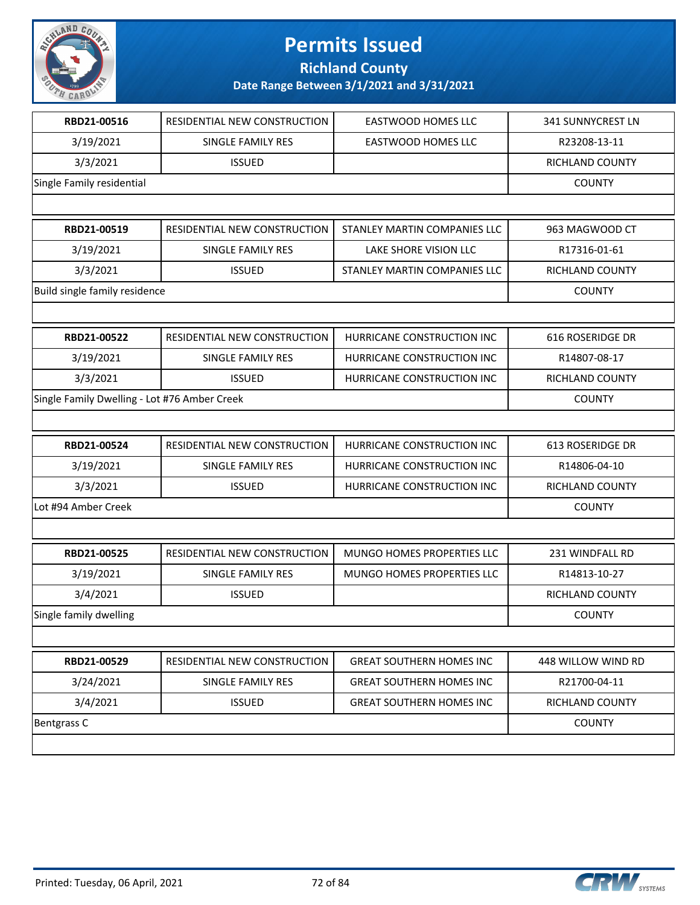

**Richland County**

| RBD21-00516                                  | RESIDENTIAL NEW CONSTRUCTION | EASTWOOD HOMES LLC              | 341 SUNNYCREST LN      |
|----------------------------------------------|------------------------------|---------------------------------|------------------------|
| 3/19/2021                                    | SINGLE FAMILY RES            | EASTWOOD HOMES LLC              | R23208-13-11           |
| 3/3/2021                                     | <b>ISSUED</b>                |                                 | RICHLAND COUNTY        |
| Single Family residential                    |                              |                                 | <b>COUNTY</b>          |
|                                              |                              |                                 |                        |
| RBD21-00519                                  | RESIDENTIAL NEW CONSTRUCTION | STANLEY MARTIN COMPANIES LLC    | 963 MAGWOOD CT         |
| 3/19/2021                                    | SINGLE FAMILY RES            | LAKE SHORE VISION LLC           | R17316-01-61           |
| 3/3/2021                                     | <b>ISSUED</b>                | STANLEY MARTIN COMPANIES LLC    | <b>RICHLAND COUNTY</b> |
| Build single family residence                |                              |                                 | <b>COUNTY</b>          |
|                                              |                              |                                 |                        |
| RBD21-00522                                  | RESIDENTIAL NEW CONSTRUCTION | HURRICANE CONSTRUCTION INC      | 616 ROSERIDGE DR       |
| 3/19/2021                                    | SINGLE FAMILY RES            | HURRICANE CONSTRUCTION INC      | R14807-08-17           |
| 3/3/2021                                     | <b>ISSUED</b>                | HURRICANE CONSTRUCTION INC      | RICHLAND COUNTY        |
| Single Family Dwelling - Lot #76 Amber Creek |                              |                                 | <b>COUNTY</b>          |
|                                              |                              |                                 |                        |
| RBD21-00524                                  | RESIDENTIAL NEW CONSTRUCTION | HURRICANE CONSTRUCTION INC      | 613 ROSERIDGE DR       |
| 3/19/2021                                    | SINGLE FAMILY RES            | HURRICANE CONSTRUCTION INC      | R14806-04-10           |
| 3/3/2021                                     | <b>ISSUED</b>                | HURRICANE CONSTRUCTION INC      | RICHLAND COUNTY        |
| Lot #94 Amber Creek                          |                              |                                 | <b>COUNTY</b>          |
|                                              |                              |                                 |                        |
| RBD21-00525                                  | RESIDENTIAL NEW CONSTRUCTION | MUNGO HOMES PROPERTIES LLC      | 231 WINDFALL RD        |
| 3/19/2021                                    | SINGLE FAMILY RES            | MUNGO HOMES PROPERTIES LLC      | R14813-10-27           |
| 3/4/2021                                     | <b>ISSUED</b>                |                                 | RICHLAND COUNTY        |
| Single family dwelling                       |                              |                                 | <b>COUNTY</b>          |
|                                              |                              |                                 |                        |
| RBD21-00529                                  | RESIDENTIAL NEW CONSTRUCTION | <b>GREAT SOUTHERN HOMES INC</b> | 448 WILLOW WIND RD     |
| 3/24/2021                                    | SINGLE FAMILY RES            | <b>GREAT SOUTHERN HOMES INC</b> | R21700-04-11           |
| 3/4/2021                                     | <b>ISSUED</b>                | <b>GREAT SOUTHERN HOMES INC</b> | RICHLAND COUNTY        |
| Bentgrass C                                  |                              |                                 | <b>COUNTY</b>          |
|                                              |                              |                                 |                        |

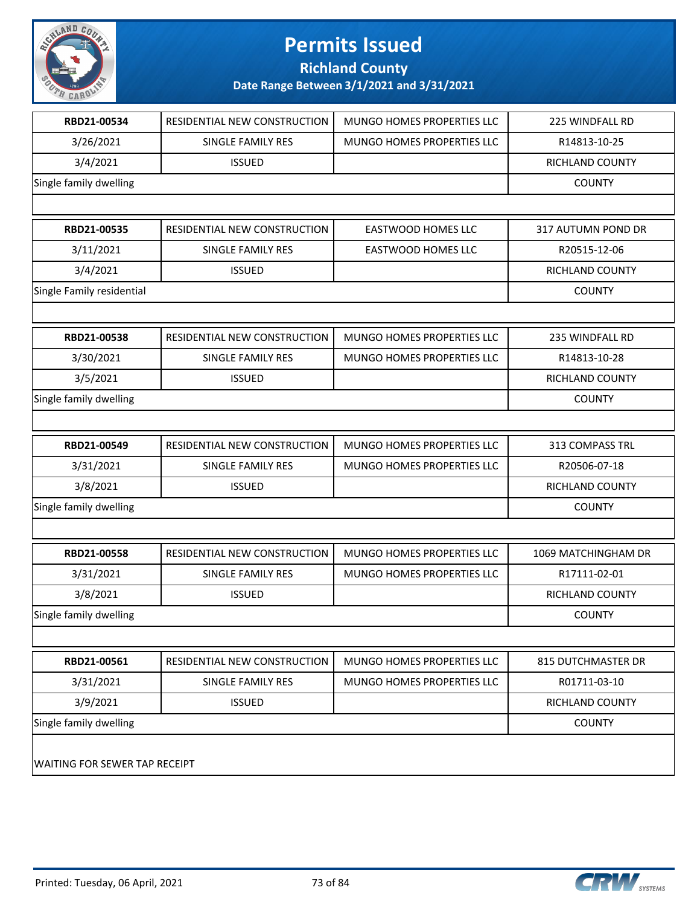

**Richland County**

| RBD21-00534                   | RESIDENTIAL NEW CONSTRUCTION | MUNGO HOMES PROPERTIES LLC | 225 WINDFALL RD        |
|-------------------------------|------------------------------|----------------------------|------------------------|
| 3/26/2021                     | SINGLE FAMILY RES            | MUNGO HOMES PROPERTIES LLC | R14813-10-25           |
| 3/4/2021                      | <b>ISSUED</b>                |                            | RICHLAND COUNTY        |
| Single family dwelling        |                              |                            | <b>COUNTY</b>          |
|                               |                              |                            |                        |
| RBD21-00535                   | RESIDENTIAL NEW CONSTRUCTION | EASTWOOD HOMES LLC         | 317 AUTUMN POND DR     |
| 3/11/2021                     | SINGLE FAMILY RES            | EASTWOOD HOMES LLC         | R20515-12-06           |
| 3/4/2021                      | <b>ISSUED</b>                |                            | RICHLAND COUNTY        |
| Single Family residential     |                              |                            | <b>COUNTY</b>          |
|                               |                              |                            |                        |
| RBD21-00538                   | RESIDENTIAL NEW CONSTRUCTION | MUNGO HOMES PROPERTIES LLC | 235 WINDFALL RD        |
| 3/30/2021                     | SINGLE FAMILY RES            | MUNGO HOMES PROPERTIES LLC | R14813-10-28           |
| 3/5/2021                      | <b>ISSUED</b>                |                            | RICHLAND COUNTY        |
| Single family dwelling        |                              |                            | <b>COUNTY</b>          |
|                               |                              |                            |                        |
| RBD21-00549                   | RESIDENTIAL NEW CONSTRUCTION | MUNGO HOMES PROPERTIES LLC | 313 COMPASS TRL        |
| 3/31/2021                     | SINGLE FAMILY RES            | MUNGO HOMES PROPERTIES LLC | R20506-07-18           |
| 3/8/2021                      | <b>ISSUED</b>                |                            | RICHLAND COUNTY        |
| Single family dwelling        |                              |                            | <b>COUNTY</b>          |
|                               |                              |                            |                        |
| RBD21-00558                   | RESIDENTIAL NEW CONSTRUCTION | MUNGO HOMES PROPERTIES LLC | 1069 MATCHINGHAM DR    |
| 3/31/2021                     | SINGLE FAMILY RES            | MUNGO HOMES PROPERTIES LLC | R17111-02-01           |
| 3/8/2021                      | <b>ISSUED</b>                |                            | <b>RICHLAND COUNTY</b> |
| Single family dwelling        |                              |                            | <b>COUNTY</b>          |
|                               |                              |                            |                        |
| RBD21-00561                   | RESIDENTIAL NEW CONSTRUCTION | MUNGO HOMES PROPERTIES LLC | 815 DUTCHMASTER DR     |
| 3/31/2021                     | SINGLE FAMILY RES            | MUNGO HOMES PROPERTIES LLC | R01711-03-10           |
| 3/9/2021                      | <b>ISSUED</b>                |                            | RICHLAND COUNTY        |
| Single family dwelling        |                              |                            | <b>COUNTY</b>          |
| WAITING FOR SEWER TAP RECEIPT |                              |                            |                        |

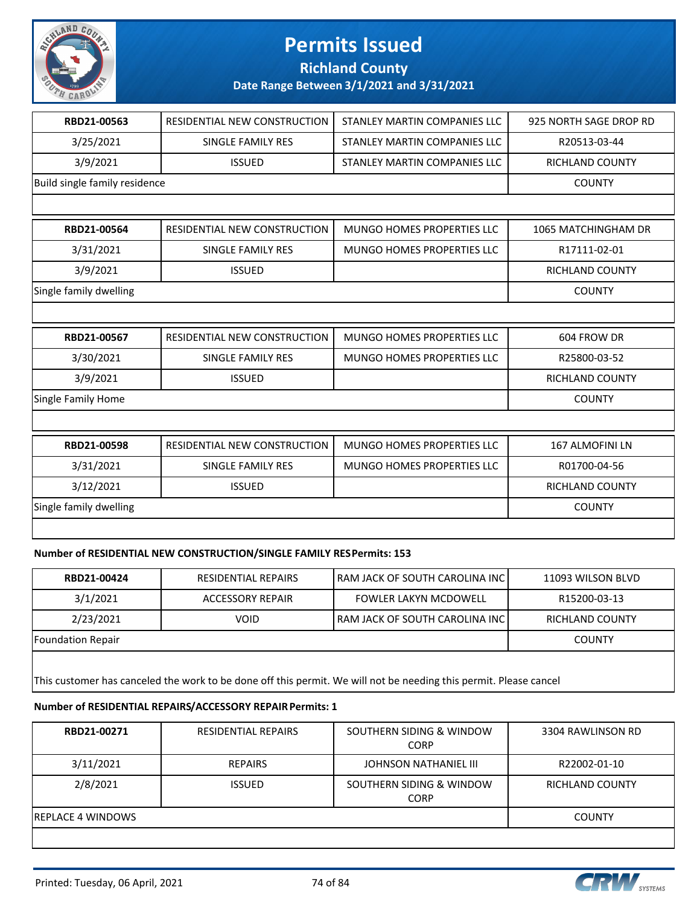

#### **Richland County**

#### **Date Range Between 3/1/2021 and 3/31/2021**

| RBD21-00563                   | RESIDENTIAL NEW CONSTRUCTION        | STANLEY MARTIN COMPANIES LLC      | 925 NORTH SAGE DROP RD |  |
|-------------------------------|-------------------------------------|-----------------------------------|------------------------|--|
| 3/25/2021                     | <b>SINGLE FAMILY RES</b>            | STANLEY MARTIN COMPANIES LLC      | R20513-03-44           |  |
| 3/9/2021                      | <b>ISSUED</b>                       | STANLEY MARTIN COMPANIES LLC      | <b>RICHLAND COUNTY</b> |  |
| Build single family residence | <b>COUNTY</b>                       |                                   |                        |  |
|                               |                                     |                                   |                        |  |
| RBD21-00564                   | RESIDENTIAL NEW CONSTRUCTION        | MUNGO HOMES PROPERTIES LLC        | 1065 MATCHINGHAM DR    |  |
| 3/31/2021                     | SINGLE FAMILY RES                   | <b>MUNGO HOMES PROPERTIES LLC</b> | R17111-02-01           |  |
| 3/9/2021                      | <b>ISSUED</b>                       |                                   | RICHLAND COUNTY        |  |
| Single family dwelling        |                                     |                                   |                        |  |
|                               |                                     |                                   |                        |  |
| RBD21-00567                   | <b>RESIDENTIAL NEW CONSTRUCTION</b> | MUNGO HOMES PROPERTIES LLC        | 604 FROW DR            |  |
| 3/30/2021                     | <b>SINGLE FAMILY RES</b>            | <b>MUNGO HOMES PROPERTIES LLC</b> | R25800-03-52           |  |
| 3/9/2021                      | <b>ISSUED</b>                       |                                   | <b>RICHLAND COUNTY</b> |  |
| <b>Single Family Home</b>     |                                     |                                   | <b>COUNTY</b>          |  |
|                               |                                     |                                   |                        |  |
| RBD21-00598                   | RESIDENTIAL NEW CONSTRUCTION        | <b>MUNGO HOMES PROPERTIES LLC</b> | <b>167 ALMOFINI LN</b> |  |
| 3/31/2021                     | SINGLE FAMILY RES                   | <b>MUNGO HOMES PROPERTIES LLC</b> | R01700-04-56           |  |
| 3/12/2021                     | <b>ISSUED</b>                       |                                   | <b>RICHLAND COUNTY</b> |  |
| Single family dwelling        |                                     |                                   | <b>COUNTY</b>          |  |
|                               |                                     |                                   |                        |  |

#### **Number of RESIDENTIAL NEW CONSTRUCTION/SINGLE FAMILY RES Permits: 153**

| RBD21-00424       | <b>RESIDENTIAL REPAIRS</b> | I RAM JACK OF SOUTH CAROLINA INC I | 11093 WILSON BLVD |
|-------------------|----------------------------|------------------------------------|-------------------|
| 3/1/2021          | ACCESSORY REPAIR           | <b>FOWLER LAKYN MCDOWELL</b>       | R15200-03-13      |
| 2/23/2021         | <b>VOID</b>                | l RAM JACK OF SOUTH CAROLINA INC l | RICHLAND COUNTY   |
| Foundation Repair |                            |                                    | <b>COUNTY</b>     |
|                   |                            |                                    |                   |

This customer has canceled the work to be done off this permit. We will not be needing this permit. Please cancel

#### **Number of RESIDENTIAL REPAIRS/ACCESSORY REPAIR Permits: 1**

| RBD21-00271        | <b>RESIDENTIAL REPAIRS</b> | SOUTHERN SIDING & WINDOW<br><b>CORP</b> | 3304 RAWLINSON RD |
|--------------------|----------------------------|-----------------------------------------|-------------------|
| 3/11/2021          | <b>REPAIRS</b>             | JOHNSON NATHANIEL III                   | R22002-01-10      |
| 2/8/2021           | <b>ISSUED</b>              | SOUTHERN SIDING & WINDOW<br><b>CORP</b> | RICHLAND COUNTY   |
| IREPLACE 4 WINDOWS |                            |                                         | <b>COUNTY</b>     |
|                    |                            |                                         |                   |

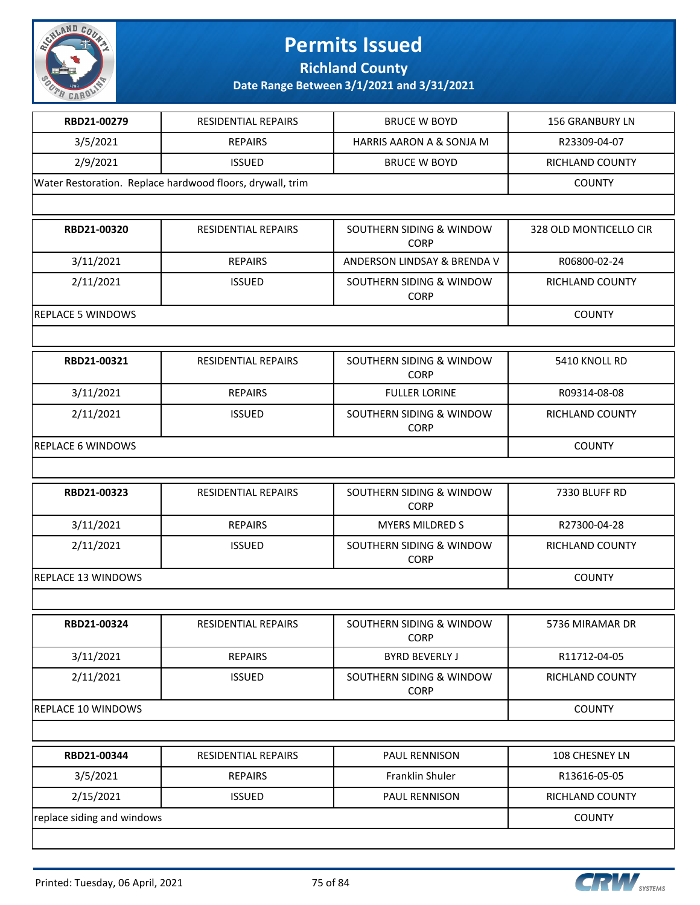

**Richland County**

| RBD21-00279                                               | RESIDENTIAL REPAIRS        | <b>BRUCE W BOYD</b>                     | <b>156 GRANBURY LN</b> |
|-----------------------------------------------------------|----------------------------|-----------------------------------------|------------------------|
| 3/5/2021                                                  | <b>REPAIRS</b>             | <b>HARRIS AARON A &amp; SONJA M</b>     | R23309-04-07           |
| 2/9/2021                                                  | <b>ISSUED</b>              | <b>BRUCE W BOYD</b>                     | <b>RICHLAND COUNTY</b> |
| Water Restoration. Replace hardwood floors, drywall, trim | <b>COUNTY</b>              |                                         |                        |
|                                                           |                            |                                         |                        |
| RBD21-00320                                               | <b>RESIDENTIAL REPAIRS</b> | SOUTHERN SIDING & WINDOW<br><b>CORP</b> | 328 OLD MONTICELLO CIR |
| 3/11/2021                                                 | <b>REPAIRS</b>             | ANDERSON LINDSAY & BRENDA V             | R06800-02-24           |
| 2/11/2021                                                 | <b>ISSUED</b>              | SOUTHERN SIDING & WINDOW<br><b>CORP</b> | RICHLAND COUNTY        |
| <b>REPLACE 5 WINDOWS</b>                                  |                            |                                         | <b>COUNTY</b>          |
|                                                           |                            |                                         |                        |
| RBD21-00321                                               | <b>RESIDENTIAL REPAIRS</b> | SOUTHERN SIDING & WINDOW<br><b>CORP</b> | 5410 KNOLL RD          |
| 3/11/2021                                                 | <b>REPAIRS</b>             | <b>FULLER LORINE</b>                    | R09314-08-08           |
| 2/11/2021                                                 | <b>ISSUED</b>              | SOUTHERN SIDING & WINDOW<br><b>CORP</b> | <b>RICHLAND COUNTY</b> |
| <b>REPLACE 6 WINDOWS</b>                                  | <b>COUNTY</b>              |                                         |                        |
|                                                           |                            |                                         |                        |
| RBD21-00323                                               | <b>RESIDENTIAL REPAIRS</b> | SOUTHERN SIDING & WINDOW<br><b>CORP</b> | 7330 BLUFF RD          |
| 3/11/2021                                                 | <b>REPAIRS</b>             | <b>MYERS MILDRED S</b>                  | R27300-04-28           |
| 2/11/2021                                                 | <b>ISSUED</b>              | SOUTHERN SIDING & WINDOW<br><b>CORP</b> | RICHLAND COUNTY        |
| <b>REPLACE 13 WINDOWS</b>                                 |                            |                                         | <b>COUNTY</b>          |
|                                                           |                            |                                         |                        |
| RBD21-00324                                               | RESIDENTIAL REPAIRS        | SOUTHERN SIDING & WINDOW<br><b>CORP</b> | 5736 MIRAMAR DR        |
| 3/11/2021                                                 | <b>REPAIRS</b>             | <b>BYRD BEVERLY J</b>                   | R11712-04-05           |
| 2/11/2021                                                 | <b>ISSUED</b>              | SOUTHERN SIDING & WINDOW<br><b>CORP</b> | RICHLAND COUNTY        |
| REPLACE 10 WINDOWS                                        |                            |                                         | <b>COUNTY</b>          |
|                                                           |                            |                                         |                        |
| RBD21-00344                                               | <b>RESIDENTIAL REPAIRS</b> | PAUL RENNISON                           | 108 CHESNEY LN         |
| 3/5/2021                                                  | <b>REPAIRS</b>             | Franklin Shuler                         | R13616-05-05           |
| 2/15/2021                                                 | <b>ISSUED</b>              | PAUL RENNISON                           | RICHLAND COUNTY        |
| replace siding and windows                                | <b>COUNTY</b>              |                                         |                        |
|                                                           |                            |                                         |                        |

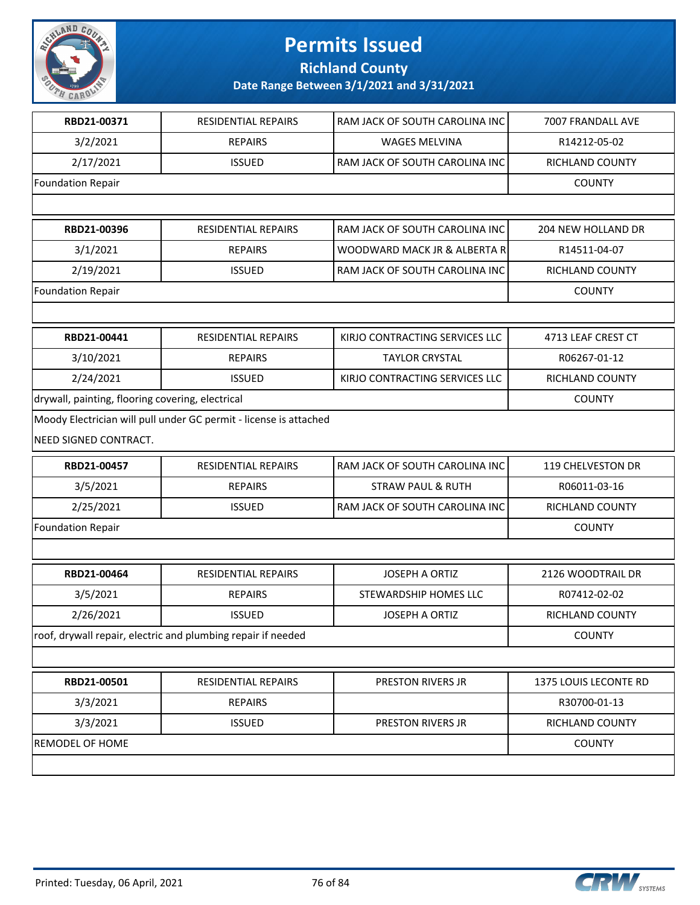

**Richland County**

| RBD21-00371                                      | <b>RESIDENTIAL REPAIRS</b>                                        | RAM JACK OF SOUTH CAROLINA INC | 7007 FRANDALL AVE         |  |
|--------------------------------------------------|-------------------------------------------------------------------|--------------------------------|---------------------------|--|
| 3/2/2021                                         | <b>REPAIRS</b>                                                    | <b>WAGES MELVINA</b>           | R14212-05-02              |  |
| 2/17/2021                                        | <b>ISSUED</b>                                                     | RAM JACK OF SOUTH CAROLINA INC | RICHLAND COUNTY           |  |
| <b>Foundation Repair</b>                         |                                                                   |                                | <b>COUNTY</b>             |  |
|                                                  |                                                                   |                                |                           |  |
| RBD21-00396                                      | RESIDENTIAL REPAIRS                                               | RAM JACK OF SOUTH CAROLINA INC | <b>204 NEW HOLLAND DR</b> |  |
| 3/1/2021                                         | <b>REPAIRS</b>                                                    | WOODWARD MACK JR & ALBERTA R   | R14511-04-07              |  |
| 2/19/2021                                        | <b>ISSUED</b>                                                     | RAM JACK OF SOUTH CAROLINA INC | RICHLAND COUNTY           |  |
| <b>Foundation Repair</b>                         |                                                                   |                                | <b>COUNTY</b>             |  |
|                                                  |                                                                   |                                |                           |  |
| RBD21-00441                                      | <b>RESIDENTIAL REPAIRS</b>                                        | KIRJO CONTRACTING SERVICES LLC | 4713 LEAF CREST CT        |  |
| 3/10/2021                                        | <b>REPAIRS</b>                                                    | <b>TAYLOR CRYSTAL</b>          | R06267-01-12              |  |
| 2/24/2021                                        | <b>ISSUED</b>                                                     | KIRJO CONTRACTING SERVICES LLC | RICHLAND COUNTY           |  |
| drywall, painting, flooring covering, electrical | <b>COUNTY</b>                                                     |                                |                           |  |
|                                                  | Moody Electrician will pull under GC permit - license is attached |                                |                           |  |
| NEED SIGNED CONTRACT.                            |                                                                   |                                |                           |  |
| RBD21-00457                                      | <b>RESIDENTIAL REPAIRS</b>                                        | RAM JACK OF SOUTH CAROLINA INC | 119 CHELVESTON DR         |  |
| 3/5/2021                                         | <b>REPAIRS</b>                                                    | <b>STRAW PAUL &amp; RUTH</b>   | R06011-03-16              |  |
| 2/25/2021                                        | <b>ISSUED</b>                                                     | RAM JACK OF SOUTH CAROLINA INC | RICHLAND COUNTY           |  |
| <b>Foundation Repair</b>                         |                                                                   |                                | <b>COUNTY</b>             |  |
|                                                  |                                                                   |                                |                           |  |
| RBD21-00464                                      | RESIDENTIAL REPAIRS                                               | <b>JOSEPH A ORTIZ</b>          | 2126 WOODTRAIL DR         |  |
| 3/5/2021                                         | <b>REPAIRS</b>                                                    | STEWARDSHIP HOMES LLC          | R07412-02-02              |  |
| 2/26/2021                                        | <b>ISSUED</b>                                                     | <b>JOSEPH A ORTIZ</b>          | RICHLAND COUNTY           |  |
|                                                  | roof, drywall repair, electric and plumbing repair if needed      |                                | <b>COUNTY</b>             |  |
|                                                  |                                                                   |                                |                           |  |
| RBD21-00501                                      | RESIDENTIAL REPAIRS                                               | PRESTON RIVERS JR              | 1375 LOUIS LECONTE RD     |  |
| 3/3/2021                                         | <b>REPAIRS</b>                                                    |                                | R30700-01-13              |  |
| 3/3/2021                                         | <b>ISSUED</b>                                                     | PRESTON RIVERS JR              | RICHLAND COUNTY           |  |
| REMODEL OF HOME                                  |                                                                   |                                |                           |  |
|                                                  |                                                                   |                                |                           |  |

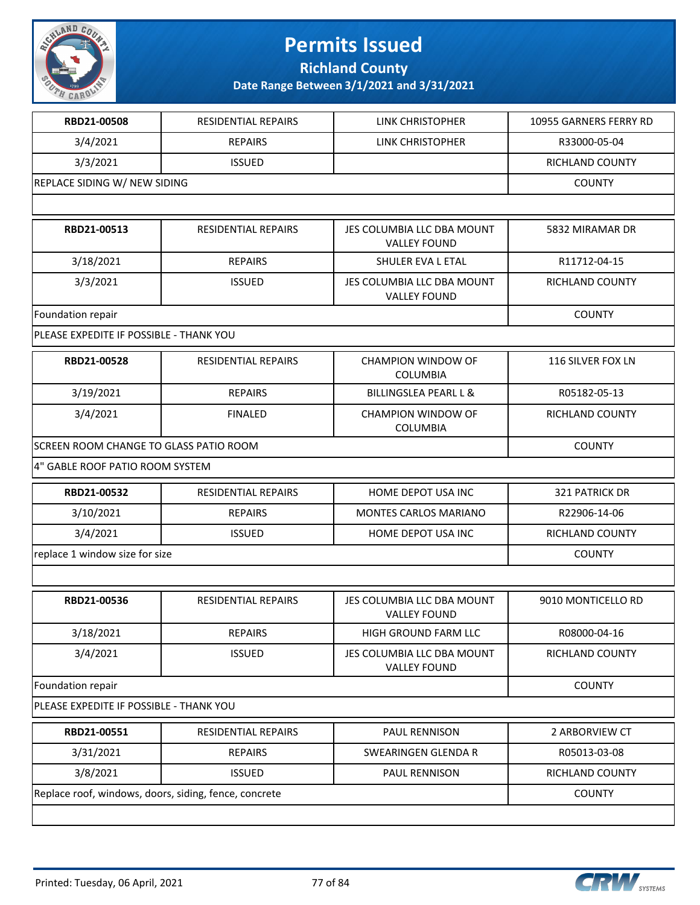

**Richland County**

| RBD21-00508                                           | <b>RESIDENTIAL REPAIRS</b> | LINK CHRISTOPHER                                  | 10955 GARNERS FERRY RD |
|-------------------------------------------------------|----------------------------|---------------------------------------------------|------------------------|
| 3/4/2021                                              | <b>REPAIRS</b>             | LINK CHRISTOPHER                                  | R33000-05-04           |
| 3/3/2021                                              | <b>ISSUED</b>              |                                                   | RICHLAND COUNTY        |
| REPLACE SIDING W/ NEW SIDING                          |                            |                                                   | <b>COUNTY</b>          |
|                                                       |                            |                                                   |                        |
| RBD21-00513                                           | <b>RESIDENTIAL REPAIRS</b> | JES COLUMBIA LLC DBA MOUNT<br><b>VALLEY FOUND</b> | 5832 MIRAMAR DR        |
| 3/18/2021                                             | <b>REPAIRS</b>             | SHULER EVA L ETAL                                 | R11712-04-15           |
| 3/3/2021                                              | <b>ISSUED</b>              | JES COLUMBIA LLC DBA MOUNT<br><b>VALLEY FOUND</b> | RICHLAND COUNTY        |
| Foundation repair                                     |                            |                                                   | <b>COUNTY</b>          |
| PLEASE EXPEDITE IF POSSIBLE - THANK YOU               |                            |                                                   |                        |
| RBD21-00528                                           | RESIDENTIAL REPAIRS        | <b>CHAMPION WINDOW OF</b><br><b>COLUMBIA</b>      | 116 SILVER FOX LN      |
| 3/19/2021                                             | <b>REPAIRS</b>             | <b>BILLINGSLEA PEARL L &amp;</b>                  | R05182-05-13           |
| 3/4/2021                                              | <b>FINALED</b>             | <b>CHAMPION WINDOW OF</b><br><b>COLUMBIA</b>      | RICHLAND COUNTY        |
| SCREEN ROOM CHANGE TO GLASS PATIO ROOM                | <b>COUNTY</b>              |                                                   |                        |
| 4" GABLE ROOF PATIO ROOM SYSTEM                       |                            |                                                   |                        |
| RBD21-00532                                           | RESIDENTIAL REPAIRS        | HOME DEPOT USA INC                                | <b>321 PATRICK DR</b>  |
| 3/10/2021                                             | <b>REPAIRS</b>             | MONTES CARLOS MARIANO                             | R22906-14-06           |
| 3/4/2021                                              | <b>ISSUED</b>              | HOME DEPOT USA INC                                | RICHLAND COUNTY        |
| replace 1 window size for size                        | <b>COUNTY</b>              |                                                   |                        |
|                                                       |                            |                                                   |                        |
| RBD21-00536                                           | <b>RESIDENTIAL REPAIRS</b> | JES COLUMBIA LLC DBA MOUNT<br><b>VALLEY FOUND</b> | 9010 MONTICELLO RD     |
| 3/18/2021                                             | <b>REPAIRS</b>             | HIGH GROUND FARM LLC                              | R08000-04-16           |
| 3/4/2021                                              | <b>ISSUED</b>              | JES COLUMBIA LLC DBA MOUNT<br><b>VALLEY FOUND</b> | RICHLAND COUNTY        |
| Foundation repair                                     |                            |                                                   | <b>COUNTY</b>          |
| PLEASE EXPEDITE IF POSSIBLE - THANK YOU               |                            |                                                   |                        |
| RBD21-00551                                           | RESIDENTIAL REPAIRS        | PAUL RENNISON                                     | 2 ARBORVIEW CT         |
| 3/31/2021                                             | <b>REPAIRS</b>             | SWEARINGEN GLENDA R                               | R05013-03-08           |
| 3/8/2021                                              | <b>ISSUED</b>              | PAUL RENNISON                                     | RICHLAND COUNTY        |
| Replace roof, windows, doors, siding, fence, concrete |                            |                                                   | <b>COUNTY</b>          |
|                                                       |                            |                                                   |                        |

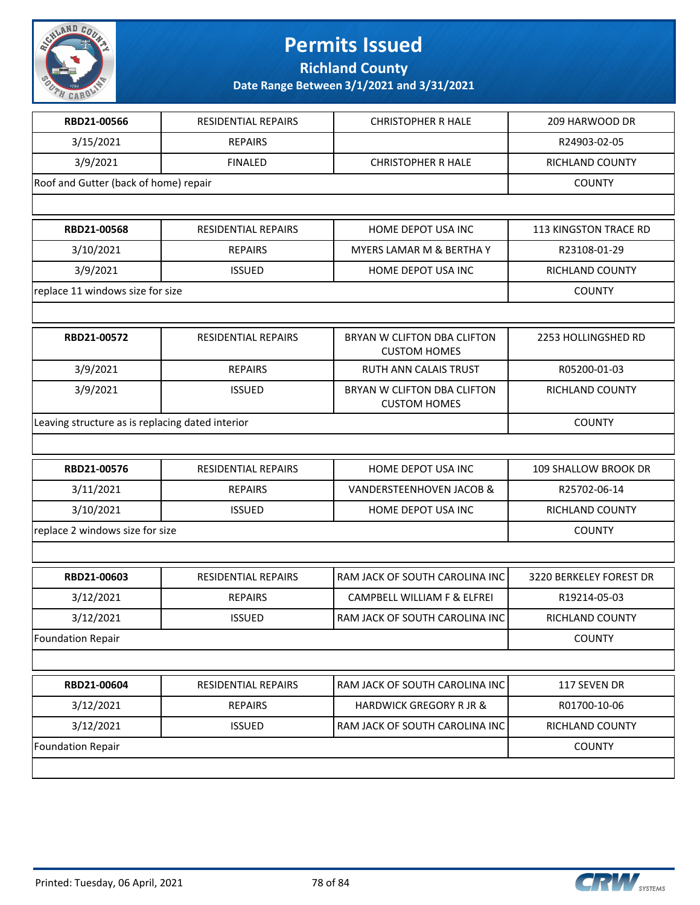

**Richland County**

| RESIDENTIAL REPAIRS<br><b>REPAIRS</b><br><b>FINALED</b><br>Roof and Gutter (back of home) repair<br>RESIDENTIAL REPAIRS<br><b>REPAIRS</b><br><b>ISSUED</b> | <b>CHRISTOPHER R HALE</b><br><b>CHRISTOPHER R HALE</b><br>HOME DEPOT USA INC<br>MYERS LAMAR M & BERTHA Y<br>HOME DEPOT USA INC | 209 HARWOOD DR<br>R24903-02-05<br>RICHLAND COUNTY<br><b>COUNTY</b><br>113 KINGSTON TRACE RD<br>R23108-01-29<br>RICHLAND COUNTY<br><b>COUNTY</b> |  |
|------------------------------------------------------------------------------------------------------------------------------------------------------------|--------------------------------------------------------------------------------------------------------------------------------|-------------------------------------------------------------------------------------------------------------------------------------------------|--|
|                                                                                                                                                            |                                                                                                                                |                                                                                                                                                 |  |
|                                                                                                                                                            |                                                                                                                                |                                                                                                                                                 |  |
|                                                                                                                                                            |                                                                                                                                |                                                                                                                                                 |  |
|                                                                                                                                                            |                                                                                                                                |                                                                                                                                                 |  |
|                                                                                                                                                            |                                                                                                                                |                                                                                                                                                 |  |
|                                                                                                                                                            |                                                                                                                                |                                                                                                                                                 |  |
|                                                                                                                                                            |                                                                                                                                |                                                                                                                                                 |  |
|                                                                                                                                                            |                                                                                                                                |                                                                                                                                                 |  |
|                                                                                                                                                            |                                                                                                                                |                                                                                                                                                 |  |
|                                                                                                                                                            |                                                                                                                                |                                                                                                                                                 |  |
| RESIDENTIAL REPAIRS                                                                                                                                        | BRYAN W CLIFTON DBA CLIFTON<br><b>CUSTOM HOMES</b>                                                                             | 2253 HOLLINGSHED RD                                                                                                                             |  |
| <b>REPAIRS</b>                                                                                                                                             | <b>RUTH ANN CALAIS TRUST</b>                                                                                                   | R05200-01-03                                                                                                                                    |  |
| <b>ISSUED</b>                                                                                                                                              | BRYAN W CLIFTON DBA CLIFTON<br><b>CUSTOM HOMES</b>                                                                             | RICHLAND COUNTY                                                                                                                                 |  |
| Leaving structure as is replacing dated interior                                                                                                           |                                                                                                                                | <b>COUNTY</b>                                                                                                                                   |  |
|                                                                                                                                                            |                                                                                                                                |                                                                                                                                                 |  |
| RESIDENTIAL REPAIRS                                                                                                                                        | HOME DEPOT USA INC                                                                                                             | 109 SHALLOW BROOK DR                                                                                                                            |  |
| <b>REPAIRS</b>                                                                                                                                             | <b>VANDERSTEENHOVEN JACOB &amp;</b>                                                                                            | R25702-06-14                                                                                                                                    |  |
| <b>ISSUED</b>                                                                                                                                              | HOME DEPOT USA INC                                                                                                             | RICHLAND COUNTY                                                                                                                                 |  |
|                                                                                                                                                            |                                                                                                                                | <b>COUNTY</b>                                                                                                                                   |  |
|                                                                                                                                                            |                                                                                                                                |                                                                                                                                                 |  |
| RESIDENTIAL REPAIRS                                                                                                                                        | RAM JACK OF SOUTH CAROLINA INC                                                                                                 | 3220 BERKELEY FOREST DR                                                                                                                         |  |
| <b>REPAIRS</b>                                                                                                                                             | CAMPBELL WILLIAM F & ELFREI                                                                                                    | R19214-05-03                                                                                                                                    |  |
| ISSUED                                                                                                                                                     | RAM JACK OF SOUTH CAROLINA INC                                                                                                 | RICHLAND COUNTY                                                                                                                                 |  |
|                                                                                                                                                            |                                                                                                                                | <b>COUNTY</b>                                                                                                                                   |  |
|                                                                                                                                                            |                                                                                                                                |                                                                                                                                                 |  |
| RESIDENTIAL REPAIRS                                                                                                                                        | RAM JACK OF SOUTH CAROLINA INC                                                                                                 | 117 SEVEN DR                                                                                                                                    |  |
| <b>REPAIRS</b>                                                                                                                                             | <b>HARDWICK GREGORY R JR &amp;</b>                                                                                             | R01700-10-06                                                                                                                                    |  |
| <b>ISSUED</b>                                                                                                                                              | RAM JACK OF SOUTH CAROLINA INC                                                                                                 | RICHLAND COUNTY                                                                                                                                 |  |
| <b>Foundation Repair</b>                                                                                                                                   |                                                                                                                                |                                                                                                                                                 |  |
|                                                                                                                                                            |                                                                                                                                |                                                                                                                                                 |  |

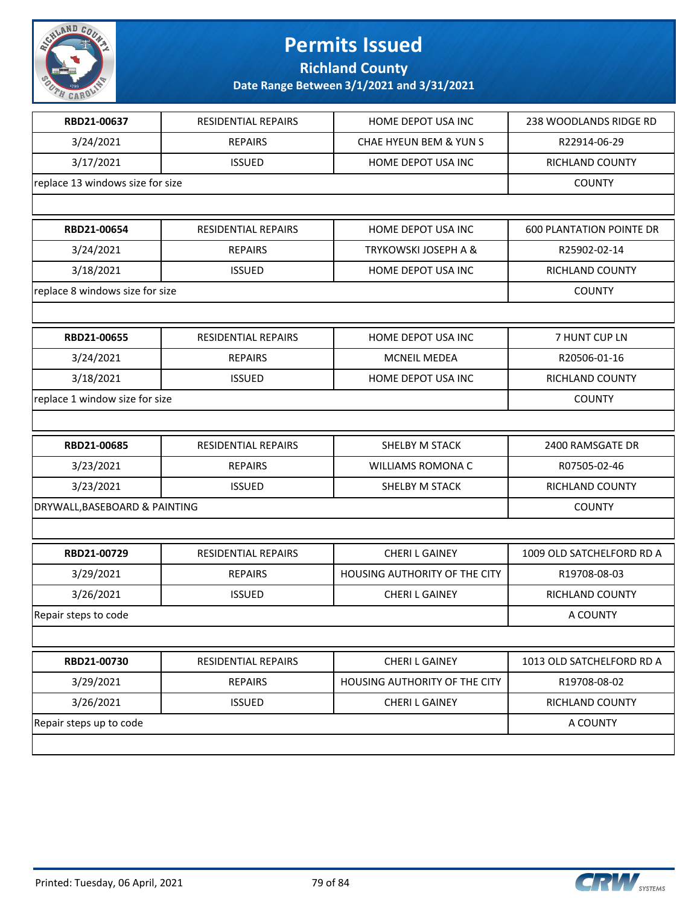

**Richland County**

| RBD21-00637                      | RESIDENTIAL REPAIRS        | HOME DEPOT USA INC            | 238 WOODLANDS RIDGE RD          |
|----------------------------------|----------------------------|-------------------------------|---------------------------------|
| 3/24/2021                        | <b>REPAIRS</b>             | CHAE HYEUN BEM & YUN S        | R22914-06-29                    |
| 3/17/2021                        | <b>ISSUED</b>              | HOME DEPOT USA INC            | RICHLAND COUNTY                 |
| replace 13 windows size for size |                            |                               | <b>COUNTY</b>                   |
|                                  |                            |                               |                                 |
| RBD21-00654                      | <b>RESIDENTIAL REPAIRS</b> | HOME DEPOT USA INC            | <b>600 PLANTATION POINTE DR</b> |
| 3/24/2021                        | <b>REPAIRS</b>             | TRYKOWSKI JOSEPH A &          | R25902-02-14                    |
| 3/18/2021                        | <b>ISSUED</b>              | HOME DEPOT USA INC            | RICHLAND COUNTY                 |
| replace 8 windows size for size  |                            |                               | <b>COUNTY</b>                   |
|                                  |                            |                               |                                 |
| RBD21-00655                      | RESIDENTIAL REPAIRS        | HOME DEPOT USA INC            | 7 HUNT CUP LN                   |
| 3/24/2021                        | <b>REPAIRS</b>             | <b>MCNEIL MEDEA</b>           | R20506-01-16                    |
| 3/18/2021                        | <b>ISSUED</b>              | HOME DEPOT USA INC            | RICHLAND COUNTY                 |
| replace 1 window size for size   |                            |                               | <b>COUNTY</b>                   |
|                                  |                            |                               |                                 |
| RBD21-00685                      | RESIDENTIAL REPAIRS        | SHELBY M STACK                | 2400 RAMSGATE DR                |
| 3/23/2021                        | <b>REPAIRS</b>             | <b>WILLIAMS ROMONA C</b>      | R07505-02-46                    |
| 3/23/2021                        | <b>ISSUED</b>              | SHELBY M STACK                | RICHLAND COUNTY                 |
| DRYWALL, BASEBOARD & PAINTING    |                            |                               | <b>COUNTY</b>                   |
|                                  |                            |                               |                                 |
| RBD21-00729                      | <b>RESIDENTIAL REPAIRS</b> | <b>CHERIL GAINEY</b>          | 1009 OLD SATCHELFORD RD A       |
| 3/29/2021                        | <b>REPAIRS</b>             | HOUSING AUTHORITY OF THE CITY | R19708-08-03                    |
| 3/26/2021                        | <b>ISSUED</b>              | <b>CHERIL GAINEY</b>          | RICHLAND COUNTY                 |
| Repair steps to code             |                            |                               | A COUNTY                        |
|                                  |                            |                               |                                 |
| RBD21-00730                      | <b>RESIDENTIAL REPAIRS</b> | <b>CHERIL GAINEY</b>          | 1013 OLD SATCHELFORD RD A       |
| 3/29/2021                        | <b>REPAIRS</b>             | HOUSING AUTHORITY OF THE CITY | R19708-08-02                    |
| 3/26/2021                        | <b>ISSUED</b>              | <b>CHERI L GAINEY</b>         | RICHLAND COUNTY                 |
| Repair steps up to code          |                            |                               | A COUNTY                        |
|                                  |                            |                               |                                 |
|                                  |                            |                               |                                 |

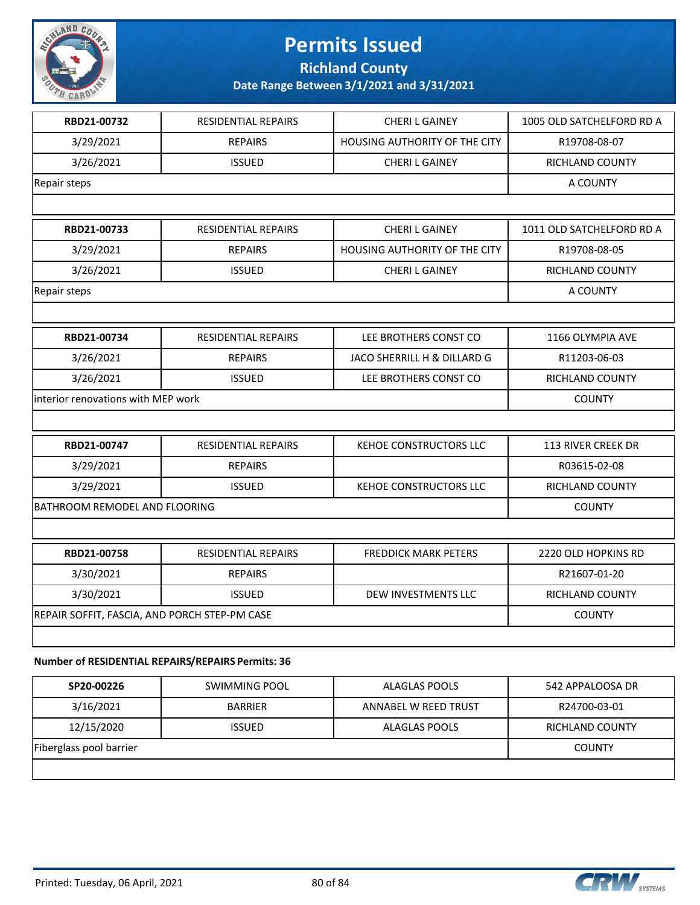

**Richland County**

**Date Range Between 3/1/2021 and 3/31/2021**

| RBD21-00732                                   | <b>RESIDENTIAL REPAIRS</b> | <b>CHERIL GAINEY</b>                 | 1005 OLD SATCHELFORD RD A |
|-----------------------------------------------|----------------------------|--------------------------------------|---------------------------|
| 3/29/2021                                     | <b>REPAIRS</b>             | <b>HOUSING AUTHORITY OF THE CITY</b> | R19708-08-07              |
| 3/26/2021                                     | <b>ISSUED</b>              | <b>CHERI L GAINEY</b>                | RICHLAND COUNTY           |
| Repair steps                                  |                            |                                      | A COUNTY                  |
|                                               |                            |                                      |                           |
| RBD21-00733                                   | <b>RESIDENTIAL REPAIRS</b> | <b>CHERIL GAINEY</b>                 | 1011 OLD SATCHELFORD RD A |
| 3/29/2021                                     | <b>REPAIRS</b>             | <b>HOUSING AUTHORITY OF THE CITY</b> | R19708-08-05              |
| 3/26/2021                                     | <b>ISSUED</b>              | <b>CHERI L GAINEY</b>                | RICHLAND COUNTY           |
| Repair steps                                  |                            |                                      | A COUNTY                  |
|                                               |                            |                                      |                           |
| RBD21-00734                                   | RESIDENTIAL REPAIRS        | LEE BROTHERS CONST CO                | 1166 OLYMPIA AVE          |
| 3/26/2021                                     | <b>REPAIRS</b>             | JACO SHERRILL H & DILLARD G          | R11203-06-03              |
| 3/26/2021                                     | <b>ISSUED</b>              | LEE BROTHERS CONST CO                | RICHLAND COUNTY           |
| interior renovations with MEP work            |                            |                                      | <b>COUNTY</b>             |
|                                               |                            |                                      |                           |
| RBD21-00747                                   | RESIDENTIAL REPAIRS        | KEHOE CONSTRUCTORS LLC               | 113 RIVER CREEK DR        |
| 3/29/2021                                     | <b>REPAIRS</b>             |                                      | R03615-02-08              |
| 3/29/2021                                     | <b>ISSUED</b>              | <b>KEHOE CONSTRUCTORS LLC</b>        | RICHLAND COUNTY           |
| BATHROOM REMODEL AND FLOORING                 |                            |                                      | <b>COUNTY</b>             |
|                                               |                            |                                      |                           |
| RBD21-00758                                   | <b>RESIDENTIAL REPAIRS</b> | <b>FREDDICK MARK PETERS</b>          | 2220 OLD HOPKINS RD       |
| 3/30/2021                                     | <b>REPAIRS</b>             |                                      | R21607-01-20              |
| 3/30/2021                                     | <b>ISSUED</b>              | DEW INVESTMENTS LLC                  | RICHLAND COUNTY           |
| REPAIR SOFFIT, FASCIA, AND PORCH STEP-PM CASE |                            |                                      | <b>COUNTY</b>             |
|                                               |                            |                                      |                           |
|                                               |                            |                                      |                           |

#### **Number of RESIDENTIAL REPAIRS/REPAIRS Permits: 36**

| SP20-00226              | SWIMMING POOL  | ALAGLAS POOLS        | 542 APPALOOSA DR |
|-------------------------|----------------|----------------------|------------------|
| 3/16/2021               | <b>BARRIER</b> | ANNABEL W REED TRUST | R24700-03-01     |
| 12/15/2020              | <b>ISSUED</b>  | ALAGLAS POOLS        | RICHLAND COUNTY  |
| Fiberglass pool barrier |                |                      | <b>COUNTY</b>    |
|                         |                |                      |                  |

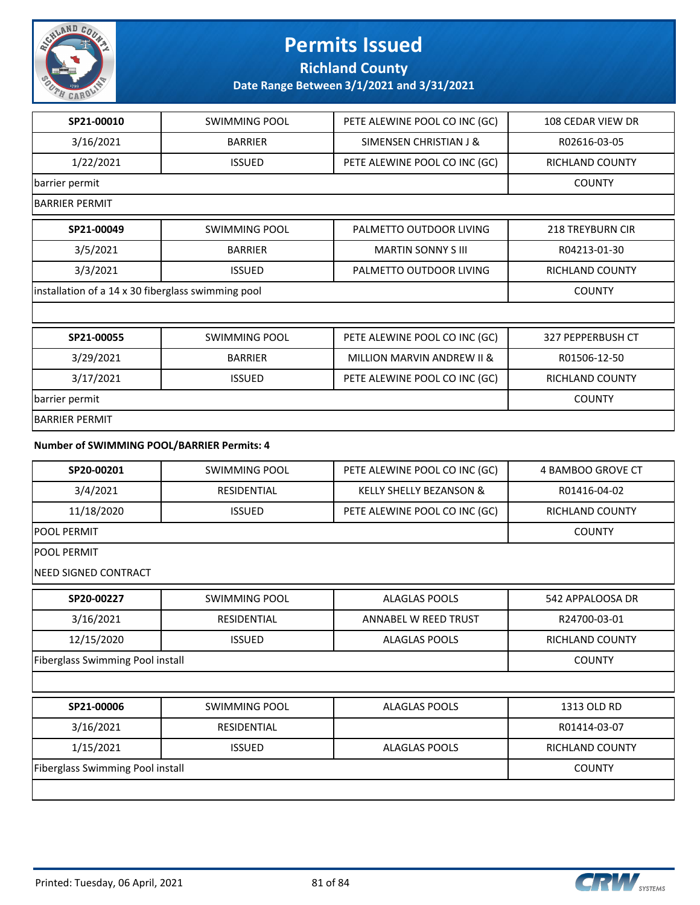

**Richland County**

**Date Range Between 3/1/2021 and 3/31/2021**

| SP21-00010                                         | SWIMMING POOL        | PETE ALEWINE POOL CO INC (GC) | 108 CEDAR VIEW DR       |
|----------------------------------------------------|----------------------|-------------------------------|-------------------------|
| 3/16/2021                                          | <b>BARRIER</b>       | SIMENSEN CHRISTIAN J &        | R02616-03-05            |
| 1/22/2021                                          | <b>ISSUED</b>        | PETE ALEWINE POOL CO INC (GC) | RICHLAND COUNTY         |
| barrier permit                                     |                      |                               | <b>COUNTY</b>           |
| <b>BARRIER PERMIT</b>                              |                      |                               |                         |
| SP21-00049                                         | <b>SWIMMING POOL</b> | PALMETTO OUTDOOR LIVING       | <b>218 TREYBURN CIR</b> |
| 3/5/2021                                           | <b>BARRIER</b>       | <b>MARTIN SONNY S III</b>     | R04213-01-30            |
| 3/3/2021                                           | <b>ISSUED</b>        | PALMETTO OUTDOOR LIVING       | RICHLAND COUNTY         |
| installation of a 14 x 30 fiberglass swimming pool |                      |                               | <b>COUNTY</b>           |
|                                                    |                      |                               |                         |
| SP21-00055                                         | <b>SWIMMING POOL</b> | PETE ALEWINE POOL CO INC (GC) | 327 PEPPERBUSH CT       |
| 3/29/2021                                          | <b>BARRIER</b>       | MILLION MARVIN ANDREW II &    | R01506-12-50            |
| 3/17/2021                                          | <b>ISSUED</b>        | PETE ALEWINE POOL CO INC (GC) | RICHLAND COUNTY         |
| barrier permit                                     | <b>COUNTY</b>        |                               |                         |
| <b>BARRIER PERMIT</b>                              |                      |                               |                         |
| Number of SWIMMING POOL/BARRIER Permits: 4         |                      |                               |                         |
| SP20-00201                                         | <b>SWIMMING POOL</b> | PETE ALEWINE POOL CO INC (GC) | 4 BAMBOO GROVE CT       |
| 3/4/2021                                           | RESIDENTIAL          | KELLY SHELLY BEZANSON &       | R01416-04-02            |
| 11/18/2020                                         | <b>ISSUED</b>        | PETE ALEWINE POOL CO INC (GC) | RICHLAND COUNTY         |
| <b>POOL PERMIT</b>                                 |                      |                               | <b>COUNTY</b>           |
| <b>POOL PERMIT</b>                                 |                      |                               |                         |
| <b>NEED SIGNED CONTRACT</b>                        |                      |                               |                         |
| SP20-00227                                         | <b>SWIMMING POOL</b> | <b>ALAGLAS POOLS</b>          | 542 APPALOOSA DR        |
| 3/16/2021                                          | RESIDENTIAL          | ANNABEL W REED TRUST          | R24700-03-01            |
| 12/15/2020                                         | <b>ISSUED</b>        | <b>ALAGLAS POOLS</b>          | RICHLAND COUNTY         |
| <b>Fiberglass Swimming Pool install</b>            |                      |                               | <b>COUNTY</b>           |
|                                                    |                      |                               |                         |
| SP21-00006                                         | SWIMMING POOL        | <b>ALAGLAS POOLS</b>          | 1313 OLD RD             |
| 3/16/2021                                          | RESIDENTIAL          |                               | R01414-03-07            |
| 1/15/2021                                          | <b>ISSUED</b>        | <b>ALAGLAS POOLS</b>          | RICHLAND COUNTY         |
|                                                    |                      |                               |                         |

Fiberglass Swimming Pool install COUNTY

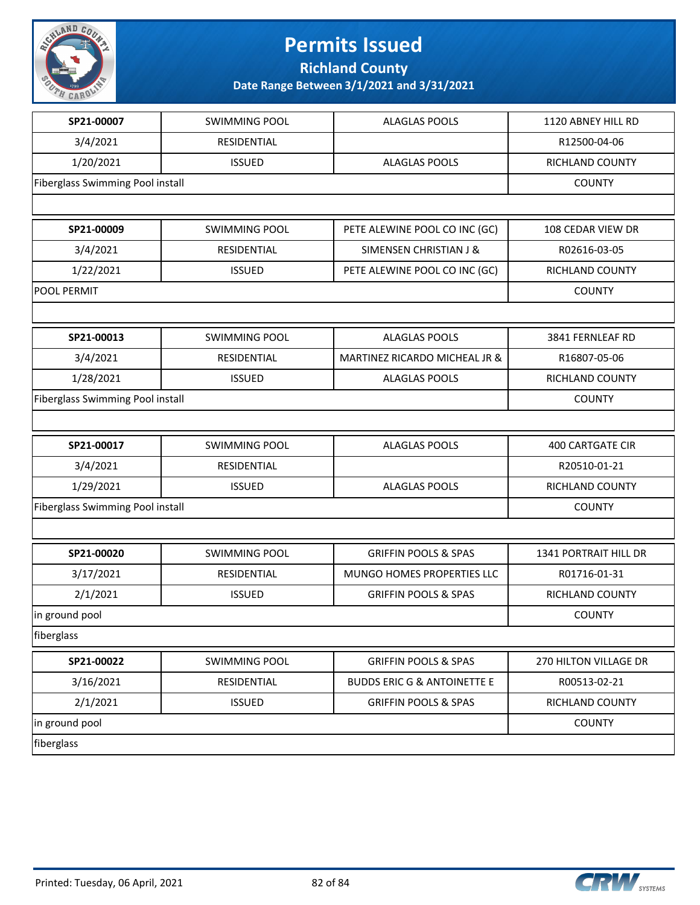

**Richland County**

| SP21-00007                              | <b>SWIMMING POOL</b> | <b>ALAGLAS POOLS</b>                   | 1120 ABNEY HILL RD      |
|-----------------------------------------|----------------------|----------------------------------------|-------------------------|
| 3/4/2021                                | RESIDENTIAL          |                                        | R12500-04-06            |
| 1/20/2021                               | <b>ISSUED</b>        | <b>ALAGLAS POOLS</b>                   | RICHLAND COUNTY         |
| Fiberglass Swimming Pool install        |                      | <b>COUNTY</b>                          |                         |
|                                         |                      |                                        |                         |
| SP21-00009                              | <b>SWIMMING POOL</b> | PETE ALEWINE POOL CO INC (GC)          | 108 CEDAR VIEW DR       |
| 3/4/2021                                | RESIDENTIAL          | SIMENSEN CHRISTIAN J &                 | R02616-03-05            |
| 1/22/2021                               | <b>ISSUED</b>        | PETE ALEWINE POOL CO INC (GC)          | RICHLAND COUNTY         |
| POOL PERMIT                             |                      | <b>COUNTY</b>                          |                         |
|                                         |                      |                                        |                         |
| SP21-00013                              | <b>SWIMMING POOL</b> | <b>ALAGLAS POOLS</b>                   | 3841 FERNLEAF RD        |
| 3/4/2021                                | RESIDENTIAL          | MARTINEZ RICARDO MICHEAL JR &          | R16807-05-06            |
| 1/28/2021                               | <b>ISSUED</b>        | <b>ALAGLAS POOLS</b>                   | RICHLAND COUNTY         |
| <b>Fiberglass Swimming Pool install</b> | <b>COUNTY</b>        |                                        |                         |
|                                         |                      |                                        |                         |
| SP21-00017                              | <b>SWIMMING POOL</b> | <b>ALAGLAS POOLS</b>                   | <b>400 CARTGATE CIR</b> |
| 3/4/2021                                | RESIDENTIAL          |                                        | R20510-01-21            |
| 1/29/2021                               | <b>ISSUED</b>        | <b>ALAGLAS POOLS</b>                   | RICHLAND COUNTY         |
| <b>Fiberglass Swimming Pool install</b> | <b>COUNTY</b>        |                                        |                         |
|                                         |                      |                                        |                         |
|                                         |                      |                                        |                         |
| SP21-00020                              | <b>SWIMMING POOL</b> | <b>GRIFFIN POOLS &amp; SPAS</b>        | 1341 PORTRAIT HILL DR   |
| 3/17/2021                               | RESIDENTIAL          | MUNGO HOMES PROPERTIES LLC             | R01716-01-31            |
| 2/1/2021                                | <b>ISSUED</b>        | <b>GRIFFIN POOLS &amp; SPAS</b>        | RICHLAND COUNTY         |
| in ground pool                          |                      |                                        | <b>COUNTY</b>           |
| fiberglass                              |                      |                                        |                         |
| SP21-00022                              | SWIMMING POOL        | <b>GRIFFIN POOLS &amp; SPAS</b>        | 270 HILTON VILLAGE DR   |
| 3/16/2021                               | RESIDENTIAL          | <b>BUDDS ERIC G &amp; ANTOINETTE E</b> | R00513-02-21            |
| 2/1/2021                                | <b>ISSUED</b>        | <b>GRIFFIN POOLS &amp; SPAS</b>        | RICHLAND COUNTY         |
| in ground pool                          |                      |                                        | <b>COUNTY</b>           |

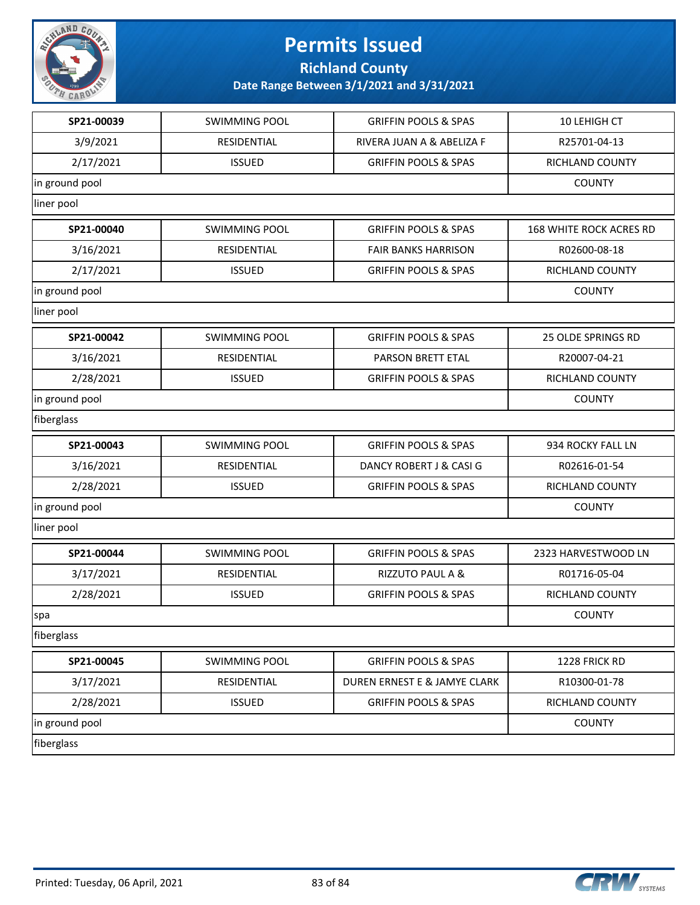

**Richland County**

| SP21-00039     | <b>SWIMMING POOL</b> | <b>GRIFFIN POOLS &amp; SPAS</b> | 10 LEHIGH CT                   |
|----------------|----------------------|---------------------------------|--------------------------------|
| 3/9/2021       | RESIDENTIAL          | RIVERA JUAN A & ABELIZA F       | R25701-04-13                   |
| 2/17/2021      | <b>ISSUED</b>        | <b>GRIFFIN POOLS &amp; SPAS</b> | RICHLAND COUNTY                |
| in ground pool |                      |                                 | <b>COUNTY</b>                  |
| liner pool     |                      |                                 |                                |
| SP21-00040     | <b>SWIMMING POOL</b> | <b>GRIFFIN POOLS &amp; SPAS</b> | <b>168 WHITE ROCK ACRES RD</b> |
| 3/16/2021      | RESIDENTIAL          | <b>FAIR BANKS HARRISON</b>      | R02600-08-18                   |
| 2/17/2021      | <b>ISSUED</b>        | <b>GRIFFIN POOLS &amp; SPAS</b> | RICHLAND COUNTY                |
| in ground pool | <b>COUNTY</b>        |                                 |                                |
| liner pool     |                      |                                 |                                |
| SP21-00042     | <b>SWIMMING POOL</b> | <b>GRIFFIN POOLS &amp; SPAS</b> | 25 OLDE SPRINGS RD             |
| 3/16/2021      | RESIDENTIAL          | PARSON BRETT ETAL               | R20007-04-21                   |
| 2/28/2021      | <b>ISSUED</b>        | <b>GRIFFIN POOLS &amp; SPAS</b> | <b>RICHLAND COUNTY</b>         |
| in ground pool | <b>COUNTY</b>        |                                 |                                |
| fiberglass     |                      |                                 |                                |
| SP21-00043     | <b>SWIMMING POOL</b> | <b>GRIFFIN POOLS &amp; SPAS</b> | 934 ROCKY FALL LN              |
| 3/16/2021      | RESIDENTIAL          | DANCY ROBERT J & CASI G         | R02616-01-54                   |
| 2/28/2021      | <b>ISSUED</b>        | <b>GRIFFIN POOLS &amp; SPAS</b> | RICHLAND COUNTY                |
| in ground pool | <b>COUNTY</b>        |                                 |                                |
| liner pool     |                      |                                 |                                |
| SP21-00044     | <b>SWIMMING POOL</b> | <b>GRIFFIN POOLS &amp; SPAS</b> | 2323 HARVESTWOOD LN            |
| 3/17/2021      | RESIDENTIAL          | RIZZUTO PAUL A &                | R01716-05-04                   |
| 2/28/2021      | <b>ISSUED</b>        | <b>GRIFFIN POOLS &amp; SPAS</b> | RICHLAND COUNTY                |
| spa            | <b>COUNTY</b>        |                                 |                                |
| fiberglass     |                      |                                 |                                |
| SP21-00045     | SWIMMING POOL        | <b>GRIFFIN POOLS &amp; SPAS</b> | 1228 FRICK RD                  |
| 3/17/2021      | RESIDENTIAL          | DUREN ERNEST E & JAMYE CLARK    | R10300-01-78                   |
| 2/28/2021      | <b>ISSUED</b>        | <b>GRIFFIN POOLS &amp; SPAS</b> | RICHLAND COUNTY                |
| in ground pool |                      |                                 | <b>COUNTY</b>                  |
| fiberglass     |                      |                                 |                                |
|                |                      |                                 |                                |